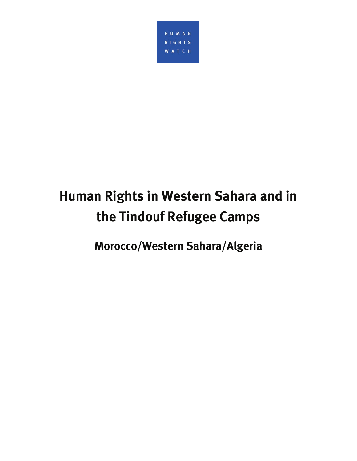

# **Human Rights in Western Sahara and in the Tindouf Refugee Camps**

**Morocco/Western Sahara/Algeria**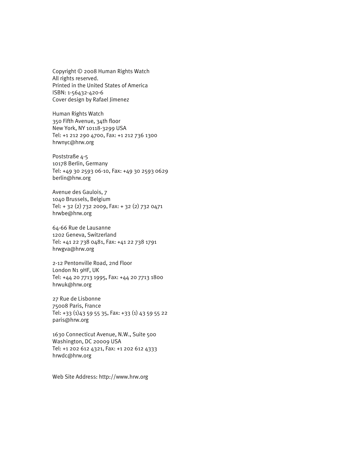Copyright © 2008 Human Rights Watch All rights reserved. Printed in the United States of America ISBN: 1-56432-420-6 Cover design by Rafael Jimenez

Human Rights Watch 350 Fifth Avenue, 34th floor New York, NY 10118-3299 USA Tel: +1 212 290 4700, Fax: +1 212 736 1300 hrwnyc@hrw.org

Poststraße 4-5 10178 Berlin, Germany Tel: +49 30 2593 06-10, Fax: +49 30 2593 0629 berlin@hrw.org

Avenue des Gaulois, 7 1040 Brussels, Belgium Tel: + 32 (2) 732 2009, Fax: + 32 (2) 732 0471 hrwbe@hrw.org

64-66 Rue de Lausanne 1202 Geneva, Switzerland Tel: +41 22 738 0481, Fax: +41 22 738 1791 hrwgva@hrw.org

2-12 Pentonville Road, 2nd Floor London N1 9HF, UK Tel: +44 20 7713 1995, Fax: +44 20 7713 1800 hrwuk@hrw.org

27 Rue de Lisbonne 75008 Paris, France Tel: +33 (1)43 59 55 35, Fax: +33 (1) 43 59 55 22 paris@hrw.org

1630 Connecticut Avenue, N.W., Suite 500 Washington, DC 20009 USA Tel: +1 202 612 4321, Fax: +1 202 612 4333 hrwdc@hrw.org

Web Site Address: http://www.hrw.org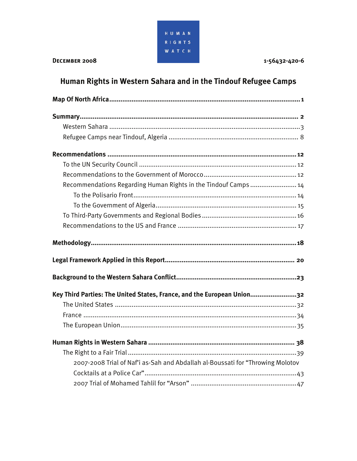

#### DECEMBER 2008

## Human Rights in Western Sahara and in the Tindouf Refugee Camps

| Recommendations Regarding Human Rights in the Tindouf Camps 14                 |
|--------------------------------------------------------------------------------|
|                                                                                |
|                                                                                |
|                                                                                |
|                                                                                |
|                                                                                |
|                                                                                |
|                                                                                |
| Key Third Parties: The United States, France, and the European Union32         |
|                                                                                |
|                                                                                |
|                                                                                |
|                                                                                |
|                                                                                |
| 2007-2008 Trial of Naf'i as-Sah and Abdallah al-Boussati for "Throwing Molotov |
|                                                                                |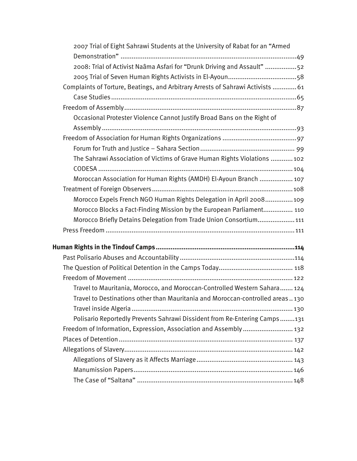| 2007 Trial of Eight Sahrawi Students at the University of Rabat for an "Armed   |  |
|---------------------------------------------------------------------------------|--|
|                                                                                 |  |
| 2008: Trial of Activist Naâma Asfari for "Drunk Driving and Assault" 52         |  |
|                                                                                 |  |
| Complaints of Torture, Beatings, and Arbitrary Arrests of Sahrawi Activists  61 |  |
|                                                                                 |  |
|                                                                                 |  |
| Occasional Protester Violence Cannot Justify Broad Bans on the Right of         |  |
|                                                                                 |  |
|                                                                                 |  |
|                                                                                 |  |
| The Sahrawi Association of Victims of Grave Human Rights Violations  102        |  |
|                                                                                 |  |
| Moroccan Association for Human Rights (AMDH) El-Ayoun Branch  107               |  |
|                                                                                 |  |
| Morocco Expels French NGO Human Rights Delegation in April 2008109              |  |
| Morocco Blocks a Fact-Finding Mission by the European Parliament 110            |  |
| Morocco Briefly Detains Delegation from Trade Union Consortium 111              |  |
|                                                                                 |  |
|                                                                                 |  |
|                                                                                 |  |
|                                                                                 |  |
|                                                                                 |  |
| Travel to Mauritania, Morocco, and Moroccan-Controlled Western Sahara 124       |  |
| Travel to Destinations other than Mauritania and Moroccan-controlled areas130   |  |
|                                                                                 |  |
| Polisario Reportedly Prevents Sahrawi Dissident from Re-Entering Camps131       |  |
| Freedom of Information, Expression, Association and Assembly  132               |  |
|                                                                                 |  |
|                                                                                 |  |
|                                                                                 |  |
|                                                                                 |  |
|                                                                                 |  |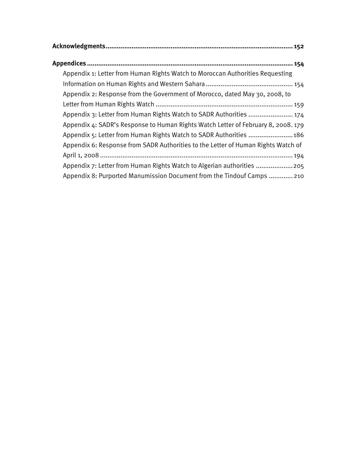| Appendix 1: Letter from Human Rights Watch to Moroccan Authorities Requesting     |
|-----------------------------------------------------------------------------------|
|                                                                                   |
| Appendix 2: Response from the Government of Morocco, dated May 30, 2008, to       |
|                                                                                   |
| Appendix 3: Letter from Human Rights Watch to SADR Authorities  174               |
| Appendix 4: SADR's Response to Human Rights Watch Letter of February 8, 2008.179  |
| Appendix 5: Letter from Human Rights Watch to SADR Authorities  186               |
| Appendix 6: Response from SADR Authorities to the Letter of Human Rights Watch of |
|                                                                                   |
| Appendix 7: Letter from Human Rights Watch to Algerian authorities 205            |
| Appendix 8: Purported Manumission Document from the Tindouf Camps  210            |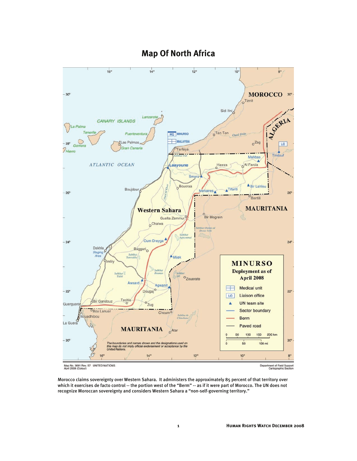

## **Map Of North Africa**

Map No. 3691 Rev. 57 UNITED NATIONS<br>April 2008 (Colour)

Department of Field Support<br>Cartographic Section

Morocco claims sovereignty over Western Sahara. It administers the approximately 85 percent of that territory over which it exercises de facto control -- the portion west of the "Berm" -- as if it were part of Morocco. The UN does not recognize Moroccan sovereignty and considers Western Sahara a "non-self-governing territory."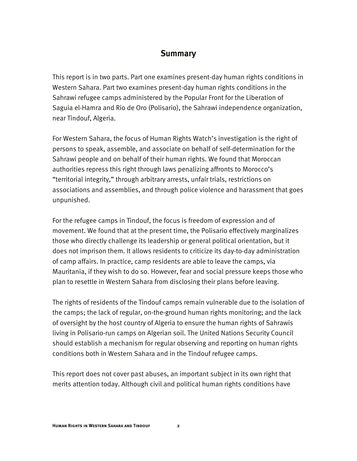### **Summary**

This report is in two parts. Part one examines present-day human rights conditions in Western Sahara. Part two examines present-day human rights conditions in the Sahrawi refugee camps administered by the Popular Front for the Liberation of Saguia el-Hamra and Rio de Oro (Polisario), the Sahrawi independence organization, near Tindouf, Algeria.

For Western Sahara, the focus of Human Rights Watch's investigation is the right of persons to speak, assemble, and associate on behalf of self-determination for the Sahrawi people and on behalf of their human rights. We found that Moroccan authorities repress this right through laws penalizing affronts to Morocco's "territorial integrity," through arbitrary arrests, unfair trials, restrictions on associations and assemblies, and through police violence and harassment that goes unpunished.

For the refugee camps in Tindouf, the focus is freedom of expression and of movement. We found that at the present time, the Polisario effectively marginalizes those who directly challenge its leadership or general political orientation, but it does not imprison them. It allows residents to criticize its day-to-day administration of camp affairs. In practice, camp residents are able to leave the camps, via Mauritania, if they wish to do so. However, fear and social pressure keeps those who plan to resettle in Western Sahara from disclosing their plans before leaving.

The rights of residents of the Tindouf camps remain vulnerable due to the isolation of the camps; the lack of regular, on-the-ground human rights monitoring; and the lack of oversight by the host country of Algeria to ensure the human rights of Sahrawis living in Polisario-run camps on Algerian soil. The United Nations Security Council should establish a mechanism for regular observing and reporting on human rights conditions both in Western Sahara and in the Tindouf refugee camps.

This report does not cover past abuses, an important subject in its own right that merits attention today. Although civil and political human rights conditions have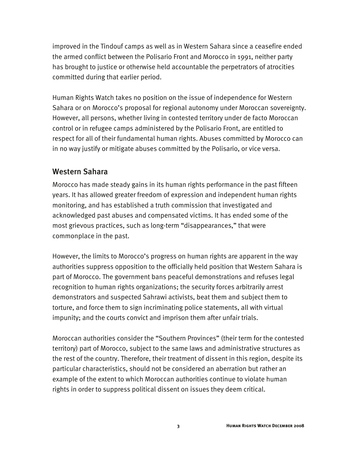improved in the Tindouf camps as well as in Western Sahara since a ceasefire ended the armed conflict between the Polisario Front and Morocco in 1991, neither party has brought to justice or otherwise held accountable the perpetrators of atrocities committed during that earlier period.

Human Rights Watch takes no position on the issue of independence for Western Sahara or on Morocco's proposal for regional autonomy under Moroccan sovereignty. However, all persons, whether living in contested territory under de facto Moroccan control or in refugee camps administered by the Polisario Front, are entitled to respect for all of their fundamental human rights. Abuses committed by Morocco can in no way justify or mitigate abuses committed by the Polisario, or vice versa.

#### Western Sahara

Morocco has made steady gains in its human rights performance in the past fifteen years. It has allowed greater freedom of expression and independent human rights monitoring, and has established a truth commission that investigated and acknowledged past abuses and compensated victims. It has ended some of the most grievous practices, such as long-term "disappearances," that were commonplace in the past.

However, the limits to Morocco's progress on human rights are apparent in the way authorities suppress opposition to the officially held position that Western Sahara is part of Morocco. The government bans peaceful demonstrations and refuses legal recognition to human rights organizations; the security forces arbitrarily arrest demonstrators and suspected Sahrawi activists, beat them and subject them to torture, and force them to sign incriminating police statements, all with virtual impunity; and the courts convict and imprison them after unfair trials.

Moroccan authorities consider the "Southern Provinces" (their term for the contested territory) part of Morocco, subject to the same laws and administrative structures as the rest of the country. Therefore, their treatment of dissent in this region, despite its particular characteristics, should not be considered an aberration but rather an example of the extent to which Moroccan authorities continue to violate human rights in order to suppress political dissent on issues they deem critical.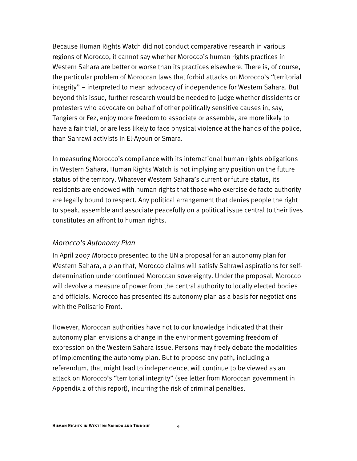Because Human Rights Watch did not conduct comparative research in various regions of Morocco, it cannot say whether Morocco's human rights practices in Western Sahara are better or worse than its practices elsewhere. There is, of course, the particular problem of Moroccan laws that forbid attacks on Morocco's "territorial integrity" – interpreted to mean advocacy of independence for Western Sahara. But beyond this issue, further research would be needed to judge whether dissidents or protesters who advocate on behalf of other politically sensitive causes in, say, Tangiers or Fez, enjoy more freedom to associate or assemble, are more likely to have a fair trial, or are less likely to face physical violence at the hands of the police, than Sahrawi activists in El-Ayoun or Smara.

In measuring Morocco's compliance with its international human rights obligations in Western Sahara, Human Rights Watch is not implying any position on the future status of the territory. Whatever Western Sahara's current or future status, its residents are endowed with human rights that those who exercise de facto authority are legally bound to respect. Any political arrangement that denies people the right to speak, assemble and associate peacefully on a political issue central to their lives constitutes an affront to human rights.

#### *Morocco's Autonomy Plan*

In April 2007 Morocco presented to the UN a proposal for an autonomy plan for Western Sahara, a plan that, Morocco claims will satisfy Sahrawi aspirations for selfdetermination under continued Moroccan sovereignty. Under the proposal, Morocco will devolve a measure of power from the central authority to locally elected bodies and officials. Morocco has presented its autonomy plan as a basis for negotiations with the Polisario Front.

However, Moroccan authorities have not to our knowledge indicated that their autonomy plan envisions a change in the environment governing freedom of expression on the Western Sahara issue. Persons may freely debate the modalities of implementing the autonomy plan. But to propose any path, including a referendum, that might lead to independence, will continue to be viewed as an attack on Morocco's "territorial integrity" (see letter from Moroccan government in Appendix 2 of this report), incurring the risk of criminal penalties.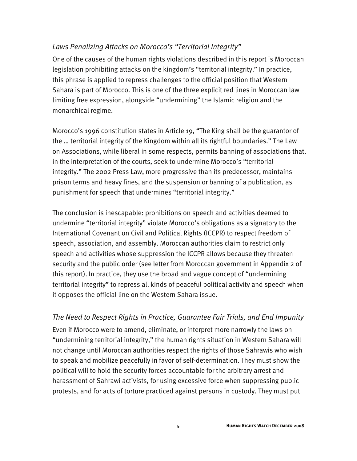#### *Laws Penalizing Attacks on Morocco's "Territorial Integrity"*

One of the causes of the human rights violations described in this report is Moroccan legislation prohibiting attacks on the kingdom's "territorial integrity." In practice, this phrase is applied to repress challenges to the official position that Western Sahara is part of Morocco. This is one of the three explicit red lines in Moroccan law limiting free expression, alongside "undermining" the Islamic religion and the monarchical regime.

Morocco's 1996 constitution states in Article 19, "The King shall be the guarantor of the … territorial integrity of the Kingdom within all its rightful boundaries." The Law on Associations, while liberal in some respects, permits banning of associations that, in the interpretation of the courts, seek to undermine Morocco's "territorial integrity." The 2002 Press Law, more progressive than its predecessor, maintains prison terms and heavy fines, and the suspension or banning of a publication, as punishment for speech that undermines "territorial integrity."

The conclusion is inescapable: prohibitions on speech and activities deemed to undermine "territorial integrity" violate Morocco's obligations as a signatory to the International Covenant on Civil and Political Rights (ICCPR) to respect freedom of speech, association, and assembly. Moroccan authorities claim to restrict only speech and activities whose suppression the ICCPR allows because they threaten security and the public order (see letter from Moroccan government in Appendix 2 of this report). In practice, they use the broad and vague concept of "undermining territorial integrity" to repress all kinds of peaceful political activity and speech when it opposes the official line on the Western Sahara issue.

#### *The Need to Respect Rights in Practice, Guarantee Fair Trials, and End Impunity*

Even if Morocco were to amend, eliminate, or interpret more narrowly the laws on "undermining territorial integrity," the human rights situation in Western Sahara will not change until Moroccan authorities respect the rights of those Sahrawis who wish to speak and mobilize peacefully in favor of self-determination. They must show the political will to hold the security forces accountable for the arbitrary arrest and harassment of Sahrawi activists, for using excessive force when suppressing public protests, and for acts of torture practiced against persons in custody. They must put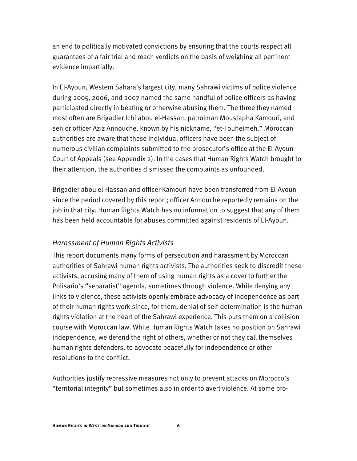an end to politically motivated convictions by ensuring that the courts respect all guarantees of a fair trial and reach verdicts on the basis of weighing all pertinent evidence impartially.

In El-Ayoun, Western Sahara's largest city, many Sahrawi victims of police violence during 2005, 2006, and 2007 named the same handful of police officers as having participated directly in beating or otherwise abusing them. The three they named most often are Brigadier Ichi abou el-Hassan, patrolman Moustapha Kamouri, and senior officer Aziz Annouche, known by his nickname, "et-Touheimeh." Moroccan authorities are aware that these individual officers have been the subject of numerous civilian complaints submitted to the prosecutor's office at the El-Ayoun Court of Appeals (see Appendix 2). In the cases that Human Rights Watch brought to their attention, the authorities dismissed the complaints as unfounded.

Brigadier abou el-Hassan and officer Kamouri have been transferred from El-Ayoun since the period covered by this report; officer Annouche reportedly remains on the job in that city. Human Rights Watch has no information to suggest that any of them has been held accountable for abuses committed against residents of El-Ayoun.

#### *Harassment of Human Rights Activists*

This report documents many forms of persecution and harassment by Moroccan authorities of Sahrawi human rights activists. The authorities seek to discredit these activists, accusing many of them of using human rights as a cover to further the Polisario's "separatist" agenda, sometimes through violence. While denying any links to violence, these activists openly embrace advocacy of independence as part of their human rights work since, for them, denial of self-determination is the human rights violation at the heart of the Sahrawi experience. This puts them on a collision course with Moroccan law. While Human Rights Watch takes no position on Sahrawi independence, we defend the right of others, whether or not they call themselves human rights defenders, to advocate peacefully for independence or other resolutions to the conflict.

Authorities justify repressive measures not only to prevent attacks on Morocco's "territorial integrity" but sometimes also in order to avert violence. At some pro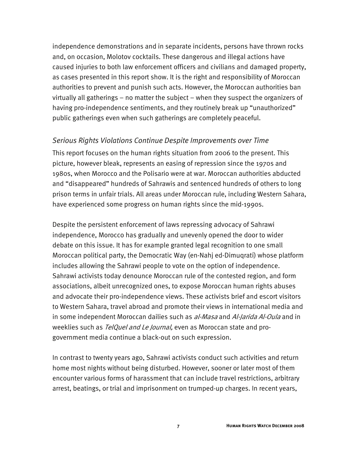independence demonstrations and in separate incidents, persons have thrown rocks and, on occasion, Molotov cocktails. These dangerous and illegal actions have caused injuries to both law enforcement officers and civilians and damaged property, as cases presented in this report show. It is the right and responsibility of Moroccan authorities to prevent and punish such acts. However, the Moroccan authorities ban virtually all gatherings – no matter the subject – when they suspect the organizers of having pro-independence sentiments, and they routinely break up "unauthorized" public gatherings even when such gatherings are completely peaceful.

#### *Serious Rights Violations Continue Despite Improvements over Time*

This report focuses on the human rights situation from 2006 to the present. This picture, however bleak, represents an easing of repression since the 1970s and 1980s, when Morocco and the Polisario were at war. Moroccan authorities abducted and "disappeared" hundreds of Sahrawis and sentenced hundreds of others to long prison terms in unfair trials. All areas under Moroccan rule, including Western Sahara, have experienced some progress on human rights since the mid-1990s.

Despite the persistent enforcement of laws repressing advocacy of Sahrawi independence, Morocco has gradually and unevenly opened the door to wider debate on this issue. It has for example granted legal recognition to one small Moroccan political party, the Democratic Way (en-Nahj ed-Dimuqrati) whose platform includes allowing the Sahrawi people to vote on the option of independence. Sahrawi activists today denounce Moroccan rule of the contested region, and form associations, albeit unrecognized ones, to expose Moroccan human rights abuses and advocate their pro-independence views. These activists brief and escort visitors to Western Sahara, travel abroad and promote their views in international media and in some independent Moroccan dailies such as al-Masa and Al-Jarida Al-Oula and in weeklies such as *TelQuel and Le Journal*, even as Moroccan state and progovernment media continue a black-out on such expression.

In contrast to twenty years ago, Sahrawi activists conduct such activities and return home most nights without being disturbed. However, sooner or later most of them encounter various forms of harassment that can include travel restrictions, arbitrary arrest, beatings, or trial and imprisonment on trumped-up charges. In recent years,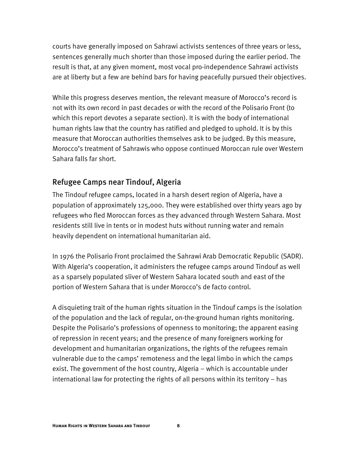courts have generally imposed on Sahrawi activists sentences of three years or less, sentences generally much shorter than those imposed during the earlier period. The result is that, at any given moment, most vocal pro-independence Sahrawi activists are at liberty but a few are behind bars for having peacefully pursued their objectives.

While this progress deserves mention, the relevant measure of Morocco's record is not with its own record in past decades or with the record of the Polisario Front (to which this report devotes a separate section). It is with the body of international human rights law that the country has ratified and pledged to uphold. It is by this measure that Moroccan authorities themselves ask to be judged. By this measure, Morocco's treatment of Sahrawis who oppose continued Moroccan rule over Western Sahara falls far short.

## Refugee Camps near Tindouf, Algeria

The Tindouf refugee camps, located in a harsh desert region of Algeria, have a population of approximately 125,000. They were established over thirty years ago by refugees who fled Moroccan forces as they advanced through Western Sahara. Most residents still live in tents or in modest huts without running water and remain heavily dependent on international humanitarian aid.

In 1976 the Polisario Front proclaimed the Sahrawi Arab Democratic Republic (SADR). With Algeria's cooperation, it administers the refugee camps around Tindouf as well as a sparsely populated sliver of Western Sahara located south and east of the portion of Western Sahara that is under Morocco's de facto control.

A disquieting trait of the human rights situation in the Tindouf camps is the isolation of the population and the lack of regular, on-the-ground human rights monitoring. Despite the Polisario's professions of openness to monitoring; the apparent easing of repression in recent years; and the presence of many foreigners working for development and humanitarian organizations, the rights of the refugees remain vulnerable due to the camps' remoteness and the legal limbo in which the camps exist. The government of the host country, Algeria – which is accountable under international law for protecting the rights of all persons within its territory – has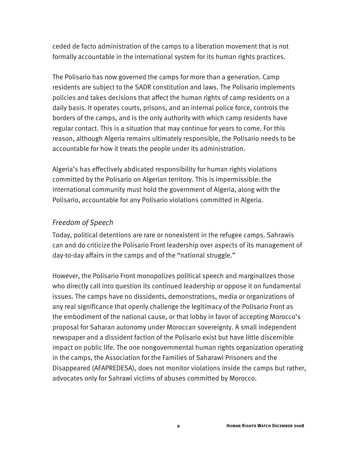ceded de facto administration of the camps to a liberation movement that is not formally accountable in the international system for its human rights practices.

The Polisario has now governed the camps for more than a generation. Camp residents are subject to the SADR constitution and laws. The Polisario implements policies and takes decisions that affect the human rights of camp residents on a daily basis. It operates courts, prisons, and an internal police force, controls the borders of the camps, and is the only authority with which camp residents have regular contact. This is a situation that may continue for years to come. For this reason, although Algeria remains ultimately responsible, the Polisario needs to be accountable for how it treats the people under its administration.

Algeria's has effectively abdicated responsibility for human rights violations committed by the Polisario on Algerian territory. This is impermissible: the international community must hold the government of Algeria, along with the Polisario, accountable for any Polisario violations committed in Algeria.

#### *Freedom of Speech*

Today, political detentions are rare or nonexistent in the refugee camps. Sahrawis can and do criticize the Polisario Front leadership over aspects of its management of day-to-day affairs in the camps and of the "national struggle."

However, the Polisario Front monopolizes political speech and marginalizes those who directly call into question its continued leadership or oppose it on fundamental issues. The camps have no dissidents, demonstrations, media or organizations of any real significance that openly challenge the legitimacy of the Polisario Front as the embodiment of the national cause, or that lobby in favor of accepting Morocco's proposal for Saharan autonomy under Moroccan sovereignty. A small independent newspaper and a dissident faction of the Polisario exist but have little discernible impact on public life. The one nongovernmental human rights organization operating in the camps, the Association for the Families of Saharawi Prisoners and the Disappeared (AFAPREDESA), does not monitor violations inside the camps but rather, advocates only for Sahrawi victims of abuses committed by Morocco.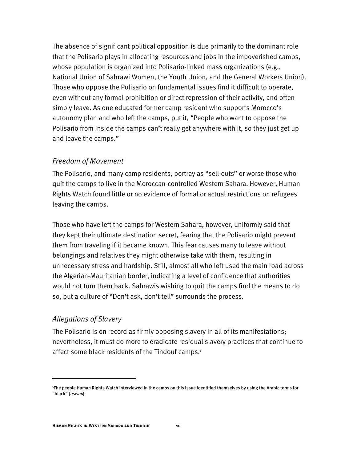The absence of significant political opposition is due primarily to the dominant role that the Polisario plays in allocating resources and jobs in the impoverished camps, whose population is organized into Polisario-linked mass organizations (e.g., National Union of Sahrawi Women, the Youth Union, and the General Workers Union). Those who oppose the Polisario on fundamental issues find it difficult to operate, even without any formal prohibition or direct repression of their activity, and often simply leave. As one educated former camp resident who supports Morocco's autonomy plan and who left the camps, put it, "People who want to oppose the Polisario from inside the camps can't really get anywhere with it, so they just get up and leave the camps."

#### *Freedom of Movement*

The Polisario, and many camp residents, portray as "sell-outs" or worse those who quit the camps to live in the Moroccan-controlled Western Sahara. However, Human Rights Watch found little or no evidence of formal or actual restrictions on refugees leaving the camps.

Those who have left the camps for Western Sahara, however, uniformly said that they kept their ultimate destination secret, fearing that the Polisario might prevent them from traveling if it became known. This fear causes many to leave without belongings and relatives they might otherwise take with them, resulting in unnecessary stress and hardship. Still, almost all who left used the main road across the Algerian-Mauritanian border, indicating a level of confidence that authorities would not turn them back. Sahrawis wishing to quit the camps find the means to do so, but a culture of "Don't ask, don't tell" surrounds the process.

#### *Allegations of Slavery*

j

The Polisario is on record as firmly opposing slavery in all of its manifestations; nevertheless, it must do more to eradicate residual slavery practices that continue to affect some black residents of the Tindouf camps.**<sup>1</sup>**

**<sup>1</sup>** The people Human Rights Watch interviewed in the camps on this issue identified themselves by using the Arabic terms for "black" [aswad].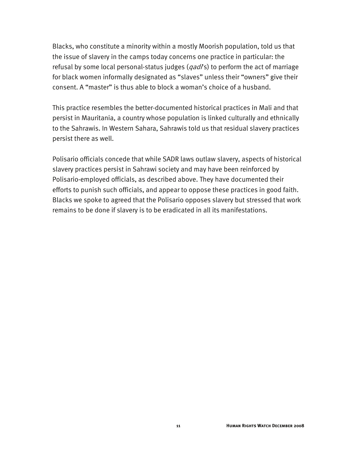Blacks, who constitute a minority within a mostly Moorish population, told us that the issue of slavery in the camps today concerns one practice in particular: the refusal by some local personal-status judges  $(qad's)$  to perform the act of marriage for black women informally designated as "slaves" unless their "owners" give their consent. A "master" is thus able to block a woman's choice of a husband.

This practice resembles the better-documented historical practices in Mali and that persist in Mauritania, a country whose population is linked culturally and ethnically to the Sahrawis. In Western Sahara, Sahrawis told us that residual slavery practices persist there as well.

Polisario officials concede that while SADR laws outlaw slavery, aspects of historical slavery practices persist in Sahrawi society and may have been reinforced by Polisario-employed officials, as described above. They have documented their efforts to punish such officials, and appear to oppose these practices in good faith. Blacks we spoke to agreed that the Polisario opposes slavery but stressed that work remains to be done if slavery is to be eradicated in all its manifestations.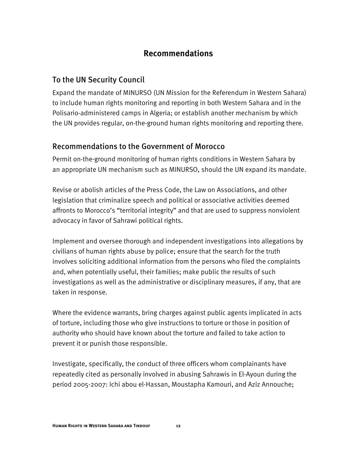## **Recommendations**

## To the UN Security Council

Expand the mandate of MINURSO (UN Mission for the Referendum in Western Sahara) to include human rights monitoring and reporting in both Western Sahara and in the Polisario-administered camps in Algeria; or establish another mechanism by which the UN provides regular, on-the-ground human rights monitoring and reporting there.

## Recommendations to the Government of Morocco

Permit on-the-ground monitoring of human rights conditions in Western Sahara by an appropriate UN mechanism such as MINURSO, should the UN expand its mandate.

Revise or abolish articles of the Press Code, the Law on Associations, and other legislation that criminalize speech and political or associative activities deemed affronts to Morocco's "territorial integrity" and that are used to suppress nonviolent advocacy in favor of Sahrawi political rights.

Implement and oversee thorough and independent investigations into allegations by civilians of human rights abuse by police; ensure that the search for the truth involves soliciting additional information from the persons who filed the complaints and, when potentially useful, their families; make public the results of such investigations as well as the administrative or disciplinary measures, if any, that are taken in response.

Where the evidence warrants, bring charges against public agents implicated in acts of torture, including those who give instructions to torture or those in position of authority who should have known about the torture and failed to take action to prevent it or punish those responsible.

Investigate, specifically, the conduct of three officers whom complainants have repeatedly cited as personally involved in abusing Sahrawis in El-Ayoun during the period 2005-2007: Ichi abou el-Hassan, Moustapha Kamouri, and Aziz Annouche;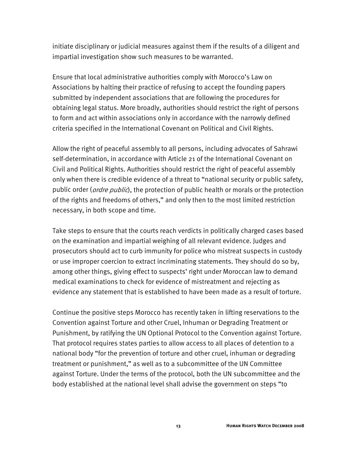initiate disciplinary or judicial measures against them if the results of a diligent and impartial investigation show such measures to be warranted.

Ensure that local administrative authorities comply with Morocco's Law on Associations by halting their practice of refusing to accept the founding papers submitted by independent associations that are following the procedures for obtaining legal status. More broadly, authorities should restrict the right of persons to form and act within associations only in accordance with the narrowly defined criteria specified in the International Covenant on Political and Civil Rights.

Allow the right of peaceful assembly to all persons, including advocates of Sahrawi self-determination, in accordance with Article 21 of the International Covenant on Civil and Political Rights. Authorities should restrict the right of peaceful assembly only when there is credible evidence of a threat to "national security or public safety, public order (*ordre public*), the protection of public health or morals or the protection of the rights and freedoms of others," and only then to the most limited restriction necessary, in both scope and time.

Take steps to ensure that the courts reach verdicts in politically charged cases based on the examination and impartial weighing of all relevant evidence. Judges and prosecutors should act to curb immunity for police who mistreat suspects in custody or use improper coercion to extract incriminating statements. They should do so by, among other things, giving effect to suspects' right under Moroccan law to demand medical examinations to check for evidence of mistreatment and rejecting as evidence any statement that is established to have been made as a result of torture.

Continue the positive steps Morocco has recently taken in lifting reservations to the Convention against Torture and other Cruel, Inhuman or Degrading Treatment or Punishment, by ratifying the UN Optional Protocol to the Convention against Torture. That protocol requires states parties to allow access to all places of detention to a national body "for the prevention of torture and other cruel, inhuman or degrading treatment or punishment," as well as to a subcommittee of the UN Committee against Torture. Under the terms of the protocol, both the UN subcommittee and the body established at the national level shall advise the government on steps "to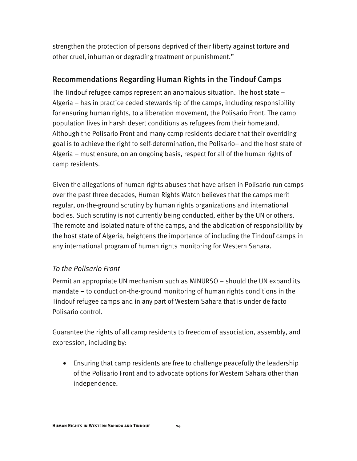strengthen the protection of persons deprived of their liberty against torture and other cruel, inhuman or degrading treatment or punishment."

## Recommendations Regarding Human Rights in the Tindouf Camps

The Tindouf refugee camps represent an anomalous situation. The host state – Algeria – has in practice ceded stewardship of the camps, including responsibility for ensuring human rights, to a liberation movement, the Polisario Front. The camp population lives in harsh desert conditions as refugees from their homeland. Although the Polisario Front and many camp residents declare that their overriding goal is to achieve the right to self-determination, the Polisario– and the host state of Algeria – must ensure, on an ongoing basis, respect for all of the human rights of camp residents.

Given the allegations of human rights abuses that have arisen in Polisario-run camps over the past three decades, Human Rights Watch believes that the camps merit regular, on-the-ground scrutiny by human rights organizations and international bodies. Such scrutiny is not currently being conducted, either by the UN or others. The remote and isolated nature of the camps, and the abdication of responsibility by the host state of Algeria, heightens the importance of including the Tindouf camps in any international program of human rights monitoring for Western Sahara.

#### *To the Polisario Front*

Permit an appropriate UN mechanism such as MINURSO – should the UN expand its mandate – to conduct on-the-ground monitoring of human rights conditions in the Tindouf refugee camps and in any part of Western Sahara that is under de facto Polisario control.

Guarantee the rights of all camp residents to freedom of association, assembly, and expression, including by:

• Ensuring that camp residents are free to challenge peacefully the leadership of the Polisario Front and to advocate options for Western Sahara other than independence.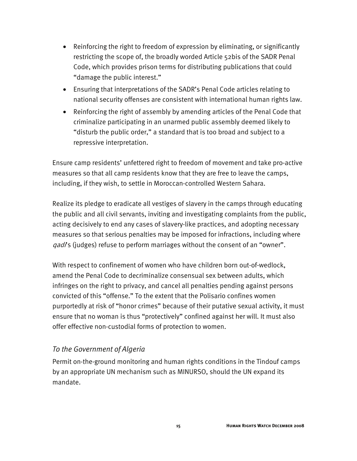- Reinforcing the right to freedom of expression by eliminating, or significantly restricting the scope of, the broadly worded Article 52bis of the SADR Penal Code, which provides prison terms for distributing publications that could "damage the public interest."
- Ensuring that interpretations of the SADR's Penal Code articles relating to national security offenses are consistent with international human rights law.
- Reinforcing the right of assembly by amending articles of the Penal Code that criminalize participating in an unarmed public assembly deemed likely to "disturb the public order," a standard that is too broad and subject to a repressive interpretation.

Ensure camp residents' unfettered right to freedom of movement and take pro-active measures so that all camp residents know that they are free to leave the camps, including, if they wish, to settle in Moroccan-controlled Western Sahara.

Realize its pledge to eradicate all vestiges of slavery in the camps through educating the public and all civil servants, inviting and investigating complaints from the public, acting decisively to end any cases of slavery-like practices, and adopting necessary measures so that serious penalties may be imposed for infractions, including where gad's (judges) refuse to perform marriages without the consent of an "owner".

With respect to confinement of women who have children born out-of-wedlock, amend the Penal Code to decriminalize consensual sex between adults, which infringes on the right to privacy, and cancel all penalties pending against persons convicted of this "offense." To the extent that the Polisario confines women purportedly at risk of "honor crimes" because of their putative sexual activity, it must ensure that no woman is thus "protectively" confined against her will. It must also offer effective non-custodial forms of protection to women.

#### *To the Government of Algeria*

Permit on-the-ground monitoring and human rights conditions in the Tindouf camps by an appropriate UN mechanism such as MINURSO, should the UN expand its mandate.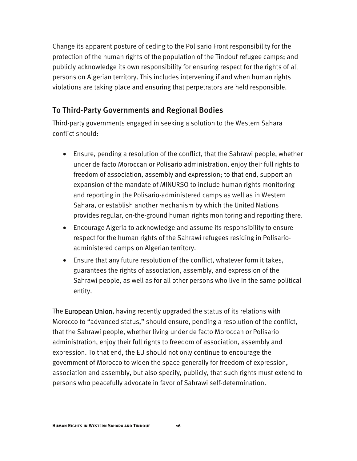Change its apparent posture of ceding to the Polisario Front responsibility for the protection of the human rights of the population of the Tindouf refugee camps; and publicly acknowledge its own responsibility for ensuring respect for the rights of all persons on Algerian territory. This includes intervening if and when human rights violations are taking place and ensuring that perpetrators are held responsible.

## To Third-Party Governments and Regional Bodies

Third-party governments engaged in seeking a solution to the Western Sahara conflict should:

- Ensure, pending a resolution of the conflict, that the Sahrawi people, whether under de facto Moroccan or Polisario administration, enjoy their full rights to freedom of association, assembly and expression; to that end, support an expansion of the mandate of MINURSO to include human rights monitoring and reporting in the Polisario-administered camps as well as in Western Sahara, or establish another mechanism by which the United Nations provides regular, on-the-ground human rights monitoring and reporting there.
- Encourage Algeria to acknowledge and assume its responsibility to ensure respect for the human rights of the Sahrawi refugees residing in Polisarioadministered camps on Algerian territory.
- Ensure that any future resolution of the conflict, whatever form it takes, guarantees the rights of association, assembly, and expression of the Sahrawi people, as well as for all other persons who live in the same political entity.

The **European Union**, having recently upgraded the status of its relations with Morocco to "advanced status," should ensure, pending a resolution of the conflict, that the Sahrawi people, whether living under de facto Moroccan or Polisario administration, enjoy their full rights to freedom of association, assembly and expression. To that end, the EU should not only continue to encourage the government of Morocco to widen the space generally for freedom of expression, association and assembly, but also specify, publicly, that such rights must extend to persons who peacefully advocate in favor of Sahrawi self-determination.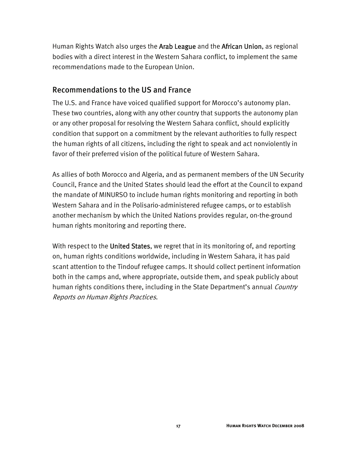Human Rights Watch also urges the Arab League and the African Union, as regional bodies with a direct interest in the Western Sahara conflict, to implement the same recommendations made to the European Union.

#### Recommendations to the US and France

The U.S. and France have voiced qualified support for Morocco's autonomy plan. These two countries, along with any other country that supports the autonomy plan or any other proposal for resolving the Western Sahara conflict, should explicitly condition that support on a commitment by the relevant authorities to fully respect the human rights of all citizens, including the right to speak and act nonviolently in favor of their preferred vision of the political future of Western Sahara.

As allies of both Morocco and Algeria, and as permanent members of the UN Security Council, France and the United States should lead the effort at the Council to expand the mandate of MINURSO to include human rights monitoring and reporting in both Western Sahara and in the Polisario-administered refugee camps, or to establish another mechanism by which the United Nations provides regular, on-the-ground human rights monitoring and reporting there.

With respect to the United States, we regret that in its monitoring of, and reporting on, human rights conditions worldwide, including in Western Sahara, it has paid scant attention to the Tindouf refugee camps. It should collect pertinent information both in the camps and, where appropriate, outside them, and speak publicly about human rights conditions there, including in the State Department's annual *Country* Reports on Human Rights Practices.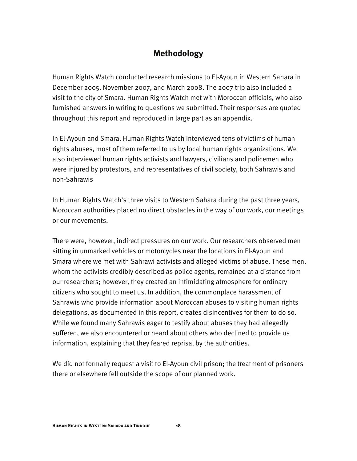## **Methodology**

Human Rights Watch conducted research missions to El-Ayoun in Western Sahara in December 2005, November 2007, and March 2008. The 2007 trip also included a visit to the city of Smara. Human Rights Watch met with Moroccan officials, who also furnished answers in writing to questions we submitted. Their responses are quoted throughout this report and reproduced in large part as an appendix.

In El-Ayoun and Smara, Human Rights Watch interviewed tens of victims of human rights abuses, most of them referred to us by local human rights organizations. We also interviewed human rights activists and lawyers, civilians and policemen who were injured by protestors, and representatives of civil society, both Sahrawis and non-Sahrawis

In Human Rights Watch's three visits to Western Sahara during the past three years, Moroccan authorities placed no direct obstacles in the way of our work, our meetings or our movements.

There were, however, indirect pressures on our work. Our researchers observed men sitting in unmarked vehicles or motorcycles near the locations in El-Ayoun and Smara where we met with Sahrawi activists and alleged victims of abuse. These men, whom the activists credibly described as police agents, remained at a distance from our researchers; however, they created an intimidating atmosphere for ordinary citizens who sought to meet us. In addition, the commonplace harassment of Sahrawis who provide information about Moroccan abuses to visiting human rights delegations, as documented in this report, creates disincentives for them to do so. While we found many Sahrawis eager to testify about abuses they had allegedly suffered, we also encountered or heard about others who declined to provide us information, explaining that they feared reprisal by the authorities.

We did not formally request a visit to El-Ayoun civil prison; the treatment of prisoners there or elsewhere fell outside the scope of our planned work.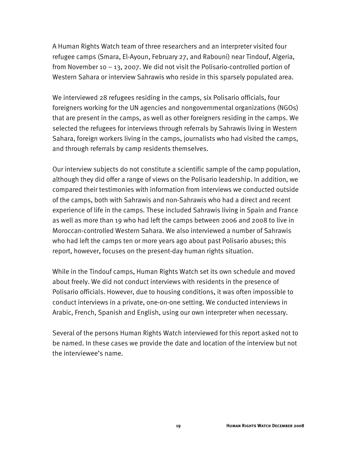A Human Rights Watch team of three researchers and an interpreter visited four refugee camps (Smara, El-Ayoun, February 27, and Rabouni) near Tindouf, Algeria, from November 10 – 13, 2007. We did not visit the Polisario-controlled portion of Western Sahara or interview Sahrawis who reside in this sparsely populated area.

We interviewed 28 refugees residing in the camps, six Polisario officials, four foreigners working for the UN agencies and nongovernmental organizations (NGOs) that are present in the camps, as well as other foreigners residing in the camps. We selected the refugees for interviews through referrals by Sahrawis living in Western Sahara, foreign workers living in the camps, journalists who had visited the camps, and through referrals by camp residents themselves.

Our interview subjects do not constitute a scientific sample of the camp population, although they did offer a range of views on the Polisario leadership. In addition, we compared their testimonies with information from interviews we conducted outside of the camps, both with Sahrawis and non-Sahrawis who had a direct and recent experience of life in the camps. These included Sahrawis living in Spain and France as well as more than 19 who had left the camps between 2006 and 2008 to live in Moroccan-controlled Western Sahara. We also interviewed a number of Sahrawis who had left the camps ten or more years ago about past Polisario abuses; this report, however, focuses on the present-day human rights situation.

While in the Tindouf camps, Human Rights Watch set its own schedule and moved about freely. We did not conduct interviews with residents in the presence of Polisario officials. However, due to housing conditions, it was often impossible to conduct interviews in a private, one-on-one setting. We conducted interviews in Arabic, French, Spanish and English, using our own interpreter when necessary.

Several of the persons Human Rights Watch interviewed for this report asked not to be named. In these cases we provide the date and location of the interview but not the interviewee's name.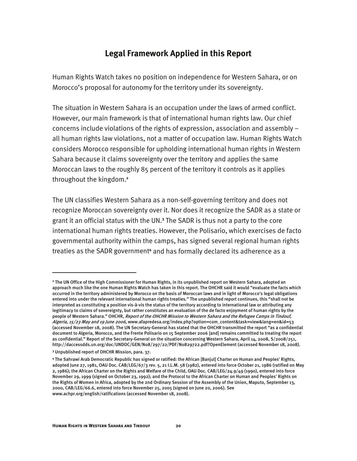## **Legal Framework Applied in this Report**

Human Rights Watch takes no position on independence for Western Sahara, or on Morocco's proposal for autonomy for the territory under its sovereignty.

The situation in Western Sahara is an occupation under the laws of armed conflict. However, our main framework is that of international human rights law. Our chief concerns include violations of the rights of expression, association and assembly – all human rights law violations, not a matter of occupation law. Human Rights Watch considers Morocco responsible for upholding international human rights in Western Sahara because it claims sovereignty over the territory and applies the same Moroccan laws to the roughly 85 percent of the territory it controls as it applies throughout the kingdom.**<sup>2</sup>**

The UN classifies Western Sahara as a non-self-governing territory and does not recognize Moroccan sovereignty over it. Nor does it recognize the SADR as a state or grant it an official status with the UN.**<sup>3</sup>** The SADR is thus not a party to the core international human rights treaties. However, the Polisario, which exercises de facto governmental authority within the camps, has signed several regional human rights treaties as the SADR government<sup>4</sup> and has formally declared its adherence as a

-

**<sup>2</sup>** The UN Office of the High Commissioner for Human Rights, in its unpublished report on Western Sahara, adopted an approach much like the one Human Rights Watch has taken in this report. The OHCHR said it would "evaluate the facts which occurred in the territory administered by Morocco on the basis of Moroccan laws and in light of Morocco's legal obligations entered into under the relevant international human rights treaties." The unpublished report continues, this "shall not be interpreted as constituting a position vis-à-vis the status of the territory according to international law or attributing any legitimacy to claims of sovereignty, but rather constitutes an evaluation of the de facto enjoyment of human rights by the people of Western Sahara." OHCHR, Report of the OHCHR Mission to Western Sahara and the Refugee Camps in Tindouf, Algeria, 15/23 May and 19 June 2006, www.afapredesa.org/index.php?option=com\_content&task=view&lang=en&id=53 (accessed November 18, 2008). The UN Secretary-General has stated that the OHCHR transmitted the report "as a confidential document to Algeria, Morocco, and the Frente Polisario on 15 September 2006 [and] remains committed to treating the report as confidential." Report of the Secretary-General on the situation concerning Western Sahara, April 14, 2008, S/2008/251, http://daccessdds.un.org/doc/UNDOC/GEN/N08/297/22/PDF/N0829722.pdf?OpenElement (accessed November 18, 2008).

**<sup>3</sup>** Unpublished report of OHCHR Mission, para. 37.

**<sup>4</sup>** The Sahrawi Arab Democratic Republic has signed or ratified: the African [Banjul] Charter on Human and Peoples' Rights, adopted June 27, 1981, OAU Doc. CAB/LEG/67/3 rev. 5, 21 I.L.M. 58 (1982), entered into force October 21, 1986 (ratified on May 2, 1986); the African Charter on the Rights and Welfare of the Child, OAU Doc. CAB/LEG/24.9/49 (1990), entered into force November 29, 1999 (signed on October 23, 1992); and the Protocol to the African Charter on Human and Peoples' Rights on the Rights of Women in Africa, adopted by the 2nd Ordinary Session of the Assembly of the Union, Maputo, September 13, 2000, CAB/LEG/66.6, entered into force November 25, 2005 (signed on June 20, 2006). See www.achpr.org/english/ratifications (accessed November 18, 2008).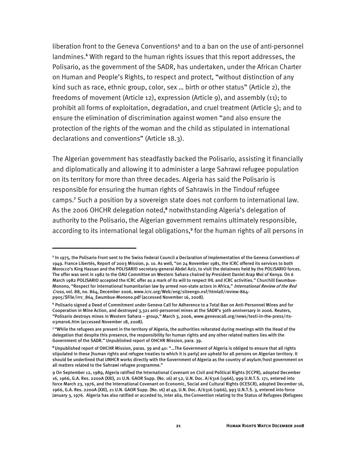liberation front to the Geneva Conventions<sup>5</sup> and to a ban on the use of anti-personnel landmines.**<sup>6</sup>** With regard to the human rights issues that this report addresses, the Polisario, as the government of the SADR, has undertaken, under the African Charter on Human and People's Rights, to respect and protect, "without distinction of any kind such as race, ethnic group, color, sex … birth or other status" (Article 2), the freedoms of movement (Article 12), expression (Article 9), and assembly (11); to prohibit all forms of exploitation, degradation, and cruel treatment (Article 5); and to ensure the elimination of discrimination against women "and also ensure the protection of the rights of the woman and the child as stipulated in international declarations and conventions" (Article 18.3).

The Algerian government has steadfastly backed the Polisario, assisting it financially and diplomatically and allowing it to administer a large Sahrawi refugee population on its territory for more than three decades. Algeria has said the Polisario is responsible for ensuring the human rights of Sahrawis in the Tindouf refugee camps.**<sup>7</sup>** Such a position by a sovereign state does not conform to international law. As the 2006 OHCHR delegation noted,<sup>8</sup> notwithstanding Algeria's delegation of authority to the Polisario, the Algerian government remains ultimately responsible, according to its international legal obligations,**<sup>9</sup>** for the human rights of all persons in

j

**<sup>5</sup>** In 1975, the Polisario Front sent to the Swiss Federal Council a Declaration of Implementation of the Geneva Conventions of 1949. France Libertés, Report of 2003 Mission, p. 10. As well, "on 24 November 1981, the ICRC offered its services to both Morocco's King Hassan and the POLISARIO secretary-general Abdel Aziz, to visit the detainees held by the POLISARIO forces. The offer was sent in 1982 to the OAU Committee on Western Sahara chaired by President Daniel Arap Moi of Kenya. On 6 March 1982 POLISARIO accepted the ICRC offer as a mark of its will to respect IHL and ICRC activities." Churchill Ewumbue-Monono, "Respect for international humanitarian law by armed non-state actors in Africa," International Review of the Red Cross, vol. 88, no. 864, December 2006, www.icrc.org/Web/eng/siteeng0.nsf/htmlall/review-864 p905/\$File/irrc\_864\_Ewumbue-Monono.pdf (accessed November 16, 2008).

**<sup>6</sup>** Polisario signed a Deed of Commitment under Geneva Call for Adherence to a Total Ban on Anti-Personnel Mines and for Cooperation in Mine Action, and destroyed 3,321 anti-personnel mines at the SADR's 30th anniversary in 2006. Reuters, "Polisario destroys mines in Western Sahara – group," March 3, 2006, www.genevacall.org/news/testi-in-the-press/rts-03mar06.htm (accessed November 18, 2008).

**<sup>7</sup>**"While the refugees are present in the territory of Algeria, the authorities reiterated during meetings with the Head of the delegation that despite this presence, the responsibility for human rights and any other related matters lies with the Government of the SADR." Unpublished report of OHCHR Mission, para. 39.

**<sup>8</sup>**Unpublished report of OHCHR Mission, paras. 39 and 40: "…The Government of Algeria is obliged to ensure that all rights stipulated in these [human rights and refugee treaties to which it is party] are upheld for all persons on Algerian territory. It should be underlined that UNHCR works directly with the Government of Algeria as the country of asylum/host government on all matters related to the Sahrawi refugee programme."

<sup>9</sup> On September 12, 1989, Algeria ratified the International Covenant on Civil and Political Rights (ICCPR), adopted December 16, 1966, G.A. Res. 2200A (XXI), 21 U.N. GAOR Supp. (No. 16) at 52, U.N. Doc. A/6316 (1966), 999 U.N.T.S. 171, entered into force March 23, 1976, and the International Covenant on Economic, Social and Cultural Rights (ICESCR), adopted December 16, 1966, G.A. Res. 2200A (XXI), 21 U.N. GAOR Supp. (No. 16) at 49, U.N. Doc. A/6316 (1966), 993 U.N.T.S. 3, entered into force January 3, 1976. Algeria has also ratified or acceded to, inter alia, the Convention relating to the Status of Refugees (Refugees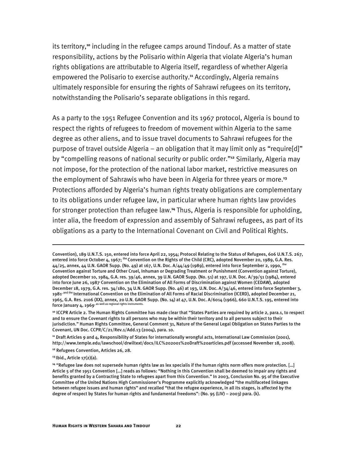its territory,**<sup>10</sup>** including in the refugee camps around Tindouf. As a matter of state responsibility, actions by the Polisario within Algeria that violate Algeria's human rights obligations are attributable to Algeria itself, regardless of whether Algeria empowered the Polisario to exercise authority.**<sup>11</sup>** Accordingly, Algeria remains ultimately responsible for ensuring the rights of Sahrawi refugees on its territory, notwithstanding the Polisario's separate obligations in this regard.

As a party to the 1951 Refugee Convention and its 1967 protocol, Algeria is bound to respect the rights of refugees to freedom of movement within Algeria to the same degree as other aliens, and to issue travel documents to Sahrawi refugees for the purpose of travel outside Algeria – an obligation that it may limit only as "require[d]" by "compelling reasons of national security or public order."**<sup>12</sup>** Similarly, Algeria may not impose, for the protection of the national labor market, restrictive measures on the employment of Sahrawis who have been in Algeria for three years or more.**<sup>13</sup>** Protections afforded by Algeria's human rights treaty obligations are complementary to its obligations under refugee law, in particular where human rights law provides for stronger protection than refugee law.**<sup>14</sup>** Thus, Algeria is responsible for upholding, inter alia, the freedom of expression and assembly of Sahrawi refugees, as part of its obligations as a party to the International Covenant on Civil and Political Rights.

-

Convention), 189 U.N.T.S. 150, entered into force April 22, 1954; Protocol Relating to the Status of Refugees, 606 U.N.T.S. 267, entered into force October 4, 1967; <sup>the</sup> Convention on the Rights of the Child (CRC), adopted November 20, 1989, G.A. Res. 44/25, annex, 44 U.N. GAOR Supp. (No. 49) at 167, U.N. Doc. A/44/49 (1989), entered into force September 2, 1990, <sup>the</sup> Convention against Torture and Other Cruel, Inhuman or Degrading Treatment or Punishment (Convention against Torture), adopted December 10, 1984, G.A. res. 39/46, annex, 39 U.N. GAOR Supp. (No. 51) at 197, U.N. Doc. A/39/51 (1984), entered into force June 26, 1987, Convention on the Elimination of All Forms of Discrimination against Women (CEDAW), adopted December 18, 1979, G.A. res. 34/180, 34 U.N. GAOR Supp. (No. 46) at 193, U.N. Doc. A/34/46, entered into force September 3, 1981<sup>, and the</sup> International Convention on the Elimination of All Forms of Racial Discrimination (ICERD), adopted December 21, 1965, G.A. Res. 2106 (XX), annex, 20 U.N. GAOR Supp. (No. 14) at 47, U.N. Doc. A/6014 (1966), 660 U.N.T.S. 195, entered into force January 4, 1969<sup>, as well as regional rights instruments.</sup>

**<sup>10</sup>** ICCPR Article 2. The Human Rights Committee has made clear that "States Parties are required by article 2, para.1, to respect and to ensure the Covenant rights to all persons who may be within their territory and to all persons subject to their jurisdiction." Human Rights Committee, General Comment 31, Nature of the General Legal Obligation on States Parties to the Covenant, UN Doc. CCPR/C/21/Rev.1/Add.13 (2004), para. 10.

**<sup>11</sup>** Draft Articles 9 and 4, Responsibility of States for internationally wrongful acts, International Law Commission (2001), http://www.temple.edu/lawschool/drwiltext/docs/ILC%202001%20Draft%20articles.pdf (accessed November 18, 2008).

**<sup>12</sup>** Refugees Convention, Articles 26, 28.

**<sup>13</sup>**Ibid., Article 17(2)(a).

**<sup>14</sup>** "Refugee law does not supersede human rights law as lex specialis if the human rights norm offers more protection. […] Article 5 of the 1951 Convention […] reads as follows: "Nothing in this Convention shall be deemed to impair any rights and benefits granted by a Contracting State to refugees apart from this Convention." In 2003, Conclusion No. 95 of the Executive Committee of the United Nations High Commissioner's Programme explicitly acknowledged "the multifaceted linkages between refugee issues and human rights" and recalled "that the refugee experience, in all its stages, is affected by the degree of respect by States for human rights and fundamental freedoms": (No. 95 (LIV) – 2003) para. (k).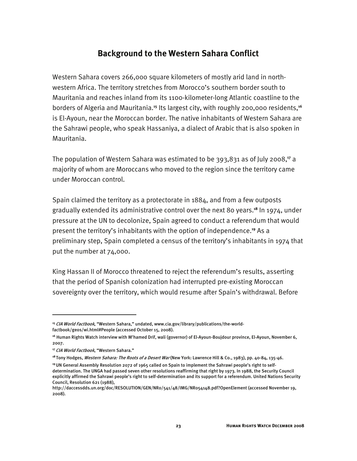## **Background to the Western Sahara Conflict**

Western Sahara covers 266,000 square kilometers of mostly arid land in northwestern Africa. The territory stretches from Morocco's southern border south to Mauritania and reaches inland from its 1100-kilometer-long Atlantic coastline to the borders of Algeria and Mauritania.**<sup>15</sup>** Its largest city, with roughly 200,000 residents,**<sup>16</sup>** is El-Ayoun, near the Moroccan border. The native inhabitants of Western Sahara are the Sahrawi people, who speak Hassaniya, a dialect of Arabic that is also spoken in Mauritania.

The population of Western Sahara was estimated to be 393,831 as of July 2008,**<sup>17</sup>** a majority of whom are Moroccans who moved to the region since the territory came under Moroccan control.

Spain claimed the territory as a protectorate in 1884, and from a few outposts gradually extended its administrative control over the next 80 years.**<sup>18</sup>** In 1974, under pressure at the UN to decolonize, Spain agreed to conduct a referendum that would present the territory's inhabitants with the option of independence.**<sup>19</sup>** As a preliminary step, Spain completed a census of the territory's inhabitants in 1974 that put the number at 74,000.

King Hassan II of Morocco threatened to reject the referendum's results, asserting that the period of Spanish colonization had interrupted pre-existing Moroccan sovereignty over the territory, which would resume after Spain's withdrawal. Before

I

**<sup>15</sup>**CIA World Factbook, "Western Sahara," undated, www.cia.gov/library/publications/the-worldfactbook/geos/wi.html#People (accessed October 15, 2008).

**<sup>16</sup>** Human Rights Watch interview with M'hamed Drif, wali (governor) of El-Ayoun-Boujdour province, El-Ayoun, November 6, 2007.

**<sup>17</sup>**CIA World Factbook, "Western Sahara."

**<sup>18</sup>**Tony Hodges, Western Sahara: The Roots of a Desert War (New York: Lawrence Hill & Co., 1983), pp. 40-84, 135-46.

**<sup>19</sup>** UN General Assembly Resolution 2072 of 1965 called on Spain to implement the Sahrawi people's right to selfdetermination. The UNGA had passed seven other resolutions reaffirming that right by 1973. In 1988, the Security Council explicitly affirmed the Sahrawi people's right to self-determination and its support for a referendum. United Nations Security Council, Resolution 621 (1988),

http://daccessdds.un.org/doc/RESOLUTION/GEN/NR0/541/48/IMG/NR054148.pdf?OpenElement (accessed November 19, 2008).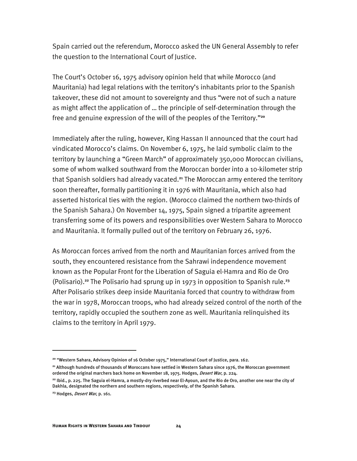Spain carried out the referendum, Morocco asked the UN General Assembly to refer the question to the International Court of Justice.

The Court's October 16, 1975 advisory opinion held that while Morocco (and Mauritania) had legal relations with the territory's inhabitants prior to the Spanish takeover, these did not amount to sovereignty and thus "were not of such a nature as might affect the application of … the principle of self-determination through the free and genuine expression of the will of the peoples of the Territory."**<sup>20</sup>**

Immediately after the ruling, however, King Hassan II announced that the court had vindicated Morocco's claims. On November 6, 1975, he laid symbolic claim to the territory by launching a "Green March" of approximately 350,000 Moroccan civilians, some of whom walked southward from the Moroccan border into a 10-kilometer strip that Spanish soldiers had already vacated.**<sup>21</sup>** The Moroccan army entered the territory soon thereafter, formally partitioning it in 1976 with Mauritania, which also had asserted historical ties with the region. (Morocco claimed the northern two-thirds of the Spanish Sahara.) On November 14, 1975, Spain signed a tripartite agreement transferring some of its powers and responsibilities over Western Sahara to Morocco and Mauritania. It formally pulled out of the territory on February 26, 1976.

As Moroccan forces arrived from the north and Mauritanian forces arrived from the south, they encountered resistance from the Sahrawi independence movement known as the Popular Front for the Liberation of Saguia el-Hamra and Rio de Oro (Polisario).**<sup>22</sup>** The Polisario had sprung up in 1973 in opposition to Spanish rule.**<sup>23</sup>** After Polisario strikes deep inside Mauritania forced that country to withdraw from the war in 1978, Moroccan troops, who had already seized control of the north of the territory, rapidly occupied the southern zone as well. Mauritania relinquished its claims to the territory in April 1979.

-

**<sup>20</sup>** "Western Sahara, Advisory Opinion of 16 October 1975," International Court of Justice, para. 162.

**<sup>21</sup>** Although hundreds of thousands of Moroccans have settled in Western Sahara since 1976, the Moroccan government ordered the original marchers back home on November 18, 1975. Hodges, *Desert War*, p. 224.

**<sup>22</sup>** Ibid., p. 225. The Saguia el-Hamra, a mostly-dry riverbed near El-Ayoun, and the Rio de Oro, another one near the city of Dakhla, designated the northern and southern regions, respectively, of the Spanish Sahara.

**<sup>23</sup>** Hodges, Desert War, p. 161.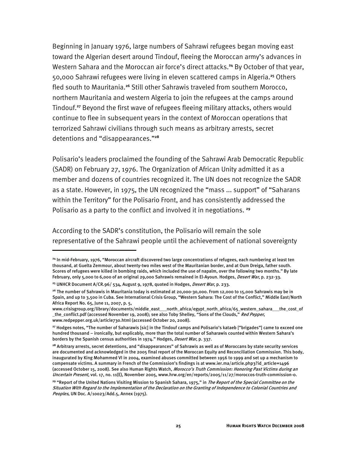Beginning in January 1976, large numbers of Sahrawi refugees began moving east toward the Algerian desert around Tindouf, fleeing the Moroccan army's advances in Western Sahara and the Moroccan air force's direct attacks.**<sup>24</sup>** By October of that year, 50,000 Sahrawi refugees were living in eleven scattered camps in Algeria.**<sup>25</sup>** Others fled south to Mauritania.**<sup>26</sup>** Still other Sahrawis traveled from southern Morocco, northern Mauritania and western Algeria to join the refugees at the camps around Tindouf.**<sup>27</sup>** Beyond the first wave of refugees fleeing military attacks, others would continue to flee in subsequent years in the context of Moroccan operations that terrorized Sahrawi civilians through such means as arbitrary arrests, secret detentions and "disappearances."**<sup>28</sup>**

Polisario's leaders proclaimed the founding of the Sahrawi Arab Democratic Republic (SADR) on February 27, 1976. The Organization of African Unity admitted it as a member and dozens of countries recognized it. The UN does not recognize the SADR as a state. However, in 1975, the UN recognized the "mass ... support" of "Saharans within the Territory" for the Polisario Front, and has consistently addressed the Polisario as a party to the conflict and involved it in negotiations. **<sup>29</sup>**

According to the SADR's constitution, the Polisario will remain the sole representative of the Sahrawi people until the achievement of national sovereignty

-

**<sup>24</sup>** In mid-February, 1976, "Moroccan aircraft discovered two large concentrations of refugees, each numbering at least ten thousand, at Guelta Zemmour, about twenty-two miles west of the Mauritanian border, and at Oum Dreiga, father south. Scores of refugees were killed in bombing raids, which included the use of napalm, over the following two months." By late February, only 5,000 to 6,000 of an original 29,000 Sahrawis remained in El-Ayoun. Hodges, Desert War, p. 232-33.

<sup>&</sup>lt;sup>25</sup> UNHCR Document A/CR.96/ 534, August 9, 1978, quoted in Hodges, Desert War, p. 233.

**<sup>26</sup>** The number of Sahrawis in Mauritania today is estimated at 20,000-30,000. From 12,000 to 15,000 Sahrawis may be in Spain, and up to 3,500 in Cuba. See International Crisis Group, "Western Sahara: The Cost of the Conflict," Middle East/North Africa Report No. 65, June 11, 2007, p. 5,

www.crisisgroup.org/library/documents/middle\_east\_\_\_north\_africa/egypt\_north\_africa/65\_western\_sahara\_\_\_the\_cost\_of \_the\_conflict.pdf (accessed November 19, 2008); see also Toby Shelley, "Sons of the Clouds," Red Pepper, www.redpepper.org.uk/article730.html (accessed October 20, 2008).

**<sup>27</sup>** Hodges notes, "The number of Saharawis [sic] in the Tindouf camps and Polisario's kataeb ["brigades"] came to exceed one hundred thousand – ironically, but explicably, more than the total number of Saharawis counted within Western Sahara's borders by the Spanish census authorities in 1974." Hodges, Desert War, p. 337.

**<sup>28</sup>** Arbitrary arrests, secret detentions, and "disappearances" of Sahrawis as well as of Moroccans by state security services are documented and acknowledged in the 2005 final report of the Moroccan Equity and Reconciliation Commission. This body, inaugurated by King Mohammed VI in 2004, examined abuses committed between 1956 to 1999 and set up a mechanism to compensate victims. A summary in French of the Commission's findings is at www.ier.ma/article.php3?id\_article=1496 (accessed October 15, 2008). See also Human Rights Watch, Morocco's Truth Commission: Honoring Past Victims during an Uncertain Present, vol. 17, no. 11(E), November 2005, www.hrw.org/en/reports/2005/11/27/moroccos-truth-commission-0.

**<sup>29</sup>** "Report of the United Nations Visiting Mission to Spanish Sahara, 1975," in The Report of the Special Committee on the Situation With Regard to the Implementation of the Declaration on the Granting of Independence to Colonial Countries and Peoples, UN Doc. A/10023/Add.5, Annex (1975).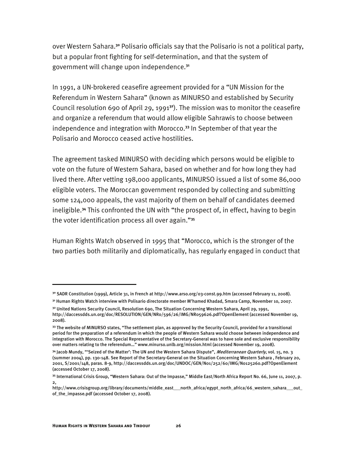over Western Sahara.**<sup>30</sup>** Polisario officials say that the Polisario is not a political party, but a popular front fighting for self-determination, and that the system of government will change upon independence.**<sup>31</sup>**

In 1991, a UN-brokered ceasefire agreement provided for a "UN Mission for the Referendum in Western Sahara" (known as MINURSO and established by Security Council resolution 690 of April 29, 1991**<sup>32</sup>**). The mission was to monitor the ceasefire and organize a referendum that would allow eligible Sahrawis to choose between independence and integration with Morocco.**<sup>33</sup>** In September of that year the Polisario and Morocco ceased active hostilities.

The agreement tasked MINURSO with deciding which persons would be eligible to vote on the future of Western Sahara, based on whether and for how long they had lived there. After vetting 198,000 applicants, MINURSO issued a list of some 86,000 eligible voters. The Moroccan government responded by collecting and submitting some 124,000 appeals, the vast majority of them on behalf of candidates deemed ineligible.**<sup>34</sup>** This confronted the UN with "the prospect of, in effect, having to begin the voter identification process all over again."**<sup>35</sup>**

Human Rights Watch observed in 1995 that "Morocco, which is the stronger of the two parties both militarily and diplomatically, has regularly engaged in conduct that

I

**<sup>30</sup>** SADR Constitution (1999), Article 31, in French at http://www.arso.org/03-const.99.htm (accessed February 11, 2008).

**<sup>31</sup>** Human Rights Watch interview with Polisario directorate member M'hamed Khadad, Smara Camp, November 10, 2007.

**<sup>32</sup>** United Nations Security Council, Resolution 690, The Situation Concerning Western Sahara, April 29, 1991, http://daccessdds.un.org/doc/RESOLUTION/GEN/NR0/596/26/IMG/NR059626.pdf?OpenElement (accessed November 19, 2008).

**<sup>33</sup>** The website of MINURSO states, "The settlement plan, as approved by the Security Council, provided for a transitional period for the preparation of a referendum in which the people of Western Sahara would choose between independence and integration with Morocco. The Special Representative of the Secretary-General was to have sole and exclusive responsibility over matters relating to the referendum…" www.minurso.unlb.org/mission.html (accessed November 19, 2008).

**<sup>34</sup>** Jacob Mundy, "'Seized of the Matter': The UN and the Western Sahara Dispute", Mediterranean Quarterly, vol. 15, no. 3 (summer 2004), pp. 130-148. See Report of the Secretary-General on the Situation Concerning Western Sahara , February 20, 2001, S/2001/148, paras. 8-9, http://daccessdds.un.org/doc/UNDOC/GEN/N01/252/60/IMG/N0125260.pdf?OpenElement (accessed October 17, 2008).

**<sup>35</sup>** International Crisis Group, "Western Sahara: Out of the Impasse," Middle East/North Africa Report No. 66, June 11, 2007, p. 2,

http://www.crisisgroup.org/library/documents/middle\_east\_\_\_north\_africa/egypt\_north\_africa/66\_western\_sahara\_\_\_out\_ of the impasse.pdf (accessed October 17, 2008).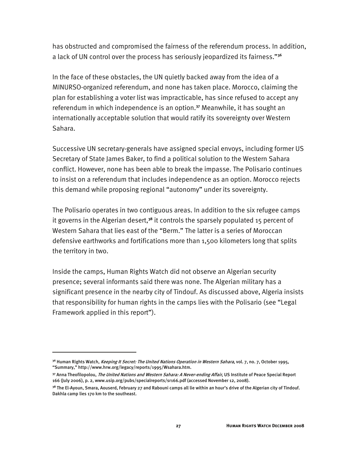has obstructed and compromised the fairness of the referendum process. In addition, a lack of UN control over the process has seriously jeopardized its fairness."**<sup>36</sup>**

In the face of these obstacles, the UN quietly backed away from the idea of a MINURSO-organized referendum, and none has taken place. Morocco, claiming the plan for establishing a voter list was impracticable, has since refused to accept any referendum in which independence is an option.**<sup>37</sup>** Meanwhile, it has sought an internationally acceptable solution that would ratify its sovereignty over Western Sahara.

Successive UN secretary-generals have assigned special envoys, including former US Secretary of State James Baker, to find a political solution to the Western Sahara conflict. However, none has been able to break the impasse. The Polisario continues to insist on a referendum that includes independence as an option. Morocco rejects this demand while proposing regional "autonomy" under its sovereignty.

The Polisario operates in two contiguous areas. In addition to the six refugee camps it governs in the Algerian desert,**<sup>38</sup>** it controls the sparsely populated 15 percent of Western Sahara that lies east of the "Berm." The latter is a series of Moroccan defensive earthworks and fortifications more than 1,500 kilometers long that splits the territory in two.

Inside the camps, Human Rights Watch did not observe an Algerian security presence; several informants said there was none. The Algerian military has a significant presence in the nearby city of Tindouf. As discussed above, Algeria insists that responsibility for human rights in the camps lies with the Polisario (see "Legal Framework applied in this report").

j

**<sup>36</sup>** Human Rights Watch, Keeping It Secret: The United Nations Operation in Western Sahara, vol. 7, no. 7, October 1995, "Summary," http://www.hrw.org/legacy/reports/1995/Wsahara.htm.

**<sup>37</sup>** Anna Theofilopolou, The United Nations and Western Sahara: A Never-ending Affair, US Institute of Peace Special Report 166 (July 2006), p. 2, www.usip.org/pubs/specialreports/sr166.pdf (accessed November 12, 2008).

**<sup>38</sup>** The El-Ayoun, Smara, Aouserd, February 27 and Rabouni camps all lie within an hour's drive of the Algerian city of Tindouf. Dakhla camp lies 170 km to the southeast.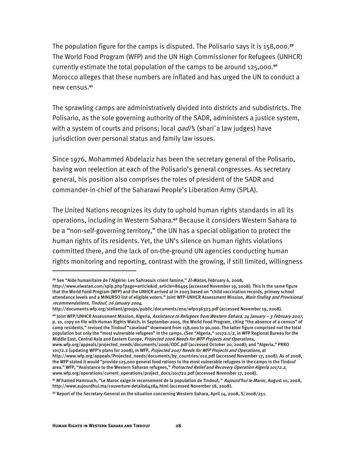The population figure for the camps is disputed. The Polisario says it is 158,000.**<sup>39</sup>** The World Food Program (WFP) and the UN High Commissioner for Refugees (UNHCR) currently estimate the total population of the camps to be around 125,000.**<sup>40</sup>** Morocco alleges that these numbers are inflated and has urged the UN to conduct a new census.**<sup>41</sup>**

The sprawling camps are administratively divided into districts and subdistricts. The Polisario, as the sole governing authority of the SADR, administers a justice system, with a system of courts and prisons; local *qadi'*s (shari'a law judges) have jurisdiction over personal status and family law issues.

Since 1976, Mohammed Abdelaziz has been the secretary general of the Polisario, having won reelection at each of the Polisario's general congresses. As secretary general, his position also comprises the roles of president of the SADR and commander-in-chief of the Saharawi People's Liberation Army (SPLA).

The United Nations recognizes its duty to uphold human rights standards in all its operations, including in Western Sahara.**<sup>42</sup>** Because it considers Western Sahara to be a "non-self-governing territory," the UN has a special obligation to protect the human rights of its residents. Yet, the UN's silence on human rights violations committed there, and the lack of on-the-ground UN agencies conducting human rights monitoring and reporting, contrast with the growing, if still limited, willingness

I

**<sup>39</sup>** See "Aide humanitaire de l'Algérie: Les Sahraouis crient famine," El-Watan, February 6, 2008,

http://www.elwatan.com/spip.php?page=article&id\_article=86495 (accessed November 19, 2008). This is the same figure that the World Food Program (WFP) and the UNHCR arrived at in 2003 based on "child vaccination records, primary school attendance levels and a MINURSO list of eligible voters." Joint WFP-UNHCR Assessment Mission, Main finding and Provisional recommendations, Tindouf, 26 January 2004,

http://documents.wfp.org/stellent/groups/public/documents/ena/wfp036323.pdf (accessed November 19, 2008).

**<sup>40</sup>** Joint WFP/UNHCR Assessment Mission, Algeria, Assistance to Refugees from Western Sahara, 24 January – 3 February 2007, p. 10, copy on file with Human Rights Watch. In September 2005, the World Food Program, citing "the absence of a census" of camp residents," revised the Tindouf "caseload" downward from 158,000 to 90,000. The latter figure comprised not the total population but only the "most vulnerable refugees" in the camps. (See "Algeria," 10172.1/2, in WFP Regional Bureau for the Middle East, Central Asia and Eastern Europe, Projected 2006 Needs for WFP Projects and Operations,

www.wfp.org/appeals/projected\_needs/documents/2006/ODC.pdf (accessed October 20, 2008); and "Algeria," PRRO 10172.2 (updating WFP's plans for 2008), in WFP, Projected 2007 Needs for WFP Projects and Operations, at http://www.wfp.org/appeals/Projected\_needs/documents/by\_countries/012.pdf (accessed November 17, 2008). As of 2008, the WFP stated it would "provide 125,000 general food rations to the most vulnerable refugees in the camps in the Tindouf

area." WFP, "Assistance to the Western Saharan refugees," Protracted Relief and Recovery Operation Algeria 10172.2, www.wfp.org/operations/current\_operations/project\_docs/101722.pdf (accessed November 17, 2008).

**<sup>41</sup>** M'hamed Hamrouch, "Le Maroc exige le recensement de la population de Tindouf, " Aujourd'hui le Maroc, August 10, 2008, http://www.aujourdhui.ma/couverture-details64284.html (accessed November 18, 2008).

**<sup>42</sup>** Report of the Secretary-General on the situation concerning Western Sahara, April 14, 2008, S/2008/251.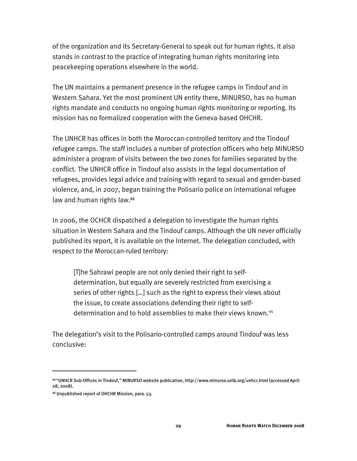of the organization and its Secretary-General to speak out for human rights. It also stands in contrast to the practice of integrating human rights monitoring into peacekeeping operations elsewhere in the world.

The UN maintains a permanent presence in the refugee camps in Tindouf and in Western Sahara. Yet the most prominent UN entity there, MINURSO, has no human rights mandate and conducts no ongoing human rights monitoring or reporting. Its mission has no formalized cooperation with the Geneva-based OHCHR.

The UNHCR has offices in both the Moroccan-controlled territory and the Tindouf refugee camps. The staff includes a number of protection officers who help MINURSO administer a program of visits between the two zones for families separated by the conflict. The UNHCR office in Tindouf also assists in the legal documentation of refugees, provides legal advice and training with regard to sexual and gender-based violence, and, in 2007, began training the Polisario police on international refugee law and human rights law.**<sup>43</sup>**

In 2006, the OCHCR dispatched a delegation to investigate the human rights situation in Western Sahara and the Tindouf camps. Although the UN never officially published its report, it is available on the Internet. The delegation concluded, with respect to the Moroccan-ruled territory:

[T]he Sahrawi people are not only denied their right to selfdetermination, but equally are severely restricted from exercising a series of other rights […] such as the right to express their views about the issue, to create associations defending their right to selfdetermination and to hold assemblies to make their views known.<sup>44</sup>

The delegation's visit to the Polisario-controlled camps around Tindouf was less conclusive:

-

**<sup>43</sup>**"UNHCR Sub-Offices in Tindouf," MINURSO website publication, http://www.minurso.unlb.org/unhcr.html (accessed April 28, 2008).

**<sup>44</sup>** Unpublished report of OHCHR Mission, para. 53.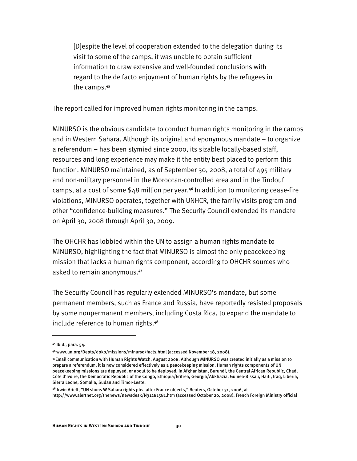[D]espite the level of cooperation extended to the delegation during its visit to some of the camps, it was unable to obtain sufficient information to draw extensive and well-founded conclusions with regard to the de facto enjoyment of human rights by the refugees in the camps.**<sup>45</sup>**

The report called for improved human rights monitoring in the camps.

MINURSO is the obvious candidate to conduct human rights monitoring in the camps and in Western Sahara. Although its original and eponymous mandate – to organize a referendum – has been stymied since 2000, its sizable locally-based staff, resources and long experience may make it the entity best placed to perform this function. MINURSO maintained, as of September 30, 2008, a total of 495 military and non-military personnel in the Moroccan-controlled area and in the Tindouf camps, at a cost of some \$48 million per year.**<sup>46</sup>** In addition to monitoring cease-fire violations, MINURSO operates, together with UNHCR, the family visits program and other "confidence-building measures." The Security Council extended its mandate on April 30, 2008 through April 30, 2009.

The OHCHR has lobbied within the UN to assign a human rights mandate to MINURSO, highlighting the fact that MINURSO is almost the only peacekeeping mission that lacks a human rights component, according to OHCHR sources who asked to remain anonymous.**<sup>47</sup>**

The Security Council has regularly extended MINURSO's mandate, but some permanent members, such as France and Russia, have reportedly resisted proposals by some nonpermanent members, including Costa Rica, to expand the mandate to include reference to human rights.**<sup>48</sup>**

-

**<sup>48</sup>** Irwin Arieff, "UN shuns W Sahara rights plea after France objects," Reuters, October 31, 2006, at http://www.alertnet.org/thenews/newsdesk/N31281581.htm (accessed October 20, 2008). French Foreign Ministry official

**<sup>45</sup>** Ibid., para. 54.

**<sup>46</sup>**www.un.org/Depts/dpko/missions/minurso/facts.html (accessed November 18, 2008).

**<sup>47</sup>**Email communication with Human Rights Watch, August 2008. Although MINURSO was created initially as a mission to prepare a referendum, it is now considered effectively as a peacekeeping mission. Human rights components of UN peacekeeping missions are deployed, or about to be deployed, in Afghanistan, Burundi, the Central African Republic, Chad, Côte d'Ivoire, the Democratic Republic of the Congo, Ethiopia/Eritrea, Georgia/Abkhazia, Guinea-Bissau, Haiti, Iraq, Liberia, Sierra Leone, Somalia, Sudan and Timor-Leste.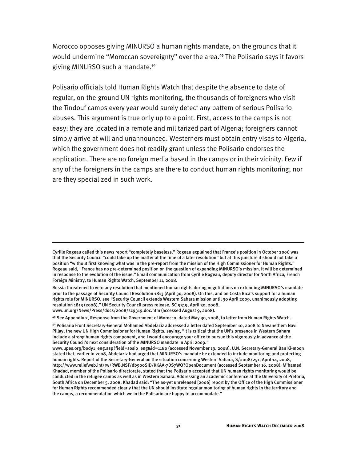Morocco opposes giving MINURSO a human rights mandate, on the grounds that it would undermine "Moroccan sovereignty" over the area.**<sup>49</sup>** The Polisario says it favors giving MINURSO such a mandate.**<sup>50</sup>**

Polisario officials told Human Rights Watch that despite the absence to date of regular, on-the-ground UN rights monitoring, the thousands of foreigners who visit the Tindouf camps every year would surely detect any pattern of serious Polisario abuses. This argument is true only up to a point. First, access to the camps is not easy: they are located in a remote and militarized part of Algeria; foreigners cannot simply arrive at will and unannounced. Westerners must obtain entry visas to Algeria, which the government does not readily grant unless the Polisario endorses the application. There are no foreign media based in the camps or in their vicinity. Few if any of the foreigners in the camps are there to conduct human rights monitoring; nor are they specialized in such work.

j

Cyrille Rogeau called this news report "completely baseless." Rogeau explained that France's position in October 2006 was that the Security Council "could take up the matter at the time of a later resolution" but at this juncture it should not take a position "without first knowing what was in the pre-report from the mission of the High Commissioner for Human Rights." Rogeau said, "France has no pre-determined position on the question of expanding MINURSO's mission. It will be determined in response to the evolution of the issue." Email communication from Cyrille Rogeau, deputy director for North Africa, French Foreign Ministry, to Human Rights Watch, September 11, 2008.

Russia threatened to veto any resolution that mentioned human rights during negotiations on extending MINURSO's mandate prior to the passage of Security Council Resolution 1813 (April 30, 2008). On this, and on Costa Rica's support for a human rights role for MINURSO, see "Security Council extends Western Sahara mission until 30 April 2009, unanimously adopting resolution 1813 (2008)," UN Security Council press release, SC 9319, April 30, 2008, www.un.org/News/Press/docs/2008/sc9319.doc.htm (accessed August 9, 2008).

**<sup>49</sup>** See Appendix 2, Response from the Government of Morocco, dated May 30, 2008, to letter from Human Rights Watch.

**<sup>50</sup>** Polisario Front Secretary-General Mohamed Abdelaziz addressed a letter dated September 10, 2008 to Navanethem Navi Pillay, the new UN High Commissioner for Human Rights, saying, "It is critical that the UN's presence in Western Sahara include a strong human rights component, and I would encourage your office to pursue this vigorously in advance of the Security Council's next consideration of the MINURSO mandate in April 2009."

www.upes.org/body1\_eng.asp?field=sosio\_eng&id=1180 (accessed November 19, 2008). U.N. Secretary-General Ban Ki-moon stated that, earlier in 2008, Abdelaziz had urged that MINURSO's mandate be extended to include monitoring and protecting human rights. Report of the Secretary-General on the situation concerning Western Sahara, S/2008/251, April 14, 2008, http://www.reliefweb.int/rw/RWB.NSF/db900SID/KKAA-7DS7WQ?OpenDocument (accessed September 16, 2008). M'hamed Khadad, member of the Polisario directorate, stated that the Polisario accepted that UN human rights monitoring would be conducted in the refugee camps as well as in Western Sahara. Addressing an academic conference at the University of Pretoria, South Africa on December 5, 2008, Khadad said: "The as-yet unreleased [2006] report by the Office of the High Commissioner for Human Rights recommended clearly that the UN should institute regular monitoring of human rights in the territory and the camps, a recommendation which we in the Polisario are happy to accommodate."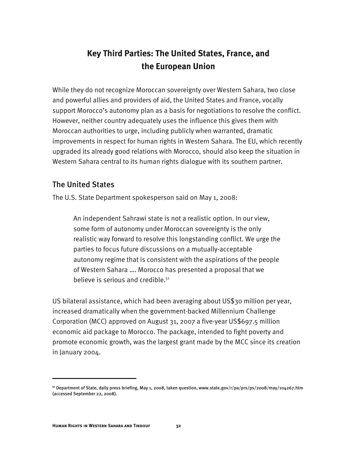# **Key Third Parties: The United States, France, and the European Union**

While they do not recognize Moroccan sovereignty over Western Sahara, two close and powerful allies and providers of aid, the United States and France, vocally support Morocco's autonomy plan as a basis for negotiations to resolve the conflict. However, neither country adequately uses the influence this gives them with Moroccan authorities to urge, including publicly when warranted, dramatic improvements in respect for human rights in Western Sahara. The EU, which recently upgraded its already good relations with Morocco, should also keep the situation in Western Sahara central to its human rights dialogue with its southern partner.

### The United States

The U.S. State Department spokesperson said on May 1, 2008:

An independent Sahrawi state is not a realistic option. In our view, some form of autonomy under Moroccan sovereignty is the only realistic way forward to resolve this longstanding conflict. We urge the parties to focus future discussions on a mutually-acceptable autonomy regime that is consistent with the aspirations of the people of Western Sahara …. Morocco has presented a proposal that we believe is serious and credible.<sup>51</sup>

US bilateral assistance, which had been averaging about US\$30 million per year, increased dramatically when the government-backed Millennium Challenge Corporation (MCC) approved on August 31, 2007 a five-year US\$697.5 million economic aid package to Morocco. The package, intended to fight poverty and promote economic growth, was the largest grant made by the MCC since its creation in January 2004.

**<sup>51</sup>** Department of State, daily press briefing, May 1, 2008, taken question, www.state.gov/r/pa/prs/ps/2008/may/104267.htm (accessed September 22, 2008).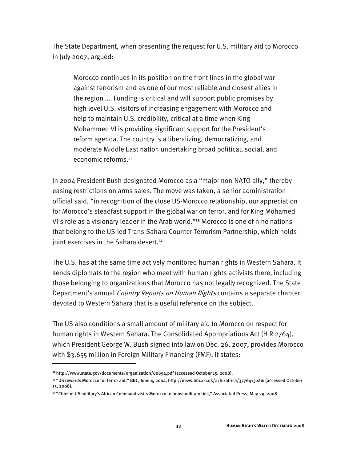The State Department, when presenting the request for U.S. military aid to Morocco in July 2007, argued:

Morocco continues in its position on the front lines in the global war against terrorism and as one of our most reliable and closest allies in the region …. Funding is critical and will support public promises by high level U.S. visitors of increasing engagement with Morocco and help to maintain U.S. credibility, critical at a time when King Mohammed VI is providing significant support for the President's reform agenda. The country is a liberalizing, democratizing, and moderate Middle East nation undertaking broad political, social, and economic reforms.<sup>52</sup>

In 2004 President Bush designated Morocco as a "major non-NATO ally," thereby easing restrictions on arms sales. The move was taken, a senior administration official said, "in recognition of the close US-Morocco relationship, our appreciation for Morocco's steadfast support in the global war on terror, and for King Mohamed VI's role as a visionary leader in the Arab world."**<sup>53</sup>** Morocco is one of nine nations that belong to the US-led Trans-Sahara Counter Terrorism Partnership, which holds joint exercises in the Sahara desert.**<sup>54</sup>**

The U.S. has at the same time actively monitored human rights in Western Sahara. It sends diplomats to the region who meet with human rights activists there, including those belonging to organizations that Morocco has not legally recognized. The State Department's annual *Country Reports on Human Rights* contains a separate chapter devoted to Western Sahara that is a useful reference on the subject.

The US also conditions a small amount of military aid to Morocco on respect for human rights in Western Sahara. The Consolidated Appropriations Act (H R 2764), which President George W. Bush signed into law on Dec. 26, 2007, provides Morocco with \$3.655 million in Foreign Military Financing (FMF). It states:

**<sup>52</sup>**http://www.state.gov/documents/organization/60654.pdf (accessed October 15, 2008).

**<sup>53</sup>**"US rewards Morocco for terror aid," BBC, June 4, 2004, http://news.bbc.co.uk/2/hi/africa/3776413.stm (accessed October 15, 2008).

**<sup>54</sup>** "Chief of US military's African Command visits Morocco to boost military ties," Associated Press, May 29, 2008.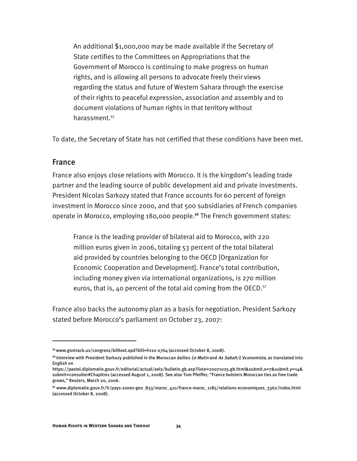An additional \$1,000,000 may be made available if the Secretary of State certifies to the Committees on Appropriations that the Government of Morocco is continuing to make progress on human rights, and is allowing all persons to advocate freely their views regarding the status and future of Western Sahara through the exercise of their rights to peaceful expression, association and assembly and to document violations of human rights in that territory without harassment.<sup>55</sup>

To date, the Secretary of State has not certified that these conditions have been met.

### France

-

France also enjoys close relations with Morocco. It is the kingdom's leading trade partner and the leading source of public development aid and private investments. President Nicolas Sarkozy stated that France accounts for 60 percent of foreign investment in Morocco since 2000, and that 500 subsidiaries of French companies operate in Morocco, employing 180,000 people.**<sup>56</sup>** The French government states:

France is the leading provider of bilateral aid to Morocco, with 220 million euros given in 2006, totaling 53 percent of the total bilateral aid provided by countries belonging to the OECD [Organization for Economic Cooperation and Development]. France's total contribution, including money given via international organizations, is 270 million euros, that is, 40 percent of the total aid coming from the OECD.<sup>57</sup>

France also backs the autonomy plan as a basis for negotiation. President Sarkozy stated before Morocco's parliament on October 23, 2007:

**<sup>55</sup>**www.govtrack.us/congress/billtext.xpd?bill=h110-2764 (accessed October 8, 2008).

**<sup>56</sup>**Interview with President Sarkozy published in the Moroccan dailies Le Matin and As Sabah/L'économiste, as translated into English on

https://pastel.diplomatie.gouv.fr/editorial/actual/ael2/bulletin.gb.asp?liste=20071025.gb.html&submit.x=7&submit.y=14& submit=consulter#Chapitre1 (accessed August 1, 2008). See also Tom Pfeiffer, "France bolsters Moroccan ties as free trade grows," Reuters, March 20, 2006.

**<sup>57</sup>** www.diplomatie.gouv.fr/fr/pays-zones-geo\_833/maroc\_410/france-maroc\_1185/relations-economiques\_3362/index.html (accessed October 8. 2008).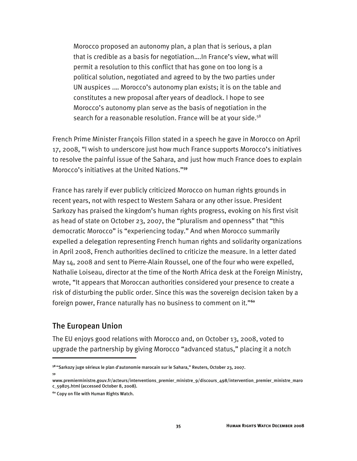Morocco proposed an autonomy plan, a plan that is serious, a plan that is credible as a basis for negotiation….In France's view, what will permit a resolution to this conflict that has gone on too long is a political solution, negotiated and agreed to by the two parties under UN auspices .… Morocco's autonomy plan exists; it is on the table and constitutes a new proposal after years of deadlock. I hope to see Morocco's autonomy plan serve as the basis of negotiation in the search for a reasonable resolution. France will be at your side.<sup>58</sup>

French Prime Minister François Fillon stated in a speech he gave in Morocco on April 17, 2008, "I wish to underscore just how much France supports Morocco's initiatives to resolve the painful issue of the Sahara, and just how much France does to explain Morocco's initiatives at the United Nations."**<sup>59</sup>**

France has rarely if ever publicly criticized Morocco on human rights grounds in recent years, not with respect to Western Sahara or any other issue. President Sarkozy has praised the kingdom's human rights progress, evoking on his first visit as head of state on October 23, 2007, the "pluralism and openness" that "this democratic Morocco" is "experiencing today." And when Morocco summarily expelled a delegation representing French human rights and solidarity organizations in April 2008, French authorities declined to criticize the measure. In a letter dated May 14, 2008 and sent to Pierre-Alain Roussel, one of the four who were expelled, Nathalie Loiseau, director at the time of the North Africa desk at the Foreign Ministry, wrote, "It appears that Moroccan authorities considered your presence to create a risk of disturbing the public order. Since this was the sovereign decision taken by a foreign power, France naturally has no business to comment on it."**<sup>60</sup>**

### The European Union

The EU enjoys good relations with Morocco and, on October 13, 2008, voted to upgrade the partnership by giving Morocco "advanced status," placing it a notch

**59** 

**<sup>58</sup>**"Sarkozy juge sérieux le plan d'autonomie marocain sur le Sahara," Reuters, October 23, 2007.

www.premierministre.gouv.fr/acteurs/interventions\_premier\_ministre\_9/discours\_498/intervention\_premier\_ministre\_maro c\_59825.html (accessed October 8, 2008).

**<sup>60</sup>** Copy on file with Human Rights Watch.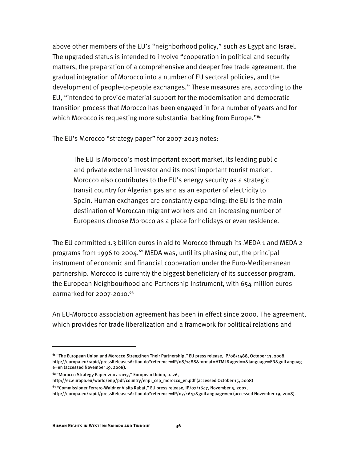above other members of the EU's "neighborhood policy," such as Egypt and Israel. The upgraded status is intended to involve "cooperation in political and security matters, the preparation of a comprehensive and deeper free trade agreement, the gradual integration of Morocco into a number of EU sectoral policies, and the development of people-to-people exchanges." These measures are, according to the EU, "intended to provide material support for the modernisation and democratic transition process that Morocco has been engaged in for a number of years and for which Morocco is requesting more substantial backing from Europe."**<sup>61</sup>**

The EU's Morocco "strategy paper" for 2007-2013 notes:

The EU is Morocco's most important export market, its leading public and private external investor and its most important tourist market. Morocco also contributes to the EU's energy security as a strategic transit country for Algerian gas and as an exporter of electricity to Spain. Human exchanges are constantly expanding: the EU is the main destination of Moroccan migrant workers and an increasing number of Europeans choose Morocco as a place for holidays or even residence.

The EU committed 1.3 billion euros in aid to Morocco through its MEDA 1 and MEDA 2 programs from 1996 to 2004.**<sup>62</sup>** MEDA was, until its phasing out, the principal instrument of economic and financial cooperation under the Euro-Mediterranean partnership. Morocco is currently the biggest beneficiary of its successor program, the European Neighbourhood and Partnership Instrument, with 654 million euros earmarked for 2007-2010.**<sup>63</sup>**

An EU-Morocco association agreement has been in effect since 2000. The agreement, which provides for trade liberalization and a framework for political relations and

**<sup>61</sup>** "The European Union and Morocco Strengthen Their Partnership," EU press release, IP/08/1488, October 13, 2008, http://europa.eu/rapid/pressReleasesAction.do?reference=IP/08/1488&format=HTML&aged=0&language=EN&guiLanguag e=en (accessed November 19, 2008).

**<sup>62</sup>**"Morocco Strategy Paper 2007-2013," European Union, p. 26,

http://ec.europa.eu/world/enp/pdf/country/enpi\_csp\_morocco\_en.pdf (accessed October 15, 2008) **<sup>63</sup>** "Commissioner Ferrero-Waldner Visits Rabat," EU press release, IP/07/1647, November 5, 2007,

http://europa.eu/rapid/pressReleasesAction.do?reference=IP/07/1647&guiLanguage=en (accessed November 19, 2008).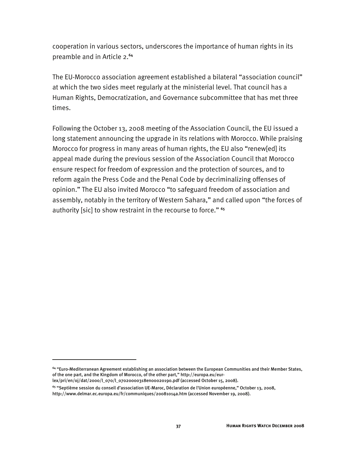cooperation in various sectors, underscores the importance of human rights in its preamble and in Article 2.**<sup>64</sup>**

The EU-Morocco association agreement established a bilateral "association council" at which the two sides meet regularly at the ministerial level. That council has a Human Rights, Democratization, and Governance subcommittee that has met three times.

Following the October 13, 2008 meeting of the Association Council, the EU issued a long statement announcing the upgrade in its relations with Morocco. While praising Morocco for progress in many areas of human rights, the EU also "renew[ed] its appeal made during the previous session of the Association Council that Morocco ensure respect for freedom of expression and the protection of sources, and to reform again the Press Code and the Penal Code by decriminalizing offenses of opinion." The EU also invited Morocco "to safeguard freedom of association and assembly, notably in the territory of Western Sahara," and called upon "the forces of authority [sic] to show restraint in the recourse to force." **<sup>65</sup>**

lex/pri/en/oj/dat/2000/l\_070/l\_07020000318en00020190.pdf (accessed October 15, 2008).

**<sup>64</sup>** "Euro-Mediterranean Agreement establishing an association between the European Communities and their Member States, of the one part, and the Kingdom of Morocco, of the other part," http://europa.eu/eur-

**<sup>65</sup>** "Septième session du conseil d'association UE-Maroc, Déclaration de l'Union européenne," October 13, 2008,

http://www.delmar.ec.europa.eu/fr/communiques/20081014a.htm (accessed November 19, 2008).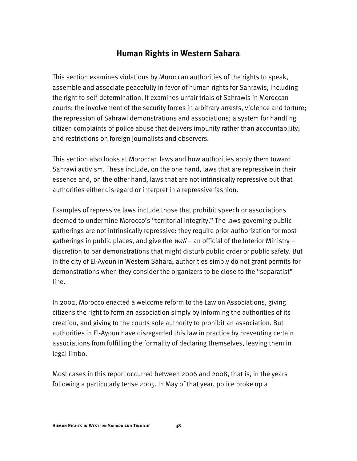# **Human Rights in Western Sahara**

This section examines violations by Moroccan authorities of the rights to speak, assemble and associate peacefully in favor of human rights for Sahrawis, including the right to self-determination. It examines unfair trials of Sahrawis in Moroccan courts; the involvement of the security forces in arbitrary arrests, violence and torture; the repression of Sahrawi demonstrations and associations; a system for handling citizen complaints of police abuse that delivers impunity rather than accountability; and restrictions on foreign journalists and observers.

This section also looks at Moroccan laws and how authorities apply them toward Sahrawi activism. These include, on the one hand, laws that are repressive in their essence and, on the other hand, laws that are not intrinsically repressive but that authorities either disregard or interpret in a repressive fashion.

Examples of repressive laws include those that prohibit speech or associations deemed to undermine Morocco's "territorial integrity." The laws governing public gatherings are not intrinsically repressive: they require prior authorization for most gatherings in public places, and give the  $wall-$  an official of the Interior Ministry  $$ discretion to bar demonstrations that might disturb public order or public safety. But in the city of El-Ayoun in Western Sahara, authorities simply do not grant permits for demonstrations when they consider the organizers to be close to the "separatist" line.

In 2002, Morocco enacted a welcome reform to the Law on Associations, giving citizens the right to form an association simply by informing the authorities of its creation, and giving to the courts sole authority to prohibit an association. But authorities in El-Ayoun have disregarded this law in practice by preventing certain associations from fulfilling the formality of declaring themselves, leaving them in legal limbo.

Most cases in this report occurred between 2006 and 2008, that is, in the years following a particularly tense 2005. In May of that year, police broke up a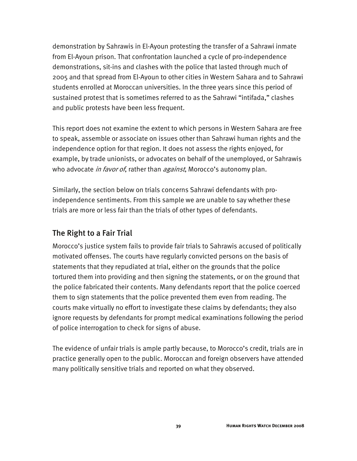demonstration by Sahrawis in El-Ayoun protesting the transfer of a Sahrawi inmate from El-Ayoun prison. That confrontation launched a cycle of pro-independence demonstrations, sit-ins and clashes with the police that lasted through much of 2005 and that spread from El-Ayoun to other cities in Western Sahara and to Sahrawi students enrolled at Moroccan universities. In the three years since this period of sustained protest that is sometimes referred to as the Sahrawi "intifada," clashes and public protests have been less frequent.

This report does not examine the extent to which persons in Western Sahara are free to speak, assemble or associate on issues other than Sahrawi human rights and the independence option for that region. It does not assess the rights enjoyed, for example, by trade unionists, or advocates on behalf of the unemployed, or Sahrawis who advocate *in favor of*, rather than *against*, Morocco's autonomy plan.

Similarly, the section below on trials concerns Sahrawi defendants with proindependence sentiments. From this sample we are unable to say whether these trials are more or less fair than the trials of other types of defendants.

### The Right to a Fair Trial

Morocco's justice system fails to provide fair trials to Sahrawis accused of politically motivated offenses. The courts have regularly convicted persons on the basis of statements that they repudiated at trial, either on the grounds that the police tortured them into providing and then signing the statements, or on the ground that the police fabricated their contents. Many defendants report that the police coerced them to sign statements that the police prevented them even from reading. The courts make virtually no effort to investigate these claims by defendants; they also ignore requests by defendants for prompt medical examinations following the period of police interrogation to check for signs of abuse.

The evidence of unfair trials is ample partly because, to Morocco's credit, trials are in practice generally open to the public. Moroccan and foreign observers have attended many politically sensitive trials and reported on what they observed.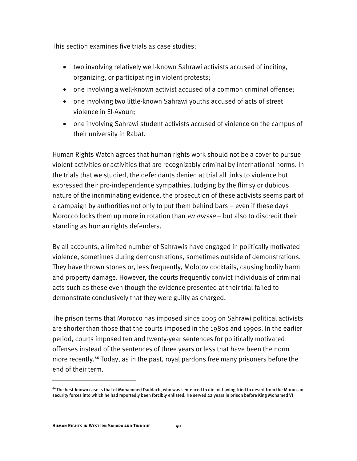This section examines five trials as case studies:

- two involving relatively well-known Sahrawi activists accused of inciting, organizing, or participating in violent protests;
- one involving a well-known activist accused of a common criminal offense;
- one involving two little-known Sahrawi youths accused of acts of street violence in El-Ayoun;
- one involving Sahrawi student activists accused of violence on the campus of their university in Rabat.

Human Rights Watch agrees that human rights work should not be a cover to pursue violent activities or activities that are recognizably criminal by international norms. In the trials that we studied, the defendants denied at trial all links to violence but expressed their pro-independence sympathies. Judging by the flimsy or dubious nature of the incriminating evidence, the prosecution of these activists seems part of a campaign by authorities not only to put them behind bars – even if these days Morocco locks them up more in rotation than *en masse* – but also to discredit their standing as human rights defenders.

By all accounts, a limited number of Sahrawis have engaged in politically motivated violence, sometimes during demonstrations, sometimes outside of demonstrations. They have thrown stones or, less frequently, Molotov cocktails, causing bodily harm and property damage. However, the courts frequently convict individuals of criminal acts such as these even though the evidence presented at their trial failed to demonstrate conclusively that they were guilty as charged.

The prison terms that Morocco has imposed since 2005 on Sahrawi political activists are shorter than those that the courts imposed in the 1980s and 1990s. In the earlier period, courts imposed ten and twenty-year sentences for politically motivated offenses instead of the sentences of three years or less that have been the norm more recently.**<sup>66</sup>** Today, as in the past, royal pardons free many prisoners before the end of their term.

**<sup>66</sup>**The best-known case is that of Mohammed Daddach, who was sentenced to die for having tried to desert from the Moroccan security forces into which he had reportedly been forcibly enlisted. He served 22 years in prison before King Mohamed VI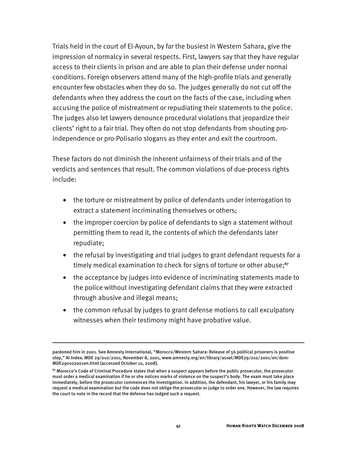Trials held in the court of El-Ayoun, by far the busiest in Western Sahara, give the impression of normalcy in several respects. First, lawyers say that they have regular access to their clients in prison and are able to plan their defense under normal conditions. Foreign observers attend many of the high-profile trials and generally encounter few obstacles when they do so. The judges generally do not cut off the defendants when they address the court on the facts of the case, including when accusing the police of mistreatment or repudiating their statements to the police. The judges also let lawyers denounce procedural violations that jeopardize their clients' right to a fair trial. They often do not stop defendants from shouting proindependence or pro-Polisario slogans as they enter and exit the courtroom.

These factors do not diminish the inherent unfairness of their trials and of the verdicts and sentences that result. The common violations of due-process rights include:

- the torture or mistreatment by police of defendants under interrogation to extract a statement incriminating themselves or others;
- the improper coercion by police of defendants to sign a statement without permitting them to read it, the contents of which the defendants later repudiate;
- the refusal by investigating and trial judges to grant defendant requests for a timely medical examination to check for signs of torture or other abuse;**<sup>67</sup>**
- the acceptance by judges into evidence of incriminating statements made to the police without investigating defendant claims that they were extracted through abusive and illegal means;
- the common refusal by judges to grant defense motions to call exculpatory witnesses when their testimony might have probative value.

pardoned him in 2001. See Amnesty International, "Morocco/Western Sahara: Release of 56 political prisoners is positive step," AI Index: MDE 29/010/2001, November 8, 2001, www.amnesty.org/en/library/asset/MDE29/010/2001/en/dom-MDE290102001en.html (accessed October 10, 2008).

**<sup>67</sup>** Morocco's Code of Criminal Procedure states that when a suspect appears before the public prosecutor, the prosecutor must order a medical examination if he or she notices marks of violence on the suspect's body. The exam must take place immediately, before the prosecutor commences the investigation. In addition, the defendant, his lawyer, or his family may request a medical examination but the code does not oblige the prosecutor or judge to order one. However, the law requires the court to note in the record that the defense has lodged such a request.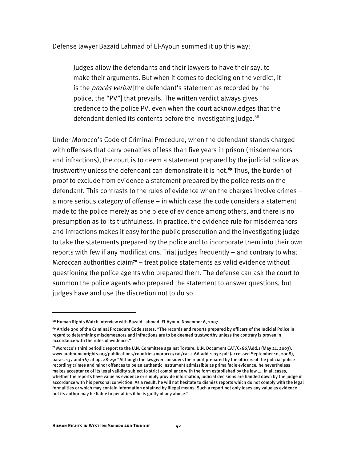Defense lawyer Bazaid Lahmad of El-Ayoun summed it up this way:

Judges allow the defendants and their lawyers to have their say, to make their arguments. But when it comes to deciding on the verdict, it is the *procès verbal* [the defendant's statement as recorded by the police, the "PV"] that prevails. The written verdict always gives credence to the police PV, even when the court acknowledges that the defendant denied its contents before the investigating judge.<sup>68</sup>

Under Morocco's Code of Criminal Procedure, when the defendant stands charged with offenses that carry penalties of less than five years in prison (misdemeanors and infractions), the court is to deem a statement prepared by the judicial police as trustworthy unless the defendant can demonstrate it is not.**<sup>69</sup>** Thus, the burden of proof to exclude from evidence a statement prepared by the police rests on the defendant. This contrasts to the rules of evidence when the charges involve crimes – a more serious category of offense – in which case the code considers a statement made to the police merely as one piece of evidence among others, and there is no presumption as to its truthfulness. In practice, the evidence rule for misdemeanors and infractions makes it easy for the public prosecution and the investigating judge to take the statements prepared by the police and to incorporate them into their own reports with few if any modifications. Trial judges frequently – and contrary to what Moroccan authorities claim**<sup>70</sup>** – treat police statements as valid evidence without questioning the police agents who prepared them. The defense can ask the court to summon the police agents who prepared the statement to answer questions, but judges have and use the discretion not to do so.

**<sup>68</sup>** Human Rights Watch interview with Bazaid Lahmad, El-Ayoun, November 6, 2007.

**<sup>69</sup>** Article 290 of the Criminal Procedure Code states, "The records and reports prepared by officers of the Judicial Police in regard to determining misdemeanors and infractions are to be deemed trustworthy unless the contrary is proven in accordance with the rules of evidence."

**<sup>70</sup>**Morocco's third periodic report to the U.N. Committee against Torture, U.N. Document CAT/C/66/Add.1 (May 21, 2003), www.arabhumanrights.org/publications/countries/morocco/cat/cat-c-66-add-1-03e.pdf (accessed September 10, 2008), paras. 137 and 167 at pp. 28-29: "Although the lawgiver considers the report prepared by the officers of the judicial police recording crimes and minor offences to be an authentic instrument admissible as prima facie evidence, he nevertheless makes acceptance of its legal validity subject to strict compliance with the form established by the law …. In all cases, whether the reports have value as evidence or simply provide information, judicial decisions are handed down by the judge in accordance with his personal conviction. As a result, he will not hesitate to dismiss reports which do not comply with the legal formalities or which may contain information obtained by illegal means. Such a report not only loses any value as evidence but its author may be liable to penalties if he is guilty of any abuse."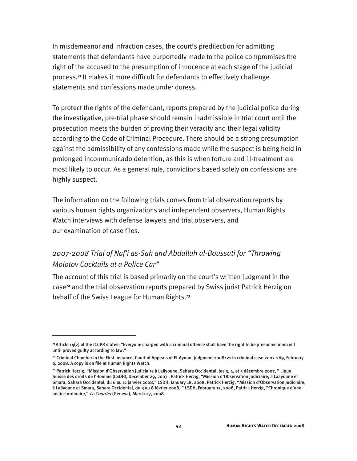In misdemeanor and infraction cases, the court's predilection for admitting statements that defendants have purportedly made to the police compromises the right of the accused to the presumption of innocence at each stage of the judicial process.**<sup>71</sup>** It makes it more difficult for defendants to effectively challenge statements and confessions made under duress.

To protect the rights of the defendant, reports prepared by the judicial police during the investigative, pre-trial phase should remain inadmissible in trial court until the prosecution meets the burden of proving their veracity and their legal validity according to the Code of Criminal Procedure. There should be a strong presumption against the admissibility of any confessions made while the suspect is being held in prolonged incommunicado detention, as this is when torture and ill-treatment are most likely to occur. As a general rule, convictions based solely on confessions are highly suspect.

The information on the following trials comes from trial observation reports by various human rights organizations and independent observers, Human Rights Watch interviews with defense lawyers and trial observers, and our examination of case files.

# *2007-2008 Trial of Naf'i as-Sah and Abdallah al-Boussati for "Throwing Molotov Cocktails at a Police Car"*

The account of this trial is based primarily on the court's written judgment in the case**<sup>72</sup>** and the trial observation reports prepared by Swiss jurist Patrick Herzig on behalf of the Swiss League for Human Rights.**<sup>73</sup>**

**<sup>71</sup>**Article 14(2) of the ICCPR states: "Everyone charged with a criminal offence shall have the right to be presumed innocent until proved guilty according to law."

**<sup>72</sup>** Criminal Chamber in the First Instance, Court of Appeals of El-Ayoun, judgment 2008/21 in criminal case 2007-269, February 6, 2008. A copy is on file at Human Rights Watch.

**<sup>73</sup>** Patrick Herzig, "Mission d'Observation Judiciaire à Laâyoune, Sahara Occidental, les 3, 4, et 5 décembre 2007, " Ligue Suisse des droits de l'Homme (LSDH), December 29, 2007 , Patrick Herzig, "Mission d'Observation Judiciaire, à Laâyoune et Smara, Sahara Occidental, du 6 au 11 janvier 2008," LSDH, January 18, 2008, Patrick Herzig, "Mission d'Observation Judiciaire, à Laâyoune et Smara, Sahara Occidental, du 3 au 8 février 2008, " LSDH, February 15, 2008, Patrick Herzig, "Chronique d'une justice ordinaire," Le Courrier (Geneva), March 27, 2008.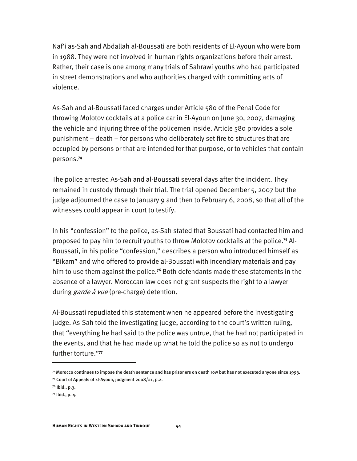Naf'i as-Sah and Abdallah al-Boussati are both residents of El-Ayoun who were born in 1988. They were not involved in human rights organizations before their arrest. Rather, their case is one among many trials of Sahrawi youths who had participated in street demonstrations and who authorities charged with committing acts of violence.

As-Sah and al-Boussati faced charges under Article 580 of the Penal Code for throwing Molotov cocktails at a police car in El-Ayoun on June 30, 2007, damaging the vehicle and injuring three of the policemen inside. Article 580 provides a sole punishment – death – for persons who deliberately set fire to structures that are occupied by persons or that are intended for that purpose, or to vehicles that contain persons.**<sup>74</sup>**

The police arrested As-Sah and al-Boussati several days after the incident. They remained in custody through their trial. The trial opened December 5, 2007 but the judge adjourned the case to January 9 and then to February 6, 2008, so that all of the witnesses could appear in court to testify.

In his "confession" to the police, as-Sah stated that Boussati had contacted him and proposed to pay him to recruit youths to throw Molotov cocktails at the police.**75** Al-Boussati, in his police "confession," describes a person who introduced himself as "Bikam" and who offered to provide al-Boussati with incendiary materials and pay him to use them against the police.**<sup>76</sup>** Both defendants made these statements in the absence of a lawyer. Moroccan law does not grant suspects the right to a lawyer during *garde à vue* (pre-charge) detention.

Al-Boussati repudiated this statement when he appeared before the investigating judge. As-Sah told the investigating judge, according to the court's written ruling, that "everything he had said to the police was untrue, that he had not participated in the events, and that he had made up what he told the police so as not to undergo further torture."**<sup>77</sup>**

**<sup>74</sup>**Morocco continues to impose the death sentence and has prisoners on death row but has not executed anyone since 1993. **<sup>75</sup>** Court of Appeals of El-Ayoun, judgment 2008/21, p.2.

**<sup>76</sup>** Ibid., p.3.

**<sup>77</sup>** Ibid., p. 4.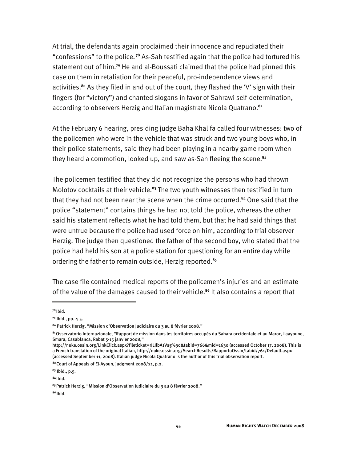At trial, the defendants again proclaimed their innocence and repudiated their "confessions" to the police.**<sup>78</sup>** As-Sah testified again that the police had tortured his statement out of him.**<sup>79</sup>** He and al-Boussati claimed that the police had pinned this case on them in retaliation for their peaceful, pro-independence views and activities.**<sup>80</sup>** As they filed in and out of the court, they flashed the 'V' sign with their fingers (for "victory") and chanted slogans in favor of Sahrawi self-determination, according to observers Herzig and Italian magistrate Nicola Quatrano.**<sup>81</sup>**

At the February 6 hearing, presiding judge Baha Khalifa called four witnesses: two of the policemen who were in the vehicle that was struck and two young boys who, in their police statements, said they had been playing in a nearby game room when they heard a commotion, looked up, and saw as-Sah fleeing the scene.**<sup>82</sup>**

The policemen testified that they did not recognize the persons who had thrown Molotov cocktails at their vehicle.**<sup>83</sup>** The two youth witnesses then testified in turn that they had not been near the scene when the crime occurred.**<sup>84</sup>** One said that the police "statement" contains things he had not told the police, whereas the other said his statement reflects what he had told them, but that he had said things that were untrue because the police had used force on him, according to trial observer Herzig. The judge then questioned the father of the second boy, who stated that the police had held his son at a police station for questioning for an entire day while ordering the father to remain outside, Herzig reported.**<sup>85</sup>**

The case file contained medical reports of the policemen's injuries and an estimate of the value of the damages caused to their vehicle.**<sup>86</sup>** It also contains a report that

**<sup>78</sup>**Ibid.

**<sup>79</sup>** Ibid., pp. 4-5.

**<sup>80</sup>** Patrick Herzig, "Mission d'Observation Judiciaire du 3 au 8 février 2008."

**<sup>81</sup>**Osservatorio Internazionale, "Rapport de mission dans les territoires occupés du Sahara occidentale et au Maroc, Laayoune, Smara, Casablanca, Rabat 5-15 janvier 2008,"

http://nuke.ossin.org/LinkClick.aspx?fileticket=rJLIlbA1Vsg%3d&tabid=766&mid=1630 (accessed October 17, 2008). This is a French translation of the original Italian, http://nuke.ossin.org/SearchResults/RapportoOssin/tabid/761/Default.aspx (accessed September 11, 2008). Italian judge Nicola Quatrano is the author of this trial observation report.

**<sup>82</sup>**Court of Appeals of El-Ayoun, judgment 2008/21, p.2.

**<sup>83</sup>** Ibid., p.5.

**<sup>84</sup>**Ibid.

**<sup>85</sup>**Patrick Herzig, "Mission d'Observation Judiciaire du 3 au 8 février 2008."

**<sup>86</sup>** Ibid.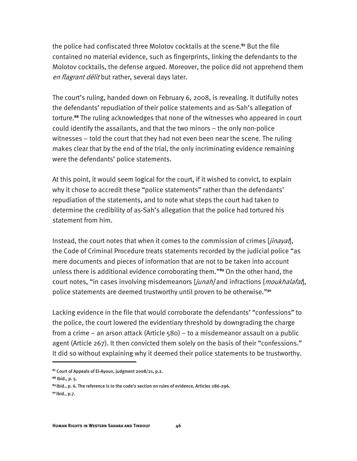the police had confiscated three Molotov cocktails at the scene.**<sup>87</sup>** But the file contained no material evidence, such as fingerprints, linking the defendants to the Molotov cocktails, the defense argued. Moreover, the police did not apprehend them en flagrant délit but rather, several days later.

The court's ruling, handed down on February 6, 2008, is revealing. It dutifully notes the defendants' repudiation of their police statements and as-Sah's allegation of torture.**<sup>88</sup>** The ruling acknowledges that none of the witnesses who appeared in court could identify the assailants, and that the two minors – the only non-police witnesses – told the court that they had not even been near the scene. The ruling makes clear that by the end of the trial, the only incriminating evidence remaining were the defendants' police statements.

At this point, it would seem logical for the court, if it wished to convict, to explain why it chose to accredit these "police statements" rather than the defendants' repudiation of the statements, and to note what steps the court had taken to determine the credibility of as-Sah's allegation that the police had tortured his statement from him.

Instead, the court notes that when it comes to the commission of crimes *[jinayat*], the Code of Criminal Procedure treats statements recorded by the judicial police "as mere documents and pieces of information that are not to be taken into account unless there is additional evidence corroborating them."**<sup>89</sup>** On the other hand, the court notes, "in cases involving misdemeanors [*junah*] and infractions [*moukhalafat*], police statements are deemed trustworthy until proven to be otherwise."**<sup>90</sup>**

Lacking evidence in the file that would corroborate the defendants' "confessions" to the police, the court lowered the evidentiary threshold by downgrading the charge from a crime – an arson attack (Article 580) – to a misdemeanor assault on a public agent (Article 267). It then convicted them solely on the basis of their "confessions." It did so without explaining why it deemed their police statements to be trustworthy.

**<sup>87</sup>** Court of Appeals of El-Ayoun, judgment 2008/21, p.2.

**<sup>88</sup>** Ibid., p. 5.

**<sup>89</sup>**Ibid., p. 6. The reference is to the code's section on rules of evidence, Articles 286-296.

**<sup>90</sup>** Ibid., p.7.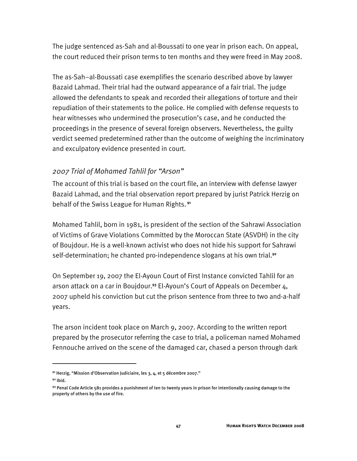The judge sentenced as-Sah and al-Boussati to one year in prison each. On appeal, the court reduced their prison terms to ten months and they were freed in May 2008.

The as-Sah–al-Boussati case exemplifies the scenario described above by lawyer Bazaid Lahmad. Their trial had the outward appearance of a fair trial. The judge allowed the defendants to speak and recorded their allegations of torture and their repudiation of their statements to the police. He complied with defense requests to hear witnesses who undermined the prosecution's case, and he conducted the proceedings in the presence of several foreign observers. Nevertheless, the guilty verdict seemed predetermined rather than the outcome of weighing the incriminatory and exculpatory evidence presented in court.

### *2007 Trial of Mohamed Tahlil for "Arson"*

The account of this trial is based on the court file, an interview with defense lawyer Bazaid Lahmad, and the trial observation report prepared by jurist Patrick Herzig on behalf of the Swiss League for Human Rights.**<sup>91</sup>**

Mohamed Tahlil, born in 1981, is president of the section of the Sahrawi Association of Victims of Grave Violations Committed by the Moroccan State (ASVDH) in the city of Boujdour. He is a well-known activist who does not hide his support for Sahrawi self-determination; he chanted pro-independence slogans at his own trial.**<sup>92</sup>**

On September 19, 2007 the El-Ayoun Court of First Instance convicted Tahlil for an arson attack on a car in Boujdour.**<sup>93</sup>** El-Ayoun's Court of Appeals on December 4, 2007 upheld his conviction but cut the prison sentence from three to two and-a-half years.

The arson incident took place on March 9, 2007. According to the written report prepared by the prosecutor referring the case to trial, a policeman named Mohamed Fennouche arrived on the scene of the damaged car, chased a person through dark

**<sup>91</sup>** Herzig, "Mission d'Observation Judiciaire, les 3, 4, et 5 décembre 2007."

**<sup>92</sup>** Ibid.

**<sup>93</sup>** Penal Code Article 581 provides a punishment of ten to twenty years in prison for intentionally causing damage to the property of others by the use of fire.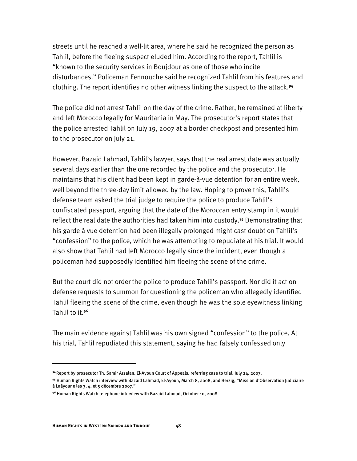streets until he reached a well-lit area, where he said he recognized the person as Tahlil, before the fleeing suspect eluded him. According to the report, Tahlil is "known to the security services in Boujdour as one of those who incite disturbances." Policeman Fennouche said he recognized Tahlil from his features and clothing. The report identifies no other witness linking the suspect to the attack.**<sup>94</sup>**

The police did not arrest Tahlil on the day of the crime. Rather, he remained at liberty and left Morocco legally for Mauritania in May. The prosecutor's report states that the police arrested Tahlil on July 19, 2007 at a border checkpost and presented him to the prosecutor on July 21.

However, Bazaid Lahmad, Tahlil's lawyer, says that the real arrest date was actually several days earlier than the one recorded by the police and the prosecutor. He maintains that his client had been kept in garde-à-vue detention for an entire week, well beyond the three-day limit allowed by the law. Hoping to prove this, Tahlil's defense team asked the trial judge to require the police to produce Tahlil's confiscated passport, arguing that the date of the Moroccan entry stamp in it would reflect the real date the authorities had taken him into custody.**<sup>95</sup>** Demonstrating that his garde à vue detention had been illegally prolonged might cast doubt on Tahlil's "confession" to the police, which he was attempting to repudiate at his trial. It would also show that Tahlil had left Morocco legally since the incident, even though a policeman had supposedly identified him fleeing the scene of the crime.

But the court did not order the police to produce Tahlil's passport. Nor did it act on defense requests to summon for questioning the policeman who allegedly identified Tahlil fleeing the scene of the crime, even though he was the sole eyewitness linking Tahlil to it.**<sup>96</sup>**

The main evidence against Tahlil was his own signed "confession" to the police. At his trial, Tahlil repudiated this statement, saying he had falsely confessed only

**<sup>94</sup>**Report by prosecutor Th. Samir Arsalan, El-Ayoun Court of Appeals, referring case to trial, July 24, 2007.

**<sup>95</sup>** Human Rights Watch interview with Bazaid Lahmad, El-Ayoun, March 8, 2008, and Herzig, "Mission d'Observation Judiciaire à Laâyoune les 3, 4, et 5 décembre 2007."

**<sup>96</sup>** Human Rights Watch telephone interview with Bazaid Lahmad, October 10, 2008.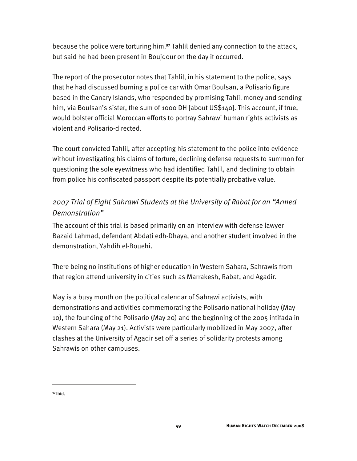because the police were torturing him.**<sup>97</sup>** Tahlil denied any connection to the attack, but said he had been present in Boujdour on the day it occurred.

The report of the prosecutor notes that Tahlil, in his statement to the police, says that he had discussed burning a police car with Omar Boulsan, a Polisario figure based in the Canary Islands, who responded by promising Tahlil money and sending him, via Boulsan's sister, the sum of 1000 DH [about US\$140]. This account, if true, would bolster official Moroccan efforts to portray Sahrawi human rights activists as violent and Polisario-directed.

The court convicted Tahlil, after accepting his statement to the police into evidence without investigating his claims of torture, declining defense requests to summon for questioning the sole eyewitness who had identified Tahlil, and declining to obtain from police his confiscated passport despite its potentially probative value.

# *2007 Trial of Eight Sahrawi Students at the University of Rabat for an "Armed Demonstration"*

The account of this trial is based primarily on an interview with defense lawyer Bazaid Lahmad, defendant Abdati edh-Dhaya, and another student involved in the demonstration, Yahdih el-Bouehi.

There being no institutions of higher education in Western Sahara, Sahrawis from that region attend university in cities such as Marrakesh, Rabat, and Agadir.

May is a busy month on the political calendar of Sahrawi activists, with demonstrations and activities commemorating the Polisario national holiday (May 10), the founding of the Polisario (May 20) and the beginning of the 2005 intifada in Western Sahara (May 21). Activists were particularly mobilized in May 2007, after clashes at the University of Agadir set off a series of solidarity protests among Sahrawis on other campuses.

**97** Ibid.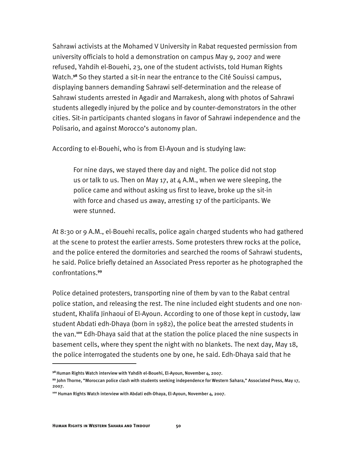Sahrawi activists at the Mohamed V University in Rabat requested permission from university officials to hold a demonstration on campus May 9, 2007 and were refused, Yahdih el-Bouehi, 23, one of the student activists, told Human Rights Watch.**<sup>98</sup>** So they started a sit-in near the entrance to the Cité Souissi campus, displaying banners demanding Sahrawi self-determination and the release of Sahrawi students arrested in Agadir and Marrakesh, along with photos of Sahrawi students allegedly injured by the police and by counter-demonstrators in the other cities. Sit-in participants chanted slogans in favor of Sahrawi independence and the Polisario, and against Morocco's autonomy plan.

According to el-Bouehi, who is from El-Ayoun and is studying law:

For nine days, we stayed there day and night. The police did not stop us or talk to us. Then on May 17, at  $4$  A.M., when we were sleeping, the police came and without asking us first to leave, broke up the sit-in with force and chased us away, arresting 17 of the participants. We were stunned.

At 8:30 or 9 A.M., el-Bouehi recalls, police again charged students who had gathered at the scene to protest the earlier arrests. Some protesters threw rocks at the police, and the police entered the dormitories and searched the rooms of Sahrawi students, he said. Police briefly detained an Associated Press reporter as he photographed the confrontations.**<sup>99</sup>**

Police detained protesters, transporting nine of them by van to the Rabat central police station, and releasing the rest. The nine included eight students and one nonstudent, Khalifa Jinhaoui of El-Ayoun. According to one of those kept in custody, law student Abdati edh-Dhaya (born in 1982), the police beat the arrested students in the van.**<sup>100</sup>** Edh-Dhaya said that at the station the police placed the nine suspects in basement cells, where they spent the night with no blankets. The next day, May 18, the police interrogated the students one by one, he said. Edh-Dhaya said that he

**<sup>98</sup>**Human Rights Watch interview with Yahdih el-Bouehi, El-Ayoun, November 4, 2007.

**<sup>99</sup>** John Thorne, "Moroccan police clash with students seeking independence for Western Sahara," Associated Press, May 17, 2007.

**<sup>100</sup>** Human Rights Watch interview with Abdati edh-Dhaya, El-Ayoun, November 4, 2007.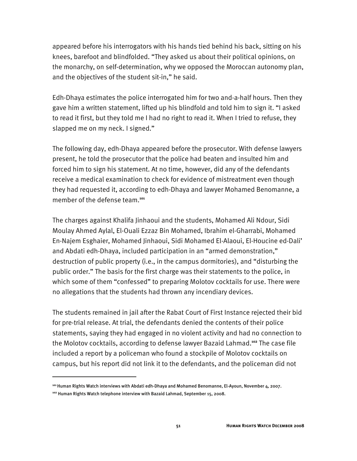appeared before his interrogators with his hands tied behind his back, sitting on his knees, barefoot and blindfolded. "They asked us about their political opinions, on the monarchy, on self-determination, why we opposed the Moroccan autonomy plan, and the objectives of the student sit-in," he said.

Edh-Dhaya estimates the police interrogated him for two and-a-half hours. Then they gave him a written statement, lifted up his blindfold and told him to sign it. "I asked to read it first, but they told me I had no right to read it. When I tried to refuse, they slapped me on my neck. I signed."

The following day, edh-Dhaya appeared before the prosecutor. With defense lawyers present, he told the prosecutor that the police had beaten and insulted him and forced him to sign his statement. At no time, however, did any of the defendants receive a medical examination to check for evidence of mistreatment even though they had requested it, according to edh-Dhaya and lawyer Mohamed Benomanne, a member of the defense team.**<sup>101</sup>**

The charges against Khalifa Jinhaoui and the students, Mohamed Ali Ndour, Sidi Moulay Ahmed Aylal, El-Ouali Ezzaz Bin Mohamed, Ibrahim el-Gharrabi, Mohamed En-Najem Esghaier, Mohamed Jinhaoui, Sidi Mohamed El-Alaoui, El-Houcine ed-Dali' and Abdati edh-Dhaya, included participation in an "armed demonstration," destruction of public property (i.e., in the campus dormitories), and "disturbing the public order." The basis for the first charge was their statements to the police, in which some of them "confessed" to preparing Molotov cocktails for use. There were no allegations that the students had thrown any incendiary devices.

The students remained in jail after the Rabat Court of First Instance rejected their bid for pre-trial release. At trial, the defendants denied the contents of their police statements, saying they had engaged in no violent activity and had no connection to the Molotov cocktails, according to defense lawyer Bazaid Lahmad.**<sup>102</sup>** The case file included a report by a policeman who found a stockpile of Molotov cocktails on campus, but his report did not link it to the defendants, and the policeman did not

**<sup>101</sup>**Human Rights Watch interviews with Abdati edh-Dhaya and Mohamed Benomanne, El-Ayoun, November 4, 2007.

**<sup>102</sup>** Human Rights Watch telephone interview with Bazaid Lahmad, September 15, 2008.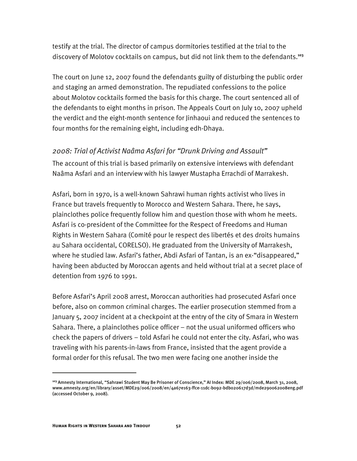testify at the trial. The director of campus dormitories testified at the trial to the discovery of Molotov cocktails on campus, but did not link them to the defendants.**<sup>103</sup>**

The court on June 12, 2007 found the defendants guilty of disturbing the public order and staging an armed demonstration. The repudiated confessions to the police about Molotov cocktails formed the basis for this charge. The court sentenced all of the defendants to eight months in prison. The Appeals Court on July 10, 2007 upheld the verdict and the eight-month sentence for Jinhaoui and reduced the sentences to four months for the remaining eight, including edh-Dhaya.

### *2008: Trial of Activist Naâma Asfari for "Drunk Driving and Assault"*

The account of this trial is based primarily on extensive interviews with defendant Naâma Asfari and an interview with his lawyer Mustapha Errachdi of Marrakesh.

Asfari, born in 1970, is a well-known Sahrawi human rights activist who lives in France but travels frequently to Morocco and Western Sahara. There, he says, plainclothes police frequently follow him and question those with whom he meets. Asfari is co-president of the Committee for the Respect of Freedoms and Human Rights in Western Sahara (Comité pour le respect des libertés et des droits humains au Sahara occidental, CORELSO). He graduated from the University of Marrakesh, where he studied law. Asfari's father, Abdi Asfari of Tantan, is an ex-"disappeared," having been abducted by Moroccan agents and held without trial at a secret place of detention from 1976 to 1991.

Before Asfari's April 2008 arrest, Moroccan authorities had prosecuted Asfari once before, also on common criminal charges. The earlier prosecution stemmed from a January 5, 2007 incident at a checkpoint at the entry of the city of Smara in Western Sahara. There, a plainclothes police officer – not the usual uniformed officers who check the papers of drivers – told Asfari he could not enter the city. Asfari, who was traveling with his parents-in-laws from France, insisted that the agent provide a formal order for this refusal. The two men were facing one another inside the

**<sup>103</sup>** Amnesty International, "Sahrawi Student May Be Prisoner of Conscience," AI Index: MDE 29/006/2008, March 31, 2008, www.amnesty.org/en/library/asset/MDE29/006/2008/en/4a67e163-ffce-11dc-b092-bdb020617d3d/mde290062008eng.pdf (accessed October 9, 2008).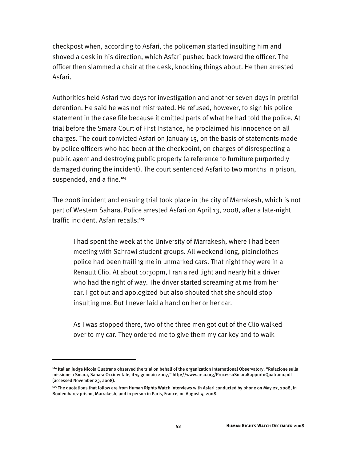checkpost when, according to Asfari, the policeman started insulting him and shoved a desk in his direction, which Asfari pushed back toward the officer. The officer then slammed a chair at the desk, knocking things about. He then arrested Asfari.

Authorities held Asfari two days for investigation and another seven days in pretrial detention. He said he was not mistreated. He refused, however, to sign his police statement in the case file because it omitted parts of what he had told the police. At trial before the Smara Court of First Instance, he proclaimed his innocence on all charges. The court convicted Asfari on January 15, on the basis of statements made by police officers who had been at the checkpoint, on charges of disrespecting a public agent and destroying public property (a reference to furniture purportedly damaged during the incident). The court sentenced Asfari to two months in prison, suspended, and a fine.**<sup>104</sup>**

The 2008 incident and ensuing trial took place in the city of Marrakesh, which is not part of Western Sahara. Police arrested Asfari on April 13, 2008, after a late-night traffic incident. Asfari recalls:**<sup>105</sup>**

I had spent the week at the University of Marrakesh, where I had been meeting with Sahrawi student groups. All weekend long, plainclothes police had been trailing me in unmarked cars. That night they were in a Renault Clio. At about 10:30pm, I ran a red light and nearly hit a driver who had the right of way. The driver started screaming at me from her car. I got out and apologized but also shouted that she should stop insulting me. But I never laid a hand on her or her car.

As I was stopped there, two of the three men got out of the Clio walked over to my car. They ordered me to give them my car key and to walk

**<sup>104</sup>** Italian judge Nicola Quatrano observed the trial on behalf of the organization International Observatory. "Relazione sulla missione a Smara, Sahara Occidentale, il 15 gennaio 2007," http://www.arso.org/ProcessoSmaraRapportoQuatrano.pdf (accessed November 23, 2008).

**<sup>105</sup>** The quotations that follow are from Human Rights Watch interviews with Asfari conducted by phone on May 27, 2008, in Boulemharez prison, Marrakesh, and in person in Paris, France, on August 4, 2008.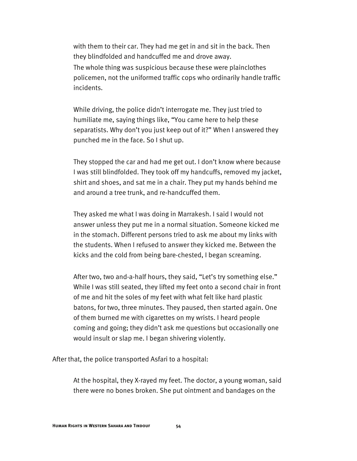with them to their car. They had me get in and sit in the back. Then they blindfolded and handcuffed me and drove away. The whole thing was suspicious because these were plainclothes policemen, not the uniformed traffic cops who ordinarily handle traffic incidents.

While driving, the police didn't interrogate me. They just tried to humiliate me, saying things like, "You came here to help these separatists. Why don't you just keep out of it?" When I answered they punched me in the face. So I shut up.

They stopped the car and had me get out. I don't know where because I was still blindfolded. They took off my handcuffs, removed my jacket, shirt and shoes, and sat me in a chair. They put my hands behind me and around a tree trunk, and re-handcuffed them.

They asked me what I was doing in Marrakesh. I said I would not answer unless they put me in a normal situation. Someone kicked me in the stomach. Different persons tried to ask me about my links with the students. When I refused to answer they kicked me. Between the kicks and the cold from being bare-chested, I began screaming.

After two, two and-a-half hours, they said, "Let's try something else." While I was still seated, they lifted my feet onto a second chair in front of me and hit the soles of my feet with what felt like hard plastic batons, for two, three minutes. They paused, then started again. One of them burned me with cigarettes on my wrists. I heard people coming and going; they didn't ask me questions but occasionally one would insult or slap me. I began shivering violently.

After that, the police transported Asfari to a hospital:

At the hospital, they X-rayed my feet. The doctor, a young woman, said there were no bones broken. She put ointment and bandages on the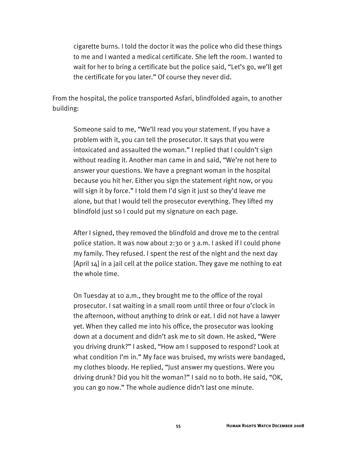cigarette burns. I told the doctor it was the police who did these things to me and I wanted a medical certificate. She left the room. I wanted to wait for her to bring a certificate but the police said, "Let's go, we'll get the certificate for you later." Of course they never did.

From the hospital, the police transported Asfari, blindfolded again, to another building:

Someone said to me, "We'll read you your statement. If you have a problem with it, you can tell the prosecutor. It says that you were intoxicated and assaulted the woman." I replied that I couldn't sign without reading it. Another man came in and said, "We're not here to answer your questions. We have a pregnant woman in the hospital because you hit her. Either you sign the statement right now, or you will sign it by force." I told them I'd sign it just so they'd leave me alone, but that I would tell the prosecutor everything. They lifted my blindfold just so I could put my signature on each page.

After I signed, they removed the blindfold and drove me to the central police station. It was now about 2:30 or 3 a.m. I asked if I could phone my family. They refused. I spent the rest of the night and the next day [April 14] in a jail cell at the police station. They gave me nothing to eat the whole time.

On Tuesday at 10 a.m., they brought me to the office of the royal prosecutor. I sat waiting in a small room until three or four o'clock in the afternoon, without anything to drink or eat. I did not have a lawyer yet. When they called me into his office, the prosecutor was looking down at a document and didn't ask me to sit down. He asked, "Were you driving drunk?" I asked, "How am I supposed to respond? Look at what condition I'm in." My face was bruised, my wrists were bandaged, my clothes bloody. He replied, "Just answer my questions. Were you driving drunk? Did you hit the woman?" I said no to both. He said, "OK, you can go now." The whole audience didn't last one minute.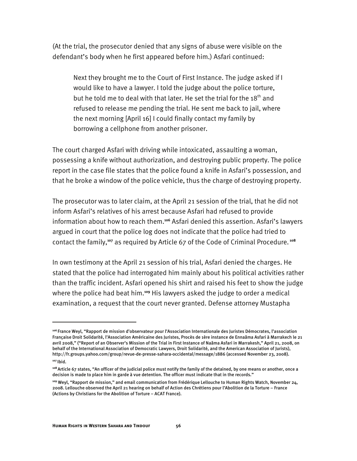(At the trial, the prosecutor denied that any signs of abuse were visible on the defendant's body when he first appeared before him.) Asfari continued:

Next they brought me to the Court of First Instance. The judge asked if I would like to have a lawyer. I told the judge about the police torture, but he told me to deal with that later. He set the trial for the 18<sup>th</sup> and refused to release me pending the trial. He sent me back to jail, where the next morning [April 16] I could finally contact my family by borrowing a cellphone from another prisoner.

The court charged Asfari with driving while intoxicated, assaulting a woman, possessing a knife without authorization, and destroying public property. The police report in the case file states that the police found a knife in Asfari's possession, and that he broke a window of the police vehicle, thus the charge of destroying property.

The prosecutor was to later claim, at the April 21 session of the trial, that he did not inform Asfari's relatives of his arrest because Asfari had refused to provide information about how to reach them.**<sup>106</sup>** Asfari denied this assertion. Asfari's lawyers argued in court that the police log does not indicate that the police had tried to contact the family,**<sup>107</sup>** as required by Article 67 of the Code of Criminal Procedure.**<sup>108</sup>**

In own testimony at the April 21 session of his trial, Asfari denied the charges. He stated that the police had interrogated him mainly about his political activities rather than the traffic incident. Asfari opened his shirt and raised his feet to show the judge where the police had beat him.**<sup>109</sup>** His lawyers asked the judge to order a medical examination, a request that the court never granted. Defense attorney Mustapha

**<sup>106</sup>**France Weyl, "Rapport de mission d'observateur pour l'Association Internationale des Juristes Démocrates, l'association Française Droit Solidarité, l'Association Américaine des Juristes, Procès de 1ère instance de Ennaâma Asfari à Marrakech le 21 avril 2008," ("Report of an Observer's Mission of the Trial in First Instance of Naâma Asfari in Marrakesh," April 21, 2008, on behalf of the International Association of Democratic Lawyers, Droit Solidarité, and the American Association of Jurists), http://fr.groups.yahoo.com/group/revue-de-presse-sahara-occidental/message/1886 (accessed November 23, 2008).

**<sup>107</sup>**Ibid.

**<sup>108</sup>**Article 67 states, "An officer of the judicial police must notify the family of the detained, by one means or another, once a decision is made to place him in garde à vue detention. The officer must indicate that in the records."

**<sup>109</sup>** Weyl, "Rapport de mission," and email communication from Frédérique Lellouche to Human Rights Watch, November 24, 2008. Lellouche observed the April 21 hearing on behalf of Action des Chrétiens pour l'Abolition de la Torture – France (Actions by Christians for the Abolition of Torture – ACAT France).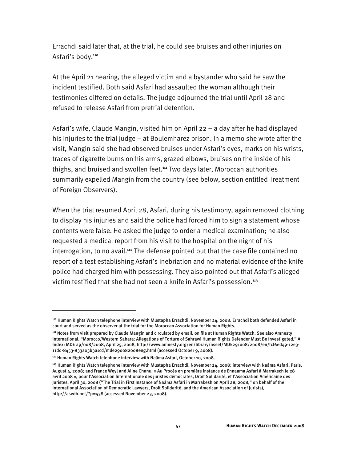Errachdi said later that, at the trial, he could see bruises and other injuries on Asfari's body.**<sup>110</sup>**

At the April 21 hearing, the alleged victim and a bystander who said he saw the incident testified. Both said Asfari had assaulted the woman although their testimonies differed on details. The judge adjourned the trial until April 28 and refused to release Asfari from pretrial detention.

Asfari's wife, Claude Mangin, visited him on April 22 – a day after he had displayed his injuries to the trial judge – at Boulemharez prison. In a memo she wrote after the visit, Mangin said she had observed bruises under Asfari's eyes, marks on his wrists, traces of cigarette burns on his arms, grazed elbows, bruises on the inside of his thighs, and bruised and swollen feet.**<sup>111</sup>** Two days later, Moroccan authorities summarily expelled Mangin from the country (see below, section entitled Treatment of Foreign Observers).

When the trial resumed April 28, Asfari, during his testimony, again removed clothing to display his injuries and said the police had forced him to sign a statement whose contents were false. He asked the judge to order a medical examination; he also requested a medical report from his visit to the hospital on the night of his interrogation, to no avail.**<sup>112</sup>** The defense pointed out that the case file contained no report of a test establishing Asfari's inebriation and no material evidence of the knife police had charged him with possessing. They also pointed out that Asfari's alleged victim testified that she had not seen a knife in Asfari's possession.**<sup>113</sup>**

**<sup>110</sup>** Human Rights Watch telephone interview with Mustapha Errachdi, November 24, 2008. Errachdi both defended Asfari in court and served as the observer at the trial for the Moroccan Association for Human Rights.

**<sup>111</sup>** Notes from visit prepared by Claude Mangin and circulated by email, on file at Human Rights Watch. See also Amnesty International, "Morocco/Western Sahara: Allegations of Torture of Sahrawi Human Rights Defender Must Be Investigated," AI Index: MDE 29/008/2008, April 25, 2008, http://www.amnesty.org/en/library/asset/MDE29/008/2008/en/fcf6ed49-12e3- 11dd-8453-833a03b3a1cd/mde290082008eng.html (accessed October 9, 2008).

**<sup>112</sup>**Human Rights Watch telephone interview with Naâma Asfari, October 10, 2008.

**<sup>113</sup>** Human Rights Watch telephone interview with Mustapha Errachdi, November 24, 2008; interview with Naâma Asfari; Paris, August 4, 2008; and France Weyl and Aline Chanu, « Au Procès en première instance de Ennaama Asfari à Marrakech le 28 avril 2008 », pour l'Association Internationale des juristes démocrates, Droit Solidarité, et l'Association Américaine des Juristes, April 30, 2008 ("The Trial in First Instance of Naâma Asfari in Marrakesh on April 28, 2008," on behalf of the International Association of Democratic Lawyers, Droit Solidarité, and the American Association of Jurists), http://asvdh.net/?p=438 (accessed November 23, 2008).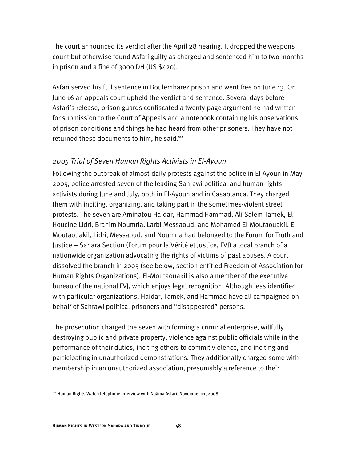The court announced its verdict after the April 28 hearing. It dropped the weapons count but otherwise found Asfari guilty as charged and sentenced him to two months in prison and a fine of 3000 DH (US \$420).

Asfari served his full sentence in Boulemharez prison and went free on June 13. On June 16 an appeals court upheld the verdict and sentence. Several days before Asfari's release, prison guards confiscated a twenty-page argument he had written for submission to the Court of Appeals and a notebook containing his observations of prison conditions and things he had heard from other prisoners. They have not returned these documents to him, he said.**<sup>114</sup>**

### *2005 Trial of Seven Human Rights Activists in El-Ayoun*

Following the outbreak of almost-daily protests against the police in El-Ayoun in May 2005, police arrested seven of the leading Sahrawi political and human rights activists during June and July, both in El-Ayoun and in Casablanca. They charged them with inciting, organizing, and taking part in the sometimes-violent street protests. The seven are Aminatou Haidar, Hammad Hammad, Ali Salem Tamek, El-Houcine Lidri, Brahim Noumria, Larbi Messaoud, and Mohamed El-Moutaouakil. El-Moutaouakil, Lidri, Messaoud, and Noumria had belonged to the Forum for Truth and Justice – Sahara Section (Forum pour la Vérité et Justice, FVJ) a local branch of a nationwide organization advocating the rights of victims of past abuses. A court dissolved the branch in 2003 (see below, section entitled Freedom of Association for Human Rights Organizations). El-Moutaouakil is also a member of the executive bureau of the national FVJ, which enjoys legal recognition. Although less identified with particular organizations, Haidar, Tamek, and Hammad have all campaigned on behalf of Sahrawi political prisoners and "disappeared" persons.

The prosecution charged the seven with forming a criminal enterprise, willfully destroying public and private property, violence against public officials while in the performance of their duties, inciting others to commit violence, and inciting and participating in unauthorized demonstrations. They additionally charged some with membership in an unauthorized association, presumably a reference to their

**<sup>114</sup>** Human Rights Watch telephone interview with Naâma Asfari, November 21, 2008.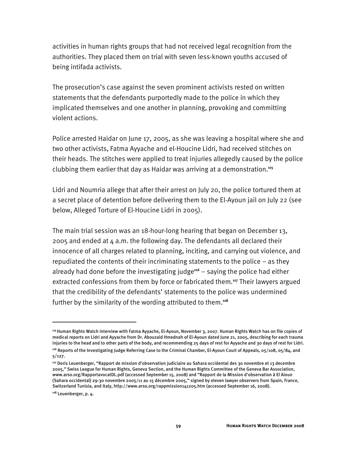activities in human rights groups that had not received legal recognition from the authorities. They placed them on trial with seven less-known youths accused of being intifada activists.

The prosecution's case against the seven prominent activists rested on written statements that the defendants purportedly made to the police in which they implicated themselves and one another in planning, provoking and committing violent actions.

Police arrested Haidar on June 17, 2005, as she was leaving a hospital where she and two other activists, Fatma Ayyache and el-Houcine Lidri, had received stitches on their heads. The stitches were applied to treat injuries allegedly caused by the police clubbing them earlier that day as Haidar was arriving at a demonstration.**<sup>115</sup>**

Lidri and Noumria allege that after their arrest on July 20, the police tortured them at a secret place of detention before delivering them to the El-Ayoun jail on July 22 (see below, Alleged Torture of El-Houcine Lidri in 2005).

The main trial session was an 18-hour-long hearing that began on December 13, 2005 and ended at  $4$  a.m. the following day. The defendants all declared their innocence of all charges related to planning, inciting, and carrying out violence, and repudiated the contents of their incriminating statements to the police – as they already had done before the investigating judge**<sup>116</sup>** – saying the police had either extracted confessions from them by force or fabricated them.**<sup>117</sup>** Their lawyers argued that the credibility of the defendants' statements to the police was undermined further by the similarity of the wording attributed to them.**<sup>118</sup>**

**<sup>115</sup>**Human Rights Watch interview with Fatma Ayyache, El-Ayoun, November 3, 2007. Human Rights Watch has on file copies of medical reports on Lidri and Ayyache from Dr. Abouzaid Hmednah of El-Ayoun dated June 21, 2005, describing for each trauma injuries to the head and to other parts of the body, and recommending 25 days of rest for Ayyache and 30 days of rest for Lidri.

**<sup>116</sup>** Reports of the Investigating Judge Referring Case to the Criminal Chamber, El-Ayoun Court of Appeals, 05/108, 05/84, and 5/127.

**<sup>117</sup>** Doris Leuenberger, "Rapport de mission d'observation judiciaire au Sahara occidental des 30 novembre et 13 decembre 2005," Swiss League for Human Rights, Geneva Section, and the Human Rights Committee of the Geneva Bar Association, www.arso.org/RapportavocatDL.pdf (accessed September 15, 2008) and "Rapport de la Mission d'observation à El Aioun (Sahara occidental) 29-30 novembre 2005/11 au 15 décembre 2005," signed by eleven lawyer observers from Spain, France, Switzerland Tunisia, and Italy, http://www.arso.org/rappmission141205.htm (accessed September 16, 2008).

**<sup>118</sup>** Leuenberger, p. 4.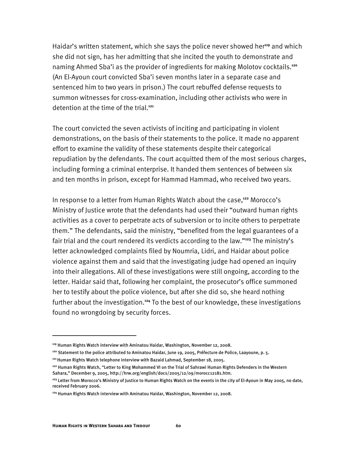Haidar's written statement, which she says the police never showed her**<sup>119</sup>** and which she did not sign, has her admitting that she incited the youth to demonstrate and naming Ahmed Sba'i as the provider of ingredients for making Molotov cocktails.**<sup>120</sup>** (An El-Ayoun court convicted Sba'i seven months later in a separate case and sentenced him to two years in prison.) The court rebuffed defense requests to summon witnesses for cross-examination, including other activists who were in detention at the time of the trial.**<sup>121</sup>**

The court convicted the seven activists of inciting and participating in violent demonstrations, on the basis of their statements to the police. It made no apparent effort to examine the validity of these statements despite their categorical repudiation by the defendants. The court acquitted them of the most serious charges, including forming a criminal enterprise. It handed them sentences of between six and ten months in prison, except for Hammad Hammad, who received two years.

In response to a letter from Human Rights Watch about the case,**<sup>122</sup>** Morocco's Ministry of Justice wrote that the defendants had used their "outward human rights activities as a cover to perpetrate acts of subversion or to incite others to perpetrate them." The defendants, said the ministry, "benefited from the legal guarantees of a fair trial and the court rendered its verdicts according to the law."**<sup>123</sup>** The ministry's letter acknowledged complaints filed by Noumria, Lidri, and Haidar about police violence against them and said that the investigating judge had opened an inquiry into their allegations. All of these investigations were still ongoing, according to the letter. Haidar said that, following her complaint, the prosecutor's office summoned her to testify about the police violence, but after she did so, she heard nothing further about the investigation.**<sup>124</sup>** To the best of our knowledge, these investigations found no wrongdoing by security forces.

**<sup>119</sup>** Human Rights Watch interview with Aminatou Haidar, Washington, November 12, 2008.

**<sup>120</sup>** Statement to the police attributed to Aminatou Haidar, June 19, 2005, Préfecture de Police, Laayoune, p. 5.

**<sup>121</sup>**Human Rights Watch telephone interview with Bazaid Lahmad, September 18, 2005.

**<sup>122</sup>** Human Rights Watch, "Letter to King Mohammed VI on the Trial of Sahrawi Human Rights Defenders in the Western Sahara," December 9, 2005, http://hrw.org/english/docs/2005/12/09/morocc12181.htm.

**<sup>123</sup>** Letter from Morocco's Ministry of Justice to Human Rights Watch on the events in the city of El-Ayoun in May 2005, no date, received February 2006.

**<sup>124</sup>** Human Rights Watch interview with Aminatou Haidar, Washington, November 12, 2008.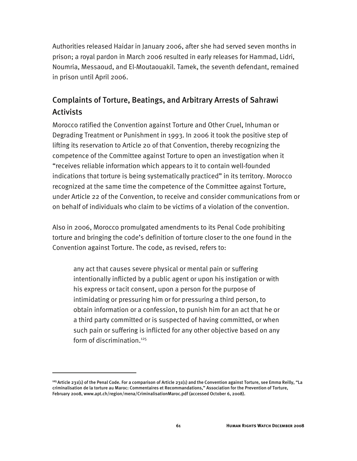Authorities released Haidar in January 2006, after she had served seven months in prison; a royal pardon in March 2006 resulted in early releases for Hammad, Lidri, Noumria, Messaoud, and El-Moutaouakil. Tamek, the seventh defendant, remained in prison until April 2006.

# Complaints of Torture, Beatings, and Arbitrary Arrests of Sahrawi Activists

Morocco ratified the Convention against Torture and Other Cruel, Inhuman or Degrading Treatment or Punishment in 1993. In 2006 it took the positive step of lifting its reservation to Article 20 of that Convention, thereby recognizing the competence of the Committee against Torture to open an investigation when it "receives reliable information which appears to it to contain well-founded indications that torture is being systematically practiced" in its territory. Morocco recognized at the same time the competence of the Committee against Torture, under Article 22 of the Convention, to receive and consider communications from or on behalf of individuals who claim to be victims of a violation of the convention.

Also in 2006, Morocco promulgated amendments to its Penal Code prohibiting torture and bringing the code's definition of torture closer to the one found in the Convention against Torture. The code, as revised, refers to:

any act that causes severe physical or mental pain or suffering intentionally inflicted by a public agent or upon his instigation or with his express or tacit consent, upon a person for the purpose of intimidating or pressuring him or for pressuring a third person, to obtain information or a confession, to punish him for an act that he or a third party committed or is suspected of having committed, or when such pain or suffering is inflicted for any other objective based on any form of discrimination.<sup>125</sup>

**<sup>125</sup>**Article 231(1) of the Penal Code. For a comparison of Article 231(1) and the Convention against Torture, see Emma Reilly, "La criminalisation de la torture au Maroc: Commentaires et Recommandations," Association for the Prevention of Torture, February 2008, www.apt.ch/region/mena/CriminalisationMaroc.pdf (accessed October 6, 2008).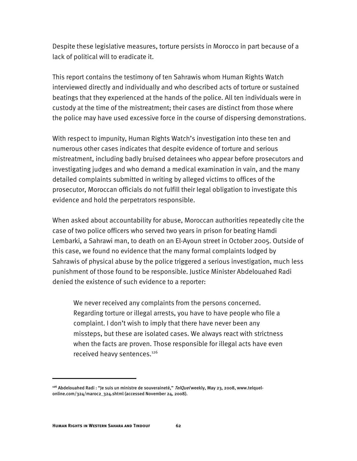Despite these legislative measures, torture persists in Morocco in part because of a lack of political will to eradicate it.

This report contains the testimony of ten Sahrawis whom Human Rights Watch interviewed directly and individually and who described acts of torture or sustained beatings that they experienced at the hands of the police. All ten individuals were in custody at the time of the mistreatment; their cases are distinct from those where the police may have used excessive force in the course of dispersing demonstrations.

With respect to impunity, Human Rights Watch's investigation into these ten and numerous other cases indicates that despite evidence of torture and serious mistreatment, including badly bruised detainees who appear before prosecutors and investigating judges and who demand a medical examination in vain, and the many detailed complaints submitted in writing by alleged victims to offices of the prosecutor, Moroccan officials do not fulfill their legal obligation to investigate this evidence and hold the perpetrators responsible.

When asked about accountability for abuse, Moroccan authorities repeatedly cite the case of two police officers who served two years in prison for beating Hamdi Lembarki, a Sahrawi man, to death on an El-Ayoun street in October 2005. Outside of this case, we found no evidence that the many formal complaints lodged by Sahrawis of physical abuse by the police triggered a serious investigation, much less punishment of those found to be responsible. Justice Minister Abdelouahed Radi denied the existence of such evidence to a reporter:

We never received any complaints from the persons concerned. Regarding torture or illegal arrests, you have to have people who file a complaint. I don't wish to imply that there have never been any missteps, but these are isolated cases. We always react with strictness when the facts are proven. Those responsible for illegal acts have even received heavy sentences.<sup>126</sup>

**<sup>126</sup>** Abdelouahed Radi : "Je suis un ministre de souveraineté," TelQuel weekly, May 23, 2008, www.telquelonline.com/324/maroc2\_324.shtml (accessed November 24, 2008).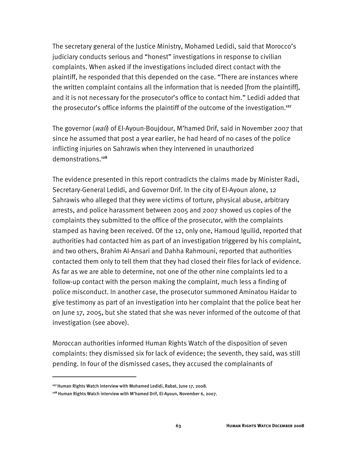The secretary general of the Justice Ministry, Mohamed Ledidi, said that Morocco's judiciary conducts serious and "honest" investigations in response to civilian complaints. When asked if the investigations included direct contact with the plaintiff, he responded that this depended on the case. "There are instances where the written complaint contains all the information that is needed [from the plaintiff], and it is not necessary for the prosecutor's office to contact him." Ledidi added that the prosecutor's office informs the plaintiff of the outcome of the investigation.**<sup>127</sup>**

The governor (*wali*) of El-Ayoun-Boujdour, M'hamed Drif, said in November 2007 that since he assumed that post a year earlier, he had heard of no cases of the police inflicting injuries on Sahrawis when they intervened in unauthorized demonstrations.**<sup>128</sup>**

The evidence presented in this report contradicts the claims made by Minister Radi, Secretary-General Ledidi, and Governor Drif. In the city of El-Ayoun alone, 12 Sahrawis who alleged that they were victims of torture, physical abuse, arbitrary arrests, and police harassment between 2005 and 2007 showed us copies of the complaints they submitted to the office of the prosecutor, with the complaints stamped as having been received. Of the 12, only one, Hamoud Iguilid, reported that authorities had contacted him as part of an investigation triggered by his complaint, and two others, Brahim Al-Ansari and Dahha Rahmouni, reported that authorities contacted them only to tell them that they had closed their files for lack of evidence. As far as we are able to determine, not one of the other nine complaints led to a follow-up contact with the person making the complaint, much less a finding of police misconduct. In another case, the prosecutor summoned Aminatou Haidar to give testimony as part of an investigation into her complaint that the police beat her on June 17, 2005, but she stated that she was never informed of the outcome of that investigation (see above).

Moroccan authorities informed Human Rights Watch of the disposition of seven complaints: they dismissed six for lack of evidence; the seventh, they said, was still pending. In four of the dismissed cases, they accused the complainants of

**<sup>127</sup>**Human Rights Watch interview with Mohamed Ledidi, Rabat, June 17, 2008.

**<sup>128</sup>** Human Rights Watch interview with M'hamed Drif, El-Ayoun, November 6, 2007.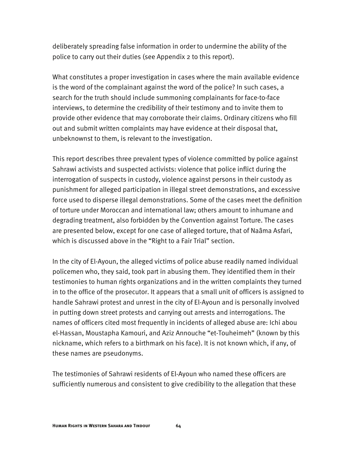deliberately spreading false information in order to undermine the ability of the police to carry out their duties (see Appendix 2 to this report).

What constitutes a proper investigation in cases where the main available evidence is the word of the complainant against the word of the police? In such cases, a search for the truth should include summoning complainants for face-to-face interviews, to determine the credibility of their testimony and to invite them to provide other evidence that may corroborate their claims. Ordinary citizens who fill out and submit written complaints may have evidence at their disposal that, unbeknownst to them, is relevant to the investigation.

This report describes three prevalent types of violence committed by police against Sahrawi activists and suspected activists: violence that police inflict during the interrogation of suspects in custody, violence against persons in their custody as punishment for alleged participation in illegal street demonstrations, and excessive force used to disperse illegal demonstrations. Some of the cases meet the definition of torture under Moroccan and international law; others amount to inhumane and degrading treatment, also forbidden by the Convention against Torture. The cases are presented below, except for one case of alleged torture, that of Naâma Asfari, which is discussed above in the "Right to a Fair Trial" section.

In the city of El-Ayoun, the alleged victims of police abuse readily named individual policemen who, they said, took part in abusing them. They identified them in their testimonies to human rights organizations and in the written complaints they turned in to the office of the prosecutor. It appears that a small unit of officers is assigned to handle Sahrawi protest and unrest in the city of El-Ayoun and is personally involved in putting down street protests and carrying out arrests and interrogations. The names of officers cited most frequently in incidents of alleged abuse are: Ichi abou el-Hassan, Moustapha Kamouri, and Aziz Annouche "et-Touheimeh" (known by this nickname, which refers to a birthmark on his face). It is not known which, if any, of these names are pseudonyms.

The testimonies of Sahrawi residents of El-Ayoun who named these officers are sufficiently numerous and consistent to give credibility to the allegation that these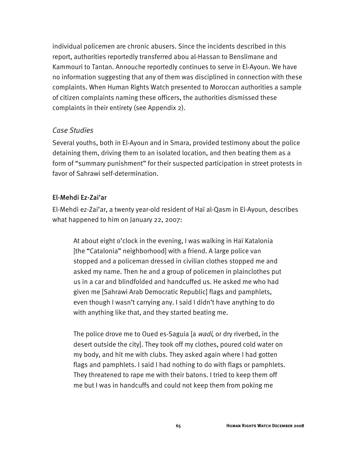individual policemen are chronic abusers. Since the incidents described in this report, authorities reportedly transferred abou al-Hassan to Benslimane and Kammouri to Tantan. Annouche reportedly continues to serve in El-Ayoun. We have no information suggesting that any of them was disciplined in connection with these complaints. When Human Rights Watch presented to Moroccan authorities a sample of citizen complaints naming these officers, the authorities dismissed these complaints in their entirety (see Appendix 2).

#### *Case Studies*

Several youths, both in El-Ayoun and in Smara, provided testimony about the police detaining them, driving them to an isolated location, and then beating them as a form of "summary punishment" for their suspected participation in street protests in favor of Sahrawi self-determination.

#### El-Mehdi Ez-Zai'ar

El-Mehdi ez-Zai'ar, a twenty year-old resident of Haï al-Qasm in El-Ayoun, describes what happened to him on January 22, 2007:

At about eight o'clock in the evening, I was walking in Haï Katalonia [the "Catalonia" neighborhood] with a friend. A large police van stopped and a policeman dressed in civilian clothes stopped me and asked my name. Then he and a group of policemen in plainclothes put us in a car and blindfolded and handcuffed us. He asked me who had given me [Sahrawi Arab Democratic Republic] flags and pamphlets, even though I wasn't carrying any. I said I didn't have anything to do with anything like that, and they started beating me.

The police drove me to Oued es-Saguia [a *wadi*, or dry riverbed, in the desert outside the city]. They took off my clothes, poured cold water on my body, and hit me with clubs. They asked again where I had gotten flags and pamphlets. I said I had nothing to do with flags or pamphlets. They threatened to rape me with their batons. I tried to keep them off me but I was in handcuffs and could not keep them from poking me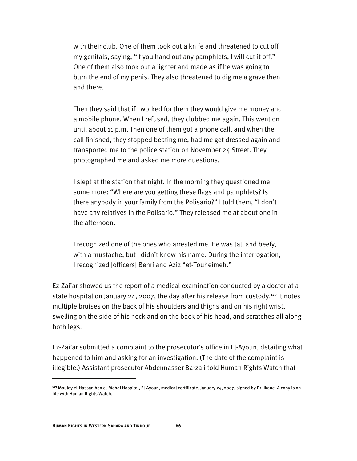with their club. One of them took out a knife and threatened to cut off my genitals, saying, "If you hand out any pamphlets, I will cut it off." One of them also took out a lighter and made as if he was going to burn the end of my penis. They also threatened to dig me a grave then and there.

Then they said that if I worked for them they would give me money and a mobile phone. When I refused, they clubbed me again. This went on until about 11 p.m. Then one of them got a phone call, and when the call finished, they stopped beating me, had me get dressed again and transported me to the police station on November 24 Street. They photographed me and asked me more questions.

I slept at the station that night. In the morning they questioned me some more: "Where are you getting these flags and pamphlets? Is there anybody in your family from the Polisario?" I told them, "I don't have any relatives in the Polisario." They released me at about one in the afternoon.

I recognized one of the ones who arrested me. He was tall and beefy, with a mustache, but I didn't know his name. During the interrogation, I recognized [officers] Behri and Aziz "et-Touheimeh."

Ez-Zai'ar showed us the report of a medical examination conducted by a doctor at a state hospital on January 24, 2007, the day after his release from custody.**<sup>129</sup>** It notes multiple bruises on the back of his shoulders and thighs and on his right wrist, swelling on the side of his neck and on the back of his head, and scratches all along both legs.

Ez-Zai'ar submitted a complaint to the prosecutor's office in El-Ayoun, detailing what happened to him and asking for an investigation. (The date of the complaint is illegible.) Assistant prosecutor Abdennasser Barzali told Human Rights Watch that

**<sup>129</sup>** Moulay el-Hassan ben el-Mehdi Hospital, El-Ayoun, medical certificate, January 24, 2007, signed by Dr. Ikane. A copy is on file with Human Rights Watch.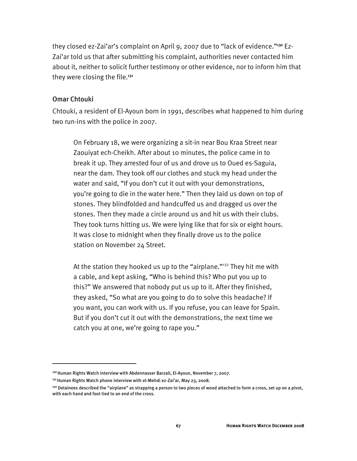they closed ez-Zai'ar's complaint on April 9, 2007 due to "lack of evidence."**130** Ez-Zai'ar told us that after submitting his complaint, authorities never contacted him about it, neither to solicit further testimony or other evidence, nor to inform him that they were closing the file.**<sup>131</sup>**

#### Omar Chtouki

-

Chtouki, a resident of El-Ayoun born in 1991, describes what happened to him during two run-ins with the police in 2007.

On February 18, we were organizing a sit-in near Bou Kraa Street near Zaouiyat ech-Cheikh. After about 10 minutes, the police came in to break it up. They arrested four of us and drove us to Oued es-Saguia, near the dam. They took off our clothes and stuck my head under the water and said, "If you don't cut it out with your demonstrations, you're going to die in the water here." Then they laid us down on top of stones. They blindfolded and handcuffed us and dragged us over the stones. Then they made a circle around us and hit us with their clubs. They took turns hitting us. We were lying like that for six or eight hours. It was close to midnight when they finally drove us to the police station on November 24 Street.

At the station they hooked us up to the "airplane."<sup>132</sup> They hit me with a cable, and kept asking, "Who is behind this? Who put you up to this?" We answered that nobody put us up to it. After they finished, they asked, "So what are you going to do to solve this headache? If you want, you can work with us. If you refuse, you can leave for Spain. But if you don't cut it out with the demonstrations, the next time we catch you at one, we're going to rape you."

**<sup>130</sup>**Human Rights Watch interview with Abdennasser Barzali, El-Ayoun, November 7, 2007.

**<sup>131</sup>**Human Rights Watch phone interview with el-Mehdi ez-Zai'ar, May 23, 2008.

**<sup>132</sup>** Detainees described the "airplane" as strapping a person to two pieces of wood attached to form a cross, set up on a pivot, with each hand and foot tied to an end of the cross.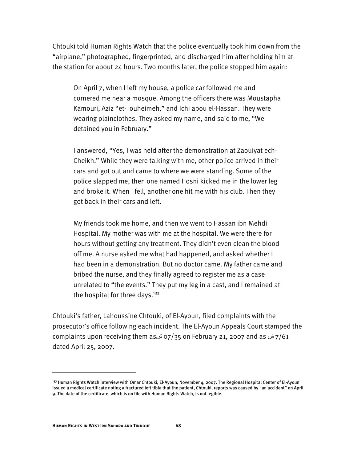Chtouki told Human Rights Watch that the police eventually took him down from the "airplane," photographed, fingerprinted, and discharged him after holding him at the station for about 24 hours. Two months later, the police stopped him again:

On April 7, when I left my house, a police car followed me and cornered me near a mosque. Among the officers there was Moustapha Kamouri, Aziz "et-Touheimeh," and Ichi abou el-Hassan. They were wearing plainclothes. They asked my name, and said to me, "We detained you in February."

I answered, "Yes, I was held after the demonstration at Zaouiyat ech-Cheikh." While they were talking with me, other police arrived in their cars and got out and came to where we were standing. Some of the police slapped me, then one named Hosni kicked me in the lower leg and broke it. When I fell, another one hit me with his club. Then they got back in their cars and left.

My friends took me home, and then we went to Hassan ibn Mehdi Hospital. My mother was with me at the hospital. We were there for hours without getting any treatment. They didn't even clean the blood off me. A nurse asked me what had happened, and asked whether I had been in a demonstration. But no doctor came. My father came and bribed the nurse, and they finally agreed to register me as a case unrelated to "the events." They put my leg in a cast, and I remained at the hospital for three days.<sup>133</sup>

Chtouki's father, Lahoussine Chtouki, of El-Ayoun, filed complaints with the prosecutor's office following each incident. The El-Ayoun Appeals Court stamped the complaints upon receiving them asش 07/35 on February 21, 2007 and as ش 7/61 dated April 25, 2007.

**<sup>133</sup>** Human Rights Watch interview with Omar Chtouki, El-Ayoun, November 4, 2007. The Regional Hospital Center of El-Ayoun issued a medical certificate noting a fractured left tibia that the patient, Chtouki, reports was caused by "an accident" on April 9. The date of the certificate, which is on file with Human Rights Watch, is not legible.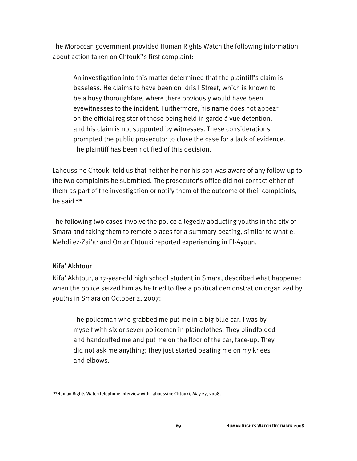The Moroccan government provided Human Rights Watch the following information about action taken on Chtouki's first complaint:

An investigation into this matter determined that the plaintiff's claim is baseless. He claims to have been on Idris I Street, which is known to be a busy thoroughfare, where there obviously would have been eyewitnesses to the incident. Furthermore, his name does not appear on the official register of those being held in garde à vue detention, and his claim is not supported by witnesses. These considerations prompted the public prosecutor to close the case for a lack of evidence. The plaintiff has been notified of this decision.

Lahoussine Chtouki told us that neither he nor his son was aware of any follow-up to the two complaints he submitted. The prosecutor's office did not contact either of them as part of the investigation or notify them of the outcome of their complaints, he said.**<sup>134</sup>**

The following two cases involve the police allegedly abducting youths in the city of Smara and taking them to remote places for a summary beating, similar to what el-Mehdi ez-Zai'ar and Omar Chtouki reported experiencing in El-Ayoun.

#### Nifa' Akhtour

I

Nifa' Akhtour, a 17-year-old high school student in Smara, described what happened when the police seized him as he tried to flee a political demonstration organized by youths in Smara on October 2, 2007:

The policeman who grabbed me put me in a big blue car. I was by myself with six or seven policemen in plainclothes. They blindfolded and handcuffed me and put me on the floor of the car, face-up. They did not ask me anything; they just started beating me on my knees and elbows.

**<sup>134</sup>** Human Rights Watch telephone interview with Lahoussine Chtouki, May 27, 2008.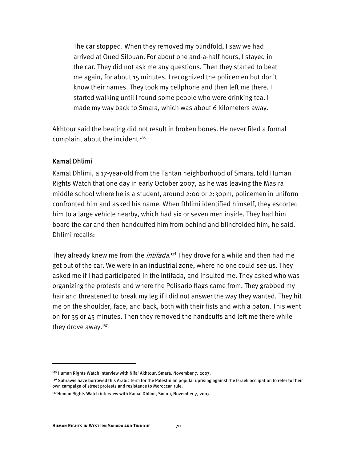The car stopped. When they removed my blindfold, I saw we had arrived at Oued Silouan. For about one and-a-half hours, I stayed in the car. They did not ask me any questions. Then they started to beat me again, for about 15 minutes. I recognized the policemen but don't know their names. They took my cellphone and then left me there. I started walking until I found some people who were drinking tea. I made my way back to Smara, which was about 6 kilometers away.

Akhtour said the beating did not result in broken bones. He never filed a formal complaint about the incident.**<sup>135</sup>**

#### Kamal Dhlimi

j

Kamal Dhlimi, a 17-year-old from the Tantan neighborhood of Smara, told Human Rights Watch that one day in early October 2007, as he was leaving the Masira middle school where he is a student, around 2:00 or 2:30pm, policemen in uniform confronted him and asked his name. When Dhlimi identified himself, they escorted him to a large vehicle nearby, which had six or seven men inside. They had him board the car and then handcuffed him from behind and blindfolded him, he said. Dhlimi recalls:

They already knew me from the *intifada*.<sup>136</sup> They drove for a while and then had me get out of the car. We were in an industrial zone, where no one could see us. They asked me if I had participated in the intifada, and insulted me. They asked who was organizing the protests and where the Polisario flags came from. They grabbed my hair and threatened to break my leg if I did not answer the way they wanted. They hit me on the shoulder, face, and back, both with their fists and with a baton. This went on for 35 or 45 minutes. Then they removed the handcuffs and left me there while they drove away.**<sup>137</sup>**

**<sup>135</sup>** Human Rights Watch interview with Nifa' Akhtour, Smara, November 7, 2007.

**<sup>136</sup>** Sahrawis have borrowed this Arabic term for the Palestinian popular uprising against the Israeli occupation to refer to their own campaign of street protests and resistance to Moroccan rule.

**<sup>137</sup>** Human Rights Watch interview with Kamal Dhlimi, Smara, November 7, 2007.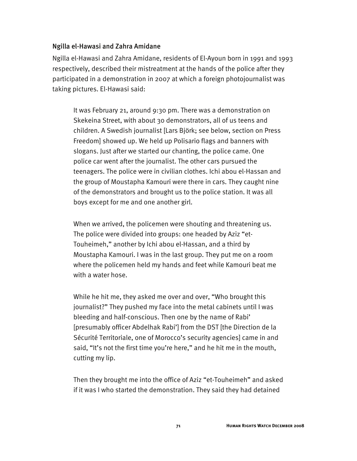#### Ngilla el-Hawasi and Zahra Amidane

Ngilla el-Hawasi and Zahra Amidane, residents of El-Ayoun born in 1991 and 1993 respectively, described their mistreatment at the hands of the police after they participated in a demonstration in 2007 at which a foreign photojournalist was taking pictures. El-Hawasi said:

It was February 21, around 9:30 pm. There was a demonstration on Skekeina Street, with about 30 demonstrators, all of us teens and children. A Swedish journalist [Lars Björk; see below, section on Press Freedom] showed up. We held up Polisario flags and banners with slogans. Just after we started our chanting, the police came. One police car went after the journalist. The other cars pursued the teenagers. The police were in civilian clothes. Ichi abou el-Hassan and the group of Moustapha Kamouri were there in cars. They caught nine of the demonstrators and brought us to the police station. It was all boys except for me and one another girl.

When we arrived, the policemen were shouting and threatening us. The police were divided into groups: one headed by Aziz "et-Touheimeh," another by Ichi abou el-Hassan, and a third by Moustapha Kamouri. I was in the last group. They put me on a room where the policemen held my hands and feet while Kamouri beat me with a water hose.

While he hit me, they asked me over and over, "Who brought this journalist?" They pushed my face into the metal cabinets until I was bleeding and half-conscious. Then one by the name of Rabi' [presumably officer Abdelhak Rabi'] from the DST [the Direction de la Sécurité Territoriale, one of Morocco's security agencies] came in and said, "It's not the first time you're here," and he hit me in the mouth, cutting my lip.

Then they brought me into the office of Aziz "et-Touheimeh" and asked if it was I who started the demonstration. They said they had detained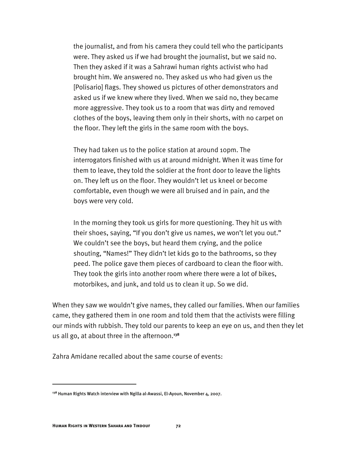the journalist, and from his camera they could tell who the participants were. They asked us if we had brought the journalist, but we said no. Then they asked if it was a Sahrawi human rights activist who had brought him. We answered no. They asked us who had given us the [Polisario] flags. They showed us pictures of other demonstrators and asked us if we knew where they lived. When we said no, they became more aggressive. They took us to a room that was dirty and removed clothes of the boys, leaving them only in their shorts, with no carpet on the floor. They left the girls in the same room with the boys.

They had taken us to the police station at around 10pm. The interrogators finished with us at around midnight. When it was time for them to leave, they told the soldier at the front door to leave the lights on. They left us on the floor. They wouldn't let us kneel or become comfortable, even though we were all bruised and in pain, and the boys were very cold.

In the morning they took us girls for more questioning. They hit us with their shoes, saying, "If you don't give us names, we won't let you out." We couldn't see the boys, but heard them crying, and the police shouting, "Names!" They didn't let kids go to the bathrooms, so they peed. The police gave them pieces of cardboard to clean the floor with. They took the girls into another room where there were a lot of bikes, motorbikes, and junk, and told us to clean it up. So we did.

When they saw we wouldn't give names, they called our families. When our families came, they gathered them in one room and told them that the activists were filling our minds with rubbish. They told our parents to keep an eye on us, and then they let us all go, at about three in the afternoon.**<sup>138</sup>**

Zahra Amidane recalled about the same course of events:

**<sup>138</sup>** Human Rights Watch interview with Ngilla al-Awassi, El-Ayoun, November 4, 2007.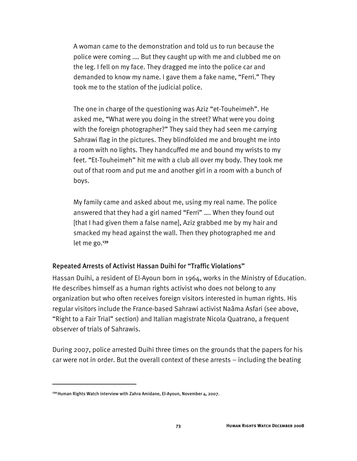A woman came to the demonstration and told us to run because the police were coming .… But they caught up with me and clubbed me on the leg. I fell on my face. They dragged me into the police car and demanded to know my name. I gave them a fake name, "Ferri." They took me to the station of the judicial police.

The one in charge of the questioning was Aziz "et-Touheimeh". He asked me, "What were you doing in the street? What were you doing with the foreign photographer?" They said they had seen me carrying Sahrawi flag in the pictures. They blindfolded me and brought me into a room with no lights. They handcuffed me and bound my wrists to my feet. "Et-Touheimeh" hit me with a club all over my body. They took me out of that room and put me and another girl in a room with a bunch of boys.

My family came and asked about me, using my real name. The police answered that they had a girl named "Ferri" …. When they found out [that I had given them a false name], Aziz grabbed me by my hair and smacked my head against the wall. Then they photographed me and let me go.**<sup>139</sup>**

#### Repeated Arrests of Activist Hassan Duihi for "Traffic Violations"

Hassan Duihi, a resident of El-Ayoun born in 1964, works in the Ministry of Education. He describes himself as a human rights activist who does not belong to any organization but who often receives foreign visitors interested in human rights. His regular visitors include the France-based Sahrawi activist Naâma Asfari (see above, "Right to a Fair Trial" section) and Italian magistrate Nicola Quatrano, a frequent observer of trials of Sahrawis.

During 2007, police arrested Duihi three times on the grounds that the papers for his car were not in order. But the overall context of these arrests – including the beating

**<sup>139</sup>** Human Rights Watch interview with Zahra Amidane, El-Ayoun, November 4, 2007.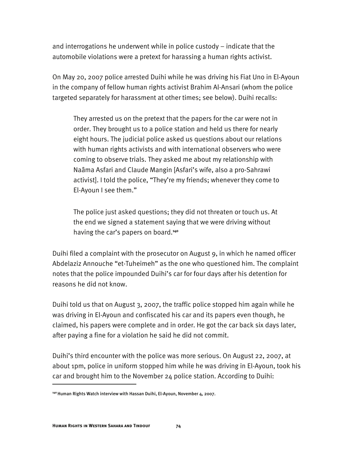and interrogations he underwent while in police custody – indicate that the automobile violations were a pretext for harassing a human rights activist.

On May 20, 2007 police arrested Duihi while he was driving his Fiat Uno in El-Ayoun in the company of fellow human rights activist Brahim Al-Ansari (whom the police targeted separately for harassment at other times; see below). Duihi recalls:

They arrested us on the pretext that the papers for the car were not in order. They brought us to a police station and held us there for nearly eight hours. The judicial police asked us questions about our relations with human rights activists and with international observers who were coming to observe trials. They asked me about my relationship with Naâma Asfari and Claude Mangin [Asfari's wife, also a pro-Sahrawi activist]. I told the police, "They're my friends; whenever they come to El-Ayoun I see them."

The police just asked questions; they did not threaten or touch us. At the end we signed a statement saying that we were driving without having the car's papers on board.**<sup>140</sup>**

Duihi filed a complaint with the prosecutor on August 9, in which he named officer Abdelaziz Annouche "et-Tuheimeh" as the one who questioned him. The complaint notes that the police impounded Duihi's car for four days after his detention for reasons he did not know.

Duihi told us that on August 3, 2007, the traffic police stopped him again while he was driving in El-Ayoun and confiscated his car and its papers even though, he claimed, his papers were complete and in order. He got the car back six days later, after paying a fine for a violation he said he did not commit.

Duihi's third encounter with the police was more serious. On August 22, 2007, at about 1pm, police in uniform stopped him while he was driving in El-Ayoun, took his car and brought him to the November 24 police station. According to Duihi:

**<sup>140</sup>** Human Rights Watch interview with Hassan Duihi, El-Ayoun, November 4, 2007.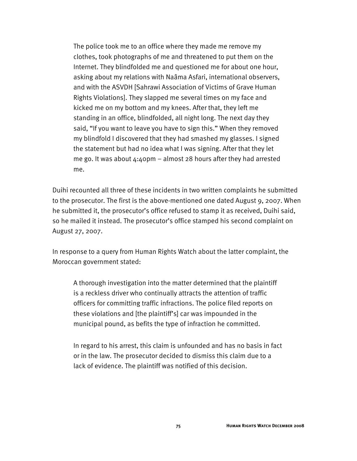The police took me to an office where they made me remove my clothes, took photographs of me and threatened to put them on the Internet. They blindfolded me and questioned me for about one hour, asking about my relations with Naâma Asfari, international observers, and with the ASVDH [Sahrawi Association of Victims of Grave Human Rights Violations]. They slapped me several times on my face and kicked me on my bottom and my knees. After that, they left me standing in an office, blindfolded, all night long. The next day they said, "If you want to leave you have to sign this." When they removed my blindfold I discovered that they had smashed my glasses. I signed the statement but had no idea what I was signing. After that they let me go. It was about  $4:4$ opm – almost 28 hours after they had arrested me.

Duihi recounted all three of these incidents in two written complaints he submitted to the prosecutor. The first is the above-mentioned one dated August 9, 2007. When he submitted it, the prosecutor's office refused to stamp it as received, Duihi said, so he mailed it instead. The prosecutor's office stamped his second complaint on August 27, 2007.

In response to a query from Human Rights Watch about the latter complaint, the Moroccan government stated:

A thorough investigation into the matter determined that the plaintiff is a reckless driver who continually attracts the attention of traffic officers for committing traffic infractions. The police filed reports on these violations and [the plaintiff's] car was impounded in the municipal pound, as befits the type of infraction he committed.

In regard to his arrest, this claim is unfounded and has no basis in fact or in the law. The prosecutor decided to dismiss this claim due to a lack of evidence. The plaintiff was notified of this decision.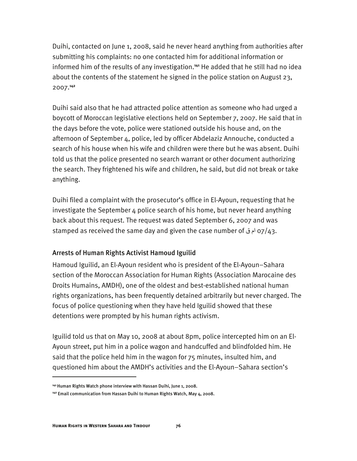Duihi, contacted on June 1, 2008, said he never heard anything from authorities after submitting his complaints: no one contacted him for additional information or informed him of the results of any investigation.**<sup>141</sup>** He added that he still had no idea about the contents of the statement he signed in the police station on August 23, 2007.**<sup>142</sup>**

Duihi said also that he had attracted police attention as someone who had urged a boycott of Moroccan legislative elections held on September 7, 2007. He said that in the days before the vote, police were stationed outside his house and, on the afternoon of September 4, police, led by officer Abdelaziz Annouche, conducted a search of his house when his wife and children were there but he was absent. Duihi told us that the police presented no search warrant or other document authorizing the search. They frightened his wife and children, he said, but did not break or take anything.

Duihi filed a complaint with the prosecutor's office in El-Ayoun, requesting that he investigate the September  $\mu$  police search of his home, but never heard anything back about this request. The request was dated September 6, 2007 and was stamped as received the same day and given the case number of قام 07/43.

## Arrests of Human Rights Activist Hamoud Iguilid

Hamoud Iguilid, an El-Ayoun resident who is president of the El-Ayoun–Sahara section of the Moroccan Association for Human Rights (Association Marocaine des Droits Humains, AMDH), one of the oldest and best-established national human rights organizations, has been frequently detained arbitrarily but never charged. The focus of police questioning when they have held Iguilid showed that these detentions were prompted by his human rights activism.

Iguilid told us that on May 10, 2008 at about 8pm, police intercepted him on an El-Ayoun street, put him in a police wagon and handcuffed and blindfolded him. He said that the police held him in the wagon for 75 minutes, insulted him, and questioned him about the AMDH's activities and the El-Ayoun–Sahara section's

**<sup>141</sup>**Human Rights Watch phone interview with Hassan Duihi, June 1, 2008.

**<sup>142</sup>** Email communication from Hassan Duihi to Human Rights Watch, May 4, 2008.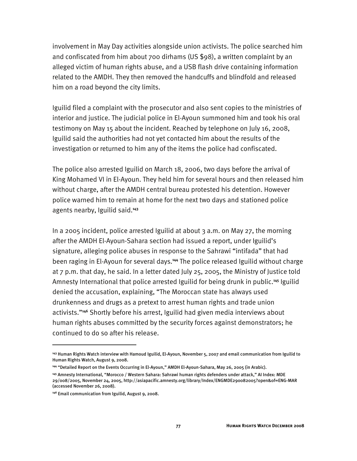involvement in May Day activities alongside union activists. The police searched him and confiscated from him about 700 dirhams (US \$98), a written complaint by an alleged victim of human rights abuse, and a USB flash drive containing information related to the AMDH. They then removed the handcuffs and blindfold and released him on a road beyond the city limits.

Iguilid filed a complaint with the prosecutor and also sent copies to the ministries of interior and justice. The judicial police in El-Ayoun summoned him and took his oral testimony on May 15 about the incident. Reached by telephone on July 16, 2008, Iguilid said the authorities had not yet contacted him about the results of the investigation or returned to him any of the items the police had confiscated.

The police also arrested Iguilid on March 18, 2006, two days before the arrival of King Mohamed VI in El-Ayoun. They held him for several hours and then released him without charge, after the AMDH central bureau protested his detention. However police warned him to remain at home for the next two days and stationed police agents nearby, Iguilid said.**<sup>143</sup>**

In a 2005 incident, police arrested Iguilid at about 3 a.m. on May 27, the morning after the AMDH El-Ayoun-Sahara section had issued a report, under Iguilid's signature, alleging police abuses in response to the Sahrawi "intifada" that had been raging in El-Ayoun for several days.**<sup>144</sup>** The police released Iguilid without charge at 7 p.m. that day, he said. In a letter dated July 25, 2005, the Ministry of Justice told Amnesty International that police arrested Iguilid for being drunk in public.**<sup>145</sup>** Iguilid denied the accusation, explaining, "The Moroccan state has always used drunkenness and drugs as a pretext to arrest human rights and trade union activists."**<sup>146</sup>** Shortly before his arrest, Iguilid had given media interviews about human rights abuses committed by the security forces against demonstrators; he continued to do so after his release.

**<sup>143</sup>** Human Rights Watch interview with Hamoud Iguilid, El-Ayoun, November 5, 2007 and email communication from Iguilid to Human Rights Watch, August 9, 2008.

**<sup>144</sup>** "Detailed Report on the Events Occurring in El-Ayoun," AMDH El-Ayoun-Sahara, May 26, 2005 (in Arabic).

**<sup>145</sup>** Amnesty International, "Morocco / Western Sahara: Sahrawi human rights defenders under attack," AI Index: MDE 29/008/2005, November 24, 2005, http://asiapacific.amnesty.org/library/Index/ENGMDE290082005?open&of=ENG-MAR (accessed November 26, 2008).

**<sup>146</sup>** Email communication from Iguilid, August 9, 2008.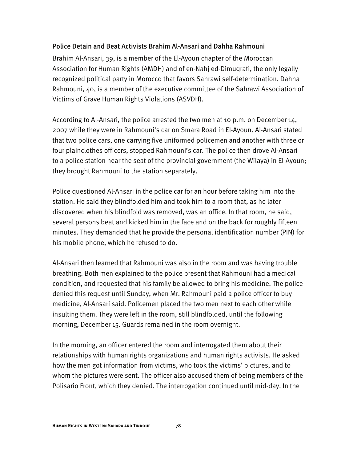#### Police Detain and Beat Activists Brahim Al-Ansari and Dahha Rahmouni

Brahim Al-Ansari, 39, is a member of the El-Ayoun chapter of the Moroccan Association for Human Rights (AMDH) and of en-Nahj ed-Dimuqrati, the only legally recognized political party in Morocco that favors Sahrawi self-determination. Dahha Rahmouni, 40, is a member of the executive committee of the Sahrawi Association of Victims of Grave Human Rights Violations (ASVDH).

According to Al-Ansari, the police arrested the two men at 10 p.m. on December 14, 2007 while they were in Rahmouni's car on Smara Road in El-Ayoun. Al-Ansari stated that two police cars, one carrying five uniformed policemen and another with three or four plainclothes officers, stopped Rahmouni's car. The police then drove Al-Ansari to a police station near the seat of the provincial government (the Wilaya) in El-Ayoun; they brought Rahmouni to the station separately.

Police questioned Al-Ansari in the police car for an hour before taking him into the station. He said they blindfolded him and took him to a room that, as he later discovered when his blindfold was removed, was an office. In that room, he said, several persons beat and kicked him in the face and on the back for roughly fifteen minutes. They demanded that he provide the personal identification number (PIN) for his mobile phone, which he refused to do.

Al-Ansari then learned that Rahmouni was also in the room and was having trouble breathing. Both men explained to the police present that Rahmouni had a medical condition, and requested that his family be allowed to bring his medicine. The police denied this request until Sunday, when Mr. Rahmouni paid a police officer to buy medicine, Al-Ansari said. Policemen placed the two men next to each other while insulting them. They were left in the room, still blindfolded, until the following morning, December 15. Guards remained in the room overnight.

In the morning, an officer entered the room and interrogated them about their relationships with human rights organizations and human rights activists. He asked how the men got information from victims, who took the victims' pictures, and to whom the pictures were sent. The officer also accused them of being members of the Polisario Front, which they denied. The interrogation continued until mid-day. In the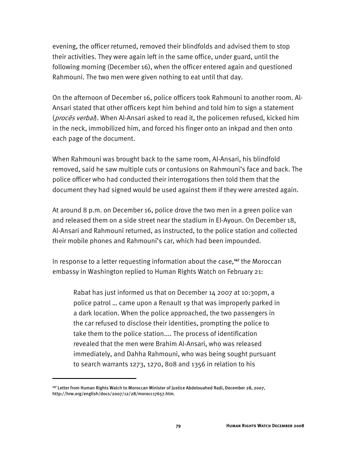evening, the officer returned, removed their blindfolds and advised them to stop their activities. They were again left in the same office, under guard, until the following morning (December 16), when the officer entered again and questioned Rahmouni. The two men were given nothing to eat until that day.

On the afternoon of December 16, police officers took Rahmouni to another room. Al-Ansari stated that other officers kept him behind and told him to sign a statement (*procès verbal*). When Al-Ansari asked to read it, the policemen refused, kicked him in the neck, immobilized him, and forced his finger onto an inkpad and then onto each page of the document.

When Rahmouni was brought back to the same room, Al-Ansari, his blindfold removed, said he saw multiple cuts or contusions on Rahmouni's face and back. The police officer who had conducted their interrogations then told them that the document they had signed would be used against them if they were arrested again.

At around 8 p.m. on December 16, police drove the two men in a green police van and released them on a side street near the stadium in El-Ayoun. On December 18, Al-Ansari and Rahmouni returned, as instructed, to the police station and collected their mobile phones and Rahmouni's car, which had been impounded.

In response to a letter requesting information about the case,**<sup>147</sup>** the Moroccan embassy in Washington replied to Human Rights Watch on February 21:

Rabat has just informed us that on December 14 2007 at 10:30pm, a police patrol … came upon a Renault 19 that was improperly parked in a dark location. When the police approached, the two passengers in the car refused to disclose their identities, prompting the police to take them to the police station.... The process of identification revealed that the men were Brahim Al-Ansari, who was released immediately, and Dahha Rahmouni, who was being sought pursuant to search warrants 1273, 1270, 808 and 1356 in relation to his

**<sup>147</sup>** Letter from Human Rights Watch to Moroccan Minister of Justice Abdelouahed Radi, December 28, 2007, http://hrw.org/english/docs/2007/12/28/morocc17657.htm.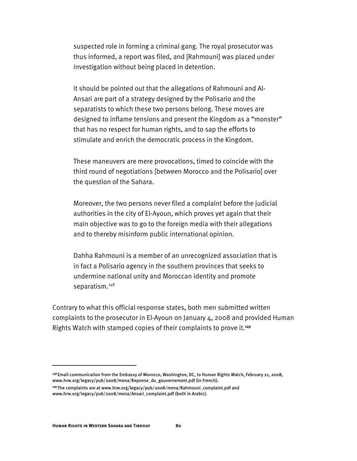suspected role in forming a criminal gang. The royal prosecutor was thus informed, a report was filed, and [Rahmouni] was placed under investigation without being placed in detention.

It should be pointed out that the allegations of Rahmouni and Al-Ansari are part of a strategy designed by the Polisario and the separatists to which these two persons belong. These moves are designed to inflame tensions and present the Kingdom as a "monster" that has no respect for human rights, and to sap the efforts to stimulate and enrich the democratic process in the Kingdom.

These maneuvers are mere provocations, timed to coincide with the third round of negotiations [between Morocco and the Polisario] over the question of the Sahara.

Moreover, the two persons never filed a complaint before the judicial authorities in the city of El-Ayoun, which proves yet again that their main objective was to go to the foreign media with their allegations and to thereby misinform public international opinion.

Dahha Rahmouni is a member of an unrecognized association that is in fact a Polisario agency in the southern provinces that seeks to undermine national unity and Moroccan identity and promote separatism.<sup>148</sup>

Contrary to what this official response states, both men submitted written complaints to the prosecutor in El-Ayoun on January 4, 2008 and provided Human Rights Watch with stamped copies of their complaints to prove it.**<sup>149</sup>**

**<sup>148</sup>**Email communication from the Embassy of Morocco, Washington, DC, to Human Rights Watch, February 21, 2008, www.hrw.org/legacy/pub/2008/mena/Reponse\_du\_gouvernement.pdf (in French).

**<sup>149</sup>**The complaints are at www.hrw.org/legacy/pub/2008/mena/Rahmouni\_complaint.pdf and www.hrw.org/legacy/pub/2008/mena/Ansari\_complaint.pdf (both in Arabic).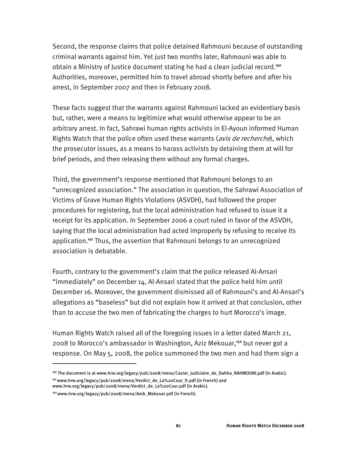Second, the response claims that police detained Rahmouni because of outstanding criminal warrants against him. Yet just two months later, Rahmouni was able to obtain a Ministry of Justice document stating he had a clean judicial record.**<sup>150</sup>** Authorities, moreover, permitted him to travel abroad shortly before and after his arrest, in September 2007 and then in February 2008.

These facts suggest that the warrants against Rahmouni lacked an evidentiary basis but, rather, were a means to legitimize what would otherwise appear to be an arbitrary arrest. In fact, Sahrawi human rights activists in El-Ayoun informed Human Rights Watch that the police often used these warrants (*avis de recherche*), which the prosecutor issues, as a means to harass activists by detaining them at will for brief periods, and then releasing them without any formal charges.

Third, the government's response mentioned that Rahmouni belongs to an "unrecognized association." The association in question, the Sahrawi Association of Victims of Grave Human Rights Violations (ASVDH), had followed the proper procedures for registering, but the local administration had refused to issue it a receipt for its application. In September 2006 a court ruled in favor of the ASVDH, saying that the local administration had acted improperly by refusing to receive its application.**<sup>151</sup>** Thus, the assertion that Rahmouni belongs to an unrecognized association is debatable.

Fourth, contrary to the government's claim that the police released Al-Ansari "immediately" on December 14, Al-Ansari stated that the police held him until December 16. Moreover, the government dismissed all of Rahmouni's and Al-Ansari's allegations as "baseless" but did not explain how it arrived at that conclusion, other than to accuse the two men of fabricating the charges to hurt Morocco's image.

Human Rights Watch raised all of the foregoing issues in a letter dated March 21, 2008 to Morocco's ambassador in Washington, Aziz Mekouar,**<sup>152</sup>** but never got a response. On May 5, 2008, the police summoned the two men and had them sign a

**<sup>150</sup>** The document is at www.hrw.org/legacy/pub/2008/mena/Casier\_Judiciaire\_de\_Dahha\_RAHMOUNI.pdf (in Arabic). **<sup>151</sup>**www.hrw.org/legacy/pub/2008/mena/Verdict\_de\_La%20Cour\_fr.pdf (in French) and

www.hrw.org/legacy/pub/2008/mena/Verdict\_de\_La%20Cour.pdf (in Arabic).

**<sup>152</sup>** www.hrw.org/legacy/pub/2008/mena/Amb\_Mekouar.pdf (in French).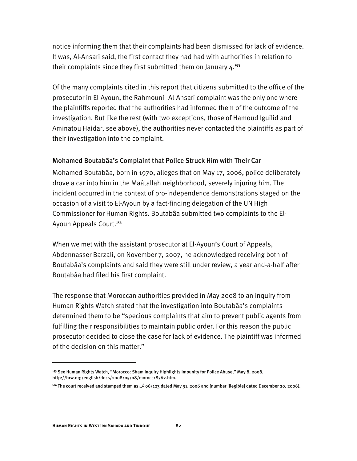notice informing them that their complaints had been dismissed for lack of evidence. It was, Al-Ansari said, the first contact they had had with authorities in relation to their complaints since they first submitted them on January 4.**<sup>153</sup>**

Of the many complaints cited in this report that citizens submitted to the office of the prosecutor in El-Ayoun, the Rahmouni–Al-Ansari complaint was the only one where the plaintiffs reported that the authorities had informed them of the outcome of the investigation. But like the rest (with two exceptions, those of Hamoud Iguilid and Aminatou Haidar, see above), the authorities never contacted the plaintiffs as part of their investigation into the complaint.

#### Mohamed Boutabâa's Complaint that Police Struck Him with Their Car

Mohamed Boutabâa, born in 1970, alleges that on May 17, 2006, police deliberately drove a car into him in the Maâtallah neighborhood, severely injuring him. The incident occurred in the context of pro-independence demonstrations staged on the occasion of a visit to El-Ayoun by a fact-finding delegation of the UN High Commissioner for Human Rights. Boutabâa submitted two complaints to the El-Ayoun Appeals Court.**<sup>154</sup>**

When we met with the assistant prosecutor at El-Ayoun's Court of Appeals, Abdennasser Barzali, on November 7, 2007, he acknowledged receiving both of Boutabâa's complaints and said they were still under review, a year and-a-half after Boutabâa had filed his first complaint.

The response that Moroccan authorities provided in May 2008 to an inquiry from Human Rights Watch stated that the investigation into Boutabâa's complaints determined them to be "specious complaints that aim to prevent public agents from fulfilling their responsibilities to maintain public order. For this reason the public prosecutor decided to close the case for lack of evidence. The plaintiff was informed of the decision on this matter."

**<sup>153</sup>** See Human Rights Watch, "Morocco: Sham Inquiry Highlights Impunity for Police Abuse," May 8, 2008, http://hrw.org/english/docs/2008/05/08/morocc18762.htm.

**<sup>154</sup>** The court received and stamped them as ش 06/123 dated May 31, 2006 and [number illegible] dated December 20, 2006).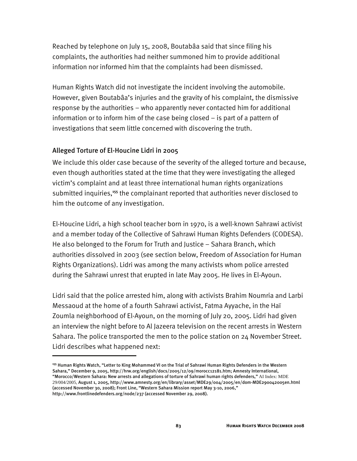Reached by telephone on July 15, 2008, Boutabâa said that since filing his complaints, the authorities had neither summoned him to provide additional information nor informed him that the complaints had been dismissed.

Human Rights Watch did not investigate the incident involving the automobile. However, given Boutabâa's injuries and the gravity of his complaint, the dismissive response by the authorities – who apparently never contacted him for additional information or to inform him of the case being closed – is part of a pattern of investigations that seem little concerned with discovering the truth.

#### Alleged Torture of El-Houcine Lidri in 2005

-

We include this older case because of the severity of the alleged torture and because, even though authorities stated at the time that they were investigating the alleged victim's complaint and at least three international human rights organizations submitted inquiries,**<sup>155</sup>** the complainant reported that authorities never disclosed to him the outcome of any investigation.

El-Houcine Lidri, a high school teacher born in 1970, is a well-known Sahrawi activist and a member today of the Collective of Sahrawi Human Rights Defenders (CODESA). He also belonged to the Forum for Truth and Justice – Sahara Branch, which authorities dissolved in 2003 (see section below, Freedom of Association for Human Rights Organizations). Lidri was among the many activists whom police arrested during the Sahrawi unrest that erupted in late May 2005. He lives in El-Ayoun.

Lidri said that the police arrested him, along with activists Brahim Noumria and Larbi Messaoud at the home of a fourth Sahrawi activist, Fatma Ayyache, in the Haï Zoumla neighborhood of El-Ayoun, on the morning of July 20, 2005. Lidri had given an interview the night before to Al Jazeera television on the recent arrests in Western Sahara. The police transported the men to the police station on 24 November Street. Lidri describes what happened next:

**<sup>155</sup>** Human Rights Watch, "Letter to King Mohammed VI on the Trial of Sahrawi Human Rights Defenders in the Western Sahara," December 9, 2005, http://hrw.org/english/docs/2005/12/09/morocc12181.htm; Amnesty International, "Morocco/Western Sahara: New arrests and allegations of torture of Sahrawi human rights defenders," AI Index: MDE 29/004/2005, August 1, 2005, http://www.amnesty.org/en/library/asset/MDE29/004/2005/en/dom-MDE290042005en.html (accessed November 30, 2008); Front Line, "Western Sahara Mission report May 3-10, 2006," http://www.frontlinedefenders.org/node/237 (accessed November 29, 2008).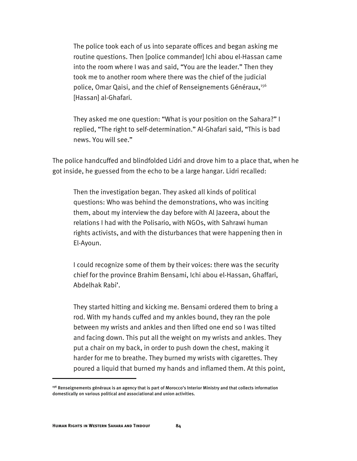The police took each of us into separate offices and began asking me routine questions. Then [police commander] Ichi abou el-Hassan came into the room where I was and said, "You are the leader." Then they took me to another room where there was the chief of the judicial police, Omar Qaisi, and the chief of Renseignements Généraux,<sup>156</sup> [Hassan] al-Ghafari.

They asked me one question: "What is your position on the Sahara?" I replied, "The right to self-determination." Al-Ghafari said, "This is bad news. You will see."

The police handcuffed and blindfolded Lidri and drove him to a place that, when he got inside, he guessed from the echo to be a large hangar. Lidri recalled:

Then the investigation began. They asked all kinds of political questions: Who was behind the demonstrations, who was inciting them, about my interview the day before with Al Jazeera, about the relations I had with the Polisario, with NGOs, with Sahrawi human rights activists, and with the disturbances that were happening then in El-Ayoun.

I could recognize some of them by their voices: there was the security chief for the province Brahim Bensami, Ichi abou el-Hassan, Ghaffari, Abdelhak Rabi'.

They started hitting and kicking me. Bensami ordered them to bring a rod. With my hands cuffed and my ankles bound, they ran the pole between my wrists and ankles and then lifted one end so I was tilted and facing down. This put all the weight on my wrists and ankles. They put a chair on my back, in order to push down the chest, making it harder for me to breathe. They burned my wrists with cigarettes. They poured a liquid that burned my hands and inflamed them. At this point,

**<sup>156</sup>** Renseignements généraux is an agency that is part of Morocco's Interior Ministry and that collects information domestically on various political and associational and union activities.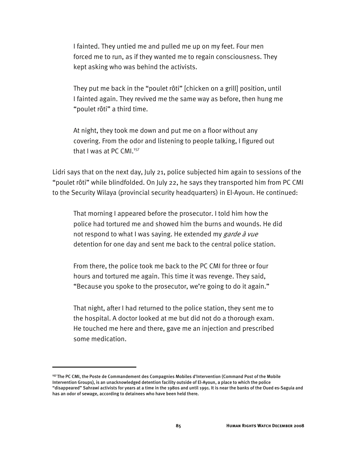I fainted. They untied me and pulled me up on my feet. Four men forced me to run, as if they wanted me to regain consciousness. They kept asking who was behind the activists.

They put me back in the "poulet rôti" [chicken on a grill] position, until I fainted again. They revived me the same way as before, then hung me "poulet rôti" a third time.

At night, they took me down and put me on a floor without any covering. From the odor and listening to people talking, I figured out that I was at PC CMI.<sup>157</sup>

Lidri says that on the next day, July 21, police subjected him again to sessions of the "poulet rôti" while blindfolded. On July 22, he says they transported him from PC CMI to the Security Wilaya (provincial security headquarters) in El-Ayoun. He continued:

That morning I appeared before the prosecutor. I told him how the police had tortured me and showed him the burns and wounds. He did not respond to what I was saying. He extended my garde à vue detention for one day and sent me back to the central police station.

From there, the police took me back to the PC CMI for three or four hours and tortured me again. This time it was revenge. They said, "Because you spoke to the prosecutor, we're going to do it again."

That night, after I had returned to the police station, they sent me to the hospital. A doctor looked at me but did not do a thorough exam. He touched me here and there, gave me an injection and prescribed some medication.

**<sup>157</sup>**The PC CMI, the Poste de Commandement des Compagnies Mobiles d'Intervention (Command Post of the Mobile Intervention Groups), is an unacknowledged detention facility outside of El-Ayoun, a place to which the police "disappeared" Sahrawi activists for years at a time in the 1980s and until 1991. It is near the banks of the Oued es-Saguia and has an odor of sewage, according to detainees who have been held there.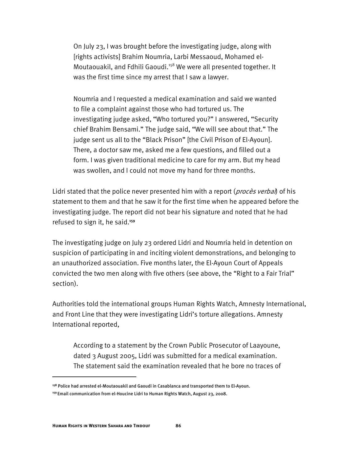On July 23, I was brought before the investigating judge, along with [rights activists] Brahim Noumria, Larbi Messaoud, Mohamed el-Moutaouakil, and Fdhili Gaoudi.<sup>158</sup> We were all presented together. It was the first time since my arrest that I saw a lawyer.

Noumria and I requested a medical examination and said we wanted to file a complaint against those who had tortured us. The investigating judge asked, "Who tortured you?" I answered, "Security chief Brahim Bensami." The judge said, "We will see about that." The judge sent us all to the "Black Prison" [the Civil Prison of El-Ayoun]. There, a doctor saw me, asked me a few questions, and filled out a form. I was given traditional medicine to care for my arm. But my head was swollen, and I could not move my hand for three months.

Lidri stated that the police never presented him with a report (*procès verbal*) of his statement to them and that he saw it for the first time when he appeared before the investigating judge. The report did not bear his signature and noted that he had refused to sign it, he said.**<sup>159</sup>**

The investigating judge on July 23 ordered Lidri and Noumria held in detention on suspicion of participating in and inciting violent demonstrations, and belonging to an unauthorized association. Five months later, the El-Ayoun Court of Appeals convicted the two men along with five others (see above, the "Right to a Fair Trial" section).

Authorities told the international groups Human Rights Watch, Amnesty International, and Front Line that they were investigating Lidri's torture allegations. Amnesty International reported,

According to a statement by the Crown Public Prosecutor of Laayoune, dated 3 August 2005, Lidri was submitted for a medical examination. The statement said the examination revealed that he bore no traces of

**<sup>158</sup>** Police had arrested el-Moutaouakil and Gaoudi in Casablanca and transported them to El-Ayoun.

**<sup>159</sup>** Email communication from el-Houcine Lidri to Human Rights Watch, August 23, 2008.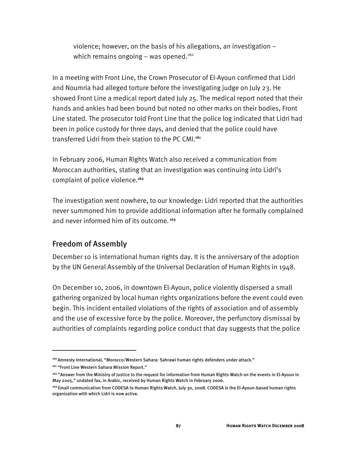violence; however, on the basis of his allegations, an investigation – which remains ongoing – was opened.<sup>160</sup>

In a meeting with Front Line, the Crown Prosecutor of El-Ayoun confirmed that Lidri and Noumria had alleged torture before the investigating judge on July 23. He showed Front Line a medical report dated July 25. The medical report noted that their hands and ankles had been bound but noted no other marks on their bodies, Front Line stated. The prosecutor told Front Line that the police log indicated that Lidri had been in police custody for three days, and denied that the police could have transferred Lidri from their station to the PC CMI.**<sup>161</sup>**

In February 2006, Human Rights Watch also received a communication from Moroccan authorities, stating that an investigation was continuing into Lidri's complaint of police violence.**<sup>162</sup>**

The investigation went nowhere, to our knowledge: Lidri reported that the authorities never summoned him to provide additional information after he formally complained and never informed him of its outcome.**<sup>163</sup>**

## Freedom of Assembly

December 10 is international human rights day. It is the anniversary of the adoption by the UN General Assembly of the Universal Declaration of Human Rights in 1948.

On December 10, 2006, in downtown El-Ayoun, police violently dispersed a small gathering organized by local human rights organizations before the event could even begin. This incident entailed violations of the rights of association and of assembly and the use of excessive force by the police. Moreover, the perfunctory dismissal by authorities of complaints regarding police conduct that day suggests that the police

**<sup>160</sup>**Amnesty International, "Morocco/Western Sahara: Sahrawi human rights defenders under attack."

**<sup>161</sup>** "Front Line Western Sahara Mission Report."

**<sup>162</sup>** "Answer from the Ministry of Justice to the request for information from Human Rights Watch on the events in El-Ayoun in May 2005," undated fax, in Arabic, received by Human Rights Watch in February 2006.

**<sup>163</sup>** Email communication from CODESA to Human Rights Watch, July 30, 2008. CODESA is the El-Ayoun-based human rights organization with which Lidri is now active.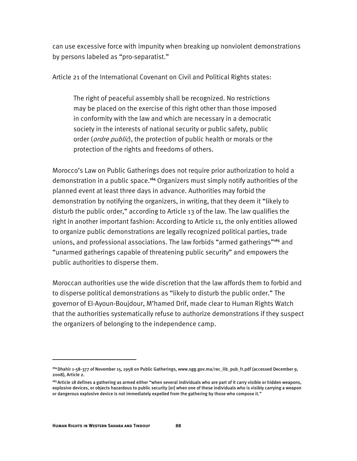can use excessive force with impunity when breaking up nonviolent demonstrations by persons labeled as "pro-separatist."

Article 21 of the International Covenant on Civil and Political Rights states:

The right of peaceful assembly shall be recognized. No restrictions may be placed on the exercise of this right other than those imposed in conformity with the law and which are necessary in a democratic society in the interests of national security or public safety, public order (*ordre public*), the protection of public health or morals or the protection of the rights and freedoms of others.

Morocco's Law on Public Gatherings does not require prior authorization to hold a demonstration in a public space.**<sup>164</sup>** Organizers must simply notify authorities of the planned event at least three days in advance. Authorities may forbid the demonstration by notifying the organizers, in writing, that they deem it "likely to disturb the public order," according to Article 13 of the law. The law qualifies the right in another important fashion: According to Article 11, the only entities allowed to organize public demonstrations are legally recognized political parties, trade unions, and professional associations. The law forbids "armed gatherings"**<sup>165</sup>** and "unarmed gatherings capable of threatening public security" and empowers the public authorities to disperse them.

Moroccan authorities use the wide discretion that the law affords them to forbid and to disperse political demonstrations as "likely to disturb the public order." The governor of El-Ayoun-Boujdour, M'hamed Drif, made clear to Human Rights Watch that the authorities systematically refuse to authorize demonstrations if they suspect the organizers of belonging to the independence camp.

**<sup>164</sup>**Dhahir 1-58-377 of November 15, 1958 on Public Gatherings, www.sgg.gov.ma/rec\_lib\_pub\_fr.pdf (accessed December 9, 2008), Article 2.

**<sup>165</sup>**Article 18 defines a gathering as armed either "when several individuals who are part of it carry visible or hidden weapons, explosive devices, or objects hazardous to public security [or] when one of these individuals who is visibly carrying a weapon or dangerous explosive device is not immediately expelled from the gathering by those who compose it."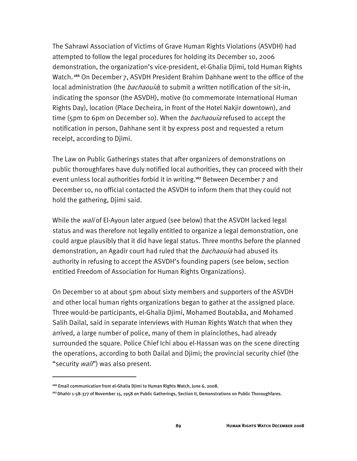The Sahrawi Association of Victims of Grave Human Rights Violations (ASVDH) had attempted to follow the legal procedures for holding its December 10, 2006 demonstration, the organization's vice-president, el-Ghalia Djimi, told Human Rights Watch.**<sup>166</sup>** On December 7, ASVDH President Brahim Dahhane went to the office of the local administration (the *bachaouia*) to submit a written notification of the sit-in, indicating the sponsor (the ASVDH), motive (to commemorate International Human Rights Day), location (Place Decheira, in front of the Hotel Nakjir downtown), and time (5pm to 6pm on December 10). When the *bachaouia* refused to accept the notification in person, Dahhane sent it by express post and requested a return receipt, according to Djimi.

The Law on Public Gatherings states that after organizers of demonstrations on public thoroughfares have duly notified local authorities, they can proceed with their event unless local authorities forbid it in writing.**<sup>167</sup>** Between December 7 and December 10, no official contacted the ASVDH to inform them that they could not hold the gathering, Djimi said.

While the *wali* of El-Ayoun later argued (see below) that the ASVDH lacked legal status and was therefore not legally entitled to organize a legal demonstration, one could argue plausibly that it did have legal status. Three months before the planned demonstration, an Agadir court had ruled that the *bachaouia* had abused its authority in refusing to accept the ASVDH's founding papers (see below, section entitled Freedom of Association for Human Rights Organizations).

On December 10 at about 5pm about sixty members and supporters of the ASVDH and other local human rights organizations began to gather at the assigned place. Three would-be participants, el-Ghalia Djimi, Mohamed Boutabâa, and Mohamed Salih Dailal, said in separate interviews with Human Rights Watch that when they arrived, a large number of police, many of them in plainclothes, had already surrounded the square. Police Chief Ichi abou el-Hassan was on the scene directing the operations, according to both Dailal and Djimi; the provincial security chief (the "security wall") was also present.

**<sup>166</sup>** Email communication from el-Ghalia Djimi to Human Rights Watch, June 6, 2008.

**<sup>167</sup>** Dhahir 1-58-377 of November 15, 1958 on Public Gatherings, Section II, Demonstrations on Public Thoroughfares.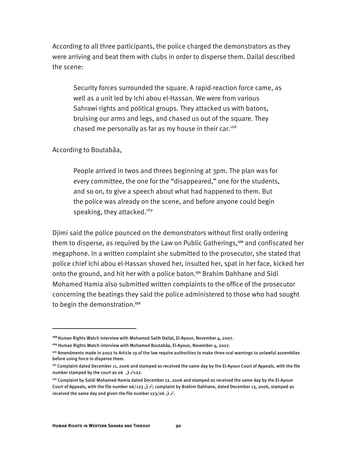According to all three participants, the police charged the demonstrators as they were arriving and beat them with clubs in order to disperse them. Dailal described the scene:

Security forces surrounded the square. A rapid-reaction force came, as well as a unit led by Ichi abou el-Hassan. We were from various Sahrawi rights and political groups. They attacked us with batons, bruising our arms and legs, and chased us out of the square. They chased me personally as far as my house in their car.<sup>168</sup>

According to Boutabâa,

People arrived in twos and threes beginning at 3pm. The plan was for every committee, the one for the "disappeared," one for the students, and so on, to give a speech about what had happened to them. But the police was already on the scene, and before anyone could begin speaking, they attacked.<sup>169</sup>

Djimi said the police pounced on the demonstrators without first orally ordering them to disperse, as required by the Law on Public Gatherings,**<sup>170</sup>** and confiscated her megaphone. In a written complaint she submitted to the prosecutor, she stated that police chief Ichi abou el-Hassan shoved her, insulted her, spat in her face, kicked her onto the ground, and hit her with a police baton.**<sup>171</sup>** Brahim Dahhane and Sidi Mohamed Hamia also submitted written complaints to the office of the prosecutor concerning the beatings they said the police administered to those who had sought to begin the demonstration.**<sup>172</sup>**

-

**<sup>168</sup>**Human Rights Watch interview with Mohamed Salih Dailal, El-Ayoun, November 4, 2007.

**<sup>169</sup>** Human Rights Watch interview with Mohamed Boutabâa, El-Ayoun, November 4, 2007.

**<sup>170</sup>** Amendments made in 2002 to Article 19 of the law require authorities to make three oral warnings to unlawful assemblies before using force to disperse them.

**<sup>171</sup>** Complaint dated December 11, 2006 and stamped as received the same day by the El-Ayoun Court of Appeals, with the file number stamped by the court as 06 ق ام122.

**<sup>172</sup>** Complaint by Saïdi Mohamed Hamia dated December 12, 2006 and stamped as received the same day by the El-Ayoun Court of Appeals, with the file number 06/123 ق ام ;complaint by Brahim Dahhane, dated December 13, 2006, stamped as received the same day and given the file number 123/06 ق ام.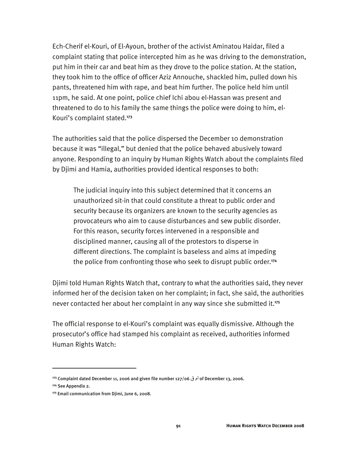Ech-Cherif el-Kouri, of El-Ayoun, brother of the activist Aminatou Haidar, filed a complaint stating that police intercepted him as he was driving to the demonstration, put him in their car and beat him as they drove to the police station. At the station, they took him to the office of officer Aziz Annouche, shackled him, pulled down his pants, threatened him with rape, and beat him further. The police held him until 11pm, he said. At one point, police chief Ichi abou el-Hassan was present and threatened to do to his family the same things the police were doing to him, el-Kouri's complaint stated.**<sup>173</sup>**

The authorities said that the police dispersed the December 10 demonstration because it was "illegal," but denied that the police behaved abusively toward anyone. Responding to an inquiry by Human Rights Watch about the complaints filed by Djimi and Hamia, authorities provided identical responses to both:

The judicial inquiry into this subject determined that it concerns an unauthorized sit-in that could constitute a threat to public order and security because its organizers are known to the security agencies as provocateurs who aim to cause disturbances and sew public disorder. For this reason, security forces intervened in a responsible and disciplined manner, causing all of the protestors to disperse in different directions. The complaint is baseless and aims at impeding the police from confronting those who seek to disrupt public order.**<sup>174</sup>**

Djimi told Human Rights Watch that, contrary to what the authorities said, they never informed her of the decision taken on her complaint; in fact, she said, the authorities never contacted her about her complaint in any way since she submitted it.**<sup>175</sup>**

The official response to el-Kouri's complaint was equally dismissive. Although the prosecutor's office had stamped his complaint as received, authorities informed Human Rights Watch:

-

**<sup>173</sup>** Complaint dated December 11, 2006 and given file number 127/06 ق ام of December 13, 2006.

**<sup>174</sup>** See Appendix 2.

**<sup>175</sup>** Email communication from Djimi, June 6, 2008.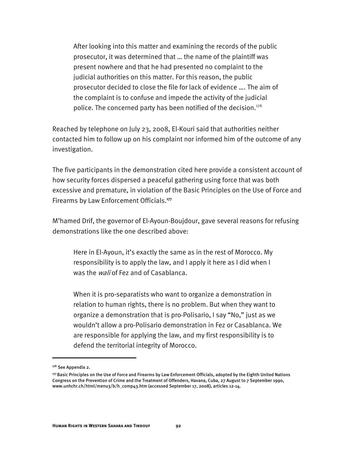After looking into this matter and examining the records of the public prosecutor, it was determined that … the name of the plaintiff was present nowhere and that he had presented no complaint to the judicial authorities on this matter. For this reason, the public prosecutor decided to close the file for lack of evidence …. The aim of the complaint is to confuse and impede the activity of the judicial police. The concerned party has been notified of the decision.<sup>176</sup>

Reached by telephone on July 23, 2008, El-Kouri said that authorities neither contacted him to follow up on his complaint nor informed him of the outcome of any investigation.

The five participants in the demonstration cited here provide a consistent account of how security forces dispersed a peaceful gathering using force that was both excessive and premature, in violation of the Basic Principles on the Use of Force and Firearms by Law Enforcement Officials.**<sup>177</sup>**

M'hamed Drif, the governor of El-Ayoun-Boujdour, gave several reasons for refusing demonstrations like the one described above:

Here in El-Ayoun, it's exactly the same as in the rest of Morocco. My responsibility is to apply the law, and I apply it here as I did when I was the *wali* of Fez and of Casablanca.

When it is pro-separatists who want to organize a demonstration in relation to human rights, there is no problem. But when they want to organize a demonstration that is pro-Polisario, I say "No," just as we wouldn't allow a pro-Polisario demonstration in Fez or Casablanca. We are responsible for applying the law, and my first responsibility is to defend the territorial integrity of Morocco.

**<sup>176</sup>** See Appendix 2.

**<sup>177</sup>**Basic Principles on the Use of Force and Firearms by Law Enforcement Officials, adopted by the Eighth United Nations Congress on the Prevention of Crime and the Treatment of Offenders, Havana, Cuba, 27 August to 7 September 1990, www.unhchr.ch/html/menu3/b/h\_comp43.htm (accessed September 17, 2008), articles 12-14.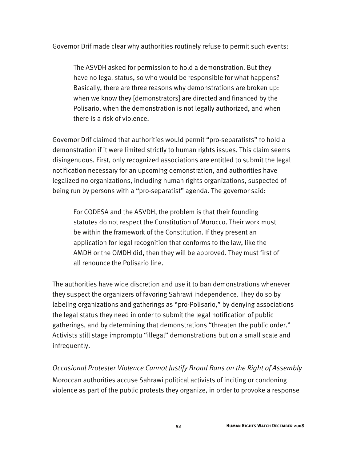Governor Drif made clear why authorities routinely refuse to permit such events:

The ASVDH asked for permission to hold a demonstration. But they have no legal status, so who would be responsible for what happens? Basically, there are three reasons why demonstrations are broken up: when we know they [demonstrators] are directed and financed by the Polisario, when the demonstration is not legally authorized, and when there is a risk of violence.

Governor Drif claimed that authorities would permit "pro-separatists" to hold a demonstration if it were limited strictly to human rights issues. This claim seems disingenuous. First, only recognized associations are entitled to submit the legal notification necessary for an upcoming demonstration, and authorities have legalized no organizations, including human rights organizations, suspected of being run by persons with a "pro-separatist" agenda. The governor said:

For CODESA and the ASVDH, the problem is that their founding statutes do not respect the Constitution of Morocco. Their work must be within the framework of the Constitution. If they present an application for legal recognition that conforms to the law, like the AMDH or the OMDH did, then they will be approved. They must first of all renounce the Polisario line.

The authorities have wide discretion and use it to ban demonstrations whenever they suspect the organizers of favoring Sahrawi independence. They do so by labeling organizations and gatherings as "pro-Polisario," by denying associations the legal status they need in order to submit the legal notification of public gatherings, and by determining that demonstrations "threaten the public order." Activists still stage impromptu "illegal" demonstrations but on a small scale and infrequently.

*Occasional Protester Violence Cannot Justify Broad Bans on the Right of Assembly*  Moroccan authorities accuse Sahrawi political activists of inciting or condoning violence as part of the public protests they organize, in order to provoke a response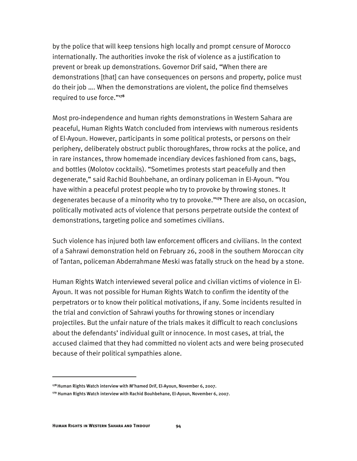by the police that will keep tensions high locally and prompt censure of Morocco internationally. The authorities invoke the risk of violence as a justification to prevent or break up demonstrations. Governor Drif said, "When there are demonstrations [that] can have consequences on persons and property, police must do their job …. When the demonstrations are violent, the police find themselves required to use force."**<sup>178</sup>**

Most pro-independence and human rights demonstrations in Western Sahara are peaceful, Human Rights Watch concluded from interviews with numerous residents of El-Ayoun. However, participants in some political protests, or persons on their periphery, deliberately obstruct public thoroughfares, throw rocks at the police, and in rare instances, throw homemade incendiary devices fashioned from cans, bags, and bottles (Molotov cocktails). "Sometimes protests start peacefully and then degenerate," said Rachid Bouhbehane, an ordinary policeman in El-Ayoun. "You have within a peaceful protest people who try to provoke by throwing stones. It degenerates because of a minority who try to provoke."**<sup>179</sup>** There are also, on occasion, politically motivated acts of violence that persons perpetrate outside the context of demonstrations, targeting police and sometimes civilians.

Such violence has injured both law enforcement officers and civilians. In the context of a Sahrawi demonstration held on February 26, 2008 in the southern Moroccan city of Tantan, policeman Abderrahmane Meski was fatally struck on the head by a stone.

Human Rights Watch interviewed several police and civilian victims of violence in El-Ayoun. It was not possible for Human Rights Watch to confirm the identity of the perpetrators or to know their political motivations, if any. Some incidents resulted in the trial and conviction of Sahrawi youths for throwing stones or incendiary projectiles. But the unfair nature of the trials makes it difficult to reach conclusions about the defendants' individual guilt or innocence. In most cases, at trial, the accused claimed that they had committed no violent acts and were being prosecuted because of their political sympathies alone.

**<sup>178</sup>**Human Rights Watch interview with M'hamed Drif, El-Ayoun, November 6, 2007.

**<sup>179</sup>** Human Rights Watch interview with Rachid Bouhbehane, El-Ayoun, November 6, 2007.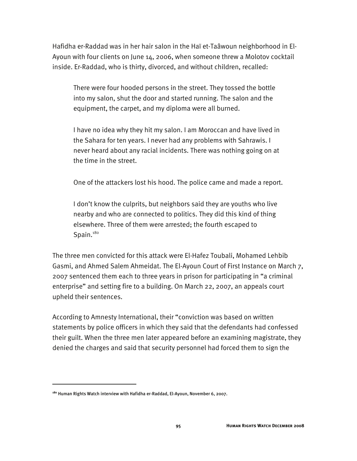Hafidha er-Raddad was in her hair salon in the Haï et-Taâwoun neighborhood in El-Ayoun with four clients on June 14, 2006, when someone threw a Molotov cocktail inside. Er-Raddad, who is thirty, divorced, and without children, recalled:

There were four hooded persons in the street. They tossed the bottle into my salon, shut the door and started running. The salon and the equipment, the carpet, and my diploma were all burned.

I have no idea why they hit my salon. I am Moroccan and have lived in the Sahara for ten years. I never had any problems with Sahrawis. I never heard about any racial incidents. There was nothing going on at the time in the street.

One of the attackers lost his hood. The police came and made a report.

I don't know the culprits, but neighbors said they are youths who live nearby and who are connected to politics. They did this kind of thing elsewhere. Three of them were arrested; the fourth escaped to Spain.<sup>180</sup>

The three men convicted for this attack were El-Hafez Toubali, Mohamed Lehbib Gasmi, and Ahmed Salem Ahmeidat. The El-Ayoun Court of First Instance on March 7, 2007 sentenced them each to three years in prison for participating in "a criminal enterprise" and setting fire to a building. On March 22, 2007, an appeals court upheld their sentences.

According to Amnesty International, their "conviction was based on written statements by police officers in which they said that the defendants had confessed their guilt. When the three men later appeared before an examining magistrate, they denied the charges and said that security personnel had forced them to sign the

**<sup>180</sup>** Human Rights Watch interview with Hafidha er-Raddad, El-Ayoun, November 6, 2007.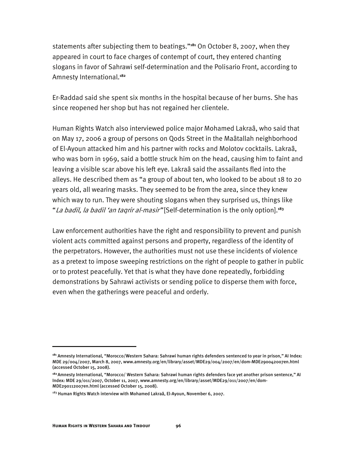statements after subjecting them to beatings."**<sup>181</sup>** On October 8, 2007, when they appeared in court to face charges of contempt of court, they entered chanting slogans in favor of Sahrawi self-determination and the Polisario Front, according to Amnesty International.**<sup>182</sup>**

Er-Raddad said she spent six months in the hospital because of her burns. She has since reopened her shop but has not regained her clientele.

Human Rights Watch also interviewed police major Mohamed Lakraâ, who said that on May 17, 2006 a group of persons on Qods Street in the Maâtallah neighborhood of El-Ayoun attacked him and his partner with rocks and Molotov cocktails. Lakraâ, who was born in 1969, said a bottle struck him on the head, causing him to faint and leaving a visible scar above his left eye. Lakraâ said the assailants fled into the alleys. He described them as "a group of about ten, who looked to be about 18 to 20 years old, all wearing masks. They seemed to be from the area, since they knew which way to run. They were shouting slogans when they surprised us, things like "La badil, la badil 'an taqrir al-masir" [Self-determination is the only option].**<sup>183</sup>**

Law enforcement authorities have the right and responsibility to prevent and punish violent acts committed against persons and property, regardless of the identity of the perpetrators. However, the authorities must not use these incidents of violence as a pretext to impose sweeping restrictions on the right of people to gather in public or to protest peacefully. Yet that is what they have done repeatedly, forbidding demonstrations by Sahrawi activists or sending police to disperse them with force, even when the gatherings were peaceful and orderly.

**<sup>181</sup>** Amnesty International, "Morocco/Western Sahara: Sahrawi human rights defenders sentenced to year in prison," AI Index: MDE 29/004/2007, March 8, 2007, www.amnesty.org/en/library/asset/MDE29/004/2007/en/dom-MDE290042007en.html (accessed October 15, 2008).

**<sup>182</sup>**Amnesty International, "Morocco/ Western Sahara: Sahrawi human rights defenders face yet another prison sentence," AI Index: MDE 29/011/2007, October 11, 2007, www.amnesty.org/en/library/asset/MDE29/011/2007/en/dom-MDE290112007en.html (accessed October 15, 2008).

<sup>&</sup>lt;sup>183</sup> Human Rights Watch interview with Mohamed Lakraâ, El-Ayoun, November 6, 2007.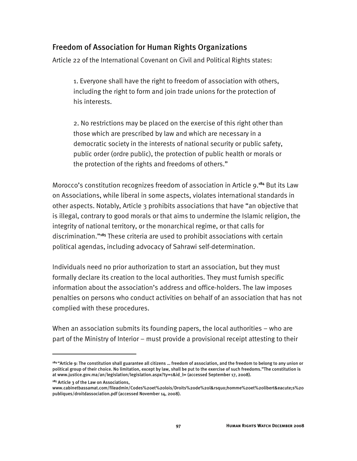# Freedom of Association for Human Rights Organizations

Article 22 of the International Covenant on Civil and Political Rights states:

1. Everyone shall have the right to freedom of association with others, including the right to form and join trade unions for the protection of his interests.

2. No restrictions may be placed on the exercise of this right other than those which are prescribed by law and which are necessary in a democratic society in the interests of national security or public safety, public order (ordre public), the protection of public health or morals or the protection of the rights and freedoms of others."

Morocco's constitution recognizes freedom of association in Article 9.**<sup>184</sup>** But its Law on Associations, while liberal in some aspects, violates international standards in other aspects. Notably, Article 3 prohibits associations that have "an objective that is illegal, contrary to good morals or that aims to undermine the Islamic religion, the integrity of national territory, or the monarchical regime, or that calls for discrimination."**<sup>185</sup>** These criteria are used to prohibit associations with certain political agendas, including advocacy of Sahrawi self-determination.

Individuals need no prior authorization to start an association, but they must formally declare its creation to the local authorities. They must furnish specific information about the association's address and office-holders. The law imposes penalties on persons who conduct activities on behalf of an association that has not complied with these procedures.

When an association submits its founding papers, the local authorities – who are part of the Ministry of Interior – must provide a provisional receipt attesting to their

**<sup>184</sup>**"Article 9: The constitution shall guarantee all citizens … freedom of association, and the freedom to belong to any union or political group of their choice. No limitation, except by law, shall be put to the exercise of such freedoms."The constitution is at www.justice.gov.ma/an/legislation/legislation.aspx?ty=1&id\_l= (accessed September 17, 2008).

**<sup>185</sup>** Article 3 of the Law on Associations,

www.cabinetbassamat.com/fileadmin/Codes%20et%20lois/Droits%20de%20l'homme%20et%20libertés%20 publiques/droitdassociation.pdf (accessed November 14, 2008).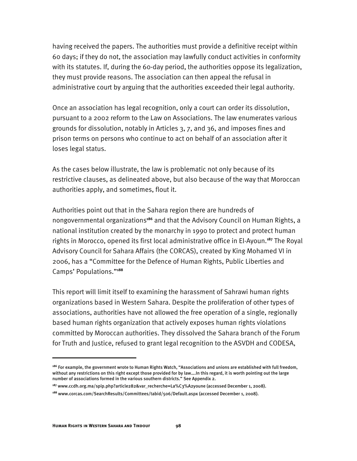having received the papers. The authorities must provide a definitive receipt within 60 days; if they do not, the association may lawfully conduct activities in conformity with its statutes. If, during the 60-day period, the authorities oppose its legalization, they must provide reasons. The association can then appeal the refusal in administrative court by arguing that the authorities exceeded their legal authority.

Once an association has legal recognition, only a court can order its dissolution, pursuant to a 2002 reform to the Law on Associations. The law enumerates various grounds for dissolution, notably in Articles 3, 7, and 36, and imposes fines and prison terms on persons who continue to act on behalf of an association after it loses legal status.

As the cases below illustrate, the law is problematic not only because of its restrictive clauses, as delineated above, but also because of the way that Moroccan authorities apply, and sometimes, flout it.

Authorities point out that in the Sahara region there are hundreds of nongovernmental organizations**<sup>186</sup>** and that the Advisory Council on Human Rights, a national institution created by the monarchy in 1990 to protect and protect human rights in Morocco, opened its first local administrative office in El-Ayoun.**<sup>187</sup>** The Royal Advisory Council for Sahara Affairs (the CORCAS), created by King Mohamed VI in 2006, has a "Committee for the Defence of Human Rights, Public Liberties and Camps' Populations."**<sup>188</sup>**

This report will limit itself to examining the harassment of Sahrawi human rights organizations based in Western Sahara. Despite the proliferation of other types of associations, authorities have not allowed the free operation of a single, regionally based human rights organization that actively exposes human rights violations committed by Moroccan authorities. They dissolved the Sahara branch of the Forum for Truth and Justice, refused to grant legal recognition to the ASVDH and CODESA,

**<sup>186</sup>** For example, the government wrote to Human Rights Watch, "Associations and unions are established with full freedom, without any restrictions on this right except those provided for by law….In this regard, it is worth pointing out the large number of associations formed in the various southern districts." See Appendix 2.

**<sup>187</sup>** www.ccdh.org.ma/spip.php?article282&var\_recherche=La%C3%A2youne (accessed December 1, 2008).

**<sup>188</sup>** www.corcas.com/SearchResults/Committees/tabid/506/Default.aspx (accessed December 1, 2008).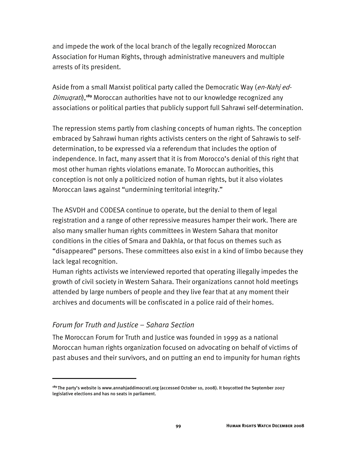and impede the work of the local branch of the legally recognized Moroccan Association for Human Rights, through administrative maneuvers and multiple arrests of its president.

Aside from a small Marxist political party called the Democratic Way (*en-Nahj ed-*Dimuqrati),**<sup>189</sup>** Moroccan authorities have not to our knowledge recognized any associations or political parties that publicly support full Sahrawi self-determination.

The repression stems partly from clashing concepts of human rights. The conception embraced by Sahrawi human rights activists centers on the right of Sahrawis to selfdetermination, to be expressed via a referendum that includes the option of independence. In fact, many assert that it is from Morocco's denial of this right that most other human rights violations emanate. To Moroccan authorities, this conception is not only a politicized notion of human rights, but it also violates Moroccan laws against "undermining territorial integrity."

The ASVDH and CODESA continue to operate, but the denial to them of legal registration and a range of other repressive measures hamper their work. There are also many smaller human rights committees in Western Sahara that monitor conditions in the cities of Smara and Dakhla, or that focus on themes such as "disappeared" persons. These committees also exist in a kind of limbo because they lack legal recognition.

Human rights activists we interviewed reported that operating illegally impedes the growth of civil society in Western Sahara. Their organizations cannot hold meetings attended by large numbers of people and they live fear that at any moment their archives and documents will be confiscated in a police raid of their homes.

## *Forum for Truth and Justice – Sahara Section*

j

The Moroccan Forum for Truth and Justice was founded in 1999 as a national Moroccan human rights organization focused on advocating on behalf of victims of past abuses and their survivors, and on putting an end to impunity for human rights

**<sup>189</sup>**The party's website is www.annahjaddimocrati.org (accessed October 10, 2008). It boycotted the September 2007 legislative elections and has no seats in parliament.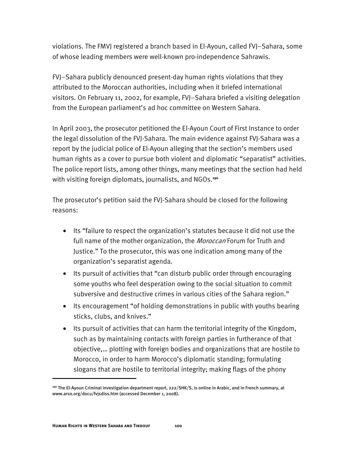violations. The FMVJ registered a branch based in El-Ayoun, called FVJ–Sahara, some of whose leading members were well-known pro-independence Sahrawis.

FVJ–Sahara publicly denounced present-day human rights violations that they attributed to the Moroccan authorities, including when it briefed international visitors. On February 11, 2002, for example, FVJ–Sahara briefed a visiting delegation from the European parliament's ad hoc committee on Western Sahara.

In April 2003, the prosecutor petitioned the El-Ayoun Court of First Instance to order the legal dissolution of the FVJ-Sahara. The main evidence against FVJ-Sahara was a report by the judicial police of El-Ayoun alleging that the section's members used human rights as a cover to pursue both violent and diplomatic "separatist" activities. The police report lists, among other things, many meetings that the section had held with visiting foreign diplomats, journalists, and NGOs.**<sup>190</sup>**

The prosecutor's petition said the FVJ-Sahara should be closed for the following reasons:

- Its "failure to respect the organization's statutes because it did not use the full name of the mother organization, the *Moroccan* Forum for Truth and Justice." To the prosecutor, this was one indication among many of the organization's separatist agenda.
- Its pursuit of activities that "can disturb public order through encouraging some youths who feel desperation owing to the social situation to commit subversive and destructive crimes in various cities of the Sahara region."
- Its encouragement "of holding demonstrations in public with youths bearing sticks, clubs, and knives."
- Its pursuit of activities that can harm the territorial integrity of the Kingdom, such as by maintaining contacts with foreign parties in furtherance of that objective,… plotting with foreign bodies and organizations that are hostile to Morocco, in order to harm Morocco's diplomatic standing; formulating slogans that are hostile to territorial integrity; making flags of the phony

**<sup>190</sup>** The El-Ayoun Criminal investigation department report, 222/SHK/S, is online in Arabic, and in French summary, at www.arso.org/docu/fvjsdiss.htm (accessed December 1, 2008).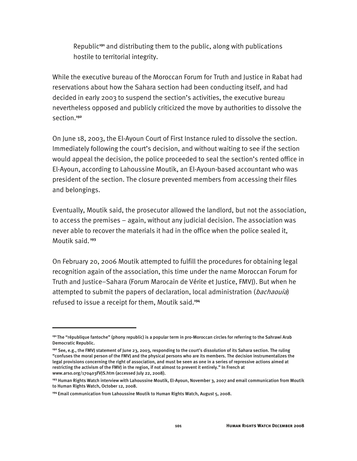Republic**<sup>191</sup>** and distributing them to the public, along with publications hostile to territorial integrity.

While the executive bureau of the Moroccan Forum for Truth and Justice in Rabat had reservations about how the Sahara section had been conducting itself, and had decided in early 2003 to suspend the section's activities, the executive bureau nevertheless opposed and publicly criticized the move by authorities to dissolve the section.**<sup>192</sup>**

On June 18, 2003, the El-Ayoun Court of First Instance ruled to dissolve the section. Immediately following the court's decision, and without waiting to see if the section would appeal the decision, the police proceeded to seal the section's rented office in El-Ayoun, according to Lahoussine Moutik, an El-Ayoun-based accountant who was president of the section. The closure prevented members from accessing their files and belongings.

Eventually, Moutik said, the prosecutor allowed the landlord, but not the association, to access the premises – again, without any judicial decision. The association was never able to recover the materials it had in the office when the police sealed it, Moutik said.**<sup>193</sup>**

On February 20, 2006 Moutik attempted to fulfill the procedures for obtaining legal recognition again of the association, this time under the name Moroccan Forum for Truth and Justice–Sahara (Forum Marocain de Vérite et Justice, FMVJ). But when he attempted to submit the papers of declaration, local administration (*bachaouia*) refused to issue a receipt for them, Moutik said.**<sup>194</sup>**

**<sup>191</sup>**The "république fantoche" (phony republic) is a popular term in pro-Moroccan circles for referring to the Sahrawi Arab Democratic Republic.

**<sup>192</sup>** See, e.g., the FMVJ statement of June 23, 2003, responding to the court's dissolution of its Sahara section. The ruling "confuses the moral person of the FMVJ and the physical persons who are its members. The decision instrumentalizes the legal provisions concerning the right of association, and must be seen as one in a series of repressive actions aimed at restricting the activism of the FMVJ in the region, if not almost to prevent it entirely." In French at www.arso.org/170403FVJS.htm (accessed July 22, 2008).

**<sup>193</sup>** Human Rights Watch interview with Lahoussine Moutik, El-Ayoun, November 3, 2007 and email communication from Moutik to Human Rights Watch, October 12, 2008.

**<sup>194</sup>** Email communication from Lahoussine Moutik to Human Rights Watch, August 5, 2008.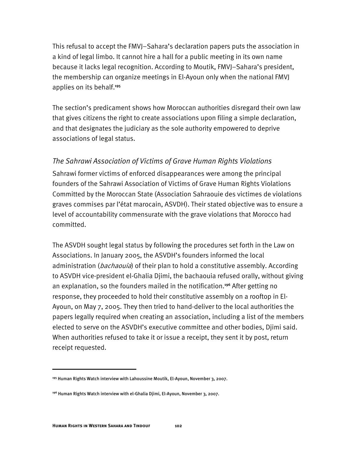This refusal to accept the FMVJ–Sahara's declaration papers puts the association in a kind of legal limbo. It cannot hire a hall for a public meeting in its own name because it lacks legal recognition. According to Moutik, FMVJ–Sahara's president, the membership can organize meetings in El-Ayoun only when the national FMVJ applies on its behalf.**<sup>195</sup>**

The section's predicament shows how Moroccan authorities disregard their own law that gives citizens the right to create associations upon filing a simple declaration, and that designates the judiciary as the sole authority empowered to deprive associations of legal status.

## *The Sahrawi Association of Victims of Grave Human Rights Violations*

Sahrawi former victims of enforced disappearances were among the principal founders of the Sahrawi Association of Victims of Grave Human Rights Violations Committed by the Moroccan State (Association Sahraouie des victimes de violations graves commises par l'état marocain, ASVDH). Their stated objective was to ensure a level of accountability commensurate with the grave violations that Morocco had committed.

The ASVDH sought legal status by following the procedures set forth in the Law on Associations. In January 2005, the ASVDH's founders informed the local administration (bachaouia) of their plan to hold a constitutive assembly. According to ASVDH vice-president el-Ghalia Djimi, the bachaouia refused orally, without giving an explanation, so the founders mailed in the notification.**<sup>196</sup>** After getting no response, they proceeded to hold their constitutive assembly on a rooftop in El-Ayoun, on May 7, 2005. They then tried to hand-deliver to the local authorities the papers legally required when creating an association, including a list of the members elected to serve on the ASVDH's executive committee and other bodies, Djimi said. When authorities refused to take it or issue a receipt, they sent it by post, return receipt requested.

**<sup>195</sup>** Human Rights Watch interview with Lahoussine Moutik, El-Ayoun, November 3, 2007.

**<sup>196</sup>** Human Rights Watch interview with el-Ghalia Djimi, El-Ayoun, November 3, 2007.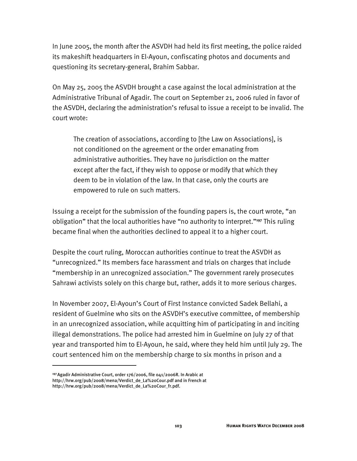In June 2005, the month after the ASVDH had held its first meeting, the police raided its makeshift headquarters in El-Ayoun, confiscating photos and documents and questioning its secretary-general, Brahim Sabbar.

On May 25, 2005 the ASVDH brought a case against the local administration at the Administrative Tribunal of Agadir. The court on September 21, 2006 ruled in favor of the ASVDH, declaring the administration's refusal to issue a receipt to be invalid. The court wrote:

The creation of associations, according to [the Law on Associations], is not conditioned on the agreement or the order emanating from administrative authorities. They have no jurisdiction on the matter except after the fact, if they wish to oppose or modify that which they deem to be in violation of the law. In that case, only the courts are empowered to rule on such matters.

Issuing a receipt for the submission of the founding papers is, the court wrote, "an obligation" that the local authorities have "no authority to interpret."**<sup>197</sup>** This ruling became final when the authorities declined to appeal it to a higher court.

Despite the court ruling, Moroccan authorities continue to treat the ASVDH as "unrecognized." Its members face harassment and trials on charges that include "membership in an unrecognized association." The government rarely prosecutes Sahrawi activists solely on this charge but, rather, adds it to more serious charges.

In November 2007, El-Ayoun's Court of First Instance convicted Sadek Bellahi, a resident of Guelmine who sits on the ASVDH's executive committee, of membership in an unrecognized association, while acquitting him of participating in and inciting illegal demonstrations. The police had arrested him in Guelmine on July 27 of that year and transported him to El-Ayoun, he said, where they held him until July 29. The court sentenced him on the membership charge to six months in prison and a

**<sup>197</sup>**Agadir Administrative Court, order 176/2006, file 041/2006R. In Arabic at http://hrw.org/pub/2008/mena/Verdict\_de\_La%20Cour.pdf and in French at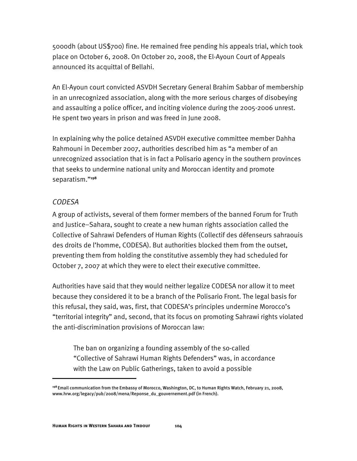5000dh (about US\$700) fine. He remained free pending his appeals trial, which took place on October 6, 2008. On October 20, 2008, the El-Ayoun Court of Appeals announced its acquittal of Bellahi.

An El-Ayoun court convicted ASVDH Secretary General Brahim Sabbar of membership in an unrecognized association, along with the more serious charges of disobeying and assaulting a police officer, and inciting violence during the 2005-2006 unrest. He spent two years in prison and was freed in June 2008.

In explaining why the police detained ASVDH executive committee member Dahha Rahmouni in December 2007, authorities described him as "a member of an unrecognized association that is in fact a Polisario agency in the southern provinces that seeks to undermine national unity and Moroccan identity and promote separatism."**<sup>198</sup>**

### *CODESA*

j

A group of activists, several of them former members of the banned Forum for Truth and Justice–Sahara, sought to create a new human rights association called the Collective of Sahrawi Defenders of Human Rights (Collectif des défenseurs sahraouis des droits de l'homme, CODESA). But authorities blocked them from the outset, preventing them from holding the constitutive assembly they had scheduled for October 7, 2007 at which they were to elect their executive committee.

Authorities have said that they would neither legalize CODESA nor allow it to meet because they considered it to be a branch of the Polisario Front. The legal basis for this refusal, they said, was, first, that CODESA's principles undermine Morocco's "territorial integrity" and, second, that its focus on promoting Sahrawi rights violated the anti-discrimination provisions of Moroccan law:

The ban on organizing a founding assembly of the so-called "Collective of Sahrawi Human Rights Defenders" was, in accordance with the Law on Public Gatherings, taken to avoid a possible

**<sup>198</sup>**Email communication from the Embassy of Morocco, Washington, DC, to Human Rights Watch, February 21, 2008, www.hrw.org/legacy/pub/2008/mena/Reponse\_du\_gouvernement.pdf (in French).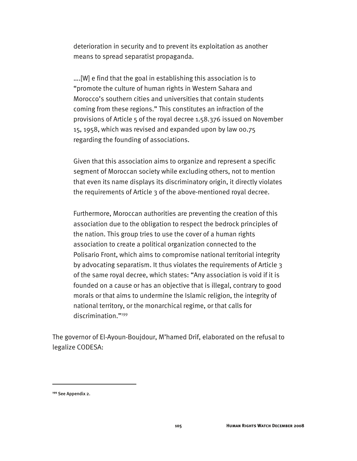deterioration in security and to prevent its exploitation as another means to spread separatist propaganda.

….[W] e find that the goal in establishing this association is to "promote the culture of human rights in Western Sahara and Morocco's southern cities and universities that contain students coming from these regions." This constitutes an infraction of the provisions of Article 5 of the royal decree 1.58.376 issued on November 15, 1958, which was revised and expanded upon by law 00.75 regarding the founding of associations.

Given that this association aims to organize and represent a specific segment of Moroccan society while excluding others, not to mention that even its name displays its discriminatory origin, it directly violates the requirements of Article 3 of the above-mentioned royal decree.

Furthermore, Moroccan authorities are preventing the creation of this association due to the obligation to respect the bedrock principles of the nation. This group tries to use the cover of a human rights association to create a political organization connected to the Polisario Front, which aims to compromise national territorial integrity by advocating separatism. It thus violates the requirements of Article 3 of the same royal decree, which states: "Any association is void if it is founded on a cause or has an objective that is illegal, contrary to good morals or that aims to undermine the Islamic religion, the integrity of national territory, or the monarchical regime, or that calls for discrimination."199

The governor of El-Ayoun-Boujdour, M'hamed Drif, elaborated on the refusal to legalize CODESA:

**<sup>199</sup>** See Appendix 2.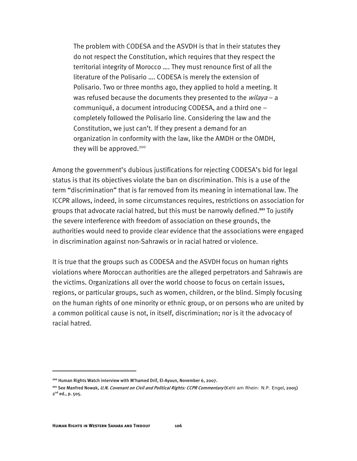The problem with CODESA and the ASVDH is that in their statutes they do not respect the Constitution, which requires that they respect the territorial integrity of Morocco …. They must renounce first of all the literature of the Polisario …. CODESA is merely the extension of Polisario. Two or three months ago, they applied to hold a meeting. It was refused because the documents they presented to the  $wilaya - a$ communiqué, a document introducing CODESA, and a third one – completely followed the Polisario line. Considering the law and the Constitution, we just can't. If they present a demand for an organization in conformity with the law, like the AMDH or the OMDH, they will be approved.<sup>200</sup>

Among the government's dubious justifications for rejecting CODESA's bid for legal status is that its objectives violate the ban on discrimination. This is a use of the term "discrimination" that is far removed from its meaning in international law. The ICCPR allows, indeed, in some circumstances requires, restrictions on association for groups that advocate racial hatred, but this must be narrowly defined.**<sup>201</sup>** To justify the severe interference with freedom of association on these grounds, the authorities would need to provide clear evidence that the associations were engaged in discrimination against non-Sahrawis or in racial hatred or violence.

It is true that the groups such as CODESA and the ASVDH focus on human rights violations where Moroccan authorities are the alleged perpetrators and Sahrawis are the victims. Organizations all over the world choose to focus on certain issues, regions, or particular groups, such as women, children, or the blind. Simply focusing on the human rights of one minority or ethnic group, or on persons who are united by a common political cause is not, in itself, discrimination; nor is it the advocacy of racial hatred.

**<sup>200</sup>** Human Rights Watch interview with M'hamed Drif, El-Ayoun, November 6, 2007.

**<sup>201</sup>** See Manfred Nowak, U.N. Covenant on Civil and Political Rights: CCPR Commentary (Kehl am Rhein: N.P. Engel, 2005) 2<sup>nd</sup> ed., p. 505.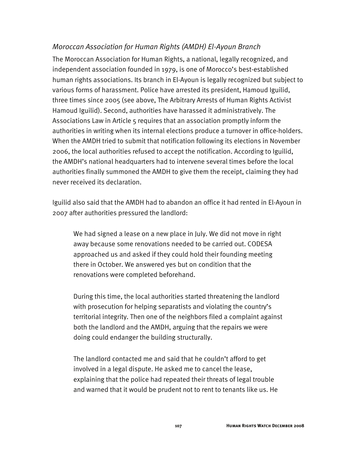## *Moroccan Association for Human Rights (AMDH) El-Ayoun Branch*

The Moroccan Association for Human Rights, a national, legally recognized, and independent association founded in 1979, is one of Morocco's best-established human rights associations. Its branch in El-Ayoun is legally recognized but subject to various forms of harassment. Police have arrested its president, Hamoud Iguilid, three times since 2005 (see above, The Arbitrary Arrests of Human Rights Activist Hamoud Iguilid). Second, authorities have harassed it administratively. The Associations Law in Article 5 requires that an association promptly inform the authorities in writing when its internal elections produce a turnover in office-holders. When the AMDH tried to submit that notification following its elections in November 2006, the local authorities refused to accept the notification. According to Iguilid, the AMDH's national headquarters had to intervene several times before the local authorities finally summoned the AMDH to give them the receipt, claiming they had never received its declaration.

Iguilid also said that the AMDH had to abandon an office it had rented in El-Ayoun in 2007 after authorities pressured the landlord:

We had signed a lease on a new place in July. We did not move in right away because some renovations needed to be carried out. CODESA approached us and asked if they could hold their founding meeting there in October. We answered yes but on condition that the renovations were completed beforehand.

During this time, the local authorities started threatening the landlord with prosecution for helping separatists and violating the country's territorial integrity. Then one of the neighbors filed a complaint against both the landlord and the AMDH, arguing that the repairs we were doing could endanger the building structurally.

The landlord contacted me and said that he couldn't afford to get involved in a legal dispute. He asked me to cancel the lease, explaining that the police had repeated their threats of legal trouble and warned that it would be prudent not to rent to tenants like us. He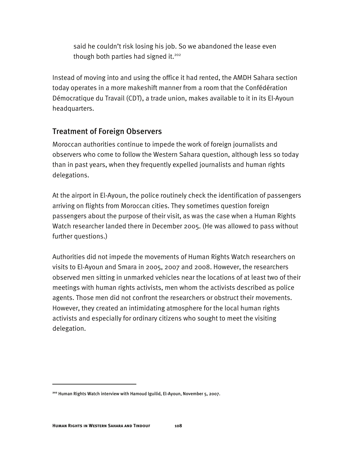said he couldn't risk losing his job. So we abandoned the lease even though both parties had signed it.<sup>202</sup>

Instead of moving into and using the office it had rented, the AMDH Sahara section today operates in a more makeshift manner from a room that the Confédération Démocratique du Travail (CDT), a trade union, makes available to it in its El-Ayoun headquarters.

## Treatment of Foreign Observers

Moroccan authorities continue to impede the work of foreign journalists and observers who come to follow the Western Sahara question, although less so today than in past years, when they frequently expelled journalists and human rights delegations.

At the airport in El-Ayoun, the police routinely check the identification of passengers arriving on flights from Moroccan cities. They sometimes question foreign passengers about the purpose of their visit, as was the case when a Human Rights Watch researcher landed there in December 2005. (He was allowed to pass without further questions.)

Authorities did not impede the movements of Human Rights Watch researchers on visits to El-Ayoun and Smara in 2005, 2007 and 2008. However, the researchers observed men sitting in unmarked vehicles near the locations of at least two of their meetings with human rights activists, men whom the activists described as police agents. Those men did not confront the researchers or obstruct their movements. However, they created an intimidating atmosphere for the local human rights activists and especially for ordinary citizens who sought to meet the visiting delegation.

**<sup>202</sup>** Human Rights Watch interview with Hamoud Iguilid, El-Ayoun, November 5, 2007.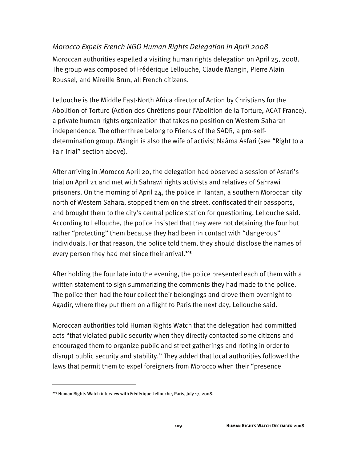## *Morocco Expels French NGO Human Rights Delegation in April 2008*

Moroccan authorities expelled a visiting human rights delegation on April 25, 2008. The group was composed of Frédérique Lellouche, Claude Mangin, Pierre Alain Roussel, and Mireille Brun, all French citizens.

Lellouche is the Middle East-North Africa director of Action by Christians for the Abolition of Torture (Action des Chrétiens pour l'Abolition de la Torture, ACAT France), a private human rights organization that takes no position on Western Saharan independence. The other three belong to Friends of the SADR, a pro-selfdetermination group. Mangin is also the wife of activist Naâma Asfari (see "Right to a Fair Trial" section above).

After arriving in Morocco April 20, the delegation had observed a session of Asfari's trial on April 21 and met with Sahrawi rights activists and relatives of Sahrawi prisoners. On the morning of April 24, the police in Tantan, a southern Moroccan city north of Western Sahara, stopped them on the street, confiscated their passports, and brought them to the city's central police station for questioning, Lellouche said. According to Lellouche, the police insisted that they were not detaining the four but rather "protecting" them because they had been in contact with "dangerous" individuals. For that reason, the police told them, they should disclose the names of every person they had met since their arrival.**<sup>203</sup>**

After holding the four late into the evening, the police presented each of them with a written statement to sign summarizing the comments they had made to the police. The police then had the four collect their belongings and drove them overnight to Agadir, where they put them on a flight to Paris the next day, Lellouche said.

Moroccan authorities told Human Rights Watch that the delegation had committed acts "that violated public security when they directly contacted some citizens and encouraged them to organize public and street gatherings and rioting in order to disrupt public security and stability." They added that local authorities followed the laws that permit them to expel foreigners from Morocco when their "presence

**<sup>203</sup>** Human Rights Watch interview with Frédérique Lellouche, Paris, July 17, 2008.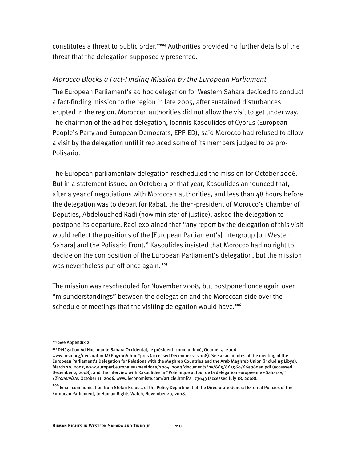constitutes a threat to public order."**<sup>204</sup>** Authorities provided no further details of the threat that the delegation supposedly presented.

### *Morocco Blocks a Fact-Finding Mission by the European Parliament*

The European Parliament's ad hoc delegation for Western Sahara decided to conduct a fact-finding mission to the region in late 2005, after sustained disturbances erupted in the region. Moroccan authorities did not allow the visit to get under way. The chairman of the ad hoc delegation, Ioannis Kasoulides of Cyprus (European People's Party and European Democrats, EPP-ED), said Morocco had refused to allow a visit by the delegation until it replaced some of its members judged to be pro-Polisario.

The European parliamentary delegation rescheduled the mission for October 2006. But in a statement issued on October 4 of that year, Kasoulides announced that, after a year of negotiations with Moroccan authorities, and less than  $48$  hours before the delegation was to depart for Rabat, the then-president of Morocco's Chamber of Deputies, Abdelouahed Radi (now minister of justice), asked the delegation to postpone its departure. Radi explained that "any report by the delegation of this visit would reflect the positions of the [European Parliament's] Intergroup [on Western Sahara] and the Polisario Front." Kasoulides insisted that Morocco had no right to decide on the composition of the European Parliament's delegation, but the mission was nevertheless put off once again.**<sup>205</sup>**

The mission was rescheduled for November 2008, but postponed once again over "misunderstandings" between the delegation and the Moroccan side over the schedule of meetings that the visiting delegation would have.**<sup>206</sup>**

j

**<sup>205</sup>**Délégation Ad Hoc pour le Sahara Occidental, le président, communiqué, October 4, 2006,

www.arso.org/declarationMEP051006.htm#pres (accessed December 2, 2008). See also minutes of the meeting of the European Parliament's Delegation for Relations with the Maghreb Countries and the Arab Maghreb Union (including Libya), March 20, 2007, www.europarl.europa.eu/meetdocs/2004\_2009/documents/pv/665/665960/665960en.pdf (accessed December 2, 2008); and the interview with Kasoulides in "Polémique autour de la délégation européenne «Sahara»," l'Economiste, October 11, 2006, www.leconomiste.com/article.html?a=73643 (accessed July 18, 2008).

**<sup>204</sup>** See Appendix 2.

**<sup>206</sup>** Email communication from Stefan Krauss, of the Policy Department of the Directorate General External Policies of the European Parliament, to Human Rights Watch, November 20, 2008.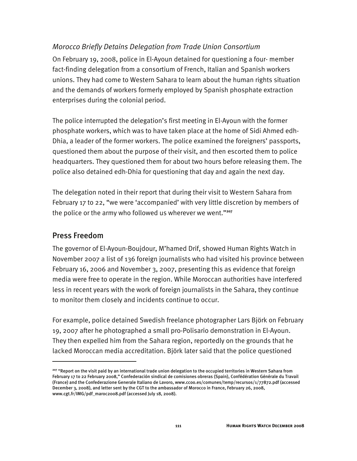## *Morocco Briefly Detains Delegation from Trade Union Consortium*

On February 19, 2008, police in El-Ayoun detained for questioning a four- member fact-finding delegation from a consortium of French, Italian and Spanish workers unions. They had come to Western Sahara to learn about the human rights situation and the demands of workers formerly employed by Spanish phosphate extraction enterprises during the colonial period.

The police interrupted the delegation's first meeting in El-Ayoun with the former phosphate workers, which was to have taken place at the home of Sidi Ahmed edh-Dhia, a leader of the former workers. The police examined the foreigners' passports, questioned them about the purpose of their visit, and then escorted them to police headquarters. They questioned them for about two hours before releasing them. The police also detained edh-Dhia for questioning that day and again the next day.

The delegation noted in their report that during their visit to Western Sahara from February 17 to 22, "we were 'accompanied' with very little discretion by members of the police or the army who followed us wherever we went."**<sup>207</sup>**

## Press Freedom

j

The governor of El-Ayoun-Boujdour, M'hamed Drif, showed Human Rights Watch in November 2007 a list of 136 foreign journalists who had visited his province between February 16, 2006 and November 3, 2007, presenting this as evidence that foreign media were free to operate in the region. While Moroccan authorities have interfered less in recent years with the work of foreign journalists in the Sahara, they continue to monitor them closely and incidents continue to occur.

For example, police detained Swedish freelance photographer Lars Björk on February 19, 2007 after he photographed a small pro-Polisario demonstration in El-Ayoun. They then expelled him from the Sahara region, reportedly on the grounds that he lacked Moroccan media accreditation. Björk later said that the police questioned

**<sup>207</sup>** "Report on the visit paid by an international trade union delegation to the occupied territories in Western Sahara from February 17 to 22 February 2008," Confederación sindical de comisiones obreras (Spain), Confédération Générale du Travail (France) and the Confederazione Generale Italiano de Lavoro, www.ccoo.es/comunes/temp/recursos/1/77872.pdf (accessed December 3, 2008), and letter sent by the CGT to the ambassador of Morocco in France, February 26, 2008, www.cgt.fr/IMG/pdf\_maroc2008.pdf (accessed July 18, 2008).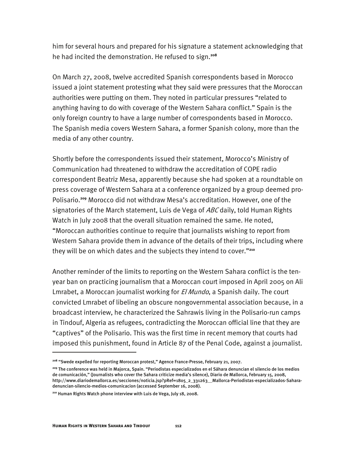him for several hours and prepared for his signature a statement acknowledging that he had incited the demonstration. He refused to sign.**<sup>208</sup>**

On March 27, 2008, twelve accredited Spanish correspondents based in Morocco issued a joint statement protesting what they said were pressures that the Moroccan authorities were putting on them. They noted in particular pressures "related to anything having to do with coverage of the Western Sahara conflict." Spain is the only foreign country to have a large number of correspondents based in Morocco. The Spanish media covers Western Sahara, a former Spanish colony, more than the media of any other country.

Shortly before the correspondents issued their statement, Morocco's Ministry of Communication had threatened to withdraw the accreditation of COPE radio correspondent Beatriz Mesa, apparently because she had spoken at a roundtable on press coverage of Western Sahara at a conference organized by a group deemed pro-Polisario.**<sup>209</sup>** Morocco did not withdraw Mesa's accreditation. However, one of the signatories of the March statement, Luis de Vega of ABC daily, told Human Rights Watch in July 2008 that the overall situation remained the same. He noted, "Moroccan authorities continue to require that journalists wishing to report from Western Sahara provide them in advance of the details of their trips, including where they will be on which dates and the subjects they intend to cover."**<sup>210</sup>**

Another reminder of the limits to reporting on the Western Sahara conflict is the tenyear ban on practicing journalism that a Moroccan court imposed in April 2005 on Ali Lmrabet, a Moroccan journalist working for *El Mundo*, a Spanish daily. The court convicted Lmrabet of libeling an obscure nongovernmental association because, in a broadcast interview, he characterized the Sahrawis living in the Polisario-run camps in Tindouf, Algeria as refugees, contradicting the Moroccan official line that they are "captives" of the Polisario. This was the first time in recent memory that courts had imposed this punishment, found in Article 87 of the Penal Code, against a journalist.

**<sup>208</sup>** "Swede expelled for reporting Moroccan protest," Agence France-Presse, February 21, 2007.

**<sup>209</sup>** The conference was held in Majorca, Spain. "Periodistas especializados en el Sáhara denuncian el silencio de los medios de comunicación," (Journalists who cover the Sahara criticize media's silence), Diario de Mallorca, February 15, 2008, http://www.diariodemallorca.es/secciones/noticia.jsp?pRef=1805\_2\_331263\_\_Mallorca-Periodistas-especializados-Saharadenuncian-silencio-medios-comunicacion (accessed September 16, 2008).

**<sup>210</sup>** Human Rights Watch phone interview with Luis de Vega, July 18, 2008.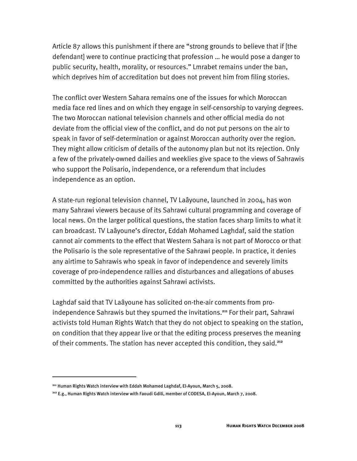Article 87 allows this punishment if there are "strong grounds to believe that if [the defendant] were to continue practicing that profession … he would pose a danger to public security, health, morality, or resources." Lmrabet remains under the ban, which deprives him of accreditation but does not prevent him from filing stories.

The conflict over Western Sahara remains one of the issues for which Moroccan media face red lines and on which they engage in self-censorship to varying degrees. The two Moroccan national television channels and other official media do not deviate from the official view of the conflict, and do not put persons on the air to speak in favor of self-determination or against Moroccan authority over the region. They might allow criticism of details of the autonomy plan but not its rejection. Only a few of the privately-owned dailies and weeklies give space to the views of Sahrawis who support the Polisario, independence, or a referendum that includes independence as an option.

A state-run regional television channel, TV Laâyoune, launched in 2004, has won many Sahrawi viewers because of its Sahrawi cultural programming and coverage of local news. On the larger political questions, the station faces sharp limits to what it can broadcast. TV Laâyoune's director, Eddah Mohamed Laghdaf, said the station cannot air comments to the effect that Western Sahara is not part of Morocco or that the Polisario is the sole representative of the Sahrawi people. In practice, it denies any airtime to Sahrawis who speak in favor of independence and severely limits coverage of pro-independence rallies and disturbances and allegations of abuses committed by the authorities against Sahrawi activists.

Laghdaf said that TV Laâyoune has solicited on-the-air comments from proindependence Sahrawis but they spurned the invitations.**<sup>211</sup>** For their part, Sahrawi activists told Human Rights Watch that they do not object to speaking on the station, on condition that they appear live or that the editing process preserves the meaning of their comments. The station has never accepted this condition, they said.**<sup>212</sup>**

**<sup>211</sup>** Human Rights Watch interview with Eddah Mohamed Laghdaf, El-Ayoun, March 5, 2008.

**<sup>212</sup>** E.g., Human Rights Watch interview with Faoudi Gdili, member of CODESA, El-Ayoun, March 7, 2008.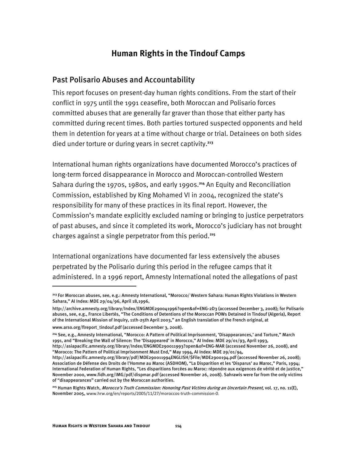# **Human Rights in the Tindouf Camps**

## Past Polisario Abuses and Accountability

This report focuses on present-day human rights conditions. From the start of their conflict in 1975 until the 1991 ceasefire, both Moroccan and Polisario forces committed abuses that are generally far graver than those that either party has committed during recent times. Both parties tortured suspected opponents and held them in detention for years at a time without charge or trial. Detainees on both sides died under torture or during years in secret captivity.**<sup>213</sup>**

International human rights organizations have documented Morocco's practices of long-term forced disappearance in Morocco and Moroccan-controlled Western Sahara during the 1970s, 1980s, and early 1990s.**<sup>214</sup>** An Equity and Reconciliation Commission, established by King Mohamed VI in 2004, recognized the state's responsibility for many of these practices in its final report. However, the Commission's mandate explicitly excluded naming or bringing to justice perpetrators of past abuses, and since it completed its work, Morocco's judiciary has not brought charges against a single perpetrator from this period.**<sup>215</sup>**

International organizations have documented far less extensively the abuses perpetrated by the Polisario during this period in the refugee camps that it administered. In a 1996 report, Amnesty International noted the allegations of past

**<sup>213</sup>** For Moroccan abuses, see, e.g.: Amnesty International, "Morocco/ Western Sahara: Human Rights Violations in Western Sahara," AI Index: MDE 29/04/96, April 18,1996,

http://archive.amnesty.org/library/Index/ENGMDE290041996?open&of=ENG-2D3 (accessed December 3, 2008); for Polisario abuses, see, e.g., France Libertés, "The Conditions of Detentions of the Moroccan POWs Detained in Tindouf (Algeria), Report of the International Mission of Inquiry, 11th-25th April 2003," an English translation of the French original, at

www.arso.org/flreport\_tindouf.pdf (accessed December 3, 2008).

**<sup>214</sup>** See, e.g., Amnesty International, "Morocco: A Pattern of Political Imprisonment, 'Disappearances,' and Torture," March 1991, and "Breaking the Wall of Silence: The 'Disappeared' in Morocco," AI Index: MDE 29/01/93, April 1993,

http://asiapacific.amnesty.org/library/Index/ENGMDE290011993?open&of=ENG-MAR (accessed November 26, 2008), and "Morocco: The Pattern of Political Imprisonment Must End," May 1994, AI Index: MDE 29/01/94,

http://asiapacific.amnesty.org/library/pdf/MDE290011994ENGLISH/\$File/MDE2900194.pdf (accessed November 26, 2008); Association de Défense des Droits de l'Homme au Maroc (ASDHOM), "La Disparition et les 'Disparus' au Maroc," Paris, 1994; International Federation of Human Rights, "Les disparitions forcées au Maroc: répondre aux exigences de vérité et de justice," November 2000, www.fidh.org/IMG/pdf/dispmar.pdf (accessed November 26, 2008). Sahrawis were far from the only victims of "disappearances" carried out by the Moroccan authorities.

**<sup>215</sup>** Human Rights Watch, Morocco's Truth Commission: Honoring Past Victims during an Uncertain Present, vol. 17, no. 11(E), November 2005, www.hrw.org/en/reports/2005/11/27/moroccos-truth-commission-0.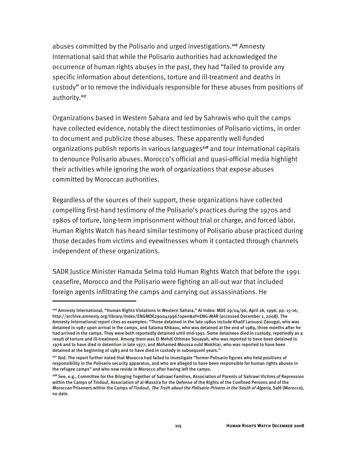abuses committed by the Polisario and urged investigations.**<sup>216</sup>** Amnesty International said that while the Polisario authorities had acknowledged the occurrence of human rights abuses in the past, they had "failed to provide any specific information about detentions, torture and ill-treatment and deaths in custody" or to remove the individuals responsible for these abuses from positions of authority.**<sup>217</sup>**

Organizations based in Western Sahara and led by Sahrawis who quit the camps have collected evidence, notably the direct testimonies of Polisario victims, in order to document and publicize those abuses. These apparently well-funded organizations publish reports in various languages**<sup>218</sup>** and tour international capitals to denounce Polisario abuses. Morocco's official and quasi-official media highlight their activities while ignoring the work of organizations that expose abuses committed by Moroccan authorities.

Regardless of the sources of their support, these organizations have collected compelling first-hand testimony of the Polisario's practices during the 1970s and 1980s of torture, long-term imprisonment without trial or charge, and forced labor. Human Rights Watch has heard similar testimony of Polisario abuse practiced during those decades from victims and eyewitnesses whom it contacted through channels independent of these organizations.

SADR Justice Minister Hamada Selma told Human Rights Watch that before the 1991 ceasefire, Morocco and the Polisario were fighting an all-out war that included foreign agents infiltrating the camps and carrying out assassinations. He

**<sup>216</sup>** Amnesty International, "Human Rights Violations in Western Sahara," AI Index: MDE 29/04/96, April 18, 1996, pp. 15-16; http://archive.amnesty.org/library/Index/ENGMDE290041996?open&of=ENG-MAR (accessed December 1, 2008). The Amnesty International report cites as examples: "Those detained in the late 1980s include Khalif Laroussi Zaougai, who was detained in 1987 upon arrival in the camps, and Salama Khbaou, who was detained at the end of 1989, three months after he had arrived in the camps. They were both reportedly detained until mid-1991. Some detainees died in custody, reportedly as a result of torture and ill-treatment. Among them was El Mehdi Othman Souayah, who was reported to have been detained in 1976 and to have died in detention in late 1977, and Mohamed Moussa ould Mokhtar, who was reported to have been detained at the beginning of 1983 and to have died in custody in subsequent years."

**<sup>217</sup>** Ibid. The report further noted that Morocco had failed to investigate "former Polisario figures who held positions of responsibility in the Polisario security apparatus, and who are alleged to have been responsible for human rights abuses in the refugee camps" and who now reside in Morocco after having left the camps.

**<sup>218</sup>** See, e.g., Committee for the Bringing Together of Sahrawi Families, Association of Parents of Sahrawi Victims of Repression within the Camps of Tindouf, Association of al-Massira for the Defense of the Rights of the Confined Persons and of the Moroccan Prisoners within the Camps of Tindouf, The Truth about the Polisario Prisons in the South of Algeria, Salé (Morocco), no date.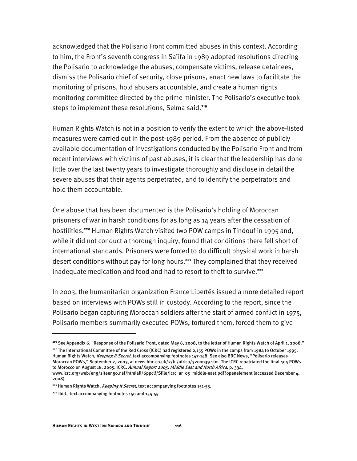acknowledged that the Polisario Front committed abuses in this context. According to him, the Front's seventh congress in Sa'ifa in 1989 adopted resolutions directing the Polisario to acknowledge the abuses, compensate victims, release detainees, dismiss the Polisario chief of security, close prisons, enact new laws to facilitate the monitoring of prisons, hold abusers accountable, and create a human rights monitoring committee directed by the prime minister. The Polisario's executive took steps to implement these resolutions, Selma said.**<sup>219</sup>**

Human Rights Watch is not in a position to verify the extent to which the above-listed measures were carried out in the post-1989 period. From the absence of publicly available documentation of investigations conducted by the Polisario Front and from recent interviews with victims of past abuses, it is clear that the leadership has done little over the last twenty years to investigate thoroughly and disclose in detail the severe abuses that their agents perpetrated, and to identify the perpetrators and hold them accountable.

One abuse that has been documented is the Polisario's holding of Moroccan prisoners of war in harsh conditions for as long as 14 years after the cessation of hostilities.**<sup>220</sup>** Human Rights Watch visited two POW camps in Tindouf in 1995 and, while it did not conduct a thorough inquiry, found that conditions there fell short of international standards. Prisoners were forced to do difficult physical work in harsh desert conditions without pay for long hours.**<sup>221</sup>** They complained that they received inadequate medication and food and had to resort to theft to survive.**<sup>222</sup>**

In 2003, the humanitarian organization France Libertés issued a more detailed report based on interviews with POWs still in custody. According to the report, since the Polisario began capturing Moroccan soldiers after the start of armed conflict in 1975, Polisario members summarily executed POWs, tortured them, forced them to give

**<sup>219</sup>** See Appendix 6, "Response of the Polisario Front, dated May 6, 2008, to the letter of Human Rights Watch of April 1, 2008." **<sup>220</sup>**The International Committee of the Red Cross (ICRC) had registered 2,155 POWs in the camps from 1984 to October 1995.

Human Rights Watch, Keeping It Secret, text accompanying footnotes 147-148. See also BBC News, "Polisario releases Moroccan POWs," September 2, 2003, at news.bbc.co.uk/2/hi/africa/3200039.stm. The ICRC repatriated the final 404 POWs to Morocco on August 18, 2005. ICRC, Annual Report 2005: Middle East and North Africa, p. 334,

www.icrc.org/web/eng/siteeng0.nsf/htmlall/6ppclf/\$file/icrc\_ar\_05\_middle-east.pdf?openelement (accessed December 4, 2008).

<sup>&</sup>lt;sup>221</sup> Human Rights Watch, Keeping It Secret, text accompanying footnotes 151-53.

**<sup>222</sup>** Ibid., text accompanying footnotes 150 and 154-55.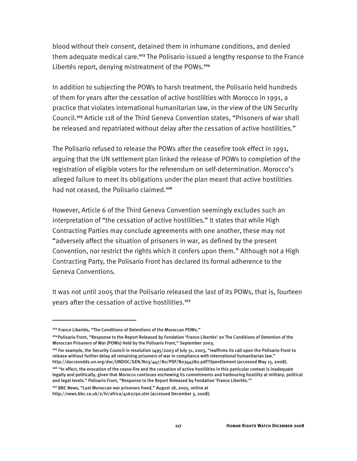blood without their consent, detained them in inhumane conditions, and denied them adequate medical care.**<sup>223</sup>** The Polisario issued a lengthy response to the France Libertés report, denying mistreatment of the POWs.**<sup>224</sup>**

In addition to subjecting the POWs to harsh treatment, the Polisario held hundreds of them for years after the cessation of active hostilities with Morocco in 1991, a practice that violates international humanitarian law, in the view of the UN Security Council.**<sup>225</sup>** Article 118 of the Third Geneva Convention states, "Prisoners of war shall be released and repatriated without delay after the cessation of active hostilities."

The Polisario refused to release the POWs after the ceasefire took effect in 1991, arguing that the UN settlement plan linked the release of POWs to completion of the registration of eligible voters for the referendum on self-determination. Morocco's alleged failure to meet its obligations under the plan meant that active hostilities had not ceased, the Polisario claimed.**<sup>226</sup>**

However, Article 6 of the Third Geneva Convention seemingly excludes such an interpretation of "the cessation of active hostilities." It states that while High Contracting Parties may conclude agreements with one another, these may not "adversely affect the situation of prisoners in war, as defined by the present Convention, nor restrict the rights which it confers upon them." Although not a High Contracting Party, the Polisario Front has declared its formal adherence to the Geneva Conventions.

It was not until 2005 that the Polisario released the last of its POWs, that is, fourteen years after the cessation of active hostilities.**<sup>227</sup>**

I

**<sup>225</sup>** For example, the Security Council in resolution 1495/2003 of July 31, 2003, "reaffirms its call upon the Polisario Front to release without further delay all remaining prisoners of war in compliance with international humanitarian law." http://daccessdds.un.org/doc/UNDOC/GEN/N03/447/80/PDF/N0344780.pdf?OpenElement (accessed May 15, 2008).

**<sup>223</sup>** France Libertés, "The Conditions of Detentions of the Moroccan POWs."

**<sup>224</sup>**Polisario Front, "Response to the Report Released by Fondation 'France Libertés' on The Conditions of Detention of the Moroccan Prisoners of War (POWs) Held by the Polisario Front," September 2003.

**<sup>226</sup>** "In effect, the evocation of the cease-fire and the cessation of active hostilities in this particular context is inadequate legally and politically, given that Morocco continues eschewing its commitments and harbouring hostility at military, political and legal levels." Polisario Front, "Response to the Report Released by Fondation 'France Libertés.'"

**<sup>227</sup>** BBC News, "Last Moroccan war prisoners freed," August 18, 2005, online at

http://news.bbc.co.uk/2/hi/africa/4162790.stm (accessed December 3, 2008).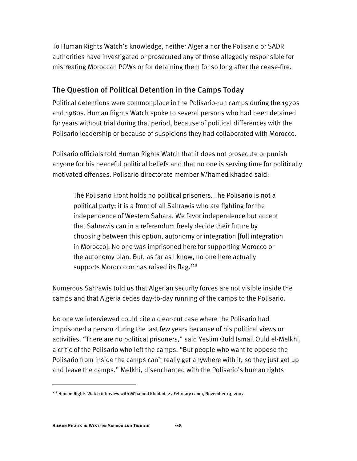To Human Rights Watch's knowledge, neither Algeria nor the Polisario or SADR authorities have investigated or prosecuted any of those allegedly responsible for mistreating Moroccan POWs or for detaining them for so long after the cease-fire.

## The Question of Political Detention in the Camps Today

Political detentions were commonplace in the Polisario-run camps during the 1970s and 1980s. Human Rights Watch spoke to several persons who had been detained for years without trial during that period, because of political differences with the Polisario leadership or because of suspicions they had collaborated with Morocco.

Polisario officials told Human Rights Watch that it does not prosecute or punish anyone for his peaceful political beliefs and that no one is serving time for politically motivated offenses. Polisario directorate member M'hamed Khadad said:

The Polisario Front holds no political prisoners. The Polisario is not a political party; it is a front of all Sahrawis who are fighting for the independence of Western Sahara. We favor independence but accept that Sahrawis can in a referendum freely decide their future by choosing between this option, autonomy or integration [full integration in Morocco]. No one was imprisoned here for supporting Morocco or the autonomy plan. But, as far as I know, no one here actually supports Morocco or has raised its flag.<sup>228</sup>

Numerous Sahrawis told us that Algerian security forces are not visible inside the camps and that Algeria cedes day-to-day running of the camps to the Polisario.

No one we interviewed could cite a clear-cut case where the Polisario had imprisoned a person during the last few years because of his political views or activities. "There are no political prisoners," said Yeslim Ould Ismail Ould el-Melkhi, a critic of the Polisario who left the camps. "But people who want to oppose the Polisario from inside the camps can't really get anywhere with it, so they just get up and leave the camps." Melkhi, disenchanted with the Polisario's human rights

**<sup>228</sup>** Human Rights Watch interview with M'hamed Khadad, 27 February camp, November 13, 2007.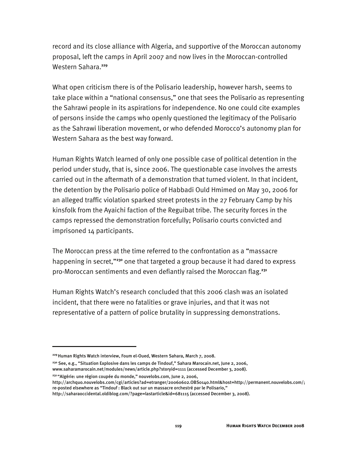record and its close alliance with Algeria, and supportive of the Moroccan autonomy proposal, left the camps in April 2007 and now lives in the Moroccan-controlled Western Sahara.**<sup>229</sup>**

What open criticism there is of the Polisario leadership, however harsh, seems to take place within a "national consensus," one that sees the Polisario as representing the Sahrawi people in its aspirations for independence. No one could cite examples of persons inside the camps who openly questioned the legitimacy of the Polisario as the Sahrawi liberation movement, or who defended Morocco's autonomy plan for Western Sahara as the best way forward.

Human Rights Watch learned of only one possible case of political detention in the period under study, that is, since 2006. The questionable case involves the arrests carried out in the aftermath of a demonstration that turned violent. In that incident, the detention by the Polisario police of Habbadi Ould Hmimed on May 30, 2006 for an alleged traffic violation sparked street protests in the 27 February Camp by his kinsfolk from the Ayaichi faction of the Reguibat tribe. The security forces in the camps repressed the demonstration forcefully; Polisario courts convicted and imprisoned 14 participants.

The Moroccan press at the time referred to the confrontation as a "massacre happening in secret,"**<sup>230</sup>** one that targeted a group because it had dared to express pro-Moroccan sentiments and even defiantly raised the Moroccan flag.**<sup>231</sup>**

Human Rights Watch's research concluded that this 2006 clash was an isolated incident, that there were no fatalities or grave injuries, and that it was not representative of a pattern of police brutality in suppressing demonstrations.

**<sup>229</sup>**Human Rights Watch interview, Foum el-Oued, Western Sahara, March 7, 2008.

**<sup>230</sup>** See, e.g., "Situation Explosive dans les camps de Tindouf," Sahara Marocain.net, June 2, 2006, www.saharamarocain.net/modules/news/article.php?storyid=1111 (accessed December 3, 2008).

**<sup>231</sup>**"Algérie: une région coupée du monde," nouvelobs.com, June 2, 2006,

http://archquo.nouvelobs.com/cgi/articles?ad=etranger/20060602.OBS0140.html&host=http://permanent.nouvelobs.com/; re-posted elsewhere as "Tindouf : Black out sur un massacre orchestré par le Polisario,"

http://saharaoccidental.oldiblog.com/?page=lastarticle&id=681115 (accessed December 3, 2008).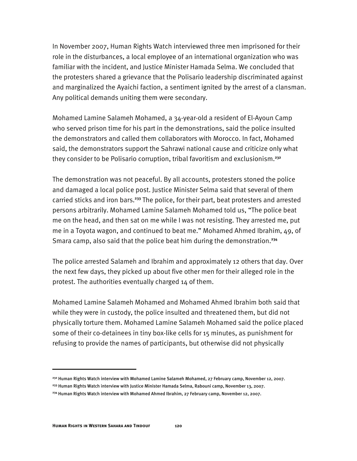In November 2007, Human Rights Watch interviewed three men imprisoned for their role in the disturbances, a local employee of an international organization who was familiar with the incident, and Justice Minister Hamada Selma. We concluded that the protesters shared a grievance that the Polisario leadership discriminated against and marginalized the Ayaichi faction, a sentiment ignited by the arrest of a clansman. Any political demands uniting them were secondary.

Mohamed Lamine Salameh Mohamed, a 34-year-old a resident of El-Ayoun Camp who served prison time for his part in the demonstrations, said the police insulted the demonstrators and called them collaborators with Morocco. In fact, Mohamed said, the demonstrators support the Sahrawi national cause and criticize only what they consider to be Polisario corruption, tribal favoritism and exclusionism.**<sup>232</sup>**

The demonstration was not peaceful. By all accounts, protesters stoned the police and damaged a local police post. Justice Minister Selma said that several of them carried sticks and iron bars.**<sup>233</sup>** The police, for their part, beat protesters and arrested persons arbitrarily. Mohamed Lamine Salameh Mohamed told us, "The police beat me on the head, and then sat on me while I was not resisting. They arrested me, put me in a Toyota wagon, and continued to beat me." Mohamed Ahmed Ibrahim, 49, of Smara camp, also said that the police beat him during the demonstration.**<sup>234</sup>**

The police arrested Salameh and Ibrahim and approximately 12 others that day. Over the next few days, they picked up about five other men for their alleged role in the protest. The authorities eventually charged 14 of them.

Mohamed Lamine Salameh Mohamed and Mohamed Ahmed Ibrahim both said that while they were in custody, the police insulted and threatened them, but did not physically torture them. Mohamed Lamine Salameh Mohamed said the police placed some of their co-detainees in tiny box-like cells for 15 minutes, as punishment for refusing to provide the names of participants, but otherwise did not physically

**<sup>232</sup>** Human Rights Watch interview with Mohamed Lamine Salameh Mohamed, 27 February camp, November 12, 2007.

**<sup>233</sup>** Human Rights Watch interview with Justice Minister Hamada Selma, Rabouni camp, November 13, 2007.

**<sup>234</sup>** Human Rights Watch interview with Mohamed Ahmed Ibrahim, 27 February camp, November 12, 2007.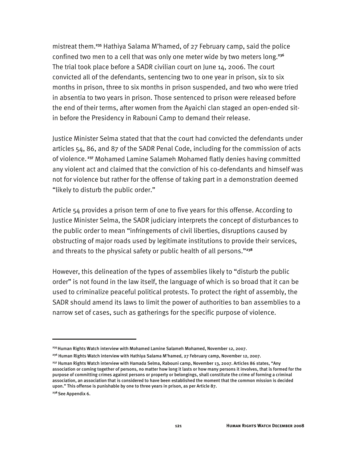mistreat them.**<sup>235</sup>** Hathiya Salama M'hamed, of 27 February camp, said the police confined two men to a cell that was only one meter wide by two meters long.**<sup>236</sup>** The trial took place before a SADR civilian court on June 14, 2006. The court convicted all of the defendants, sentencing two to one year in prison, six to six months in prison, three to six months in prison suspended, and two who were tried in absentia to two years in prison. Those sentenced to prison were released before the end of their terms, after women from the Ayaichi clan staged an open-ended sitin before the Presidency in Rabouni Camp to demand their release.

Justice Minister Selma stated that that the court had convicted the defendants under articles 54, 86, and 87 of the SADR Penal Code, including for the commission of acts of violence.**<sup>237</sup>** Mohamed Lamine Salameh Mohamed flatly denies having committed any violent act and claimed that the conviction of his co-defendants and himself was not for violence but rather for the offense of taking part in a demonstration deemed "likely to disturb the public order."

Article 54 provides a prison term of one to five years for this offense. According to Justice Minister Selma, the SADR judiciary interprets the concept of disturbances to the public order to mean "infringements of civil liberties, disruptions caused by obstructing of major roads used by legitimate institutions to provide their services, and threats to the physical safety or public health of all persons."**<sup>238</sup>**

However, this delineation of the types of assemblies likely to "disturb the public order" is not found in the law itself, the language of which is so broad that it can be used to criminalize peaceful political protests. To protect the right of assembly, the SADR should amend its laws to limit the power of authorities to ban assemblies to a narrow set of cases, such as gatherings for the specific purpose of violence.

**<sup>235</sup>**Human Rights Watch interview with Mohamed Lamine Salameh Mohamed, November 12, 2007.

**<sup>236</sup>** Human Rights Watch interview with Hathiya Salama M'hamed, 27 February camp, November 12, 2007.

**<sup>237</sup>** Human Rights Watch interview with Hamada Selma, Rabouni camp, November 13, 2007. Articles 86 states, "Any association or coming together of persons, no matter how long it lasts or how many persons it involves, that is formed for the purpose of committing crimes against persons or property or belongings, shall constitute the crime of forming a criminal association, an association that is considered to have been established the moment that the common mission is decided upon." This offense is punishable by one to three years in prison, as per Article 87.

**<sup>238</sup>** See Appendix 6.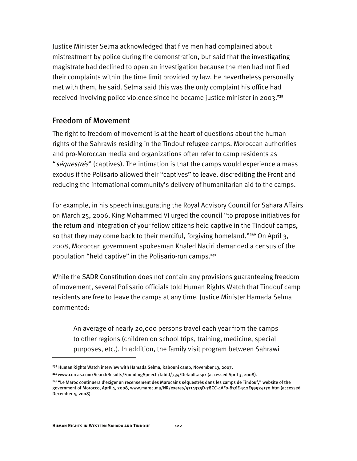Justice Minister Selma acknowledged that five men had complained about mistreatment by police during the demonstration, but said that the investigating magistrate had declined to open an investigation because the men had not filed their complaints within the time limit provided by law. He nevertheless personally met with them, he said. Selma said this was the only complaint his office had received involving police violence since he became justice minister in 2003.**<sup>239</sup>**

## Freedom of Movement

The right to freedom of movement is at the heart of questions about the human rights of the Sahrawis residing in the Tindouf refugee camps. Moroccan authorities and pro-Moroccan media and organizations often refer to camp residents as "*séquestrés*" (captives). The intimation is that the camps would experience a mass exodus if the Polisario allowed their "captives" to leave, discrediting the Front and reducing the international community's delivery of humanitarian aid to the camps.

For example, in his speech inaugurating the Royal Advisory Council for Sahara Affairs on March 25, 2006, King Mohammed VI urged the council "to propose initiatives for the return and integration of your fellow citizens held captive in the Tindouf camps, so that they may come back to their merciful, forgiving homeland."**<sup>240</sup>** On April 3, 2008, Moroccan government spokesman Khaled Naciri demanded a census of the population "held captive" in the Polisario-run camps.**<sup>241</sup>**

While the SADR Constitution does not contain any provisions guaranteeing freedom of movement, several Polisario officials told Human Rights Watch that Tindouf camp residents are free to leave the camps at any time. Justice Minister Hamada Selma commented:

An average of nearly 20,000 persons travel each year from the camps to other regions (children on school trips, training, medicine, special purposes, etc.). In addition, the family visit program between Sahrawi

**<sup>239</sup>** Human Rights Watch interview with Hamada Selma, Rabouni camp, November 13, 2007.

**<sup>240</sup>**www.corcas.com/SearchResults/FoundingSpeech/tabid/734/Default.aspx (accessed April 3, 2008).

**<sup>241</sup>** "Le Maroc continuera d'exiger un recensement des Marocains séquestrés dans les camps de Tindouf," website of the government of Morocco, April 4, 2008, www.maroc.ma/NR/exeres/5114335D-78CC-4AF0-836E-912E59924170.htm (accessed December 4, 2008).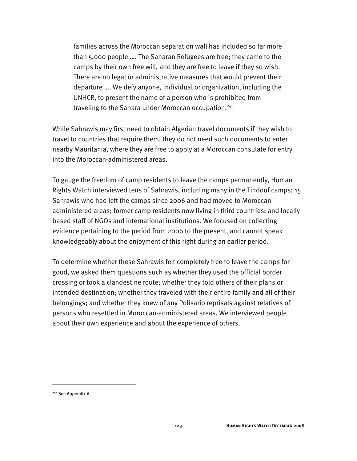families across the Moroccan separation wall has included so far more than 5,000 people …. The Saharan Refugees are free; they came to the camps by their own free will, and they are free to leave if they so wish. There are no legal or administrative measures that would prevent their departure …. We defy anyone, individual or organization, including the UNHCR, to present the name of a person who is prohibited from traveling to the Sahara under Moroccan occupation.<sup>242</sup>

While Sahrawis may first need to obtain Algerian travel documents if they wish to travel to countries that require them, they do not need such documents to enter nearby Mauritania, where they are free to apply at a Moroccan consulate for entry into the Moroccan-administered areas.

To gauge the freedom of camp residents to leave the camps permanently, Human Rights Watch interviewed tens of Sahrawis, including many in the Tindouf camps; 15 Sahrawis who had left the camps since 2006 and had moved to Moroccanadministered areas; former camp residents now living in third countries; and locally based staff of NGOs and international institutions. We focused on collecting evidence pertaining to the period from 2006 to the present, and cannot speak knowledgeably about the enjoyment of this right during an earlier period.

To determine whether these Sahrawis felt completely free to leave the camps for good, we asked them questions such as whether they used the official border crossing or took a clandestine route; whether they told others of their plans or intended destination; whether they traveled with their entire family and all of their belongings; and whether they knew of any Polisario reprisals against relatives of persons who resettled in Moroccan-administered areas. We interviewed people about their own experience and about the experience of others.

**<sup>242</sup>** See Appendix 6.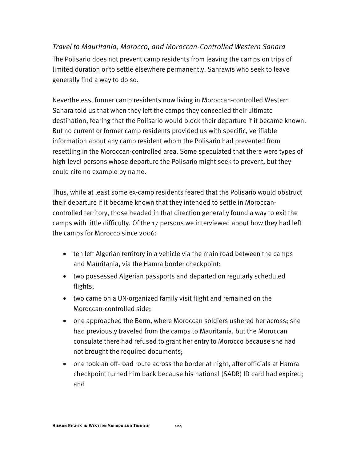### *Travel to Mauritania, Morocco, and Moroccan-Controlled Western Sahara*

The Polisario does not prevent camp residents from leaving the camps on trips of limited duration or to settle elsewhere permanently. Sahrawis who seek to leave generally find a way to do so.

Nevertheless, former camp residents now living in Moroccan-controlled Western Sahara told us that when they left the camps they concealed their ultimate destination, fearing that the Polisario would block their departure if it became known. But no current or former camp residents provided us with specific, verifiable information about any camp resident whom the Polisario had prevented from resettling in the Moroccan-controlled area. Some speculated that there were types of high-level persons whose departure the Polisario might seek to prevent, but they could cite no example by name.

Thus, while at least some ex-camp residents feared that the Polisario would obstruct their departure if it became known that they intended to settle in Moroccancontrolled territory, those headed in that direction generally found a way to exit the camps with little difficulty. Of the 17 persons we interviewed about how they had left the camps for Morocco since 2006:

- ten left Algerian territory in a vehicle via the main road between the camps and Mauritania, via the Hamra border checkpoint;
- two possessed Algerian passports and departed on regularly scheduled flights;
- two came on a UN-organized family visit flight and remained on the Moroccan-controlled side;
- one approached the Berm, where Moroccan soldiers ushered her across; she had previously traveled from the camps to Mauritania, but the Moroccan consulate there had refused to grant her entry to Morocco because she had not brought the required documents;
- one took an off-road route across the border at night, after officials at Hamra checkpoint turned him back because his national (SADR) ID card had expired; and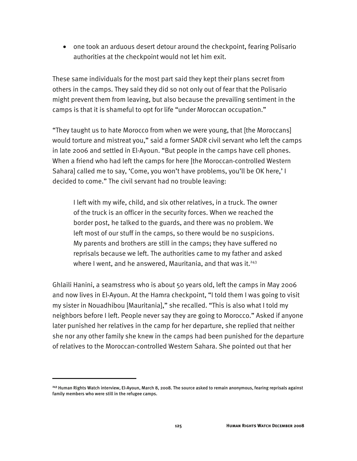• one took an arduous desert detour around the checkpoint, fearing Polisario authorities at the checkpoint would not let him exit.

These same individuals for the most part said they kept their plans secret from others in the camps. They said they did so not only out of fear that the Polisario might prevent them from leaving, but also because the prevailing sentiment in the camps is that it is shameful to opt for life "under Moroccan occupation."

"They taught us to hate Morocco from when we were young, that [the Moroccans] would torture and mistreat you," said a former SADR civil servant who left the camps in late 2006 and settled in El-Ayoun. "But people in the camps have cell phones. When a friend who had left the camps for here [the Moroccan-controlled Western Sahara] called me to say, 'Come, you won't have problems, you'll be OK here,' I decided to come." The civil servant had no trouble leaving:

I left with my wife, child, and six other relatives, in a truck. The owner of the truck is an officer in the security forces. When we reached the border post, he talked to the guards, and there was no problem. We left most of our stuff in the camps, so there would be no suspicions. My parents and brothers are still in the camps; they have suffered no reprisals because we left. The authorities came to my father and asked where I went, and he answered, Mauritania, and that was it. $243$ 

Ghlaili Hanini, a seamstress who is about 50 years old, left the camps in May 2006 and now lives in El-Ayoun. At the Hamra checkpoint, "I told them I was going to visit my sister in Nouadhibou [Mauritania]," she recalled. "This is also what I told my neighbors before I left. People never say they are going to Morocco." Asked if anyone later punished her relatives in the camp for her departure, she replied that neither she nor any other family she knew in the camps had been punished for the departure of relatives to the Moroccan-controlled Western Sahara. She pointed out that her

**<sup>243</sup>** Human Rights Watch interview, El-Ayoun, March 8, 2008. The source asked to remain anonymous, fearing reprisals against family members who were still in the refugee camps.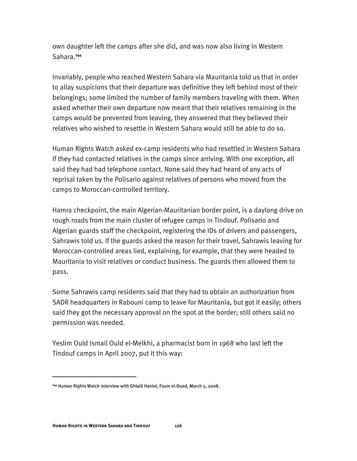own daughter left the camps after she did, and was now also living in Western Sahara.**<sup>244</sup>**

Invariably, people who reached Western Sahara via Mauritania told us that in order to allay suspicions that their departure was definitive they left behind most of their belongings; some limited the number of family members traveling with them. When asked whether their own departure now meant that their relatives remaining in the camps would be prevented from leaving, they answered that they believed their relatives who wished to resettle in Western Sahara would still be able to do so.

Human Rights Watch asked ex-camp residents who had resettled in Western Sahara if they had contacted relatives in the camps since arriving. With one exception, all said they had had telephone contact. None said they had heard of any acts of reprisal taken by the Polisario against relatives of persons who moved from the camps to Moroccan-controlled territory.

Hamra checkpoint, the main Algerian-Mauritanian border point, is a daylong drive on rough roads from the main cluster of refugee camps in Tindouf. Polisario and Algerian guards staff the checkpoint, registering the IDs of drivers and passengers, Sahrawis told us. If the guards asked the reason for their travel, Sahrawis leaving for Moroccan-controlled areas lied, explaining, for example, that they were headed to Mauritania to visit relatives or conduct business. The guards then allowed them to pass.

Some Sahrawis camp residents said that they had to obtain an authorization from SADR headquarters in Rabouni camp to leave for Mauritania, but got it easily; others said they got the necessary approval on the spot at the border; still others said no permission was needed.

Yeslim Ould Ismail Ould el-Melkhi, a pharmacist born in 1968 who last left the Tindouf camps in April 2007, put it this way:

**<sup>244</sup>** Human Rights Watch interview with Ghlaili Hanini, Foum el-Oued, March 5, 2008.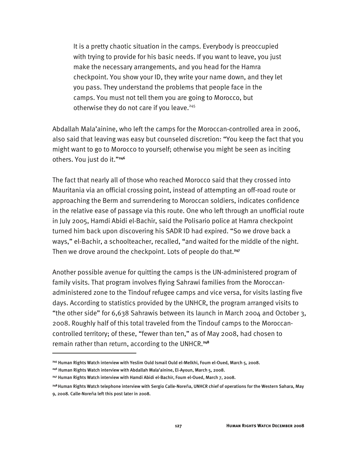It is a pretty chaotic situation in the camps. Everybody is preoccupied with trying to provide for his basic needs. If you want to leave, you just make the necessary arrangements, and you head for the Hamra checkpoint. You show your ID, they write your name down, and they let you pass. They understand the problems that people face in the camps. You must not tell them you are going to Morocco, but otherwise they do not care if you leave.<sup>245</sup>

Abdallah Mala'ainine, who left the camps for the Moroccan-controlled area in 2006, also said that leaving was easy but counseled discretion: "You keep the fact that you might want to go to Morocco to yourself; otherwise you might be seen as inciting others. You just do it."**<sup>246</sup>**

The fact that nearly all of those who reached Morocco said that they crossed into Mauritania via an official crossing point, instead of attempting an off-road route or approaching the Berm and surrendering to Moroccan soldiers, indicates confidence in the relative ease of passage via this route. One who left through an unofficial route in July 2005, Hamdi Abidi el-Bachir, said the Polisario police at Hamra checkpoint turned him back upon discovering his SADR ID had expired. "So we drove back a ways," el-Bachir, a schoolteacher, recalled, "and waited for the middle of the night. Then we drove around the checkpoint. Lots of people do that.**<sup>247</sup>**

Another possible avenue for quitting the camps is the UN-administered program of family visits. That program involves flying Sahrawi families from the Moroccanadministered zone to the Tindouf refugee camps and vice versa, for visits lasting five days. According to statistics provided by the UNHCR, the program arranged visits to "the other side" for 6,638 Sahrawis between its launch in March 2004 and October 3, 2008. Roughly half of this total traveled from the Tindouf camps to the Moroccancontrolled territory; of these, "fewer than ten," as of May 2008, had chosen to remain rather than return, according to the UNHCR.**<sup>248</sup>**

**<sup>245</sup>** Human Rights Watch interview with Yeslim Ould Ismail Ould el-Melkhi, Foum el-Oued, March 5, 2008.

**<sup>246</sup>** Human Rights Watch interview with Abdallah Mala'ainine, El-Ayoun, March 5, 2008.

**<sup>247</sup>** Human Rights Watch interview with Hamdi Abidi el-Bachir, Foum el-Oued, March 7, 2008.

**<sup>248</sup>**Human Rights Watch telephone interview with Sergio Calle-Noreña, UNHCR chief of operations for the Western Sahara, May 9, 2008. Calle-Noreña left this post later in 2008.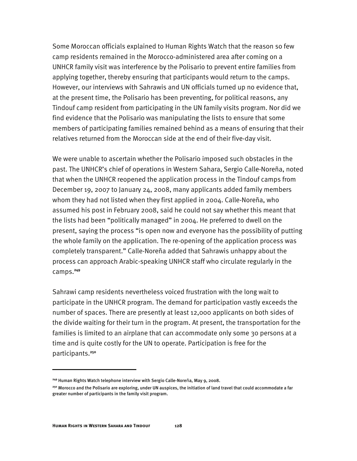Some Moroccan officials explained to Human Rights Watch that the reason so few camp residents remained in the Morocco-administered area after coming on a UNHCR family visit was interference by the Polisario to prevent entire families from applying together, thereby ensuring that participants would return to the camps. However, our interviews with Sahrawis and UN officials turned up no evidence that, at the present time, the Polisario has been preventing, for political reasons, any Tindouf camp resident from participating in the UN family visits program. Nor did we find evidence that the Polisario was manipulating the lists to ensure that some members of participating families remained behind as a means of ensuring that their relatives returned from the Moroccan side at the end of their five-day visit.

We were unable to ascertain whether the Polisario imposed such obstacles in the past. The UNHCR's chief of operations in Western Sahara, Sergio Calle-Noreña, noted that when the UNHCR reopened the application process in the Tindouf camps from December 19, 2007 to January 24, 2008, many applicants added family members whom they had not listed when they first applied in 2004. Calle-Noreña, who assumed his post in February 2008, said he could not say whether this meant that the lists had been "politically managed" in 2004. He preferred to dwell on the present, saying the process "is open now and everyone has the possibility of putting the whole family on the application. The re-opening of the application process was completely transparent." Calle-Noreña added that Sahrawis unhappy about the process can approach Arabic-speaking UNHCR staff who circulate regularly in the camps.**<sup>249</sup>**

Sahrawi camp residents nevertheless voiced frustration with the long wait to participate in the UNHCR program. The demand for participation vastly exceeds the number of spaces. There are presently at least 12,000 applicants on both sides of the divide waiting for their turn in the program. At present, the transportation for the families is limited to an airplane that can accommodate only some 30 persons at a time and is quite costly for the UN to operate. Participation is free for the participants.**<sup>250</sup>**

**<sup>249</sup>** Human Rights Watch telephone interview with Sergio Calle-Noreña, May 9, 2008.

**<sup>250</sup>** Morocco and the Polisario are exploring, under UN auspices, the initiation of land travel that could accommodate a far greater number of participants in the family visit program.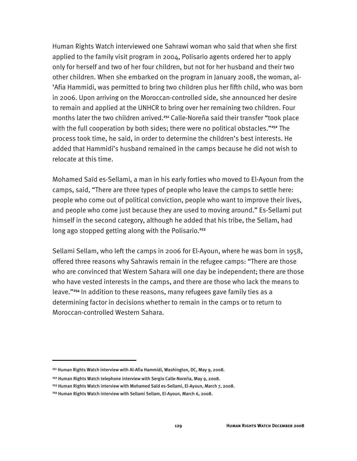Human Rights Watch interviewed one Sahrawi woman who said that when she first applied to the family visit program in 2004, Polisario agents ordered her to apply only for herself and two of her four children, but not for her husband and their two other children. When she embarked on the program in January 2008, the woman, al- 'Afia Hammidi, was permitted to bring two children plus her fifth child, who was born in 2006. Upon arriving on the Moroccan-controlled side, she announced her desire to remain and applied at the UNHCR to bring over her remaining two children. Four months later the two children arrived.**<sup>251</sup>** Calle-Noreña said their transfer "took place with the full cooperation by both sides; there were no political obstacles."**<sup>252</sup>** The process took time, he said, in order to determine the children's best interests. He added that Hammidi's husband remained in the camps because he did not wish to relocate at this time.

Mohamed Saïd es-Sellami, a man in his early forties who moved to El-Ayoun from the camps, said, "There are three types of people who leave the camps to settle here: people who come out of political conviction, people who want to improve their lives, and people who come just because they are used to moving around." Es-Sellami put himself in the second category, although he added that his tribe, the Sellam, had long ago stopped getting along with the Polisario.**<sup>253</sup>**

Sellami Sellam, who left the camps in 2006 for El-Ayoun, where he was born in 1958, offered three reasons why Sahrawis remain in the refugee camps: "There are those who are convinced that Western Sahara will one day be independent; there are those who have vested interests in the camps, and there are those who lack the means to leave."**<sup>254</sup>** In addition to these reasons, many refugees gave family ties as a determining factor in decisions whether to remain in the camps or to return to Moroccan-controlled Western Sahara.

**<sup>251</sup>** Human Rights Watch interview with Al-Afia Hammidi, Washington, DC, May 9, 2008.

**<sup>252</sup>** Human Rights Watch telephone interview with Sergio Calle-Noreña, May 9, 2008.

**<sup>253</sup>** Human Rights Watch interview with Mohamed Saïd es-Sellami, El-Ayoun, March 7, 2008.

**<sup>254</sup>** Human Rights Watch interview with Sellami Sellam, El-Ayoun, March 6, 2008.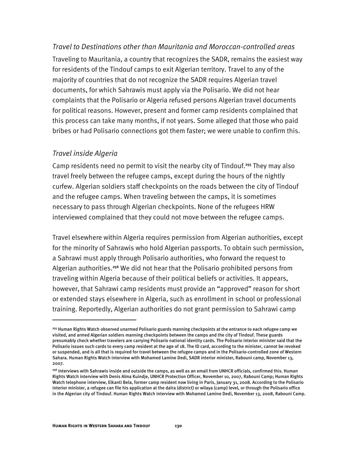#### *Travel to Destinations other than Mauritania and Moroccan-controlled areas*

Traveling to Mauritania, a country that recognizes the SADR, remains the easiest way for residents of the Tindouf camps to exit Algerian territory. Travel to any of the majority of countries that do not recognize the SADR requires Algerian travel documents, for which Sahrawis must apply via the Polisario. We did not hear complaints that the Polisario or Algeria refused persons Algerian travel documents for political reasons. However, present and former camp residents complained that this process can take many months, if not years. Some alleged that those who paid bribes or had Polisario connections got them faster; we were unable to confirm this.

#### *Travel inside Algeria*

I

Camp residents need no permit to visit the nearby city of Tindouf.**<sup>255</sup>** They may also travel freely between the refugee camps, except during the hours of the nightly curfew. Algerian soldiers staff checkpoints on the roads between the city of Tindouf and the refugee camps. When traveling between the camps, it is sometimes necessary to pass through Algerian checkpoints. None of the refugees HRW interviewed complained that they could not move between the refugee camps.

Travel elsewhere within Algeria requires permission from Algerian authorities, except for the minority of Sahrawis who hold Algerian passports. To obtain such permission, a Sahrawi must apply through Polisario authorities, who forward the request to Algerian authorities.**<sup>256</sup>** We did not hear that the Polisario prohibited persons from traveling within Algeria because of their political beliefs or activities. It appears, however, that Sahrawi camp residents must provide an "approved" reason for short or extended stays elsewhere in Algeria, such as enrollment in school or professional training. Reportedly, Algerian authorities do not grant permission to Sahrawi camp

**<sup>255</sup>** Human Rights Watch observed unarmed Polisario guards manning checkpoints at the entrance to each refugee camp we visited, and armed Algerian soldiers manning checkpoints between the camps and the city of Tindouf. These guards presumably check whether travelers are carrying Polisario national identity cards. The Polisario interior minister said that the Polisario issues such cards to every camp resident at the age of 18. The ID card, according to the minister, cannot be revoked or suspended, and is all that is required for travel between the refugee camps and in the Polisario-controlled zone of Western Sahara. Human Rights Watch interview with Mohamed Lamine Dedi, SADR interior minister, Rabouni camp, November 13, 2007.

**<sup>256</sup>** Interviews with Sahrawis inside and outside the camps, as well as an email from UNHCR officials, confirmed this. Human Rights Watch interview with Denis Alma Kuindje, UNHCR Protection Officer, November 10, 2007, Rabouni Camp; Human Rights Watch telephone interview, Elkanti Bela, former camp resident now living in Paris, January 31, 2008. According to the Polisario interior minister, a refugee can file his application at the daïra (district) or wilaya (camp) level, or through the Polisario office in the Algerian city of Tindouf. Human Rights Watch interview with Mohamed Lamine Dedi, November 13, 2008, Rabouni Camp.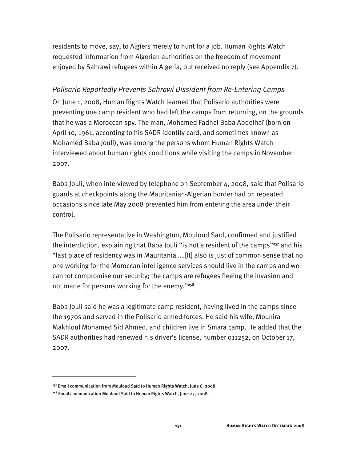residents to move, say, to Algiers merely to hunt for a job. Human Rights Watch requested information from Algerian authorities on the freedom of movement enjoyed by Sahrawi refugees within Algeria, but received no reply (see Appendix 7).

### *Polisario Reportedly Prevents Sahrawi Dissident from Re-Entering Camps*

On June 1, 2008, Human Rights Watch learned that Polisario authorities were preventing one camp resident who had left the camps from returning, on the grounds that he was a Moroccan spy. The man, Mohamed Fadhel Baba Abdelhaï (born on April 10, 1961, according to his SADR identity card, and sometimes known as Mohamed Baba Jouli), was among the persons whom Human Rights Watch interviewed about human rights conditions while visiting the camps in November 2007.

Baba Jouli, when interviewed by telephone on September 4, 2008, said that Polisario guards at checkpoints along the Mauritanian-Algerian border had on repeated occasions since late May 2008 prevented him from entering the area under their control.

The Polisario representative in Washington, Mouloud Saïd, confirmed and justified the interdiction, explaining that Baba Jouli "is not a resident of the camps"**<sup>257</sup>** and his "last place of residency was in Mauritania ….[It] also is just of common sense that no one working for the Moroccan intelligence services should live in the camps and we cannot compromise our security; the camps are refugees fleeing the invasion and not made for persons working for the enemy."**<sup>258</sup>**

Baba Jouli said he was a legitimate camp resident, having lived in the camps since the 1970s and served in the Polisario armed forces. He said his wife, Mounira Makhloul Mohamed Sid Ahmed, and children live in Smara camp. He added that the SADR authorities had renewed his driver's license, number 011252, on October 17, 2007.

**<sup>257</sup>** Email communication from Mouloud Saïd to Human Rights Watch, June 6, 2008.

**<sup>258</sup>** Email communication Mouloud Saïd to Human Rights Watch, June 27, 2008.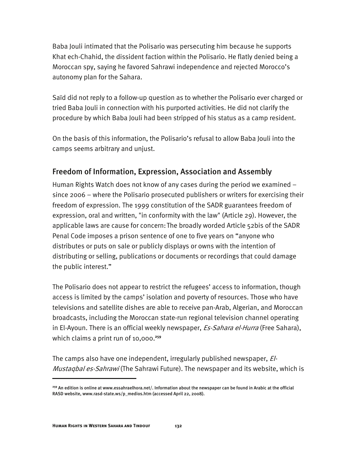Baba Jouli intimated that the Polisario was persecuting him because he supports Khat ech-Chahid, the dissident faction within the Polisario. He flatly denied being a Moroccan spy, saying he favored Sahrawi independence and rejected Morocco's autonomy plan for the Sahara.

Saïd did not reply to a follow-up question as to whether the Polisario ever charged or tried Baba Jouli in connection with his purported activities. He did not clarify the procedure by which Baba Jouli had been stripped of his status as a camp resident.

On the basis of this information, the Polisario's refusal to allow Baba Jouli into the camps seems arbitrary and unjust.

## Freedom of Information, Expression, Association and Assembly

Human Rights Watch does not know of any cases during the period we examined – since 2006 – where the Polisario prosecuted publishers or writers for exercising their freedom of expression. The 1999 constitution of the SADR guarantees freedom of expression, oral and written, "in conformity with the law" (Article 29). However, the applicable laws are cause for concern: The broadly worded Article 52bis of the SADR Penal Code imposes a prison sentence of one to five years on "anyone who distributes or puts on sale or publicly displays or owns with the intention of distributing or selling, publications or documents or recordings that could damage the public interest."

The Polisario does not appear to restrict the refugees' access to information, though access is limited by the camps' isolation and poverty of resources. Those who have televisions and satellite dishes are able to receive pan-Arab, Algerian, and Moroccan broadcasts, including the Moroccan state-run regional television channel operating in El-Ayoun. There is an official weekly newspaper, *Es-Sahara el-Hurra* (Free Sahara), which claims a print run of 10,000.**<sup>259</sup>**

The camps also have one independent, irregularly published newspaper, El-Mustagbal es-Sahrawi (The Sahrawi Future). The newspaper and its website, which is

**<sup>259</sup>** An edition is online at www.essahraelhora.net/. Information about the newspaper can be found in Arabic at the official RASD website, www.rasd-state.ws/p\_medios.htm (accessed April 22, 2008).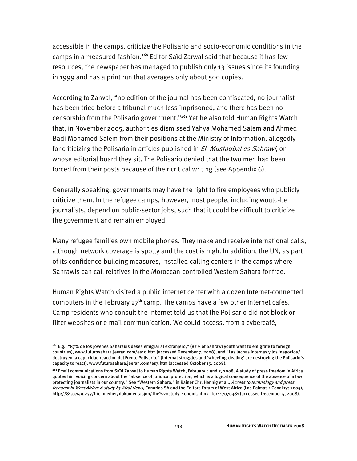accessible in the camps, criticize the Polisario and socio-economic conditions in the camps in a measured fashion.**<sup>260</sup>** Editor Saïd Zarwal said that because it has few resources, the newspaper has managed to publish only 13 issues since its founding in 1999 and has a print run that averages only about 500 copies.

According to Zarwal, "no edition of the journal has been confiscated, no journalist has been tried before a tribunal much less imprisoned, and there has been no censorship from the Polisario government."**<sup>261</sup>** Yet he also told Human Rights Watch that, in November 2005, authorities dismissed Yahya Mohamed Salem and Ahmed Badi Mohamed Salem from their positions at the Ministry of Information, allegedly for criticizing the Polisario in articles published in *El- Mustaqbal es-Sahrawi*, on whose editorial board they sit. The Polisario denied that the two men had been forced from their posts because of their critical writing (see Appendix 6).

Generally speaking, governments may have the right to fire employees who publicly criticize them. In the refugee camps, however, most people, including would-be journalists, depend on public-sector jobs, such that it could be difficult to criticize the government and remain employed.

Many refugee families own mobile phones. They make and receive international calls, although network coverage is spotty and the cost is high. In addition, the UN, as part of its confidence-building measures, installed calling centers in the camps where Sahrawis can call relatives in the Moroccan-controlled Western Sahara for free.

Human Rights Watch visited a public internet center with a dozen Internet-connected computers in the February 27**th** camp. The camps have a few other Internet cafes. Camp residents who consult the Internet told us that the Polisario did not block or filter websites or e-mail communication. We could access, from a cybercafé,

**<sup>260</sup>**E.g., "87% de los jóvenes Saharauis desea emigrar al extranjero," (87% of Sahrawi youth want to emigrate to foreign countries), www.futurosahara.jeeran.com/es10.htm (accessed December 7, 2008), and "Las luchas internas y los 'negocios,' destruyen la capacidad reaccion del Frente Polisario," (Internal struggles and 'wheeling-dealing' are destroying the Polisario's capacity to react), www.futurosahara.jeeran.com/es7.htm (accessed October 15, 2008).

**<sup>261</sup>** Email communications from Saïd Zarwal to Human Rights Watch, February 4 and 7, 2008. A study of press freedom in Africa quotes him voicing concern about the "absence of juridical protection, which is a logical consequence of the absence of a law protecting journalists in our country." See "Western Sahara," in Rainer Chr. Hennig et al., Access to technology and press freedom in West Africa: A study by Afrol News, Canarias SA and the Editors Forum of West Africa (Las Palmas / Conakry: 2005), http://81.0.149.237/frie\_medier/dokumentasjon/The%20study\_10point.htm#\_Toc117070381 (accessed December 5, 2008).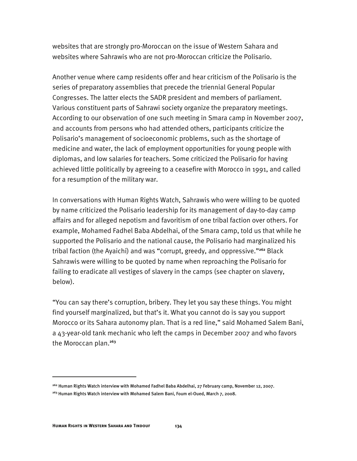websites that are strongly pro-Moroccan on the issue of Western Sahara and websites where Sahrawis who are not pro-Moroccan criticize the Polisario.

Another venue where camp residents offer and hear criticism of the Polisario is the series of preparatory assemblies that precede the triennial General Popular Congresses. The latter elects the SADR president and members of parliament. Various constituent parts of Sahrawi society organize the preparatory meetings. According to our observation of one such meeting in Smara camp in November 2007, and accounts from persons who had attended others, participants criticize the Polisario's management of socioeconomic problems, such as the shortage of medicine and water, the lack of employment opportunities for young people with diplomas, and low salaries for teachers. Some criticized the Polisario for having achieved little politically by agreeing to a ceasefire with Morocco in 1991, and called for a resumption of the military war.

In conversations with Human Rights Watch, Sahrawis who were willing to be quoted by name criticized the Polisario leadership for its management of day-to-day camp affairs and for alleged nepotism and favoritism of one tribal faction over others. For example, Mohamed Fadhel Baba Abdelhai, of the Smara camp, told us that while he supported the Polisario and the national cause, the Polisario had marginalized his tribal faction (the Ayaichi) and was "corrupt, greedy, and oppressive."**<sup>262</sup>** Black Sahrawis were willing to be quoted by name when reproaching the Polisario for failing to eradicate all vestiges of slavery in the camps (see chapter on slavery, below).

"You can say there's corruption, bribery. They let you say these things. You might find yourself marginalized, but that's it. What you cannot do is say you support Morocco or its Sahara autonomy plan. That is a red line," said Mohamed Salem Bani, a 43-year-old tank mechanic who left the camps in December 2007 and who favors the Moroccan plan.**<sup>263</sup>**

**<sup>262</sup>** Human Rights Watch interview with Mohamed Fadhel Baba Abdelhai, 27 February camp, November 12, 2007.

**<sup>263</sup>** Human Rights Watch interview with Mohamed Salem Bani, Foum el-Oued, March 7, 2008.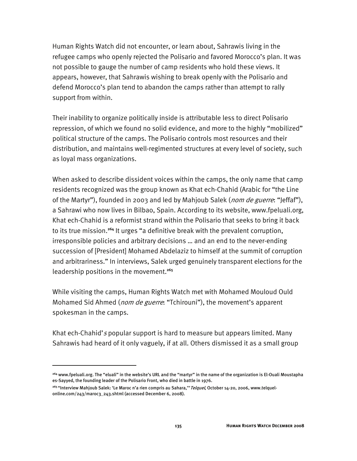Human Rights Watch did not encounter, or learn about, Sahrawis living in the refugee camps who openly rejected the Polisario and favored Morocco's plan. It was not possible to gauge the number of camp residents who hold these views. It appears, however, that Sahrawis wishing to break openly with the Polisario and defend Morocco's plan tend to abandon the camps rather than attempt to rally support from within.

Their inability to organize politically inside is attributable less to direct Polisario repression, of which we found no solid evidence, and more to the highly "mobilized" political structure of the camps. The Polisario controls most resources and their distribution, and maintains well-regimented structures at every level of society, such as loyal mass organizations.

When asked to describe dissident voices within the camps, the only name that camp residents recognized was the group known as Khat ech-Chahid (Arabic for "the Line of the Martyr"), founded in 2003 and led by Mahjoub Salek (nom de guerre: "Jeffaf"), a Sahrawi who now lives in Bilbao, Spain. According to its website, www.fpeluali.org, Khat ech-Chahid is a reformist strand within the Polisario that seeks to bring it back to its true mission.**<sup>264</sup>** It urges "a definitive break with the prevalent corruption, irresponsible policies and arbitrary decisions … and an end to the never-ending succession of [President] Mohamed Abdelaziz to himself at the summit of corruption and arbitrariness." In interviews, Salek urged genuinely transparent elections for the leadership positions in the movement.**<sup>265</sup>**

While visiting the camps, Human Rights Watch met with Mohamed Mouloud Ould Mohamed Sid Ahmed (*nom de guerre*: "Tchirouni"), the movement's apparent spokesman in the camps.

Khat ech-Chahid's popular support is hard to measure but appears limited. Many Sahrawis had heard of it only vaguely, if at all. Others dismissed it as a small group

**<sup>264</sup>** www.fpeluali.org. The "eluali" in the website's URL and the "martyr" in the name of the organization is El-Ouali Moustapha es-Sayyed, the founding leader of the Polisario Front, who died in battle in 1976.

**<sup>265</sup>**"Interview Mahjoub Salek: 'Le Maroc n'a rien compris au Sahara,'"Telquel, October 14-20, 2006, www.telquelonline.com/243/maroc3\_243.shtml (accessed December 6, 2008).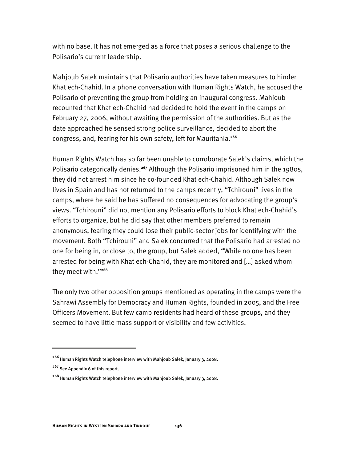with no base. It has not emerged as a force that poses a serious challenge to the Polisario's current leadership.

Mahjoub Salek maintains that Polisario authorities have taken measures to hinder Khat ech-Chahid. In a phone conversation with Human Rights Watch, he accused the Polisario of preventing the group from holding an inaugural congress. Mahjoub recounted that Khat ech-Chahid had decided to hold the event in the camps on February 27, 2006, without awaiting the permission of the authorities. But as the date approached he sensed strong police surveillance, decided to abort the congress, and, fearing for his own safety, left for Mauritania.**<sup>266</sup>**

Human Rights Watch has so far been unable to corroborate Salek's claims, which the Polisario categorically denies.**<sup>267</sup>** Although the Polisario imprisoned him in the 1980s, they did not arrest him since he co-founded Khat ech-Chahid. Although Salek now lives in Spain and has not returned to the camps recently, "Tchirouni" lives in the camps, where he said he has suffered no consequences for advocating the group's views. "Tchirouni" did not mention any Polisario efforts to block Khat ech-Chahid's efforts to organize, but he did say that other members preferred to remain anonymous, fearing they could lose their public-sector jobs for identifying with the movement. Both "Tchirouni" and Salek concurred that the Polisario had arrested no one for being in, or close to, the group, but Salek added, "While no one has been arrested for being with Khat ech-Chahid, they are monitored and […] asked whom they meet with."**<sup>268</sup>**

The only two other opposition groups mentioned as operating in the camps were the Sahrawi Assembly for Democracy and Human Rights, founded in 2005, and the Free Officers Movement. But few camp residents had heard of these groups, and they seemed to have little mass support or visibility and few activities.

**<sup>266</sup>** Human Rights Watch telephone interview with Mahjoub Salek, January 3, 2008.

**<sup>267</sup>** See Appendix 6 of this report.

**<sup>268</sup>** Human Rights Watch telephone interview with Mahjoub Salek, January 3, 2008.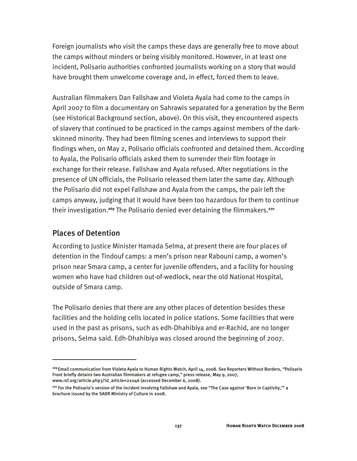Foreign journalists who visit the camps these days are generally free to move about the camps without minders or being visibly monitored. However, in at least one incident, Polisario authorities confronted journalists working on a story that would have brought them unwelcome coverage and, in effect, forced them to leave.

Australian filmmakers Dan Fallshaw and Violeta Ayala had come to the camps in April 2007 to film a documentary on Sahrawis separated for a generation by the Berm (see Historical Background section, above). On this visit, they encountered aspects of slavery that continued to be practiced in the camps against members of the darkskinned minority. They had been filming scenes and interviews to support their findings when, on May 2, Polisario officials confronted and detained them. According to Ayala, the Polisario officials asked them to surrender their film footage in exchange for their release. Fallshaw and Ayala refused. After negotiations in the presence of UN officials, the Polisario released them later the same day. Although the Polisario did not expel Fallshaw and Ayala from the camps, the pair left the camps anyway, judging that it would have been too hazardous for them to continue their investigation.**<sup>269</sup>** The Polisario denied ever detaining the filmmakers.**<sup>270</sup>**

## Places of Detention

j

According to Justice Minister Hamada Selma, at present there are four places of detention in the Tindouf camps: a men's prison near Rabouni camp, a women's prison near Smara camp, a center for juvenile offenders, and a facility for housing women who have had children out-of-wedlock, near the old National Hospital, outside of Smara camp.

The Polisario denies that there are any other places of detention besides these facilities and the holding cells located in police stations. Some facilities that were used in the past as prisons, such as edh-Dhahibiya and er-Rachid, are no longer prisons, Selma said. Edh-Dhahibiya was closed around the beginning of 2007.

**<sup>269</sup>**Email communication from Violeta Ayala to Human Rights Watch, April 14, 2008. See Reporters Without Borders, "Polisario Front briefly detains two Australian filmmakers at refugee camp," press release, May 9, 2007, www.rsf.org/article.php3?id\_article=22046 (accessed December 6, 2008).

**<sup>270</sup>** For the Polisario's version of the incident involving Fallshaw and Ayala, see "The Case against 'Born in Captivity,'" a brochure issued by the SADR Ministry of Culture in 2008.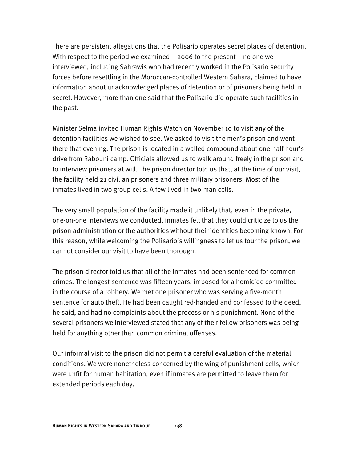There are persistent allegations that the Polisario operates secret places of detention. With respect to the period we examined – 2006 to the present – no one we interviewed, including Sahrawis who had recently worked in the Polisario security forces before resettling in the Moroccan-controlled Western Sahara, claimed to have information about unacknowledged places of detention or of prisoners being held in secret. However, more than one said that the Polisario did operate such facilities in the past.

Minister Selma invited Human Rights Watch on November 10 to visit any of the detention facilities we wished to see. We asked to visit the men's prison and went there that evening. The prison is located in a walled compound about one-half hour's drive from Rabouni camp. Officials allowed us to walk around freely in the prison and to interview prisoners at will. The prison director told us that, at the time of our visit, the facility held 21 civilian prisoners and three military prisoners. Most of the inmates lived in two group cells. A few lived in two-man cells.

The very small population of the facility made it unlikely that, even in the private, one-on-one interviews we conducted, inmates felt that they could criticize to us the prison administration or the authorities without their identities becoming known. For this reason, while welcoming the Polisario's willingness to let us tour the prison, we cannot consider our visit to have been thorough.

The prison director told us that all of the inmates had been sentenced for common crimes. The longest sentence was fifteen years, imposed for a homicide committed in the course of a robbery. We met one prisoner who was serving a five-month sentence for auto theft. He had been caught red-handed and confessed to the deed, he said, and had no complaints about the process or his punishment. None of the several prisoners we interviewed stated that any of their fellow prisoners was being held for anything other than common criminal offenses.

Our informal visit to the prison did not permit a careful evaluation of the material conditions. We were nonetheless concerned by the wing of punishment cells, which were unfit for human habitation, even if inmates are permitted to leave them for extended periods each day.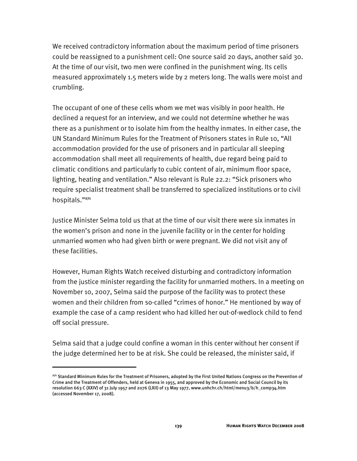We received contradictory information about the maximum period of time prisoners could be reassigned to a punishment cell: One source said 20 days, another said 30. At the time of our visit, two men were confined in the punishment wing. Its cells measured approximately 1.5 meters wide by 2 meters long. The walls were moist and crumbling.

The occupant of one of these cells whom we met was visibly in poor health. He declined a request for an interview, and we could not determine whether he was there as a punishment or to isolate him from the healthy inmates. In either case, the UN Standard Minimum Rules for the Treatment of Prisoners states in Rule 10, "All accommodation provided for the use of prisoners and in particular all sleeping accommodation shall meet all requirements of health, due regard being paid to climatic conditions and particularly to cubic content of air, minimum floor space, lighting, heating and ventilation." Also relevant is Rule 22.2: "Sick prisoners who require specialist treatment shall be transferred to specialized institutions or to civil hospitals."**<sup>271</sup>**

Justice Minister Selma told us that at the time of our visit there were six inmates in the women's prison and none in the juvenile facility or in the center for holding unmarried women who had given birth or were pregnant. We did not visit any of these facilities.

However, Human Rights Watch received disturbing and contradictory information from the justice minister regarding the facility for unmarried mothers. In a meeting on November 10, 2007, Selma said the purpose of the facility was to protect these women and their children from so-called "crimes of honor." He mentioned by way of example the case of a camp resident who had killed her out-of-wedlock child to fend off social pressure.

Selma said that a judge could confine a woman in this center without her consent if the judge determined her to be at risk. She could be released, the minister said, if

**<sup>271</sup>** Standard Minimum Rules for the Treatment of Prisoners, adopted by the First United Nations Congress on the Prevention of Crime and the Treatment of Offenders, held at Geneva in 1955, and approved by the Economic and Social Council by its resolution 663 C (XXIV) of 31 July 1957 and 2076 (LXII) of 13 May 1977, www.unhchr.ch/html/menu3/b/h\_comp34.htm (accessed November 17, 2008).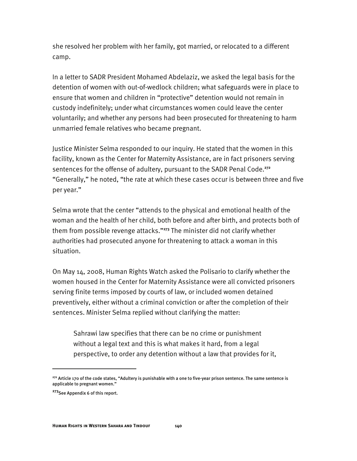she resolved her problem with her family, got married, or relocated to a different camp.

In a letter to SADR President Mohamed Abdelaziz, we asked the legal basis for the detention of women with out-of-wedlock children; what safeguards were in place to ensure that women and children in "protective" detention would not remain in custody indefinitely; under what circumstances women could leave the center voluntarily; and whether any persons had been prosecuted for threatening to harm unmarried female relatives who became pregnant.

Justice Minister Selma responded to our inquiry. He stated that the women in this facility, known as the Center for Maternity Assistance, are in fact prisoners serving sentences for the offense of adultery, pursuant to the SADR Penal Code.**<sup>272</sup>** "Generally," he noted, "the rate at which these cases occur is between three and five per year."

Selma wrote that the center "attends to the physical and emotional health of the woman and the health of her child, both before and after birth, and protects both of them from possible revenge attacks."**<sup>273</sup>** The minister did not clarify whether authorities had prosecuted anyone for threatening to attack a woman in this situation.

On May 14, 2008, Human Rights Watch asked the Polisario to clarify whether the women housed in the Center for Maternity Assistance were all convicted prisoners serving finite terms imposed by courts of law, or included women detained preventively, either without a criminal conviction or after the completion of their sentences. Minister Selma replied without clarifying the matter:

Sahrawi law specifies that there can be no crime or punishment without a legal text and this is what makes it hard, from a legal perspective, to order any detention without a law that provides for it,

I

**<sup>272</sup>** Article 170 of the code states, "Adultery is punishable with a one to five-year prison sentence. The same sentence is applicable to pregnant women."

**<sup>273</sup>**See Appendix 6 of this report.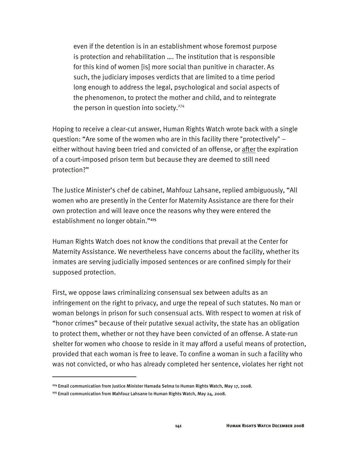even if the detention is in an establishment whose foremost purpose is protection and rehabilitation …. The institution that is responsible for this kind of women [is] more social than punitive in character. As such, the judiciary imposes verdicts that are limited to a time period long enough to address the legal, psychological and social aspects of the phenomenon, to protect the mother and child, and to reintegrate the person in question into society. $274$ 

Hoping to receive a clear-cut answer, Human Rights Watch wrote back with a single question: "Are some of the women who are in this facility there "protectively" – either without having been tried and convicted of an offense, or after the expiration of a court-imposed prison term but because they are deemed to still need protection?"

The Justice Minister's chef de cabinet, Mahfouz Lahsane, replied ambiguously, "All women who are presently in the Center for Maternity Assistance are there for their own protection and will leave once the reasons why they were entered the establishment no longer obtain."**<sup>275</sup>**

Human Rights Watch does not know the conditions that prevail at the Center for Maternity Assistance. We nevertheless have concerns about the facility, whether its inmates are serving judicially imposed sentences or are confined simply for their supposed protection.

First, we oppose laws criminalizing consensual sex between adults as an infringement on the right to privacy, and urge the repeal of such statutes. No man or woman belongs in prison for such consensual acts. With respect to women at risk of "honor crimes" because of their putative sexual activity, the state has an obligation to protect them, whether or not they have been convicted of an offense. A state-run shelter for women who choose to reside in it may afford a useful means of protection, provided that each woman is free to leave. To confine a woman in such a facility who was not convicted, or who has already completed her sentence, violates her right not

j

**<sup>274</sup>** Email communication from Justice Minister Hamada Selma to Human Rights Watch, May 17, 2008.

**<sup>275</sup>** Email communication from Mahfouz Lahsane to Human Rights Watch, May 24, 2008.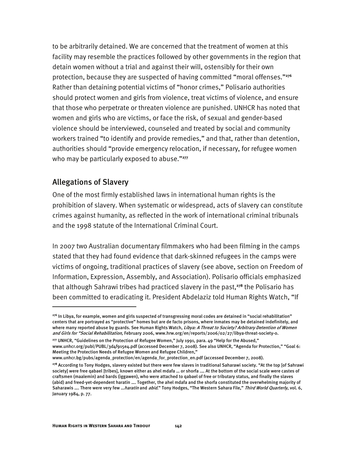to be arbitrarily detained. We are concerned that the treatment of women at this facility may resemble the practices followed by other governments in the region that detain women without a trial and against their will, ostensibly for their own protection, because they are suspected of having committed "moral offenses."**<sup>276</sup>** Rather than detaining potential victims of "honor crimes," Polisario authorities should protect women and girls from violence, treat victims of violence, and ensure that those who perpetrate or threaten violence are punished. UNHCR has noted that women and girls who are victims, or face the risk, of sexual and gender-based violence should be interviewed, counseled and treated by social and community workers trained "to identify and provide remedies," and that, rather than detention, authorities should "provide emergency relocation, if necessary, for refugee women who may be particularly exposed to abuse."**<sup>277</sup>**

## Allegations of Slavery

I

One of the most firmly established laws in international human rights is the prohibition of slavery. When systematic or widespread, acts of slavery can constitute crimes against humanity, as reflected in the work of international criminal tribunals and the 1998 statute of the International Criminal Court.

In 2007 two Australian documentary filmmakers who had been filming in the camps stated that they had found evidence that dark-skinned refugees in the camps were victims of ongoing, traditional practices of slavery (see above, section on Freedom of Information, Expression, Assembly, and Association). Polisario officials emphasized that although Sahrawi tribes had practiced slavery in the past,**<sup>278</sup>** the Polisario has been committed to eradicating it. President Abdelaziz told Human Rights Watch, "If

**<sup>276</sup>** In Libya, for example, women and girls suspected of transgressing moral codes are detained in "social rehabilitation" centers that are portrayed as "protective" homes but are de facto prisons, where inmates may be detained indefinitely, and where many reported abuse by guards. See Human Rights Watch, Libya: A Threat to Society? Arbitrary Detention of Women and Girls for "Social Rehabilitation, February 2006, www.hrw.org/en/reports/2006/02/27/libya-threat-society-0.

**<sup>277</sup>** UNHCR, "Guidelines on the Protection of Refugee Women," July 1991, para. 49 "Help for the Abused," www.unhcr.org/publ/PUBL/3d4f915e4.pdf (accessed December 7, 2008). See also UNHCR, "Agenda for Protection," "Goal 6: Meeting the Protection Needs of Refugee Women and Refugee Children,"

www.unhcr.bg/pubs/agenda\_protection/en/agenda\_for\_protection\_en.pdf (accessed December 7, 2008).

**<sup>278</sup>** According to Tony Hodges, slavery existed but there were few slaves in traditional Saharawi society. "At the top [of Sahrawi society] were free qabael [tribes], known either as ahel mdafa … or shorfa .… At the bottom of the social scale were castes of craftsmen (maalemin) and bards (iggawen), who were attached to qabael of free or tributary status, and finally the slaves (abid) and freed-yet-dependent haratin …. Together, the ahel mdafa and the shorfa constituted the overwhelming majority of Saharawis .... There were very few ... haratin and abid." Tony Hodges, "The Western Sahara File," Third World Quarterly, vol. 6, January 1984, p. 77.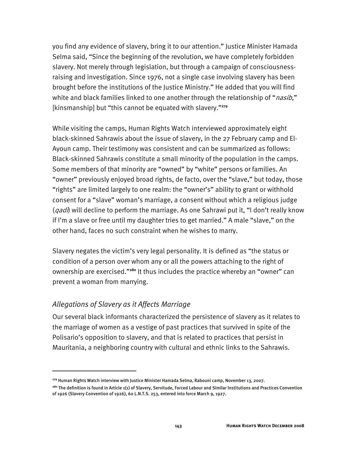you find any evidence of slavery, bring it to our attention." Justice Minister Hamada Selma said, "Since the beginning of the revolution, we have completely forbidden slavery. Not merely through legislation, but through a campaign of consciousnessraising and investigation. Since 1976, not a single case involving slavery has been brought before the institutions of the Justice Ministry." He added that you will find white and black families linked to one another through the relationship of "*nasib*," [kinsmanship] but "this cannot be equated with slavery."**<sup>279</sup>**

While visiting the camps, Human Rights Watch interviewed approximately eight black-skinned Sahrawis about the issue of slavery, in the 27 February camp and El-Ayoun camp. Their testimony was consistent and can be summarized as follows: Black-skinned Sahrawis constitute a small minority of the population in the camps. Some members of that minority are "owned" by "white" persons or families. An "owner" previously enjoyed broad rights, de facto, over the "slave," but today, those "rights" are limited largely to one realm: the "owner's" ability to grant or withhold consent for a "slave" woman's marriage, a consent without which a religious judge (*gadi*) will decline to perform the marriage. As one Sahrawi put it, "I don't really know if I'm a slave or free until my daughter tries to get married." A male "slave," on the other hand, faces no such constraint when he wishes to marry.

Slavery negates the victim's very legal personality. It is defined as "the status or condition of a person over whom any or all the powers attaching to the right of ownership are exercised."**<sup>280</sup>** It thus includes the practice whereby an "owner" can prevent a woman from marrying.

#### *Allegations of Slavery as it Affects Marriage*

I

Our several black informants characterized the persistence of slavery as it relates to the marriage of women as a vestige of past practices that survived in spite of the Polisario's opposition to slavery, and that is related to practices that persist in Mauritania, a neighboring country with cultural and ethnic links to the Sahrawis.

**<sup>279</sup>** Human Rights Watch interview with Justice Minister Hamada Selma, Rabouni camp, November 13, 2007.

**<sup>280</sup>** The definition is found in Article 1(1) of Slavery, Servitude, Forced Labour and Similar Institutions and Practices Convention of 1926 (Slavery Convention of 1926), 60 L.N.T.S. 253, entered into force March 9, 1927.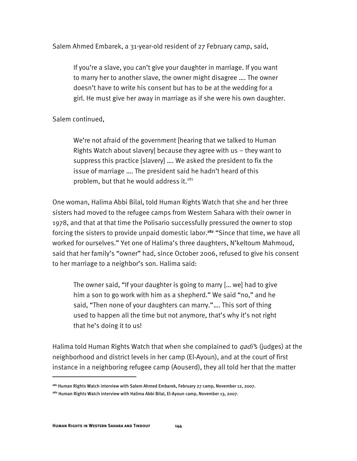Salem Ahmed Embarek, a 31-year-old resident of 27 February camp, said,

If you're a slave, you can't give your daughter in marriage. If you want to marry her to another slave, the owner might disagree …. The owner doesn't have to write his consent but has to be at the wedding for a girl. He must give her away in marriage as if she were his own daughter.

Salem continued,

We're not afraid of the government [hearing that we talked to Human Rights Watch about slavery] because they agree with us – they want to suppress this practice [slavery] …. We asked the president to fix the issue of marriage …. The president said he hadn't heard of this problem, but that he would address it. $281$ 

One woman, Halima Abbi Bilal, told Human Rights Watch that she and her three sisters had moved to the refugee camps from Western Sahara with their owner in 1978, and that at that time the Polisario successfully pressured the owner to stop forcing the sisters to provide unpaid domestic labor.**<sup>282</sup>** "Since that time, we have all worked for ourselves." Yet one of Halima's three daughters, N'keltoum Mahmoud, said that her family's "owner" had, since October 2006, refused to give his consent to her marriage to a neighbor's son. Halima said:

The owner said, "If your daughter is going to marry [… we] had to give him a son to go work with him as a shepherd." We said "no," and he said, "Then none of your daughters can marry."…. This sort of thing used to happen all the time but not anymore, that's why it's not right that he's doing it to us!

Halima told Human Rights Watch that when she complained to *qadi'*s (judges) at the neighborhood and district levels in her camp (El-Ayoun), and at the court of first instance in a neighboring refugee camp (Aouserd), they all told her that the matter

j

**<sup>281</sup>** Human Rights Watch interview with Salem Ahmed Embarek, February 27 camp, November 12, 2007.

**<sup>282</sup>** Human Rights Watch interview with Halima Abbi Bilal, El-Ayoun camp, November 13, 2007.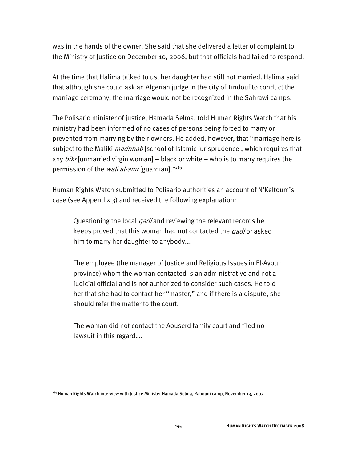was in the hands of the owner. She said that she delivered a letter of complaint to the Ministry of Justice on December 10, 2006, but that officials had failed to respond.

At the time that Halima talked to us, her daughter had still not married. Halima said that although she could ask an Algerian judge in the city of Tindouf to conduct the marriage ceremony, the marriage would not be recognized in the Sahrawi camps.

The Polisario minister of justice, Hamada Selma, told Human Rights Watch that his ministry had been informed of no cases of persons being forced to marry or prevented from marrying by their owners. He added, however, that "marriage here is subject to the Maliki *madhhab* [school of Islamic jurisprudence], which requires that any  $bikr$  [unmarried virgin woman] – black or white – who is to marry requires the permission of the wali al-amr [guardian]."**<sup>283</sup>**

Human Rights Watch submitted to Polisario authorities an account of N'Keltoum's case (see Appendix 3) and received the following explanation:

Questioning the local *qadi* and reviewing the relevant records he keeps proved that this woman had not contacted the *qadi* or asked him to marry her daughter to anybody….

The employee (the manager of Justice and Religious Issues in El-Ayoun province) whom the woman contacted is an administrative and not a judicial official and is not authorized to consider such cases. He told her that she had to contact her "master," and if there is a dispute, she should refer the matter to the court.

The woman did not contact the Aouserd family court and filed no lawsuit in this regard….

I

**<sup>283</sup>** Human Rights Watch interview with Justice Minister Hamada Selma, Rabouni camp, November 13, 2007.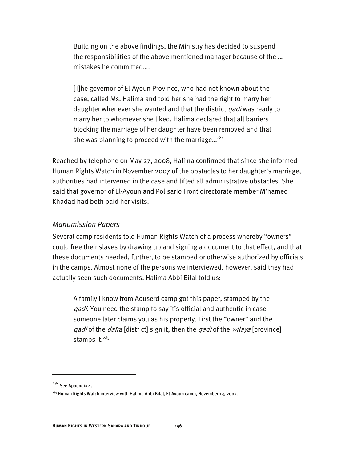Building on the above findings, the Ministry has decided to suspend the responsibilities of the above-mentioned manager because of the … mistakes he committed….

[T]he governor of El-Ayoun Province, who had not known about the case, called Ms. Halima and told her she had the right to marry her daughter whenever she wanted and that the district *qadi* was ready to marry her to whomever she liked. Halima declared that all barriers blocking the marriage of her daughter have been removed and that she was planning to proceed with the marriage... $^{284}$ 

Reached by telephone on May 27, 2008, Halima confirmed that since she informed Human Rights Watch in November 2007 of the obstacles to her daughter's marriage, authorities had intervened in the case and lifted all administrative obstacles. She said that governor of El-Ayoun and Polisario Front directorate member M'hamed Khadad had both paid her visits.

#### *Manumission Papers*

Several camp residents told Human Rights Watch of a process whereby "owners" could free their slaves by drawing up and signing a document to that effect, and that these documents needed, further, to be stamped or otherwise authorized by officials in the camps. Almost none of the persons we interviewed, however, said they had actually seen such documents. Halima Abbi Bilal told us:

A family I know from Aouserd camp got this paper, stamped by the *qadi*. You need the stamp to say it's official and authentic in case someone later claims you as his property. First the "owner" and the *gadi* of the *daïra* [district] sign it; then the *qadi* of the *wilaya* [province] stamps it. $285$ 

I

**<sup>284</sup>** See Appendix 4.

**<sup>285</sup>** Human Rights Watch interview with Halima Abbi Bilal, El-Ayoun camp, November 13, 2007.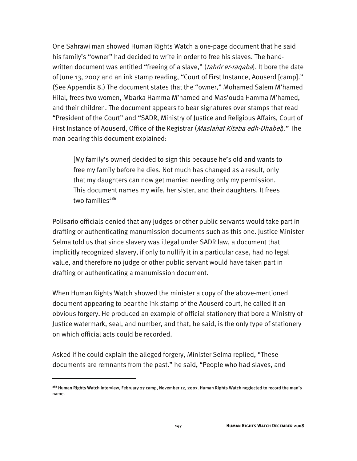One Sahrawi man showed Human Rights Watch a one-page document that he said his family's "owner" had decided to write in order to free his slaves. The handwritten document was entitled "freeing of a slave," (tahrir er-raqaba). It bore the date of June 13, 2007 and an ink stamp reading, "Court of First Instance, Aouserd [camp]." (See Appendix 8.) The document states that the "owner," Mohamed Salem M'hamed Hilal, frees two women, Mbarka Hamma M'hamed and Mas'ouda Hamma M'hamed, and their children. The document appears to bear signatures over stamps that read "President of the Court" and "SADR, Ministry of Justice and Religious Affairs, Court of First Instance of Aouserd, Office of the Registrar (*Maslahat Kitaba edh-Dhabet*)." The man bearing this document explained:

[My family's owner] decided to sign this because he's old and wants to free my family before he dies. Not much has changed as a result, only that my daughters can now get married needing only my permission. This document names my wife, her sister, and their daughters. It frees two families $286$ 

Polisario officials denied that any judges or other public servants would take part in drafting or authenticating manumission documents such as this one. Justice Minister Selma told us that since slavery was illegal under SADR law, a document that implicitly recognized slavery, if only to nullify it in a particular case, had no legal value, and therefore no judge or other public servant would have taken part in drafting or authenticating a manumission document.

When Human Rights Watch showed the minister a copy of the above-mentioned document appearing to bear the ink stamp of the Aouserd court, he called it an obvious forgery. He produced an example of official stationery that bore a Ministry of Justice watermark, seal, and number, and that, he said, is the only type of stationery on which official acts could be recorded.

Asked if he could explain the alleged forgery, Minister Selma replied, "These documents are remnants from the past." he said, "People who had slaves, and

-

**<sup>286</sup>**Human Rights Watch interview, February 27 camp, November 12, 2007. Human Rights Watch neglected to record the man's name.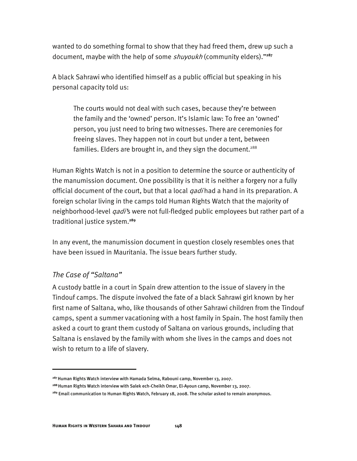wanted to do something formal to show that they had freed them, drew up such a document, maybe with the help of some shuyoukh (community elders)."**<sup>287</sup>**

A black Sahrawi who identified himself as a public official but speaking in his personal capacity told us:

The courts would not deal with such cases, because they're between the family and the 'owned' person. It's Islamic law: To free an 'owned' person, you just need to bring two witnesses. There are ceremonies for freeing slaves. They happen not in court but under a tent, between families. Elders are brought in, and they sign the document.<sup>288</sup>

Human Rights Watch is not in a position to determine the source or authenticity of the manumission document. One possibility is that it is neither a forgery nor a fully official document of the court, but that a local *qadi* had a hand in its preparation. A foreign scholar living in the camps told Human Rights Watch that the majority of neighborhood-level *qadi'*s were not full-fledged public employees but rather part of a traditional justice system.**<sup>289</sup>**

In any event, the manumission document in question closely resembles ones that have been issued in Mauritania. The issue bears further study.

### *The Case of "Saltana"*

I

A custody battle in a court in Spain drew attention to the issue of slavery in the Tindouf camps. The dispute involved the fate of a black Sahrawi girl known by her first name of Saltana, who, like thousands of other Sahrawi children from the Tindouf camps, spent a summer vacationing with a host family in Spain. The host family then asked a court to grant them custody of Saltana on various grounds, including that Saltana is enslaved by the family with whom she lives in the camps and does not wish to return to a life of slavery.

**<sup>287</sup>**Human Rights Watch interview with Hamada Selma, Rabouni camp, November 13, 2007.

**<sup>288</sup>**Human Rights Watch interview with Salek ech-Cheikh Omar, El-Ayoun camp, November 13, 2007.

**<sup>289</sup>** Email communication to Human Rights Watch, February 18, 2008. The scholar asked to remain anonymous.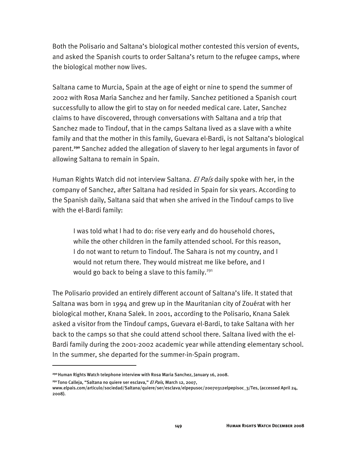Both the Polisario and Saltana's biological mother contested this version of events, and asked the Spanish courts to order Saltana's return to the refugee camps, where the biological mother now lives.

Saltana came to Murcia, Spain at the age of eight or nine to spend the summer of 2002 with Rosa Maria Sanchez and her family. Sanchez petitioned a Spanish court successfully to allow the girl to stay on for needed medical care. Later, Sanchez claims to have discovered, through conversations with Saltana and a trip that Sanchez made to Tindouf, that in the camps Saltana lived as a slave with a white family and that the mother in this family, Guevara el-Bardi, is not Saltana's biological parent.**<sup>290</sup>** Sanchez added the allegation of slavery to her legal arguments in favor of allowing Saltana to remain in Spain.

Human Rights Watch did not interview Saltana. *El País* daily spoke with her, in the company of Sanchez, after Saltana had resided in Spain for six years. According to the Spanish daily, Saltana said that when she arrived in the Tindouf camps to live with the el-Bardi family:

I was told what I had to do: rise very early and do household chores, while the other children in the family attended school. For this reason, I do not want to return to Tindouf. The Sahara is not my country, and I would not return there. They would mistreat me like before, and I would go back to being a slave to this family.<sup>291</sup>

The Polisario provided an entirely different account of Saltana's life. It stated that Saltana was born in 1994 and grew up in the Mauritanian city of Zouérat with her biological mother, Knana Salek. In 2001, according to the Polisario, Knana Salek asked a visitor from the Tindouf camps, Guevara el-Bardi, to take Saltana with her back to the camps so that she could attend school there. Saltana lived with the el-Bardi family during the 2001-2002 academic year while attending elementary school. In the summer, she departed for the summer-in-Spain program.

j

**<sup>290</sup>**Human Rights Watch telephone interview with Rosa Maria Sanchez, January 16, 2008.

**<sup>291</sup>**Tono Calleja, "Saltana no quiere ser esclava," El País, March 12, 2007,

www.elpais.com/articulo/sociedad/Saltana/quiere/ser/esclava/elpepusoc/20070312elpepisoc\_3/Tes, (accessed April 24, 2008).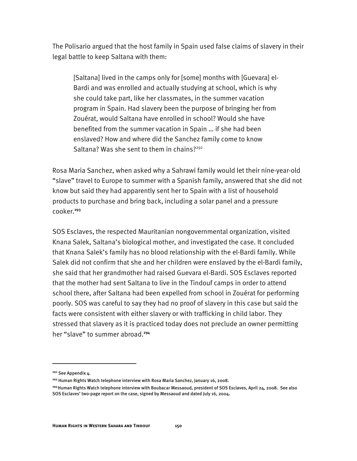The Polisario argued that the host family in Spain used false claims of slavery in their legal battle to keep Saltana with them:

[Saltana] lived in the camps only for [some] months with [Guevara] el-Bardi and was enrolled and actually studying at school, which is why she could take part, like her classmates, in the summer vacation program in Spain. Had slavery been the purpose of bringing her from Zouérat, would Saltana have enrolled in school? Would she have benefited from the summer vacation in Spain … if she had been enslaved? How and where did the Sanchez family come to know Saltana? Was she sent to them in chains?<sup>292</sup>

Rosa Maria Sanchez, when asked why a Sahrawi family would let their nine-year-old "slave" travel to Europe to summer with a Spanish family, answered that she did not know but said they had apparently sent her to Spain with a list of household products to purchase and bring back, including a solar panel and a pressure cooker.**<sup>293</sup>**

SOS Esclaves, the respected Mauritanian nongovernmental organization, visited Knana Salek, Saltana's biological mother, and investigated the case. It concluded that Knana Salek's family has no blood relationship with the el-Bardi family. While Salek did not confirm that she and her children were enslaved by the el-Bardi family, she said that her grandmother had raised Guevara el-Bardi. SOS Esclaves reported that the mother had sent Saltana to live in the Tindouf camps in order to attend school there, after Saltana had been expelled from school in Zouérat for performing poorly. SOS was careful to say they had no proof of slavery in this case but said the facts were consistent with either slavery or with trafficking in child labor. They stressed that slavery as it is practiced today does not preclude an owner permitting her "slave" to summer abroad.**<sup>294</sup>**

j

**<sup>292</sup>** See Appendix 4.

**<sup>293</sup>** Human Rights Watch telephone interview with Rosa Maria Sanchez, January 16, 2008.

**<sup>294</sup>**Human Rights Watch telephone interview with Boubacar Messaoud, president of SOS Esclaves, April 24, 2008. See also SOS Esclaves' two-page report on the case, signed by Messaoud and dated July 16, 2004.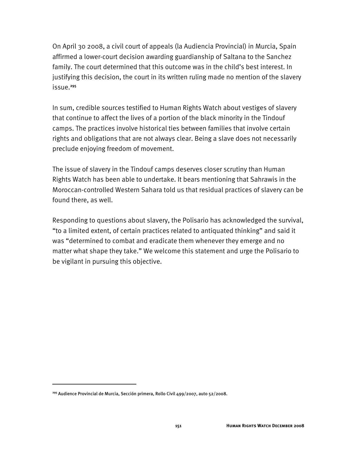On April 30 2008, a civil court of appeals (la Audiencia Provincial) in Murcia, Spain affirmed a lower-court decision awarding guardianship of Saltana to the Sanchez family. The court determined that this outcome was in the child's best interest. In justifying this decision, the court in its written ruling made no mention of the slavery issue.**<sup>295</sup>**

In sum, credible sources testified to Human Rights Watch about vestiges of slavery that continue to affect the lives of a portion of the black minority in the Tindouf camps. The practices involve historical ties between families that involve certain rights and obligations that are not always clear. Being a slave does not necessarily preclude enjoying freedom of movement.

The issue of slavery in the Tindouf camps deserves closer scrutiny than Human Rights Watch has been able to undertake. It bears mentioning that Sahrawis in the Moroccan-controlled Western Sahara told us that residual practices of slavery can be found there, as well.

Responding to questions about slavery, the Polisario has acknowledged the survival, "to a limited extent, of certain practices related to antiquated thinking" and said it was "determined to combat and eradicate them whenever they emerge and no matter what shape they take." We welcome this statement and urge the Polisario to be vigilant in pursuing this objective.

-

**<sup>295</sup>** Audience Provincial de Murcia, Sección primera, Rollo Civil 499/2007, auto 52/2008.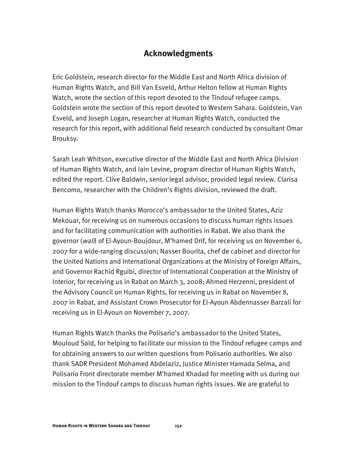# **Acknowledgments**

Eric Goldstein, research director for the Middle East and North Africa division of Human Rights Watch, and Bill Van Esveld, Arthur Helton fellow at Human Rights Watch, wrote the section of this report devoted to the Tindouf refugee camps. Goldstein wrote the section of this report devoted to Western Sahara. Goldstein, Van Esveld, and Joseph Logan, researcher at Human Rights Watch, conducted the research for this report, with additional field research conducted by consultant Omar Brouksy.

Sarah Leah Whitson, executive director of the Middle East and North Africa Division of Human Rights Watch, and Iain Levine, program director of Human Rights Watch, edited the report. Clive Baldwin, senior legal advisor, provided legal review. Clarisa Bencomo, researcher with the Children's Rights division, reviewed the draft.

Human Rights Watch thanks Morocco's ambassador to the United States, Aziz Mekouar, for receiving us on numerous occasions to discuss human rights issues and for facilitating communication with authorities in Rabat. We also thank the governor (*wali*) of El-Ayoun-Boujdour, M'hamed Drif, for receiving us on November 6, 2007 for a wide-ranging discussion; Nasser Bourita, chef de cabinet and director for the United Nations and International Organizations at the Ministry of Foreign Affairs, and Governor Rachid Rguibi, director of International Cooperation at the Ministry of Interior, for receiving us in Rabat on March 3, 2008; Ahmed Herzenni, president of the Advisory Council on Human Rights, for receiving us in Rabat on November 8, 2007 in Rabat, and Assistant Crown Prosecutor for El-Ayoun Abdennasser Barzali for receiving us in El-Ayoun on November 7, 2007.

Human Rights Watch thanks the Polisario's ambassador to the United States, Mouloud Saïd, for helping to facilitate our mission to the Tindouf refugee camps and for obtaining answers to our written questions from Polisario authorities. We also thank SADR President Mohamed Abdelaziz, Justice Minister Hamada Selma, and Polisario Front directorate member M'hamed Khadad for meeting with us during our mission to the Tindouf camps to discuss human rights issues. We are grateful to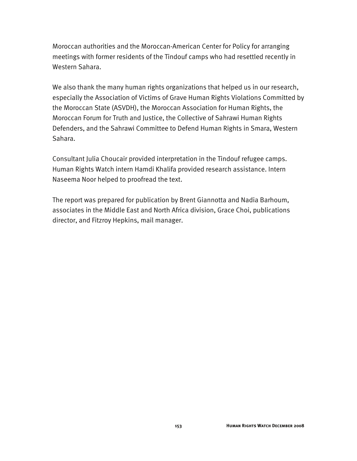Moroccan authorities and the Moroccan-American Center for Policy for arranging meetings with former residents of the Tindouf camps who had resettled recently in Western Sahara.

We also thank the many human rights organizations that helped us in our research, especially the Association of Victims of Grave Human Rights Violations Committed by the Moroccan State (ASVDH), the Moroccan Association for Human Rights, the Moroccan Forum for Truth and Justice, the Collective of Sahrawi Human Rights Defenders, and the Sahrawi Committee to Defend Human Rights in Smara, Western Sahara.

Consultant Julia Choucair provided interpretation in the Tindouf refugee camps. Human Rights Watch intern Hamdi Khalifa provided research assistance. Intern Naseema Noor helped to proofread the text.

The report was prepared for publication by Brent Giannotta and Nadia Barhoum, associates in the Middle East and North Africa division, Grace Choi, publications director, and Fitzroy Hepkins, mail manager.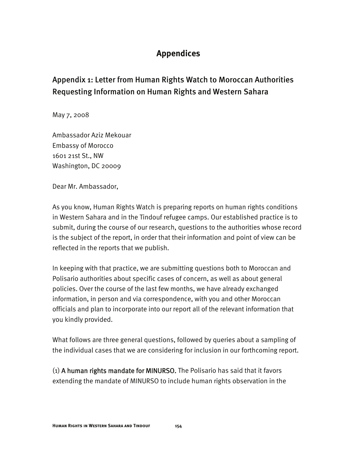# **Appendices**

# Appendix 1: Letter from Human Rights Watch to Moroccan Authorities Requesting Information on Human Rights and Western Sahara

May 7, 2008

Ambassador Aziz Mekouar Embassy of Morocco 1601 21st St., NW Washington, DC 20009

Dear Mr. Ambassador,

As you know, Human Rights Watch is preparing reports on human rights conditions in Western Sahara and in the Tindouf refugee camps. Our established practice is to submit, during the course of our research, questions to the authorities whose record is the subject of the report, in order that their information and point of view can be reflected in the reports that we publish.

In keeping with that practice, we are submitting questions both to Moroccan and Polisario authorities about specific cases of concern, as well as about general policies. Over the course of the last few months, we have already exchanged information, in person and via correspondence, with you and other Moroccan officials and plan to incorporate into our report all of the relevant information that you kindly provided.

What follows are three general questions, followed by queries about a sampling of the individual cases that we are considering for inclusion in our forthcoming report.

(1) A human rights mandate for MINURSO. The Polisario has said that it favors extending the mandate of MINURSO to include human rights observation in the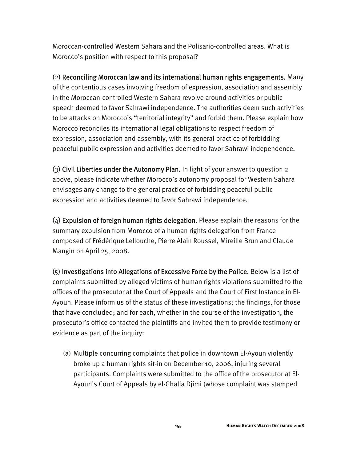Moroccan-controlled Western Sahara and the Polisario-controlled areas. What is Morocco's position with respect to this proposal?

(2) Reconciling Moroccan law and its international human rights engagements. Many of the contentious cases involving freedom of expression, association and assembly in the Moroccan-controlled Western Sahara revolve around activities or public speech deemed to favor Sahrawi independence. The authorities deem such activities to be attacks on Morocco's "territorial integrity" and forbid them. Please explain how Morocco reconciles its international legal obligations to respect freedom of expression, association and assembly, with its general practice of forbidding peaceful public expression and activities deemed to favor Sahrawi independence.

(3) Civil Liberties under the Autonomy Plan. In light of your answer to question 2 above, please indicate whether Morocco's autonomy proposal for Western Sahara envisages any change to the general practice of forbidding peaceful public expression and activities deemed to favor Sahrawi independence.

(4) Expulsion of foreign human rights delegation. Please explain the reasons for the summary expulsion from Morocco of a human rights delegation from France composed of Frédérique Lellouche, Pierre Alain Roussel, Mireille Brun and Claude Mangin on April 25, 2008.

(5) Investigations into Allegations of Excessive Force by the Police. Below is a list of complaints submitted by alleged victims of human rights violations submitted to the offices of the prosecutor at the Court of Appeals and the Court of First Instance in El-Ayoun. Please inform us of the status of these investigations; the findings, for those that have concluded; and for each, whether in the course of the investigation, the prosecutor's office contacted the plaintiffs and invited them to provide testimony or evidence as part of the inquiry:

(a) Multiple concurring complaints that police in downtown El-Ayoun violently broke up a human rights sit-in on December 10, 2006, injuring several participants. Complaints were submitted to the office of the prosecutor at El-Ayoun's Court of Appeals by el-Ghalia Djimi (whose complaint was stamped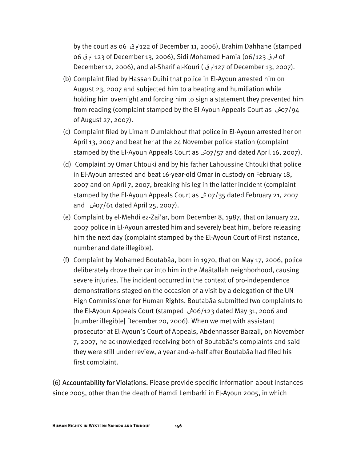by the court as 06 ق ام122 of December 11, 2006), Brahim Dahhane (stamped 06 ق ام 123 of December 13, 2006), Sidi Mohamed Hamia (06/123 ق ام of December 12, 2006), and al-Sharif al-Kouri ( ق ام127 of December 13, 2007).

- (b) Complaint filed by Hassan Duihi that police in El-Ayoun arrested him on August 23, 2007 and subjected him to a beating and humiliation while holding him overnight and forcing him to sign a statement they prevented him from reading (complaint stamped by the El-Ayoun Appeals Court as ش07/94 of August 27, 2007).
- (c) Complaint filed by Limam Oumlakhout that police in El-Ayoun arrested her on April 13, 2007 and beat her at the 24 November police station (complaint stamped by the El-Ayoun Appeals Court as ش07/57 and dated April 16, 2007).
- (d) Complaint by Omar Chtouki and by his father Lahoussine Chtouki that police in El-Ayoun arrested and beat 16-year-old Omar in custody on February 18, 2007 and on April 7, 2007, breaking his leg in the latter incident (complaint stamped by the El-Ayoun Appeals Court as ش 07/35 dated February 21, 2007 and ش07/61 dated April 25, 2007).
- (e) Complaint by el-Mehdi ez-Zai'ar, born December 8, 1987, that on January 22, 2007 police in El-Ayoun arrested him and severely beat him, before releasing him the next day (complaint stamped by the El-Ayoun Court of First Instance, number and date illegible).
- (f) Complaint by Mohamed Boutabâa, born in 1970, that on May 17, 2006, police deliberately drove their car into him in the Maâtallah neighborhood, causing severe injuries. The incident occurred in the context of pro-independence demonstrations staged on the occasion of a visit by a delegation of the UN High Commissioner for Human Rights. Boutabâa submitted two complaints to the El-Ayoun Appeals Court (stamped ش06/123 dated May 31, 2006 and [number illegible] December 20, 2006). When we met with assistant prosecutor at El-Ayoun's Court of Appeals, Abdennasser Barzali, on November 7, 2007, he acknowledged receiving both of Boutabâa's complaints and said they were still under review, a year and-a-half after Boutabâa had filed his first complaint.

(6) Accountability for Violations. Please provide specific information about instances since 2005, other than the death of Hamdi Lembarki in El-Ayoun 2005, in which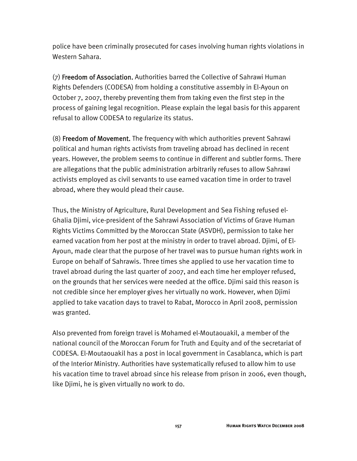police have been criminally prosecuted for cases involving human rights violations in Western Sahara.

(7) Freedom of Association. Authorities barred the Collective of Sahrawi Human Rights Defenders (CODESA) from holding a constitutive assembly in El-Ayoun on October 7, 2007, thereby preventing them from taking even the first step in the process of gaining legal recognition. Please explain the legal basis for this apparent refusal to allow CODESA to regularize its status.

(8) Freedom of Movement. The frequency with which authorities prevent Sahrawi political and human rights activists from traveling abroad has declined in recent years. However, the problem seems to continue in different and subtler forms. There are allegations that the public administration arbitrarily refuses to allow Sahrawi activists employed as civil servants to use earned vacation time in order to travel abroad, where they would plead their cause.

Thus, the Ministry of Agriculture, Rural Development and Sea Fishing refused el-Ghalia Djimi, vice-president of the Sahrawi Association of Victims of Grave Human Rights Victims Committed by the Moroccan State (ASVDH), permission to take her earned vacation from her post at the ministry in order to travel abroad. Djimi, of El-Ayoun, made clear that the purpose of her travel was to pursue human rights work in Europe on behalf of Sahrawis. Three times she applied to use her vacation time to travel abroad during the last quarter of 2007, and each time her employer refused, on the grounds that her services were needed at the office. Djimi said this reason is not credible since her employer gives her virtually no work. However, when Djimi applied to take vacation days to travel to Rabat, Morocco in April 2008, permission was granted.

Also prevented from foreign travel is Mohamed el-Moutaouakil, a member of the national council of the Moroccan Forum for Truth and Equity and of the secretariat of CODESA. El-Moutaouakil has a post in local government in Casablanca, which is part of the Interior Ministry. Authorities have systematically refused to allow him to use his vacation time to travel abroad since his release from prison in 2006, even though, like Djimi, he is given virtually no work to do.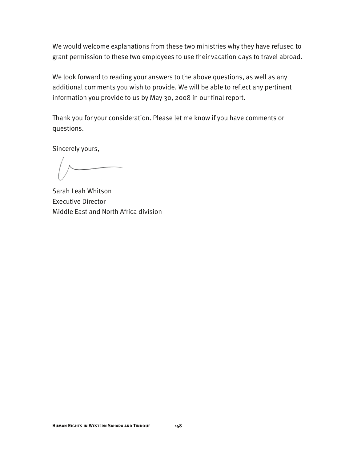We would welcome explanations from these two ministries why they have refused to grant permission to these two employees to use their vacation days to travel abroad.

We look forward to reading your answers to the above questions, as well as any additional comments you wish to provide. We will be able to reflect any pertinent information you provide to us by May 30, 2008 in our final report.

Thank you for your consideration. Please let me know if you have comments or questions.

Sincerely yours,

Sarah Leah Whitson Executive Director Middle East and North Africa division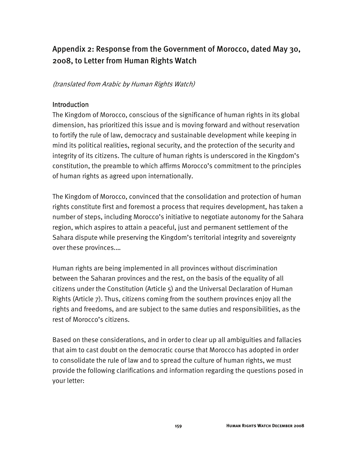# Appendix 2: Response from the Government of Morocco, dated May 30, 2008, to Letter from Human Rights Watch

(translated from Arabic by Human Rights Watch)

#### **Introduction**

The Kingdom of Morocco, conscious of the significance of human rights in its global dimension, has prioritized this issue and is moving forward and without reservation to fortify the rule of law, democracy and sustainable development while keeping in mind its political realities, regional security, and the protection of the security and integrity of its citizens. The culture of human rights is underscored in the Kingdom's constitution, the preamble to which affirms Morocco's commitment to the principles of human rights as agreed upon internationally.

The Kingdom of Morocco, convinced that the consolidation and protection of human rights constitute first and foremost a process that requires development, has taken a number of steps, including Morocco's initiative to negotiate autonomy for the Sahara region, which aspires to attain a peaceful, just and permanent settlement of the Sahara dispute while preserving the Kingdom's territorial integrity and sovereignty over these provinces.…

Human rights are being implemented in all provinces without discrimination between the Saharan provinces and the rest, on the basis of the equality of all citizens under the Constitution (Article 5) and the Universal Declaration of Human Rights (Article 7). Thus, citizens coming from the southern provinces enjoy all the rights and freedoms, and are subject to the same duties and responsibilities, as the rest of Morocco's citizens.

Based on these considerations, and in order to clear up all ambiguities and fallacies that aim to cast doubt on the democratic course that Morocco has adopted in order to consolidate the rule of law and to spread the culture of human rights, we must provide the following clarifications and information regarding the questions posed in your letter: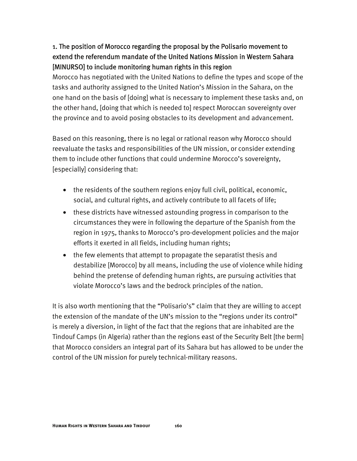# 1. The position of Morocco regarding the proposal by the Polisario movement to extend the referendum mandate of the United Nations Mission in Western Sahara [MINURSO] to include monitoring human rights in this region

Morocco has negotiated with the United Nations to define the types and scope of the tasks and authority assigned to the United Nation's Mission in the Sahara, on the one hand on the basis of [doing] what is necessary to implement these tasks and, on the other hand, [doing that which is needed to] respect Moroccan sovereignty over the province and to avoid posing obstacles to its development and advancement.

Based on this reasoning, there is no legal or rational reason why Morocco should reevaluate the tasks and responsibilities of the UN mission, or consider extending them to include other functions that could undermine Morocco's sovereignty, [especially] considering that:

- the residents of the southern regions enjoy full civil, political, economic, social, and cultural rights, and actively contribute to all facets of life;
- these districts have witnessed astounding progress in comparison to the circumstances they were in following the departure of the Spanish from the region in 1975, thanks to Morocco's pro-development policies and the major efforts it exerted in all fields, including human rights;
- the few elements that attempt to propagate the separatist thesis and destabilize [Morocco] by all means, including the use of violence while hiding behind the pretense of defending human rights, are pursuing activities that violate Morocco's laws and the bedrock principles of the nation.

It is also worth mentioning that the "Polisario's" claim that they are willing to accept the extension of the mandate of the UN's mission to the "regions under its control" is merely a diversion, in light of the fact that the regions that are inhabited are the Tindouf Camps (in Algeria) rather than the regions east of the Security Belt [the berm] that Morocco considers an integral part of its Sahara but has allowed to be under the control of the UN mission for purely technical-military reasons.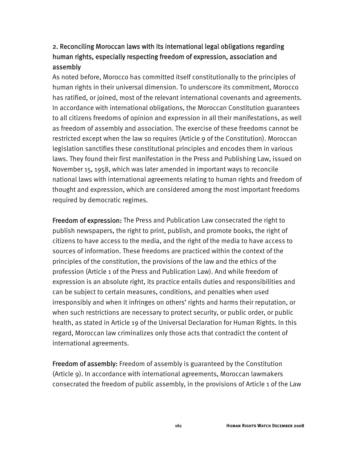# 2. Reconciling Moroccan laws with its international legal obligations regarding human rights, especially respecting freedom of expression, association and assembly

As noted before, Morocco has committed itself constitutionally to the principles of human rights in their universal dimension. To underscore its commitment, Morocco has ratified, or joined, most of the relevant international covenants and agreements. In accordance with international obligations, the Moroccan Constitution guarantees to all citizens freedoms of opinion and expression in all their manifestations, as well as freedom of assembly and association. The exercise of these freedoms cannot be restricted except when the law so requires (Article 9 of the Constitution). Moroccan legislation sanctifies these constitutional principles and encodes them in various laws. They found their first manifestation in the Press and Publishing Law, issued on November 15, 1958, which was later amended in important ways to reconcile national laws with international agreements relating to human rights and freedom of thought and expression, which are considered among the most important freedoms required by democratic regimes.

Freedom of expression: The Press and Publication Law consecrated the right to publish newspapers, the right to print, publish, and promote books, the right of citizens to have access to the media, and the right of the media to have access to sources of information. These freedoms are practiced within the context of the principles of the constitution, the provisions of the law and the ethics of the profession (Article 1 of the Press and Publication Law). And while freedom of expression is an absolute right, its practice entails duties and responsibilities and can be subject to certain measures, conditions, and penalties when used irresponsibly and when it infringes on others' rights and harms their reputation, or when such restrictions are necessary to protect security, or public order, or public health, as stated in Article 19 of the Universal Declaration for Human Rights. In this regard, Moroccan law criminalizes only those acts that contradict the content of international agreements.

Freedom of assembly: Freedom of assembly is guaranteed by the Constitution (Article 9). In accordance with international agreements, Moroccan lawmakers consecrated the freedom of public assembly, in the provisions of Article 1 of the Law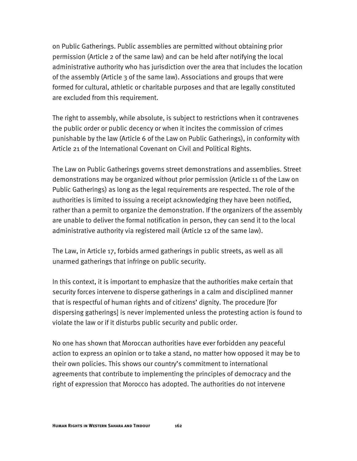on Public Gatherings. Public assemblies are permitted without obtaining prior permission (Article 2 of the same law) and can be held after notifying the local administrative authority who has jurisdiction over the area that includes the location of the assembly (Article 3 of the same law). Associations and groups that were formed for cultural, athletic or charitable purposes and that are legally constituted are excluded from this requirement.

The right to assembly, while absolute, is subject to restrictions when it contravenes the public order or public decency or when it incites the commission of crimes punishable by the law (Article 6 of the Law on Public Gatherings), in conformity with Article 21 of the International Covenant on Civil and Political Rights.

The Law on Public Gatherings governs street demonstrations and assemblies. Street demonstrations may be organized without prior permission (Article 11 of the Law on Public Gatherings) as long as the legal requirements are respected. The role of the authorities is limited to issuing a receipt acknowledging they have been notified, rather than a permit to organize the demonstration. If the organizers of the assembly are unable to deliver the formal notification in person, they can send it to the local administrative authority via registered mail (Article 12 of the same law).

The Law, in Article 17, forbids armed gatherings in public streets, as well as all unarmed gatherings that infringe on public security.

In this context, it is important to emphasize that the authorities make certain that security forces intervene to disperse gatherings in a calm and disciplined manner that is respectful of human rights and of citizens' dignity. The procedure [for dispersing gatherings] is never implemented unless the protesting action is found to violate the law or if it disturbs public security and public order.

No one has shown that Moroccan authorities have ever forbidden any peaceful action to express an opinion or to take a stand, no matter how opposed it may be to their own policies. This shows our country's commitment to international agreements that contribute to implementing the principles of democracy and the right of expression that Morocco has adopted. The authorities do not intervene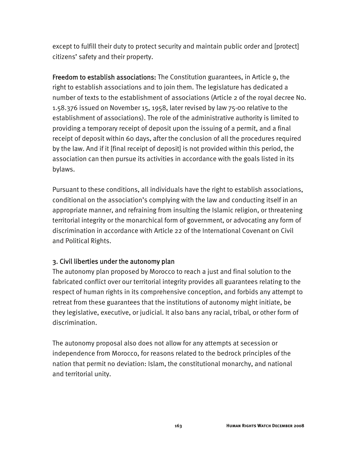except to fulfill their duty to protect security and maintain public order and [protect] citizens' safety and their property.

Freedom to establish associations: The Constitution guarantees, in Article 9, the right to establish associations and to join them. The legislature has dedicated a number of texts to the establishment of associations (Article 2 of the royal decree No. 1.58.376 issued on November 15, 1958, later revised by law 75-00 relative to the establishment of associations). The role of the administrative authority is limited to providing a temporary receipt of deposit upon the issuing of a permit, and a final receipt of deposit within 60 days, after the conclusion of all the procedures required by the law. And if it [final receipt of deposit] is not provided within this period, the association can then pursue its activities in accordance with the goals listed in its bylaws.

Pursuant to these conditions, all individuals have the right to establish associations, conditional on the association's complying with the law and conducting itself in an appropriate manner, and refraining from insulting the Islamic religion, or threatening territorial integrity or the monarchical form of government, or advocating any form of discrimination in accordance with Article 22 of the International Covenant on Civil and Political Rights.

## 3. Civil liberties under the autonomy plan

The autonomy plan proposed by Morocco to reach a just and final solution to the fabricated conflict over our territorial integrity provides all guarantees relating to the respect of human rights in its comprehensive conception, and forbids any attempt to retreat from these guarantees that the institutions of autonomy might initiate, be they legislative, executive, or judicial. It also bans any racial, tribal, or other form of discrimination.

The autonomy proposal also does not allow for any attempts at secession or independence from Morocco, for reasons related to the bedrock principles of the nation that permit no deviation: Islam, the constitutional monarchy, and national and territorial unity.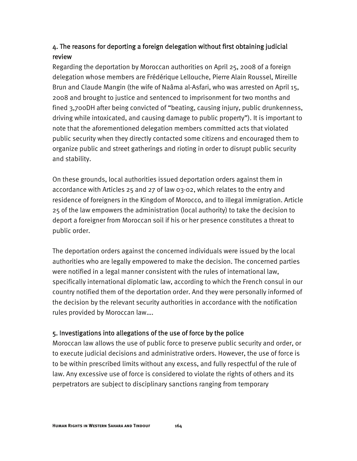# 4. The reasons for deporting a foreign delegation without first obtaining judicial review

Regarding the deportation by Moroccan authorities on April 25, 2008 of a foreign delegation whose members are Frédérique Lellouche, Pierre Alain Roussel, Mireille Brun and Claude Mangin (the wife of Naâma al-Asfari, who was arrested on April 15, 2008 and brought to justice and sentenced to imprisonment for two months and fined 3,700DH after being convicted of "beating, causing injury, public drunkenness, driving while intoxicated, and causing damage to public property"). It is important to note that the aforementioned delegation members committed acts that violated public security when they directly contacted some citizens and encouraged them to organize public and street gatherings and rioting in order to disrupt public security and stability.

On these grounds, local authorities issued deportation orders against them in accordance with Articles 25 and 27 of law 03-02, which relates to the entry and residence of foreigners in the Kingdom of Morocco, and to illegal immigration. Article 25 of the law empowers the administration (local authority) to take the decision to deport a foreigner from Moroccan soil if his or her presence constitutes a threat to public order.

The deportation orders against the concerned individuals were issued by the local authorities who are legally empowered to make the decision. The concerned parties were notified in a legal manner consistent with the rules of international law, specifically international diplomatic law, according to which the French consul in our country notified them of the deportation order. And they were personally informed of the decision by the relevant security authorities in accordance with the notification rules provided by Moroccan law….

### 5. Investigations into allegations of the use of force by the police

Moroccan law allows the use of public force to preserve public security and order, or to execute judicial decisions and administrative orders. However, the use of force is to be within prescribed limits without any excess, and fully respectful of the rule of law. Any excessive use of force is considered to violate the rights of others and its perpetrators are subject to disciplinary sanctions ranging from temporary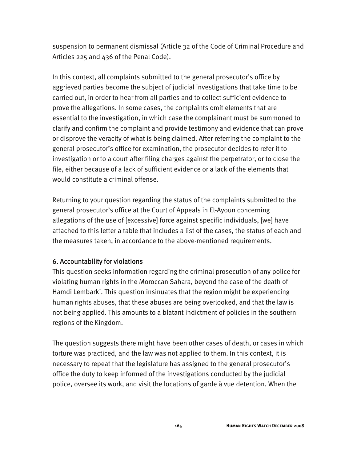suspension to permanent dismissal (Article 32 of the Code of Criminal Procedure and Articles 225 and 436 of the Penal Code).

In this context, all complaints submitted to the general prosecutor's office by aggrieved parties become the subject of judicial investigations that take time to be carried out, in order to hear from all parties and to collect sufficient evidence to prove the allegations. In some cases, the complaints omit elements that are essential to the investigation, in which case the complainant must be summoned to clarify and confirm the complaint and provide testimony and evidence that can prove or disprove the veracity of what is being claimed. After referring the complaint to the general prosecutor's office for examination, the prosecutor decides to refer it to investigation or to a court after filing charges against the perpetrator, or to close the file, either because of a lack of sufficient evidence or a lack of the elements that would constitute a criminal offense.

Returning to your question regarding the status of the complaints submitted to the general prosecutor's office at the Court of Appeals in El-Ayoun concerning allegations of the use of [excessive] force against specific individuals, [we] have attached to this letter a table that includes a list of the cases, the status of each and the measures taken, in accordance to the above-mentioned requirements.

### 6. Accountability for violations

This question seeks information regarding the criminal prosecution of any police for violating human rights in the Moroccan Sahara, beyond the case of the death of Hamdi Lembarki. This question insinuates that the region might be experiencing human rights abuses, that these abuses are being overlooked, and that the law is not being applied. This amounts to a blatant indictment of policies in the southern regions of the Kingdom.

The question suggests there might have been other cases of death, or cases in which torture was practiced, and the law was not applied to them. In this context, it is necessary to repeat that the legislature has assigned to the general prosecutor's office the duty to keep informed of the investigations conducted by the judicial police, oversee its work, and visit the locations of garde à vue detention. When the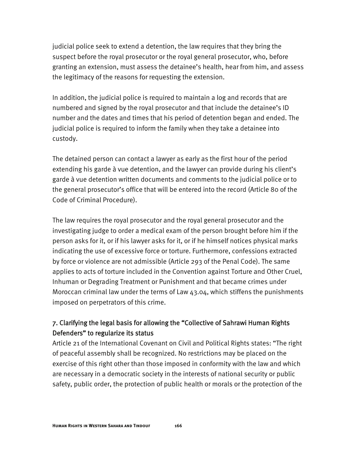judicial police seek to extend a detention, the law requires that they bring the suspect before the royal prosecutor or the royal general prosecutor, who, before granting an extension, must assess the detainee's health, hear from him, and assess the legitimacy of the reasons for requesting the extension.

In addition, the judicial police is required to maintain a log and records that are numbered and signed by the royal prosecutor and that include the detainee's ID number and the dates and times that his period of detention began and ended. The judicial police is required to inform the family when they take a detainee into custody.

The detained person can contact a lawyer as early as the first hour of the period extending his garde à vue detention, and the lawyer can provide during his client's garde à vue detention written documents and comments to the judicial police or to the general prosecutor's office that will be entered into the record (Article 80 of the Code of Criminal Procedure).

The law requires the royal prosecutor and the royal general prosecutor and the investigating judge to order a medical exam of the person brought before him if the person asks for it, or if his lawyer asks for it, or if he himself notices physical marks indicating the use of excessive force or torture. Furthermore, confessions extracted by force or violence are not admissible (Article 293 of the Penal Code). The same applies to acts of torture included in the Convention against Torture and Other Cruel, Inhuman or Degrading Treatment or Punishment and that became crimes under Moroccan criminal law under the terms of Law  $43.04$ , which stiffens the punishments imposed on perpetrators of this crime.

# 7. Clarifying the legal basis for allowing the "Collective of Sahrawi Human Rights Defenders" to regularize its status

Article 21 of the International Covenant on Civil and Political Rights states: "The right of peaceful assembly shall be recognized. No restrictions may be placed on the exercise of this right other than those imposed in conformity with the law and which are necessary in a democratic society in the interests of national security or public safety, public order, the protection of public health or morals or the protection of the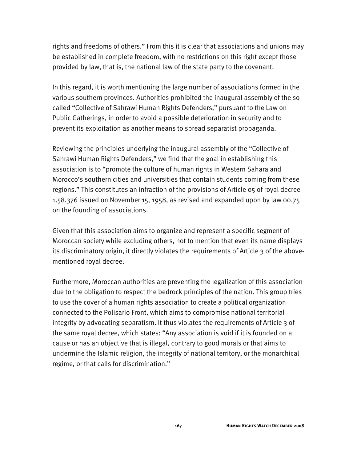rights and freedoms of others." From this it is clear that associations and unions may be established in complete freedom, with no restrictions on this right except those provided by law, that is, the national law of the state party to the covenant.

In this regard, it is worth mentioning the large number of associations formed in the various southern provinces. Authorities prohibited the inaugural assembly of the socalled "Collective of Sahrawi Human Rights Defenders," pursuant to the Law on Public Gatherings, in order to avoid a possible deterioration in security and to prevent its exploitation as another means to spread separatist propaganda.

Reviewing the principles underlying the inaugural assembly of the "Collective of Sahrawi Human Rights Defenders," we find that the goal in establishing this association is to "promote the culture of human rights in Western Sahara and Morocco's southern cities and universities that contain students coming from these regions." This constitutes an infraction of the provisions of Article 05 of royal decree 1.58.376 issued on November 15, 1958, as revised and expanded upon by law 00.75 on the founding of associations.

Given that this association aims to organize and represent a specific segment of Moroccan society while excluding others, not to mention that even its name displays its discriminatory origin, it directly violates the requirements of Article 3 of the abovementioned royal decree.

Furthermore, Moroccan authorities are preventing the legalization of this association due to the obligation to respect the bedrock principles of the nation. This group tries to use the cover of a human rights association to create a political organization connected to the Polisario Front, which aims to compromise national territorial integrity by advocating separatism. It thus violates the requirements of Article 3 of the same royal decree, which states: "Any association is void if it is founded on a cause or has an objective that is illegal, contrary to good morals or that aims to undermine the Islamic religion, the integrity of national territory, or the monarchical regime, or that calls for discrimination."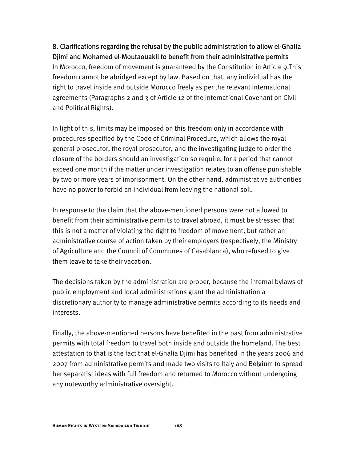8. Clarifications regarding the refusal by the public administration to allow el-Ghalia Djimi and Mohamed el-Moutaouakil to benefit from their administrative permits In Morocco, freedom of movement is guaranteed by the Constitution in Article 9.This freedom cannot be abridged except by law. Based on that, any individual has the right to travel inside and outside Morocco freely as per the relevant international agreements (Paragraphs 2 and 3 of Article 12 of the International Covenant on Civil and Political Rights).

In light of this, limits may be imposed on this freedom only in accordance with procedures specified by the Code of Criminal Procedure, which allows the royal general prosecutor, the royal prosecutor, and the investigating judge to order the closure of the borders should an investigation so require, for a period that cannot exceed one month if the matter under investigation relates to an offense punishable by two or more years of imprisonment. On the other hand, administrative authorities have no power to forbid an individual from leaving the national soil.

In response to the claim that the above-mentioned persons were not allowed to benefit from their administrative permits to travel abroad, it must be stressed that this is not a matter of violating the right to freedom of movement, but rather an administrative course of action taken by their employers (respectively, the Ministry of Agriculture and the Council of Communes of Casablanca), who refused to give them leave to take their vacation.

The decisions taken by the administration are proper, because the internal bylaws of public employment and local administrations grant the administration a discretionary authority to manage administrative permits according to its needs and interests.

Finally, the above-mentioned persons have benefited in the past from administrative permits with total freedom to travel both inside and outside the homeland. The best attestation to that is the fact that el-Ghalia Djimi has benefited in the years 2006 and 2007 from administrative permits and made two visits to Italy and Belgium to spread her separatist ideas with full freedom and returned to Morocco without undergoing any noteworthy administrative oversight.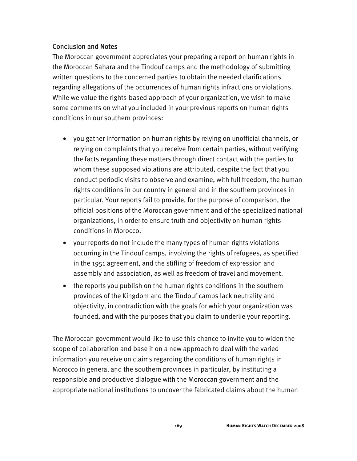### Conclusion and Notes

The Moroccan government appreciates your preparing a report on human rights in the Moroccan Sahara and the Tindouf camps and the methodology of submitting written questions to the concerned parties to obtain the needed clarifications regarding allegations of the occurrences of human rights infractions or violations. While we value the rights-based approach of your organization, we wish to make some comments on what you included in your previous reports on human rights conditions in our southern provinces:

- you gather information on human rights by relying on unofficial channels, or relying on complaints that you receive from certain parties, without verifying the facts regarding these matters through direct contact with the parties to whom these supposed violations are attributed, despite the fact that you conduct periodic visits to observe and examine, with full freedom, the human rights conditions in our country in general and in the southern provinces in particular. Your reports fail to provide, for the purpose of comparison, the official positions of the Moroccan government and of the specialized national organizations, in order to ensure truth and objectivity on human rights conditions in Morocco.
- your reports do not include the many types of human rights violations occurring in the Tindouf camps, involving the rights of refugees, as specified in the 1951 agreement, and the stifling of freedom of expression and assembly and association, as well as freedom of travel and movement.
- the reports you publish on the human rights conditions in the southern provinces of the Kingdom and the Tindouf camps lack neutrality and objectivity, in contradiction with the goals for which your organization was founded, and with the purposes that you claim to underlie your reporting.

The Moroccan government would like to use this chance to invite you to widen the scope of collaboration and base it on a new approach to deal with the varied information you receive on claims regarding the conditions of human rights in Morocco in general and the southern provinces in particular, by instituting a responsible and productive dialogue with the Moroccan government and the appropriate national institutions to uncover the fabricated claims about the human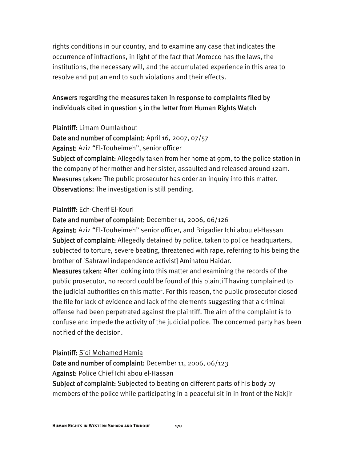rights conditions in our country, and to examine any case that indicates the occurrence of infractions, in light of the fact that Morocco has the laws, the institutions, the necessary will, and the accumulated experience in this area to resolve and put an end to such violations and their effects.

## Answers regarding the measures taken in response to complaints filed by individuals cited in question 5 in the letter from Human Rights Watch

#### Plaintiff: Limam Oumlakhout

Date and number of complaint: April 16, 2007, 07/57

Against: Aziz "El-Touheimeh", senior officer

Subject of complaint: Allegedly taken from her home at 9pm, to the police station in the company of her mother and her sister, assaulted and released around 12am. Measures taken: The public prosecutor has order an inquiry into this matter. Observations: The investigation is still pending.

#### Plaintiff: Ech-Cherif El-Kouri

#### Date and number of complaint: December 11, 2006, 06/126

Against: Aziz "El-Touheimeh" senior officer, and Brigadier Ichi abou el-Hassan Subject of complaint: Allegedly detained by police, taken to police headquarters, subjected to torture, severe beating, threatened with rape, referring to his being the brother of [Sahrawi independence activist] Aminatou Haidar.

Measures taken: After looking into this matter and examining the records of the public prosecutor, no record could be found of this plaintiff having complained to the judicial authorities on this matter. For this reason, the public prosecutor closed the file for lack of evidence and lack of the elements suggesting that a criminal offense had been perpetrated against the plaintiff. The aim of the complaint is to confuse and impede the activity of the judicial police. The concerned party has been notified of the decision.

#### Plaintiff: Sidi Mohamed Hamia

Date and number of complaint: December 11, 2006, 06/123

Against: Police Chief Ichi abou el-Hassan

Subject of complaint: Subjected to beating on different parts of his body by members of the police while participating in a peaceful sit-in in front of the Nakjir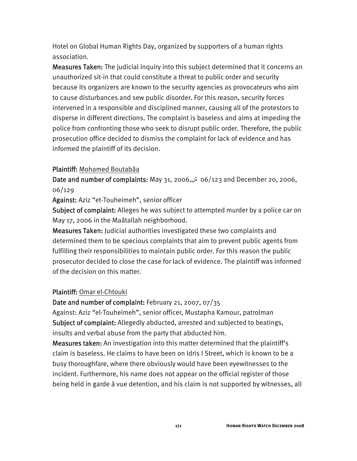Hotel on Global Human Rights Day, organized by supporters of a human rights association.

Measures Taken: The judicial inquiry into this subject determined that it concerns an unauthorized sit-in that could constitute a threat to public order and security because its organizers are known to the security agencies as provocateurs who aim to cause disturbances and sew public disorder. For this reason, security forces intervened in a responsible and disciplined manner, causing all of the protestors to disperse in different directions. The complaint is baseless and aims at impeding the police from confronting those who seek to disrupt public order. Therefore, the public prosecution office decided to dismiss the complaint for lack of evidence and has informed the plaintiff of its decision.

#### Plaintiff: Mohamed Boutabâa

Date and number of complaints: May 31, 2006,ش 06/123 and December 20, 2006, 06/129

Against: Aziz "et-Touheimeh", senior officer

Subject of complaint: Alleges he was subject to attempted murder by a police car on May 17, 2006 in the Maâtallah neighborhood.

Measures Taken: Judicial authorities investigated these two complaints and determined them to be specious complaints that aim to prevent public agents from fulfilling their responsibilities to maintain public order. For this reason the public prosecutor decided to close the case for lack of evidence. The plaintiff was informed of the decision on this matter.

### Plaintiff: Omar el-Chtouki

### Date and number of complaint: February 21, 2007, 07/35

Against: Aziz "el-Touheimeh", senior officer, Mustapha Kamour, patrolman Subject of complaint: Allegedly abducted, arrested and subjected to beatings, insults and verbal abuse from the party that abducted him.

Measures taken: An investigation into this matter determined that the plaintiff's claim is baseless. He claims to have been on Idris I Street, which is known to be a busy thoroughfare, where there obviously would have been eyewitnesses to the incident. Furthermore, his name does not appear on the official register of those being held in garde à vue detention, and his claim is not supported by witnesses, all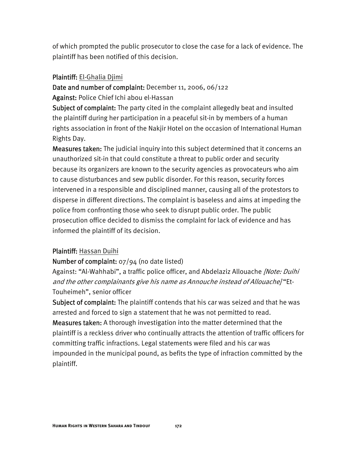of which prompted the public prosecutor to close the case for a lack of evidence. The plaintiff has been notified of this decision.

#### Plaintiff: El-Ghalia Djimi

Date and number of complaint: December 11, 2006, 06/122 Against: Police Chief Ichi abou el-Hassan

Subject of complaint: The party cited in the complaint allegedly beat and insulted the plaintiff during her participation in a peaceful sit-in by members of a human rights association in front of the Nakjir Hotel on the occasion of International Human Rights Day.

Measures taken: The judicial inquiry into this subject determined that it concerns an unauthorized sit-in that could constitute a threat to public order and security because its organizers are known to the security agencies as provocateurs who aim to cause disturbances and sew public disorder. For this reason, security forces intervened in a responsible and disciplined manner, causing all of the protestors to disperse in different directions. The complaint is baseless and aims at impeding the police from confronting those who seek to disrupt public order. The public prosecution office decided to dismiss the complaint for lack of evidence and has informed the plaintiff of its decision.

### Plaintiff: Hassan Duihi

### Number of complaint: 07/94 (no date listed)

Against: "Al-Wahhabi", a traffic police officer, and Abdelaziz Allouache *[Note: Duihi* and the other complainants give his name as Annouche instead of Allouache] "Et-Touheimeh", senior officer

Subject of complaint: The plaintiff contends that his car was seized and that he was arrested and forced to sign a statement that he was not permitted to read.

Measures taken: A thorough investigation into the matter determined that the plaintiff is a reckless driver who continually attracts the attention of traffic officers for committing traffic infractions. Legal statements were filed and his car was impounded in the municipal pound, as befits the type of infraction committed by the plaintiff.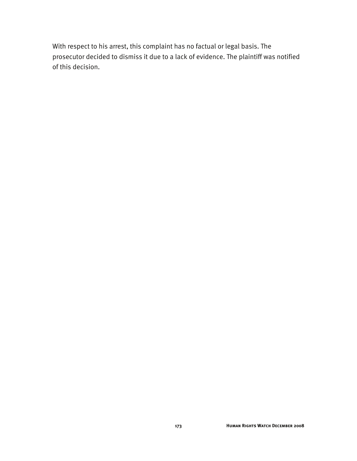With respect to his arrest, this complaint has no factual or legal basis. The prosecutor decided to dismiss it due to a lack of evidence. The plaintiff was notified of this decision.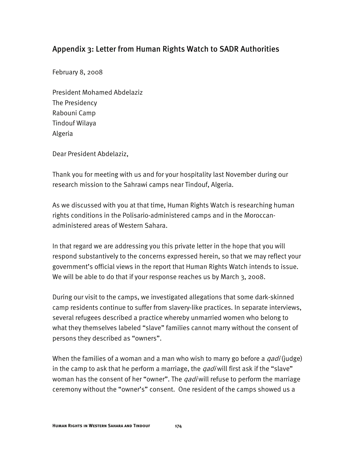# Appendix 3: Letter from Human Rights Watch to SADR Authorities

February 8, 2008

President Mohamed Abdelaziz The Presidency Rabouni Camp Tindouf Wilaya Algeria

Dear President Abdelaziz,

Thank you for meeting with us and for your hospitality last November during our research mission to the Sahrawi camps near Tindouf, Algeria.

As we discussed with you at that time, Human Rights Watch is researching human rights conditions in the Polisario-administered camps and in the Moroccanadministered areas of Western Sahara.

In that regard we are addressing you this private letter in the hope that you will respond substantively to the concerns expressed herein, so that we may reflect your government's official views in the report that Human Rights Watch intends to issue. We will be able to do that if your response reaches us by March 3, 2008.

During our visit to the camps, we investigated allegations that some dark-skinned camp residents continue to suffer from slavery-like practices. In separate interviews, several refugees described a practice whereby unmarried women who belong to what they themselves labeled "slave" families cannot marry without the consent of persons they described as "owners".

When the families of a woman and a man who wish to marry go before a  $qadi$  (judge) in the camp to ask that he perform a marriage, the  $q$ adi will first ask if the "slave" woman has the consent of her "owner". The *qadi* will refuse to perform the marriage ceremony without the "owner's" consent. One resident of the camps showed us a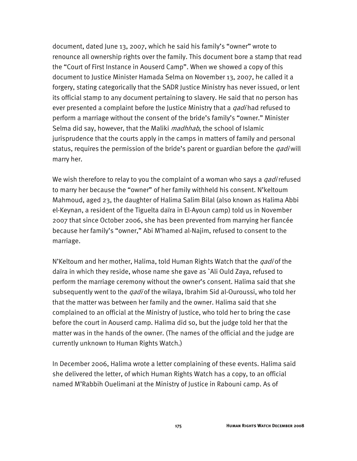document, dated June 13, 2007, which he said his family's "owner" wrote to renounce all ownership rights over the family. This document bore a stamp that read the "Court of First Instance in Aouserd Camp". When we showed a copy of this document to Justice Minister Hamada Selma on November 13, 2007, he called it a forgery, stating categorically that the SADR Justice Ministry has never issued, or lent its official stamp to any document pertaining to slavery. He said that no person has ever presented a complaint before the Justice Ministry that a *qadi* had refused to perform a marriage without the consent of the bride's family's "owner." Minister Selma did say, however, that the Maliki *madhhab*, the school of Islamic jurisprudence that the courts apply in the camps in matters of family and personal status, requires the permission of the bride's parent or guardian before the *qadi* will marry her.

We wish therefore to relay to you the complaint of a woman who says a *qadi* refused to marry her because the "owner" of her family withheld his consent. N'keltoum Mahmoud, aged 23, the daughter of Halima Salim Bilal (also known as Halima Abbi el-Keynan, a resident of the Tiguelta daïra in El-Ayoun camp) told us in November 2007 that since October 2006, she has been prevented from marrying her fiancée because her family's "owner," Abi M'hamed al-Najim, refused to consent to the marriage.

N'Keltoum and her mother, Halima, told Human Rights Watch that the *qadi* of the daïra in which they reside, whose name she gave as `Ali Ould Zaya, refused to perform the marriage ceremony without the owner's consent. Halima said that she subsequently went to the *qadi* of the wilaya, Ibrahim Sid al-Ouroussi, who told her that the matter was between her family and the owner. Halima said that she complained to an official at the Ministry of Justice, who told her to bring the case before the court in Aouserd camp. Halima did so, but the judge told her that the matter was in the hands of the owner. (The names of the official and the judge are currently unknown to Human Rights Watch.)

In December 2006, Halima wrote a letter complaining of these events. Halima said she delivered the letter, of which Human Rights Watch has a copy, to an official named M'Rabbih Ouelimani at the Ministry of Justice in Rabouni camp. As of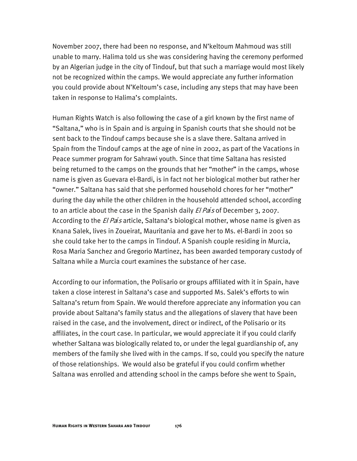November 2007, there had been no response, and N'keltoum Mahmoud was still unable to marry. Halima told us she was considering having the ceremony performed by an Algerian judge in the city of Tindouf, but that such a marriage would most likely not be recognized within the camps. We would appreciate any further information you could provide about N'Keltoum's case, including any steps that may have been taken in response to Halima's complaints.

Human Rights Watch is also following the case of a girl known by the first name of "Saltana," who is in Spain and is arguing in Spanish courts that she should not be sent back to the Tindouf camps because she is a slave there. Saltana arrived in Spain from the Tindouf camps at the age of nine in 2002, as part of the Vacations in Peace summer program for Sahrawi youth. Since that time Saltana has resisted being returned to the camps on the grounds that her "mother" in the camps, whose name is given as Guevara el-Bardi, is in fact not her biological mother but rather her "owner." Saltana has said that she performed household chores for her "mother" during the day while the other children in the household attended school, according to an article about the case in the Spanish daily El Pa*í*s of December 3, 2007. According to the El Pa*í*s article, Saltana's biological mother, whose name is given as Knana Salek, lives in Zoueirat, Mauritania and gave her to Ms. el-Bardi in 2001 so she could take her to the camps in Tindouf. A Spanish couple residing in Murcia, Rosa Maria Sanchez and Gregorio Martinez, has been awarded temporary custody of Saltana while a Murcia court examines the substance of her case.

According to our information, the Polisario or groups affiliated with it in Spain, have taken a close interest in Saltana's case and supported Ms. Salek's efforts to win Saltana's return from Spain. We would therefore appreciate any information you can provide about Saltana's family status and the allegations of slavery that have been raised in the case, and the involvement, direct or indirect, of the Polisario or its affiliates, in the court case. In particular, we would appreciate it if you could clarify whether Saltana was biologically related to, or under the legal guardianship of, any members of the family she lived with in the camps. If so, could you specify the nature of those relationships. We would also be grateful if you could confirm whether Saltana was enrolled and attending school in the camps before she went to Spain,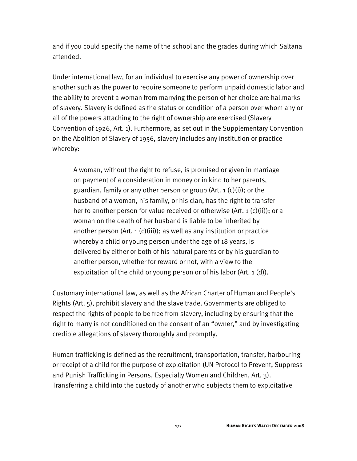and if you could specify the name of the school and the grades during which Saltana attended.

Under international law, for an individual to exercise any power of ownership over another such as the power to require someone to perform unpaid domestic labor and the ability to prevent a woman from marrying the person of her choice are hallmarks of slavery. Slavery is defined as the status or condition of a person over whom any or all of the powers attaching to the right of ownership are exercised (Slavery Convention of 1926, Art. 1). Furthermore, as set out in the Supplementary Convention on the Abolition of Slavery of 1956, slavery includes any institution or practice whereby:

A woman, without the right to refuse, is promised or given in marriage on payment of a consideration in money or in kind to her parents, guardian, family or any other person or group  $(Art. 1(c)(i))$ ; or the husband of a woman, his family, or his clan, has the right to transfer her to another person for value received or otherwise (Art.  $1(c)(ii)$ ); or a woman on the death of her husband is liable to be inherited by another person (Art. 1 (c)(iii)); as well as any institution or practice whereby a child or young person under the age of 18 years, is delivered by either or both of his natural parents or by his guardian to another person, whether for reward or not, with a view to the exploitation of the child or young person or of his labor (Art. 1 (d)).

Customary international law, as well as the African Charter of Human and People's Rights (Art. 5), prohibit slavery and the slave trade. Governments are obliged to respect the rights of people to be free from slavery, including by ensuring that the right to marry is not conditioned on the consent of an "owner," and by investigating credible allegations of slavery thoroughly and promptly.

Human trafficking is defined as the recruitment, transportation, transfer, harbouring or receipt of a child for the purpose of exploitation (UN Protocol to Prevent, Suppress and Punish Trafficking in Persons, Especially Women and Children, Art. 3). Transferring a child into the custody of another who subjects them to exploitative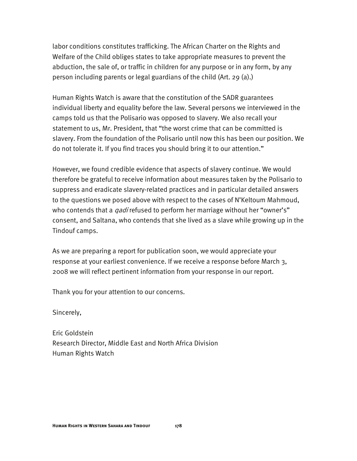labor conditions constitutes trafficking. The African Charter on the Rights and Welfare of the Child obliges states to take appropriate measures to prevent the abduction, the sale of, or traffic in children for any purpose or in any form, by any person including parents or legal guardians of the child (Art. 29 (a).)

Human Rights Watch is aware that the constitution of the SADR guarantees individual liberty and equality before the law. Several persons we interviewed in the camps told us that the Polisario was opposed to slavery. We also recall your statement to us, Mr. President, that "the worst crime that can be committed is slavery. From the foundation of the Polisario until now this has been our position. We do not tolerate it. If you find traces you should bring it to our attention."

However, we found credible evidence that aspects of slavery continue. We would therefore be grateful to receive information about measures taken by the Polisario to suppress and eradicate slavery-related practices and in particular detailed answers to the questions we posed above with respect to the cases of N'Keltoum Mahmoud, who contends that a *qadi* refused to perform her marriage without her "owner's" consent, and Saltana, who contends that she lived as a slave while growing up in the Tindouf camps.

As we are preparing a report for publication soon, we would appreciate your response at your earliest convenience. If we receive a response before March 3, 2008 we will reflect pertinent information from your response in our report.

Thank you for your attention to our concerns.

Sincerely,

Eric Goldstein Research Director, Middle East and North Africa Division Human Rights Watch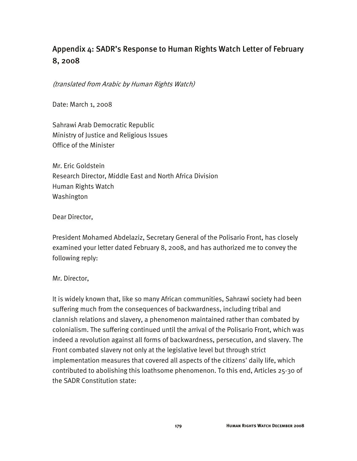# Appendix 4: SADR's Response to Human Rights Watch Letter of February 8, 2008

(translated from Arabic by Human Rights Watch)

Date: March 1, 2008

Sahrawi Arab Democratic Republic Ministry of Justice and Religious Issues Office of the Minister

Mr. Eric Goldstein Research Director, Middle East and North Africa Division Human Rights Watch Washington

Dear Director,

President Mohamed Abdelaziz, Secretary General of the Polisario Front, has closely examined your letter dated February 8, 2008, and has authorized me to convey the following reply:

### Mr. Director,

It is widely known that, like so many African communities, Sahrawi society had been suffering much from the consequences of backwardness, including tribal and clannish relations and slavery, a phenomenon maintained rather than combated by colonialism. The suffering continued until the arrival of the Polisario Front, which was indeed a revolution against all forms of backwardness, persecution, and slavery. The Front combated slavery not only at the legislative level but through strict implementation measures that covered all aspects of the citizens' daily life, which contributed to abolishing this loathsome phenomenon. To this end, Articles 25-30 of the SADR Constitution state: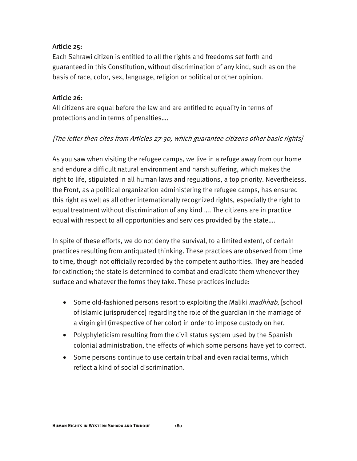# Article 25:

Each Sahrawi citizen is entitled to all the rights and freedoms set forth and guaranteed in this Constitution, without discrimination of any kind, such as on the basis of race, color, sex, language, religion or political or other opinion.

### Article 26:

All citizens are equal before the law and are entitled to equality in terms of protections and in terms of penalties….

# [The letter then cites from Articles 27-30, which guarantee citizens other basic rights]

As you saw when visiting the refugee camps, we live in a refuge away from our home and endure a difficult natural environment and harsh suffering, which makes the right to life, stipulated in all human laws and regulations, a top priority. Nevertheless, the Front, as a political organization administering the refugee camps, has ensured this right as well as all other internationally recognized rights, especially the right to equal treatment without discrimination of any kind …. The citizens are in practice equal with respect to all opportunities and services provided by the state….

In spite of these efforts, we do not deny the survival, to a limited extent, of certain practices resulting from antiquated thinking. These practices are observed from time to time, though not officially recorded by the competent authorities. They are headed for extinction; the state is determined to combat and eradicate them whenever they surface and whatever the forms they take. These practices include:

- Some old-fashioned persons resort to exploiting the Maliki *madhhab*, [school of Islamic jurisprudence] regarding the role of the guardian in the marriage of a virgin girl (irrespective of her color) in order to impose custody on her.
- Polyphyleticism resulting from the civil status system used by the Spanish colonial administration, the effects of which some persons have yet to correct.
- Some persons continue to use certain tribal and even racial terms, which reflect a kind of social discrimination.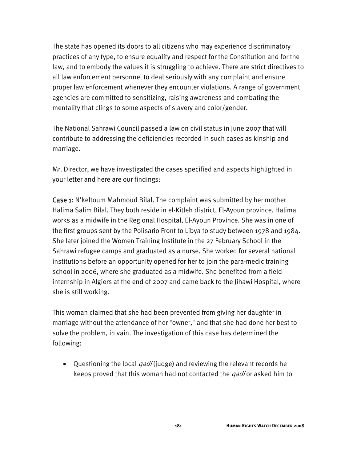The state has opened its doors to all citizens who may experience discriminatory practices of any type, to ensure equality and respect for the Constitution and for the law, and to embody the values it is struggling to achieve. There are strict directives to all law enforcement personnel to deal seriously with any complaint and ensure proper law enforcement whenever they encounter violations. A range of government agencies are committed to sensitizing, raising awareness and combating the mentality that clings to some aspects of slavery and color/gender.

The National Sahrawi Council passed a law on civil status in June 2007 that will contribute to addressing the deficiencies recorded in such cases as kinship and marriage.

Mr. Director, we have investigated the cases specified and aspects highlighted in your letter and here are our findings:

Case 1: N'keltoum Mahmoud Bilal. The complaint was submitted by her mother Halima Salim Bilal. They both reside in el-Kitleh district, El-Ayoun province. Halima works as a midwife in the Regional Hospital, El-Ayoun Province. She was in one of the first groups sent by the Polisario Front to Libya to study between 1978 and 1984. She later joined the Women Training Institute in the 27 February School in the Sahrawi refugee camps and graduated as a nurse. She worked for several national institutions before an opportunity opened for her to join the para-medic training school in 2006, where she graduated as a midwife. She benefited from a field internship in Algiers at the end of 2007 and came back to the Jihawi Hospital, where she is still working.

This woman claimed that she had been prevented from giving her daughter in marriage without the attendance of her "owner," and that she had done her best to solve the problem, in vain. The investigation of this case has determined the following:

• Questioning the local *qadi* (judge) and reviewing the relevant records he keeps proved that this woman had not contacted the *qadi* or asked him to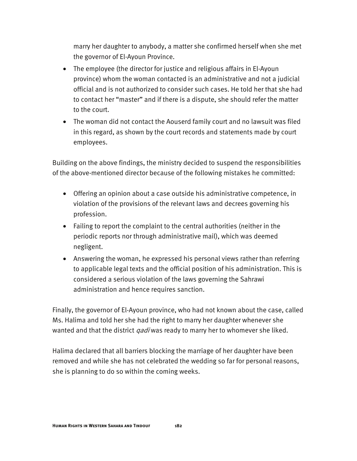marry her daughter to anybody, a matter she confirmed herself when she met the governor of El-Ayoun Province.

- The employee (the director for justice and religious affairs in El-Ayoun province) whom the woman contacted is an administrative and not a judicial official and is not authorized to consider such cases. He told her that she had to contact her "master" and if there is a dispute, she should refer the matter to the court.
- The woman did not contact the Aouserd family court and no lawsuit was filed in this regard, as shown by the court records and statements made by court employees.

Building on the above findings, the ministry decided to suspend the responsibilities of the above-mentioned director because of the following mistakes he committed:

- Offering an opinion about a case outside his administrative competence, in violation of the provisions of the relevant laws and decrees governing his profession.
- Failing to report the complaint to the central authorities (neither in the periodic reports nor through administrative mail), which was deemed negligent.
- Answering the woman, he expressed his personal views rather than referring to applicable legal texts and the official position of his administration. This is considered a serious violation of the laws governing the Sahrawi administration and hence requires sanction.

Finally, the governor of El-Ayoun province, who had not known about the case, called Ms. Halima and told her she had the right to marry her daughter whenever she wanted and that the district *qadi* was ready to marry her to whomever she liked.

Halima declared that all barriers blocking the marriage of her daughter have been removed and while she has not celebrated the wedding so far for personal reasons, she is planning to do so within the coming weeks.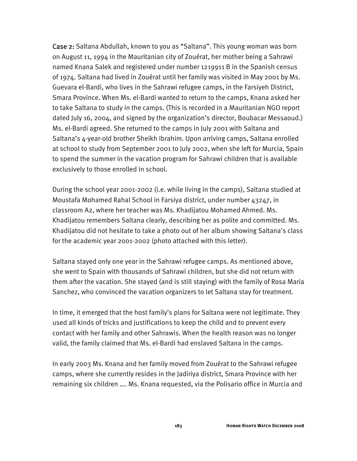Case 2: Saltana Abdullah, known to you as "Saltana". This young woman was born on August 11, 1994 in the Mauritanian city of Zouérat, her mother being a Sahrawi named Knana Salek and registered under number 1219911 B in the Spanish census of 1974. Saltana had lived in Zouérat until her family was visited in May 2001 by Ms. Guevara el-Bardi, who lives in the Sahrawi refugee camps, in the Farsiyeh District, Smara Province. When Ms. el-Bardi wanted to return to the camps, Knana asked her to take Saltana to study in the camps. (This is recorded in a Mauritanian NGO report dated July 16, 2004, and signed by the organization's director, Boubacar Messaoud.) Ms. el-Bardi agreed. She returned to the camps in July 2001 with Saltana and Saltana's 4-year-old brother Sheikh Ibrahim. Upon arriving camps, Saltana enrolled at school to study from September 2001 to July 2002, when she left for Murcia, Spain to spend the summer in the vacation program for Sahrawi children that is available exclusively to those enrolled in school.

During the school year 2001-2002 (i.e. while living in the camps), Saltana studied at Moustafa Mohamed Rahal School in Farsiya district, under number 43247, in classroom A2, where her teacher was Ms. Khadijatou Mohamed Ahmed. Ms. Khadijatou remembers Saltana clearly, describing her as polite and committed. Ms. Khadijatou did not hesitate to take a photo out of her album showing Saltana's class for the academic year 2001-2002 (photo attached with this letter).

Saltana stayed only one year in the Sahrawi refugee camps. As mentioned above, she went to Spain with thousands of Sahrawi children, but she did not return with them after the vacation. She stayed (and is still staying) with the family of Rosa Maria Sanchez, who convinced the vacation organizers to let Saltana stay for treatment.

In time, it emerged that the host family's plans for Saltana were not legitimate. They used all kinds of tricks and justifications to keep the child and to prevent every contact with her family and other Sahrawis. When the health reason was no longer valid, the family claimed that Ms. el-Bardi had enslaved Saltana in the camps.

In early 2003 Ms. Knana and her family moved from Zouérat to the Sahrawi refugee camps, where she currently resides in the Jadiriya district, Smara Province with her remaining six children …. Ms. Knana requested, via the Polisario office in Murcia and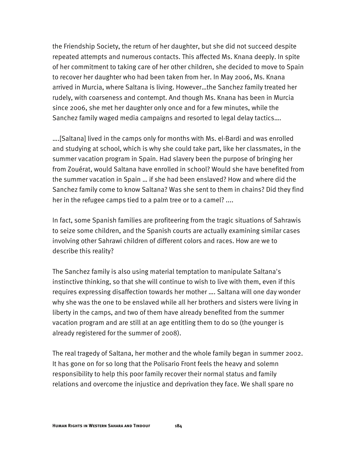the Friendship Society, the return of her daughter, but she did not succeed despite repeated attempts and numerous contacts. This affected Ms. Knana deeply. In spite of her commitment to taking care of her other children, she decided to move to Spain to recover her daughter who had been taken from her. In May 2006, Ms. Knana arrived in Murcia, where Saltana is living. However…the Sanchez family treated her rudely, with coarseness and contempt. And though Ms. Knana has been in Murcia since 2006, she met her daughter only once and for a few minutes, while the Sanchez family waged media campaigns and resorted to legal delay tactics….

….[Saltana] lived in the camps only for months with Ms. el-Bardi and was enrolled and studying at school, which is why she could take part, like her classmates, in the summer vacation program in Spain. Had slavery been the purpose of bringing her from Zouérat, would Saltana have enrolled in school? Would she have benefited from the summer vacation in Spain … if she had been enslaved? How and where did the Sanchez family come to know Saltana? Was she sent to them in chains? Did they find her in the refugee camps tied to a palm tree or to a camel? ....

In fact, some Spanish families are profiteering from the tragic situations of Sahrawis to seize some children, and the Spanish courts are actually examining similar cases involving other Sahrawi children of different colors and races. How are we to describe this reality?

The Sanchez family is also using material temptation to manipulate Saltana's instinctive thinking, so that she will continue to wish to live with them, even if this requires expressing disaffection towards her mother …. Saltana will one day wonder why she was the one to be enslaved while all her brothers and sisters were living in liberty in the camps, and two of them have already benefited from the summer vacation program and are still at an age entitling them to do so (the younger is already registered for the summer of 2008).

The real tragedy of Saltana, her mother and the whole family began in summer 2002. It has gone on for so long that the Polisario Front feels the heavy and solemn responsibility to help this poor family recover their normal status and family relations and overcome the injustice and deprivation they face. We shall spare no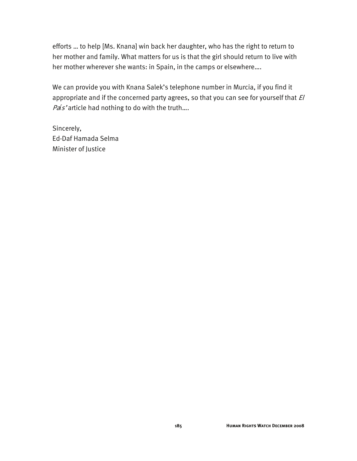efforts … to help [Ms. Knana] win back her daughter, who has the right to return to her mother and family. What matters for us is that the girl should return to live with her mother wherever she wants: in Spain, in the camps or elsewhere….

We can provide you with Knana Salek's telephone number in Murcia, if you find it appropriate and if the concerned party agrees, so that you can see for yourself that El País' article had nothing to do with the truth....

Sincerely, Ed-Daf Hamada Selma Minister of Justice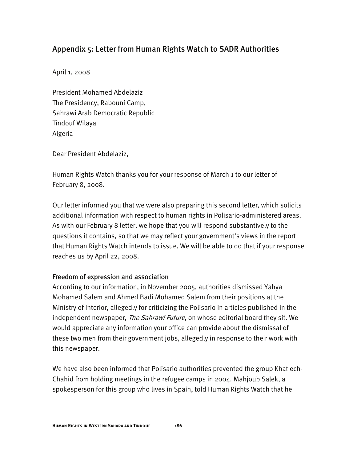# Appendix 5: Letter from Human Rights Watch to SADR Authorities

April 1, 2008

President Mohamed Abdelaziz The Presidency, Rabouni Camp, Sahrawi Arab Democratic Republic Tindouf Wilaya Algeria

Dear President Abdelaziz,

Human Rights Watch thanks you for your response of March 1 to our letter of February 8, 2008.

Our letter informed you that we were also preparing this second letter, which solicits additional information with respect to human rights in Polisario-administered areas. As with our February 8 letter, we hope that you will respond substantively to the questions it contains, so that we may reflect your government's views in the report that Human Rights Watch intends to issue. We will be able to do that if your response reaches us by April 22, 2008.

### Freedom of expression and association

According to our information, in November 2005, authorities dismissed Yahya Mohamed Salem and Ahmed Badi Mohamed Salem from their positions at the Ministry of Interior, allegedly for criticizing the Polisario in articles published in the independent newspaper, *The Sahrawi Future*, on whose editorial board they sit. We would appreciate any information your office can provide about the dismissal of these two men from their government jobs, allegedly in response to their work with this newspaper.

We have also been informed that Polisario authorities prevented the group Khat ech-Chahid from holding meetings in the refugee camps in 2004. Mahjoub Salek, a spokesperson for this group who lives in Spain, told Human Rights Watch that he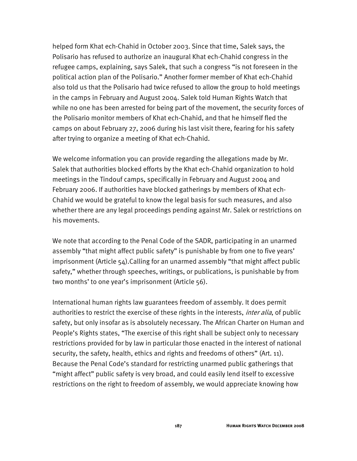helped form Khat ech-Chahid in October 2003. Since that time, Salek says, the Polisario has refused to authorize an inaugural Khat ech-Chahid congress in the refugee camps, explaining, says Salek, that such a congress "is not foreseen in the political action plan of the Polisario." Another former member of Khat ech-Chahid also told us that the Polisario had twice refused to allow the group to hold meetings in the camps in February and August 2004. Salek told Human Rights Watch that while no one has been arrested for being part of the movement, the security forces of the Polisario monitor members of Khat ech-Chahid, and that he himself fled the camps on about February 27, 2006 during his last visit there, fearing for his safety after trying to organize a meeting of Khat ech-Chahid.

We welcome information you can provide regarding the allegations made by Mr. Salek that authorities blocked efforts by the Khat ech-Chahid organization to hold meetings in the Tindouf camps, specifically in February and August 2004 and February 2006. If authorities have blocked gatherings by members of Khat ech-Chahid we would be grateful to know the legal basis for such measures, and also whether there are any legal proceedings pending against Mr. Salek or restrictions on his movements.

We note that according to the Penal Code of the SADR, participating in an unarmed assembly "that might affect public safety" is punishable by from one to five years' imprisonment (Article 54).Calling for an unarmed assembly "that might affect public safety," whether through speeches, writings, or publications, is punishable by from two months' to one year's imprisonment (Article 56).

International human rights law guarantees freedom of assembly. It does permit authorities to restrict the exercise of these rights in the interests, *inter alia*, of public safety, but only insofar as is absolutely necessary. The African Charter on Human and People's Rights states, "The exercise of this right shall be subject only to necessary restrictions provided for by law in particular those enacted in the interest of national security, the safety, health, ethics and rights and freedoms of others" (Art. 11). Because the Penal Code's standard for restricting unarmed public gatherings that "might affect" public safety is very broad, and could easily lend itself to excessive restrictions on the right to freedom of assembly, we would appreciate knowing how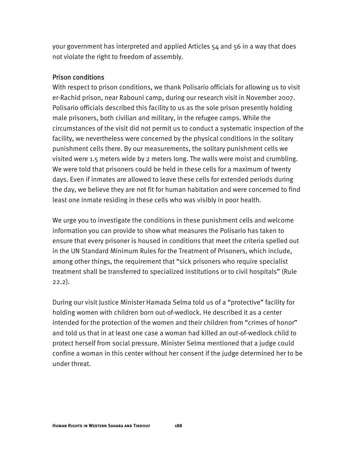your government has interpreted and applied Articles 54 and 56 in a way that does not violate the right to freedom of assembly.

### Prison conditions

With respect to prison conditions, we thank Polisario officials for allowing us to visit er-Rachid prison, near Rabouni camp, during our research visit in November 2007. Polisario officials described this facility to us as the sole prison presently holding male prisoners, both civilian and military, in the refugee camps. While the circumstances of the visit did not permit us to conduct a systematic inspection of the facility, we nevertheless were concerned by the physical conditions in the solitary punishment cells there. By our measurements, the solitary punishment cells we visited were 1.5 meters wide by 2 meters long. The walls were moist and crumbling. We were told that prisoners could be held in these cells for a maximum of twenty days. Even if inmates are allowed to leave these cells for extended periods during the day, we believe they are not fit for human habitation and were concerned to find least one inmate residing in these cells who was visibly in poor health.

We urge you to investigate the conditions in these punishment cells and welcome information you can provide to show what measures the Polisario has taken to ensure that every prisoner is housed in conditions that meet the criteria spelled out in the UN Standard Minimum Rules for the Treatment of Prisoners, which include, among other things, the requirement that "sick prisoners who require specialist treatment shall be transferred to specialized institutions or to civil hospitals" (Rule 22.2).

During our visit Justice Minister Hamada Selma told us of a "protective" facility for holding women with children born out-of-wedlock. He described it as a center intended for the protection of the women and their children from "crimes of honor" and told us that in at least one case a woman had killed an out-of-wedlock child to protect herself from social pressure. Minister Selma mentioned that a judge could confine a woman in this center without her consent if the judge determined her to be under threat.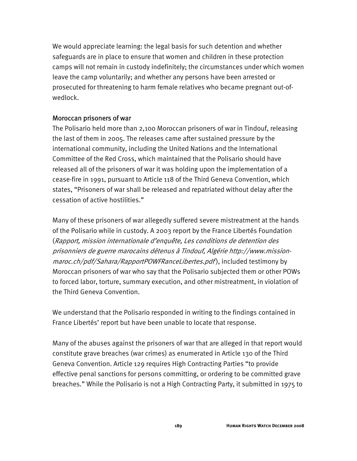We would appreciate learning: the legal basis for such detention and whether safeguards are in place to ensure that women and children in these protection camps will not remain in custody indefinitely; the circumstances under which women leave the camp voluntarily; and whether any persons have been arrested or prosecuted for threatening to harm female relatives who became pregnant out-ofwedlock.

### Moroccan prisoners of war

The Polisario held more than 2,100 Moroccan prisoners of war in Tindouf, releasing the last of them in 2005. The releases came after sustained pressure by the international community, including the United Nations and the International Committee of the Red Cross, which maintained that the Polisario should have released all of the prisoners of war it was holding upon the implementation of a cease-fire in 1991, pursuant to Article 118 of the Third Geneva Convention, which states, "Prisoners of war shall be released and repatriated without delay after the cessation of active hostilities."

Many of these prisoners of war allegedly suffered severe mistreatment at the hands of the Polisario while in custody. A 2003 report by the France Libertés Foundation (Rapport, mission internationale d'enquête, Les conditions de detention des prisonniers de guerre marocains détenus à Tindouf, Algérie http://www.missionmaroc.ch/pdf/Sahara/RapportPOWFRanceLibertes.pdf), included testimony by Moroccan prisoners of war who say that the Polisario subjected them or other POWs to forced labor, torture, summary execution, and other mistreatment, in violation of the Third Geneva Convention.

We understand that the Polisario responded in writing to the findings contained in France Libertés' report but have been unable to locate that response.

Many of the abuses against the prisoners of war that are alleged in that report would constitute grave breaches (war crimes) as enumerated in Article 130 of the Third Geneva Convention. Article 129 requires High Contracting Parties "to provide effective penal sanctions for persons committing, or ordering to be committed grave breaches." While the Polisario is not a High Contracting Party, it submitted in 1975 to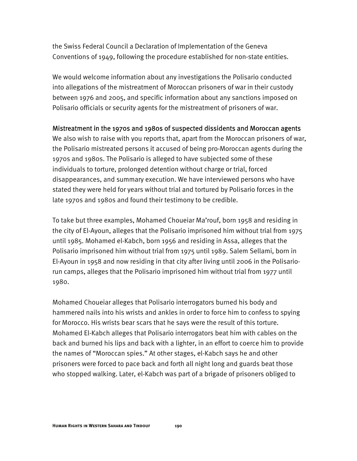the Swiss Federal Council a Declaration of Implementation of the Geneva Conventions of 1949, following the procedure established for non-state entities.

We would welcome information about any investigations the Polisario conducted into allegations of the mistreatment of Moroccan prisoners of war in their custody between 1976 and 2005, and specific information about any sanctions imposed on Polisario officials or security agents for the mistreatment of prisoners of war.

### Mistreatment in the 1970s and 1980s of suspected dissidents and Moroccan agents

We also wish to raise with you reports that, apart from the Moroccan prisoners of war, the Polisario mistreated persons it accused of being pro-Moroccan agents during the 1970s and 1980s. The Polisario is alleged to have subjected some of these individuals to torture, prolonged detention without charge or trial, forced disappearances, and summary execution. We have interviewed persons who have stated they were held for years without trial and tortured by Polisario forces in the late 1970s and 1980s and found their testimony to be credible.

To take but three examples, Mohamed Choueiar Ma'rouf, born 1958 and residing in the city of El-Ayoun, alleges that the Polisario imprisoned him without trial from 1975 until 1985. Mohamed el-Kabch, born 1956 and residing in Assa, alleges that the Polisario imprisoned him without trial from 1975 until 1989. Salem Sellami, born in El-Ayoun in 1958 and now residing in that city after living until 2006 in the Polisariorun camps, alleges that the Polisario imprisoned him without trial from 1977 until 1980.

Mohamed Choueiar alleges that Polisario interrogators burned his body and hammered nails into his wrists and ankles in order to force him to confess to spying for Morocco. His wrists bear scars that he says were the result of this torture. Mohamed El-Kabch alleges that Polisario interrogators beat him with cables on the back and burned his lips and back with a lighter, in an effort to coerce him to provide the names of "Moroccan spies." At other stages, el-Kabch says he and other prisoners were forced to pace back and forth all night long and guards beat those who stopped walking. Later, el-Kabch was part of a brigade of prisoners obliged to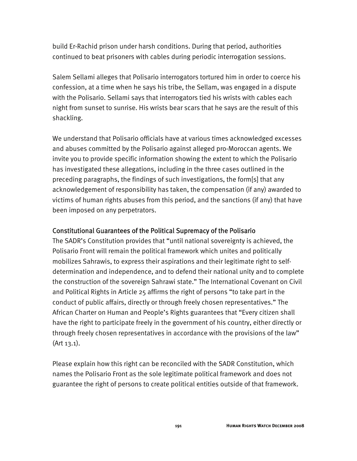build Er-Rachid prison under harsh conditions. During that period, authorities continued to beat prisoners with cables during periodic interrogation sessions.

Salem Sellami alleges that Polisario interrogators tortured him in order to coerce his confession, at a time when he says his tribe, the Sellam, was engaged in a dispute with the Polisario. Sellami says that interrogators tied his wrists with cables each night from sunset to sunrise. His wrists bear scars that he says are the result of this shackling.

We understand that Polisario officials have at various times acknowledged excesses and abuses committed by the Polisario against alleged pro-Moroccan agents. We invite you to provide specific information showing the extent to which the Polisario has investigated these allegations, including in the three cases outlined in the preceding paragraphs, the findings of such investigations, the form[s] that any acknowledgement of responsibility has taken, the compensation (if any) awarded to victims of human rights abuses from this period, and the sanctions (if any) that have been imposed on any perpetrators.

### Constitutional Guarantees of the Political Supremacy of the Polisario

The SADR's Constitution provides that "until national sovereignty is achieved, the Polisario Front will remain the political framework which unites and politically mobilizes Sahrawis, to express their aspirations and their legitimate right to selfdetermination and independence, and to defend their national unity and to complete the construction of the sovereign Sahrawi state." The International Covenant on Civil and Political Rights in Article 25 affirms the right of persons "to take part in the conduct of public affairs, directly or through freely chosen representatives." The African Charter on Human and People's Rights guarantees that "Every citizen shall have the right to participate freely in the government of his country, either directly or through freely chosen representatives in accordance with the provisions of the law" (Art 13.1).

Please explain how this right can be reconciled with the SADR Constitution, which names the Polisario Front as the sole legitimate political framework and does not guarantee the right of persons to create political entities outside of that framework.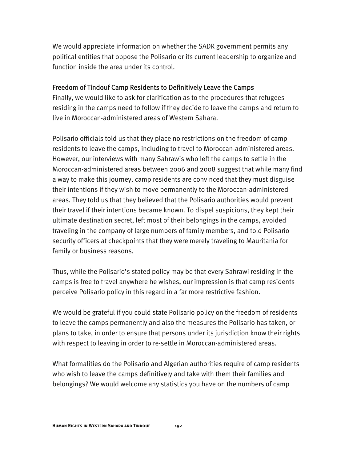We would appreciate information on whether the SADR government permits any political entities that oppose the Polisario or its current leadership to organize and function inside the area under its control.

### Freedom of Tindouf Camp Residents to Definitively Leave the Camps

Finally, we would like to ask for clarification as to the procedures that refugees residing in the camps need to follow if they decide to leave the camps and return to live in Moroccan-administered areas of Western Sahara.

Polisario officials told us that they place no restrictions on the freedom of camp residents to leave the camps, including to travel to Moroccan-administered areas. However, our interviews with many Sahrawis who left the camps to settle in the Moroccan-administered areas between 2006 and 2008 suggest that while many find a way to make this journey, camp residents are convinced that they must disguise their intentions if they wish to move permanently to the Moroccan-administered areas. They told us that they believed that the Polisario authorities would prevent their travel if their intentions became known. To dispel suspicions, they kept their ultimate destination secret, left most of their belongings in the camps, avoided traveling in the company of large numbers of family members, and told Polisario security officers at checkpoints that they were merely traveling to Mauritania for family or business reasons.

Thus, while the Polisario's stated policy may be that every Sahrawi residing in the camps is free to travel anywhere he wishes, our impression is that camp residents perceive Polisario policy in this regard in a far more restrictive fashion.

We would be grateful if you could state Polisario policy on the freedom of residents to leave the camps permanently and also the measures the Polisario has taken, or plans to take, in order to ensure that persons under its jurisdiction know their rights with respect to leaving in order to re-settle in Moroccan-administered areas.

What formalities do the Polisario and Algerian authorities require of camp residents who wish to leave the camps definitively and take with them their families and belongings? We would welcome any statistics you have on the numbers of camp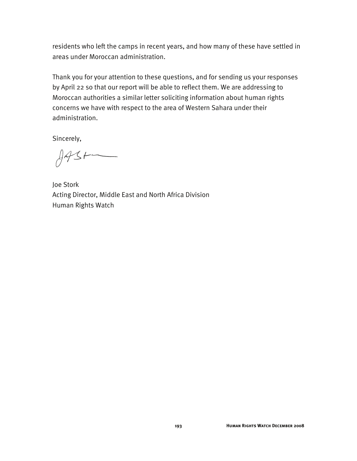residents who left the camps in recent years, and how many of these have settled in areas under Moroccan administration.

Thank you for your attention to these questions, and for sending us your responses by April 22 so that our report will be able to reflect them. We are addressing to Moroccan authorities a similar letter soliciting information about human rights concerns we have with respect to the area of Western Sahara under their administration.

Sincerely,

 $3+$ 

Joe Stork Acting Director, Middle East and North Africa Division Human Rights Watch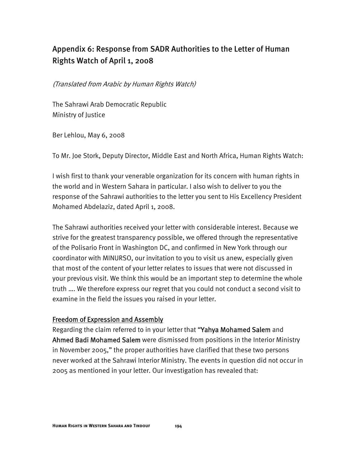# Appendix 6: Response from SADR Authorities to the Letter of Human Rights Watch of April 1, 2008

(Translated from Arabic by Human Rights Watch)

The Sahrawi Arab Democratic Republic Ministry of Justice

Ber Lehlou, May 6, 2008

To Mr. Joe Stork, Deputy Director, Middle East and North Africa, Human Rights Watch:

I wish first to thank your venerable organization for its concern with human rights in the world and in Western Sahara in particular. I also wish to deliver to you the response of the Sahrawi authorities to the letter you sent to His Excellency President Mohamed Abdelaziz, dated April 1, 2008.

The Sahrawi authorities received your letter with considerable interest. Because we strive for the greatest transparency possible, we offered through the representative of the Polisario Front in Washington DC, and confirmed in New York through our coordinator with MINURSO, our invitation to you to visit us anew, especially given that most of the content of your letter relates to issues that were not discussed in your previous visit. We think this would be an important step to determine the whole truth …. We therefore express our regret that you could not conduct a second visit to examine in the field the issues you raised in your letter.

### Freedom of Expression and Assembly

Regarding the claim referred to in your letter that "Yahya Mohamed Salem and Ahmed Badi Mohamed Salem were dismissed from positions in the Interior Ministry in November 2005," the proper authorities have clarified that these two persons never worked at the Sahrawi Interior Ministry. The events in question did not occur in 2005 as mentioned in your letter. Our investigation has revealed that: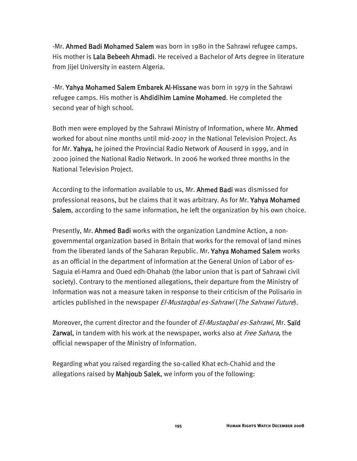-Mr. Ahmed Badi Mohamed Salem was born in 1980 in the Sahrawi refugee camps. His mother is Lala Bebeeh Ahmadi. He received a Bachelor of Arts degree in literature from Jijel University in eastern Algeria.

-Mr. Yahya Mohamed Salem Embarek Al-Hissane was born in 1979 in the Sahrawi refugee camps. His mother is Ahdidihim Lamine Mohamed. He completed the second year of high school.

Both men were employed by the Sahrawi Ministry of Information, where Mr. Ahmed worked for about nine months until mid-2007 in the National Television Project. As for Mr. Yahya, he joined the Provincial Radio Network of Aouserd in 1999, and in 2000 joined the National Radio Network. In 2006 he worked three months in the National Television Project.

According to the information available to us, Mr. Ahmed Badi was dismissed for professional reasons, but he claims that it was arbitrary. As for Mr. Yahya Mohamed Salem, according to the same information, he left the organization by his own choice.

Presently, Mr. Ahmed Badi works with the organization Landmine Action, a nongovernmental organization based in Britain that works for the removal of land mines from the liberated lands of the Saharan Republic. Mr. Yahya Mohamed Salem works as an official in the department of information at the General Union of Labor of es-Saguia el-Hamra and Oued edh-Dhahab (the labor union that is part of Sahrawi civil society). Contrary to the mentioned allegations, their departure from the Ministry of Information was not a measure taken in response to their criticism of the Polisario in articles published in the newspaper El-Mustagbal es-Sahrawi (The Sahrawi Future).

Moreover, the current director and the founder of *El-Mustaqbal es-Sahrawi*, Mr. Saïd Zarwal, in tandem with his work at the newspaper, works also at *Free Sahara*, the official newspaper of the Ministry of Information.

Regarding what you raised regarding the so-called Khat ech-Chahid and the allegations raised by Mahjoub Salek, we inform you of the following: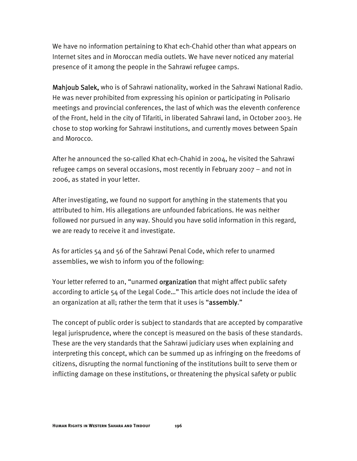We have no information pertaining to Khat ech-Chahid other than what appears on Internet sites and in Moroccan media outlets. We have never noticed any material presence of it among the people in the Sahrawi refugee camps.

Mahjoub Salek, who is of Sahrawi nationality, worked in the Sahrawi National Radio. He was never prohibited from expressing his opinion or participating in Polisario meetings and provincial conferences, the last of which was the eleventh conference of the Front, held in the city of Tifariti, in liberated Sahrawi land, in October 2003. He chose to stop working for Sahrawi institutions, and currently moves between Spain and Morocco.

After he announced the so-called Khat ech-Chahid in 2004, he visited the Sahrawi refugee camps on several occasions, most recently in February 2007 – and not in 2006, as stated in your letter.

After investigating, we found no support for anything in the statements that you attributed to him. His allegations are unfounded fabrications. He was neither followed nor pursued in any way. Should you have solid information in this regard, we are ready to receive it and investigate.

As for articles 54 and 56 of the Sahrawi Penal Code, which refer to unarmed assemblies, we wish to inform you of the following:

Your letter referred to an, "unarmed **organization** that might affect public safety according to article 54 of the Legal Code…" This article does not include the idea of an organization at all; rather the term that it uses is "assembly."

The concept of public order is subject to standards that are accepted by comparative legal jurisprudence, where the concept is measured on the basis of these standards. These are the very standards that the Sahrawi judiciary uses when explaining and interpreting this concept, which can be summed up as infringing on the freedoms of citizens, disrupting the normal functioning of the institutions built to serve them or inflicting damage on these institutions, or threatening the physical safety or public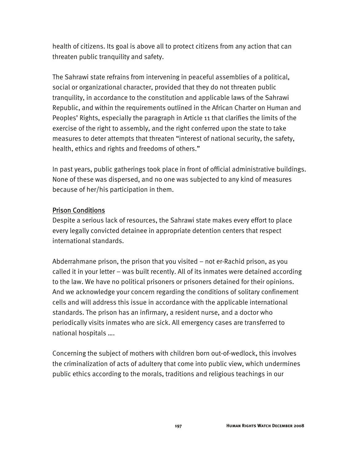health of citizens. Its goal is above all to protect citizens from any action that can threaten public tranquility and safety.

The Sahrawi state refrains from intervening in peaceful assemblies of a political, social or organizational character, provided that they do not threaten public tranquility, in accordance to the constitution and applicable laws of the Sahrawi Republic, and within the requirements outlined in the African Charter on Human and Peoples' Rights, especially the paragraph in Article 11 that clarifies the limits of the exercise of the right to assembly, and the right conferred upon the state to take measures to deter attempts that threaten "interest of national security, the safety, health, ethics and rights and freedoms of others."

In past years, public gatherings took place in front of official administrative buildings. None of these was dispersed, and no one was subjected to any kind of measures because of her/his participation in them.

# Prison Conditions

Despite a serious lack of resources, the Sahrawi state makes every effort to place every legally convicted detainee in appropriate detention centers that respect international standards.

Abderrahmane prison, the prison that you visited – not er-Rachid prison, as you called it in your letter – was built recently. All of its inmates were detained according to the law. We have no political prisoners or prisoners detained for their opinions. And we acknowledge your concern regarding the conditions of solitary confinement cells and will address this issue in accordance with the applicable international standards. The prison has an infirmary, a resident nurse, and a doctor who periodically visits inmates who are sick. All emergency cases are transferred to national hospitals ….

Concerning the subject of mothers with children born out-of-wedlock, this involves the criminalization of acts of adultery that come into public view, which undermines public ethics according to the morals, traditions and religious teachings in our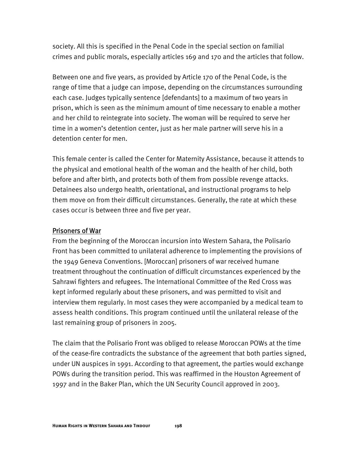society. All this is specified in the Penal Code in the special section on familial crimes and public morals, especially articles 169 and 170 and the articles that follow.

Between one and five years, as provided by Article 170 of the Penal Code, is the range of time that a judge can impose, depending on the circumstances surrounding each case. Judges typically sentence [defendants] to a maximum of two years in prison, which is seen as the minimum amount of time necessary to enable a mother and her child to reintegrate into society. The woman will be required to serve her time in a women's detention center, just as her male partner will serve his in a detention center for men.

This female center is called the Center for Maternity Assistance, because it attends to the physical and emotional health of the woman and the health of her child, both before and after birth, and protects both of them from possible revenge attacks. Detainees also undergo health, orientational, and instructional programs to help them move on from their difficult circumstances. Generally, the rate at which these cases occur is between three and five per year.

### Prisoners of War

From the beginning of the Moroccan incursion into Western Sahara, the Polisario Front has been committed to unilateral adherence to implementing the provisions of the 1949 Geneva Conventions. [Moroccan] prisoners of war received humane treatment throughout the continuation of difficult circumstances experienced by the Sahrawi fighters and refugees. The International Committee of the Red Cross was kept informed regularly about these prisoners, and was permitted to visit and interview them regularly. In most cases they were accompanied by a medical team to assess health conditions. This program continued until the unilateral release of the last remaining group of prisoners in 2005.

The claim that the Polisario Front was obliged to release Moroccan POWs at the time of the cease-fire contradicts the substance of the agreement that both parties signed, under UN auspices in 1991. According to that agreement, the parties would exchange POWs during the transition period. This was reaffirmed in the Houston Agreement of 1997 and in the Baker Plan, which the UN Security Council approved in 2003.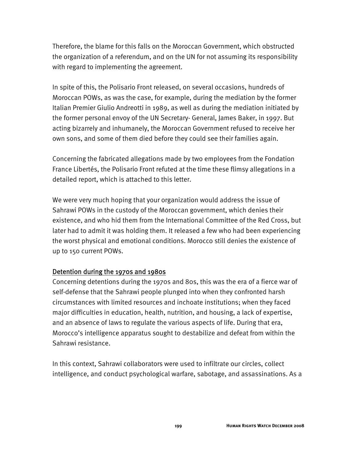Therefore, the blame for this falls on the Moroccan Government, which obstructed the organization of a referendum, and on the UN for not assuming its responsibility with regard to implementing the agreement.

In spite of this, the Polisario Front released, on several occasions, hundreds of Moroccan POWs, as was the case, for example, during the mediation by the former Italian Premier Giulio Andreotti in 1989, as well as during the mediation initiated by the former personal envoy of the UN Secretary- General, James Baker, in 1997. But acting bizarrely and inhumanely, the Moroccan Government refused to receive her own sons, and some of them died before they could see their families again.

Concerning the fabricated allegations made by two employees from the Fondation France Libertés, the Polisario Front refuted at the time these flimsy allegations in a detailed report, which is attached to this letter.

We were very much hoping that your organization would address the issue of Sahrawi POWs in the custody of the Moroccan government, which denies their existence, and who hid them from the International Committee of the Red Cross, but later had to admit it was holding them. It released a few who had been experiencing the worst physical and emotional conditions. Morocco still denies the existence of up to 150 current POWs.

# Detention during the 1970s and 1980s

Concerning detentions during the 1970s and 80s, this was the era of a fierce war of self-defense that the Sahrawi people plunged into when they confronted harsh circumstances with limited resources and inchoate institutions; when they faced major difficulties in education, health, nutrition, and housing, a lack of expertise, and an absence of laws to regulate the various aspects of life. During that era, Morocco's intelligence apparatus sought to destabilize and defeat from within the Sahrawi resistance.

In this context, Sahrawi collaborators were used to infiltrate our circles, collect intelligence, and conduct psychological warfare, sabotage, and assassinations. As a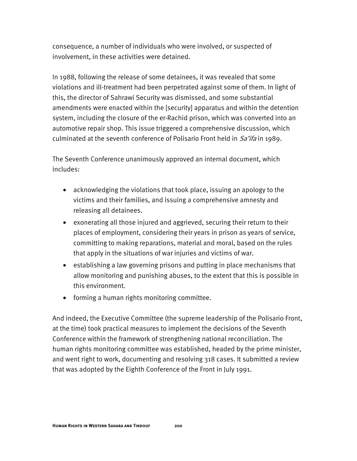consequence, a number of individuals who were involved, or suspected of involvement, in these activities were detained.

In 1988, following the release of some detainees, it was revealed that some violations and ill-treatment had been perpetrated against some of them. In light of this, the director of Sahrawi Security was dismissed, and some substantial amendments were enacted within the [security] apparatus and within the detention system, including the closure of the er-Rachid prison, which was converted into an automotive repair shop. This issue triggered a comprehensive discussion, which culminated at the seventh conference of Polisario Front held in Sa'ifa in 1989.

The Seventh Conference unanimously approved an internal document, which includes:

- acknowledging the violations that took place, issuing an apology to the victims and their families, and issuing a comprehensive amnesty and releasing all detainees.
- exonerating all those injured and aggrieved, securing their return to their places of employment, considering their years in prison as years of service, committing to making reparations, material and moral, based on the rules that apply in the situations of war injuries and victims of war.
- establishing a law governing prisons and putting in place mechanisms that allow monitoring and punishing abuses, to the extent that this is possible in this environment.
- forming a human rights monitoring committee.

And indeed, the Executive Committee (the supreme leadership of the Polisario Front, at the time) took practical measures to implement the decisions of the Seventh Conference within the framework of strengthening national reconciliation. The human rights monitoring committee was established, headed by the prime minister, and went right to work, documenting and resolving 318 cases. It submitted a review that was adopted by the Eighth Conference of the Front in July 1991.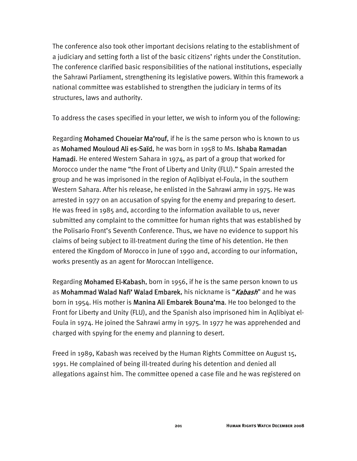The conference also took other important decisions relating to the establishment of a judiciary and setting forth a list of the basic citizens' rights under the Constitution. The conference clarified basic responsibilities of the national institutions, especially the Sahrawi Parliament, strengthening its legislative powers. Within this framework a national committee was established to strengthen the judiciary in terms of its structures, laws and authority.

To address the cases specified in your letter, we wish to inform you of the following:

Regarding Mohamed Choueiar Ma'rouf, if he is the same person who is known to us as Mohamed Mouloud Ali es-Saïd, he was born in 1958 to Ms. Ishaba Ramadan Hamadi. He entered Western Sahara in 1974, as part of a group that worked for Morocco under the name "the Front of Liberty and Unity (FLU)." Spain arrested the group and he was imprisoned in the region of Aqlibiyat el-Foula, in the southern Western Sahara. After his release, he enlisted in the Sahrawi army in 1975. He was arrested in 1977 on an accusation of spying for the enemy and preparing to desert. He was freed in 1985 and, according to the information available to us, never submitted any complaint to the committee for human rights that was established by the Polisario Front's Seventh Conference. Thus, we have no evidence to support his claims of being subject to ill-treatment during the time of his detention. He then entered the Kingdom of Morocco in June of 1990 and, according to our information, works presently as an agent for Moroccan Intelligence.

Regarding Mohamed El-Kabash, born in 1956, if he is the same person known to us as Mohammad Walad Nafi' Walad Embarek, his nickname is "*Kabash*" and he was born in 1954. His mother is Manina Ali Embarek Bouna'ma. He too belonged to the Front for Liberty and Unity (FLU), and the Spanish also imprisoned him in Aqlibiyat el-Foula in 1974. He joined the Sahrawi army in 1975. In 1977 he was apprehended and charged with spying for the enemy and planning to desert.

Freed in 1989, Kabash was received by the Human Rights Committee on August 15, 1991. He complained of being ill-treated during his detention and denied all allegations against him. The committee opened a case file and he was registered on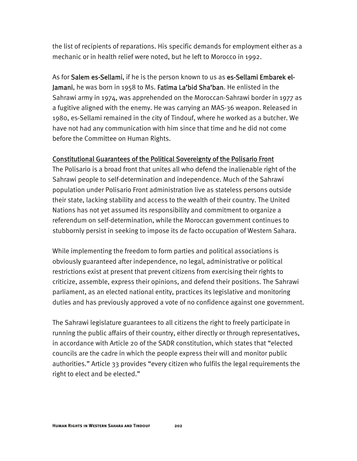the list of recipients of reparations. His specific demands for employment either as a mechanic or in health relief were noted, but he left to Morocco in 1992.

As for Salem es-Sellami, if he is the person known to us as es-Sellami Embarek el-Jamani, he was born in 1958 to Ms. Fatima La'bid Sha'ban. He enlisted in the Sahrawi army in 1974, was apprehended on the Moroccan-Sahrawi border in 1977 as a fugitive aligned with the enemy. He was carrying an MAS-36 weapon. Released in 1980, es-Sellami remained in the city of Tindouf, where he worked as a butcher. We have not had any communication with him since that time and he did not come before the Committee on Human Rights.

### Constitutional Guarantees of the Political Sovereignty of the Polisario Front

The Polisario is a broad front that unites all who defend the inalienable right of the Sahrawi people to self-determination and independence. Much of the Sahrawi population under Polisario Front administration live as stateless persons outside their state, lacking stability and access to the wealth of their country. The United Nations has not yet assumed its responsibility and commitment to organize a referendum on self-determination, while the Moroccan government continues to stubbornly persist in seeking to impose its de facto occupation of Western Sahara.

While implementing the freedom to form parties and political associations is obviously guaranteed after independence, no legal, administrative or political restrictions exist at present that prevent citizens from exercising their rights to criticize, assemble, express their opinions, and defend their positions. The Sahrawi parliament, as an elected national entity, practices its legislative and monitoring duties and has previously approved a vote of no confidence against one government.

The Sahrawi legislature guarantees to all citizens the right to freely participate in running the public affairs of their country, either directly or through representatives, in accordance with Article 20 of the SADR constitution, which states that "elected councils are the cadre in which the people express their will and monitor public authorities." Article 33 provides "every citizen who fulfils the legal requirements the right to elect and be elected."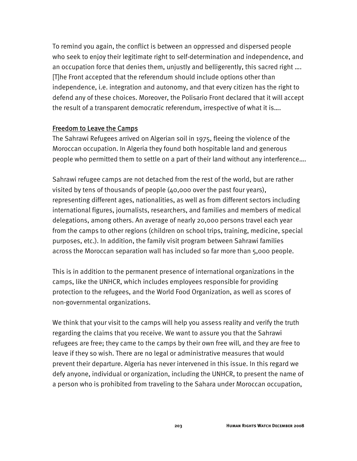To remind you again, the conflict is between an oppressed and dispersed people who seek to enjoy their legitimate right to self-determination and independence, and an occupation force that denies them, unjustly and belligerently, this sacred right …. [T]he Front accepted that the referendum should include options other than independence, i.e. integration and autonomy, and that every citizen has the right to defend any of these choices. Moreover, the Polisario Front declared that it will accept the result of a transparent democratic referendum, irrespective of what it is….

### Freedom to Leave the Camps

The Sahrawi Refugees arrived on Algerian soil in 1975, fleeing the violence of the Moroccan occupation. In Algeria they found both hospitable land and generous people who permitted them to settle on a part of their land without any interference….

Sahrawi refugee camps are not detached from the rest of the world, but are rather visited by tens of thousands of people  $(40,000)$  over the past four years), representing different ages, nationalities, as well as from different sectors including international figures, journalists, researchers, and families and members of medical delegations, among others. An average of nearly 20,000 persons travel each year from the camps to other regions (children on school trips, training, medicine, special purposes, etc.). In addition, the family visit program between Sahrawi families across the Moroccan separation wall has included so far more than 5,000 people.

This is in addition to the permanent presence of international organizations in the camps, like the UNHCR, which includes employees responsible for providing protection to the refugees, and the World Food Organization, as well as scores of non-governmental organizations.

We think that your visit to the camps will help you assess reality and verify the truth regarding the claims that you receive. We want to assure you that the Sahrawi refugees are free; they came to the camps by their own free will, and they are free to leave if they so wish. There are no legal or administrative measures that would prevent their departure. Algeria has never intervened in this issue. In this regard we defy anyone, individual or organization, including the UNHCR, to present the name of a person who is prohibited from traveling to the Sahara under Moroccan occupation,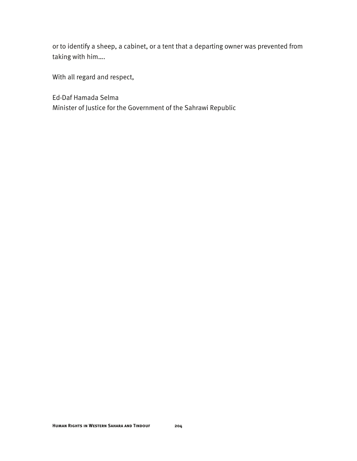or to identify a sheep, a cabinet, or a tent that a departing owner was prevented from taking with him….

With all regard and respect,

Ed-Daf Hamada Selma Minister of Justice for the Government of the Sahrawi Republic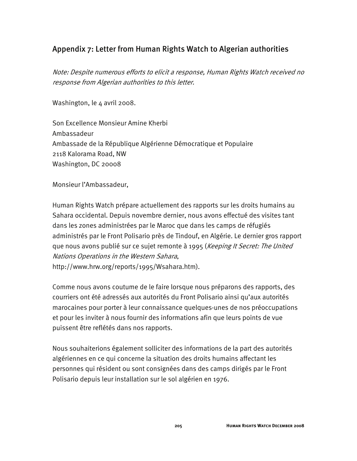# Appendix 7: Letter from Human Rights Watch to Algerian authorities

Note: Despite numerous efforts to elicit a response, Human Rights Watch received no response from Algerian authorities to this letter.

Washington, le 4 avril 2008.

Son Excellence Monsieur Amine Kherbi Ambassadeur Ambassade de la République Algérienne Démocratique et Populaire 2118 Kalorama Road, NW Washington, DC 20008

Monsieur l'Ambassadeur,

Human Rights Watch prépare actuellement des rapports sur les droits humains au Sahara occidental. Depuis novembre dernier, nous avons effectué des visites tant dans les zones administrées par le Maroc que dans les camps de réfugiés administrés par le Front Polisario près de Tindouf, en Algérie. Le dernier gros rapport que nous avons publié sur ce sujet remonte à 1995 (Keeping It Secret: The United Nations Operations in the Western Sahara, http://www.hrw.org/reports/1995/Wsahara.htm).

Comme nous avons coutume de le faire lorsque nous préparons des rapports, des courriers ont été adressés aux autorités du Front Polisario ainsi qu'aux autorités marocaines pour porter à leur connaissance quelques-unes de nos préoccupations et pour les inviter à nous fournir des informations afin que leurs points de vue puissent être reflétés dans nos rapports.

Nous souhaiterions également solliciter des informations de la part des autorités algériennes en ce qui concerne la situation des droits humains affectant les personnes qui résident ou sont consignées dans des camps dirigés par le Front Polisario depuis leur installation sur le sol algérien en 1976.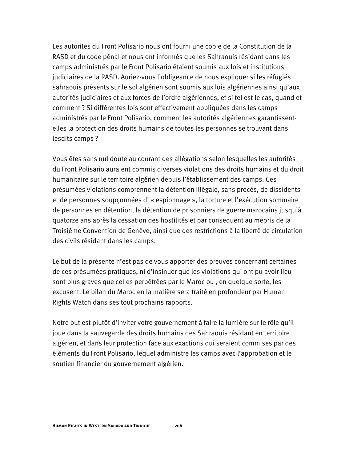Les autorités du Front Polisario nous ont fourni une copie de la Constitution de la RASD et du code pénal et nous ont informés que les Sahraouis résidant dans les camps administrés par le Front Polisario étaient soumis aux lois et institutions judiciaires de la RASD. Auriez-vous l'obligeance de nous expliquer si les réfugiés sahraouis présents sur le sol algérien sont soumis aux lois algériennes ainsi qu'aux autorités judiciaires et aux forces de l'ordre algériennes, et si tel est le cas, quand et comment ? Si différentes lois sont effectivement appliquées dans les camps administrés par le Front Polisario, comment les autorités algériennes garantissentelles la protection des droits humains de toutes les personnes se trouvant dans lesdits camps ?

Vous êtes sans nul doute au courant des allégations selon lesquelles les autorités du Front Polisario auraient commis diverses violations des droits humains et du droit humanitaire sur le territoire algérien depuis l'établissement des camps. Ces présumées violations comprennent la détention illégale, sans procès, de dissidents et de personnes soupçonnées d' « espionnage », la torture et l'exécution sommaire de personnes en détention, la détention de prisonniers de guerre marocains jusqu'à quatorze ans après la cessation des hostilités et par conséquent au mépris de la Troisième Convention de Genève, ainsi que des restrictions à la liberté de circulation des civils résidant dans les camps.

Le but de la présente n'est pas de vous apporter des preuves concernant certaines de ces présumées pratiques, ni d'insinuer que les violations qui ont pu avoir lieu sont plus graves que celles perpétrées par le Maroc ou , en quelque sorte, les excusent. Le bilan du Maroc en la matière sera traité en profondeur par Human Rights Watch dans ses tout prochains rapports.

Notre but est plutôt d'inviter votre gouvernement à faire la lumière sur le rôle qu'il joue dans la sauvegarde des droits humains des Sahraouis résidant en territoire algérien, et dans leur protection face aux exactions qui seraient commises par des éléments du Front Polisario, lequel administre les camps avec l'approbation et le soutien financier du gouvernement algérien.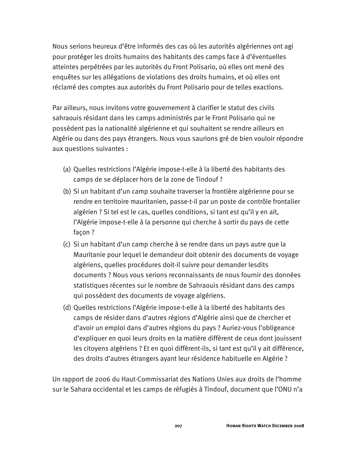Nous serions heureux d'être informés des cas où les autorités algériennes ont agi pour protéger les droits humains des habitants des camps face à d'éventuelles atteintes perpétrées par les autorités du Front Polisario, où elles ont mené des enquêtes sur les allégations de violations des droits humains, et où elles ont réclamé des comptes aux autorités du Front Polisario pour de telles exactions.

Par ailleurs, nous invitons votre gouvernement à clarifier le statut des civils sahraouis résidant dans les camps administrés par le Front Polisario qui ne possèdent pas la nationalité algérienne et qui souhaitent se rendre ailleurs en Algérie ou dans des pays étrangers. Nous vous saurions gré de bien vouloir répondre aux questions suivantes :

- (a) Quelles restrictions l'Algérie impose-t-elle à la liberté des habitants des camps de se déplacer hors de la zone de Tindouf ?
- (b) Si un habitant d'un camp souhaite traverser la frontière algérienne pour se rendre en territoire mauritanien, passe-t-il par un poste de contrôle frontalier algérien ? Si tel est le cas, quelles conditions, si tant est qu'il y en ait, l'Algérie impose-t-elle à la personne qui cherche à sortir du pays de cette façon ?
- (c) Si un habitant d'un camp cherche à se rendre dans un pays autre que la Mauritanie pour lequel le demandeur doit obtenir des documents de voyage algériens, quelles procédures doit-il suivre pour demander lesdits documents ? Nous vous serions reconnaissants de nous fournir des données statistiques récentes sur le nombre de Sahraouis résidant dans des camps qui possèdent des documents de voyage algériens.
- (d) Quelles restrictions l'Algérie impose-t-elle à la liberté des habitants des camps de résider dans d'autres régions d'Algérie ainsi que de chercher et d'avoir un emploi dans d'autres régions du pays ? Auriez-vous l'obligeance d'expliquer en quoi leurs droits en la matière diffèrent de ceux dont jouissent les citoyens algériens ? Et en quoi diffèrent-ils, si tant est qu'il y ait différence, des droits d'autres étrangers ayant leur résidence habituelle en Algérie ?

Un rapport de 2006 du Haut-Commissariat des Nations Unies aux droits de l'homme sur le Sahara occidental et les camps de réfugiés à Tindouf, document que l'ONU n'a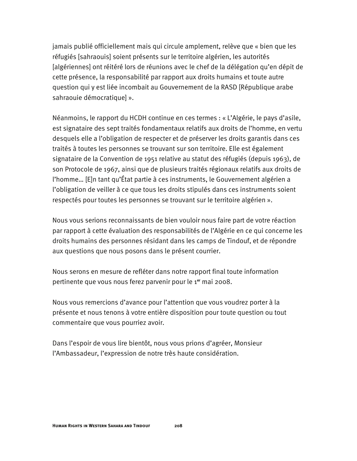jamais publié officiellement mais qui circule amplement, relève que « bien que les réfugiés [sahraouis] soient présents sur le territoire algérien, les autorités [algériennes] ont réitéré lors de réunions avec le chef de la délégation qu'en dépit de cette présence, la responsabilité par rapport aux droits humains et toute autre question qui y est liée incombait au Gouvernement de la RASD [République arabe sahraouie démocratique] ».

Néanmoins, le rapport du HCDH continue en ces termes : « L'Algérie, le pays d'asile, est signataire des sept traités fondamentaux relatifs aux droits de l'homme, en vertu desquels elle a l'obligation de respecter et de préserver les droits garantis dans ces traités à toutes les personnes se trouvant sur son territoire. Elle est également signataire de la Convention de 1951 relative au statut des réfugiés (depuis 1963), de son Protocole de 1967, ainsi que de plusieurs traités régionaux relatifs aux droits de l'homme… [E]n tant qu'État partie à ces instruments, le Gouvernement algérien a l'obligation de veiller à ce que tous les droits stipulés dans ces instruments soient respectés pour toutes les personnes se trouvant sur le territoire algérien ».

Nous vous serions reconnaissants de bien vouloir nous faire part de votre réaction par rapport à cette évaluation des responsabilités de l'Algérie en ce qui concerne les droits humains des personnes résidant dans les camps de Tindouf, et de répondre aux questions que nous posons dans le présent courrier.

Nous serons en mesure de refléter dans notre rapport final toute information pertinente que vous nous ferez parvenir pour le 1**er** mai 2008.

Nous vous remercions d'avance pour l'attention que vous voudrez porter à la présente et nous tenons à votre entière disposition pour toute question ou tout commentaire que vous pourriez avoir.

Dans l'espoir de vous lire bientôt, nous vous prions d'agréer, Monsieur l'Ambassadeur, l'expression de notre très haute considération.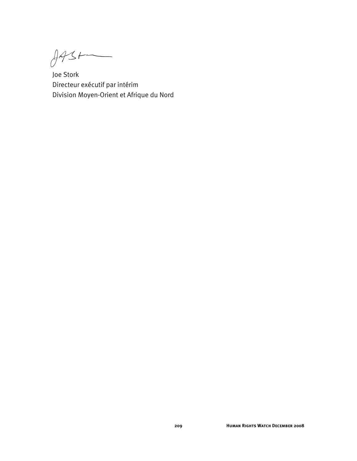$8431$ 

Joe Stork Directeur exécutif par intérim Division Moyen-Orient et Afrique du Nord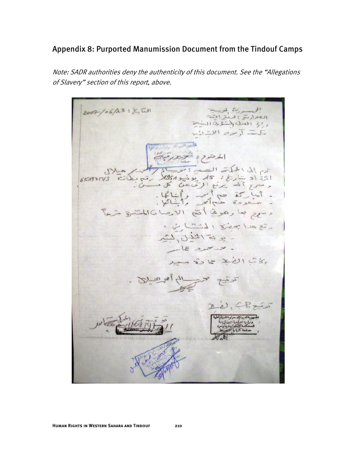# Appendix 8: Purported Manumission Document from the Tindouf Camps

Note: SADR authorities deny the authenticity of this document. See the "Allegations of Slavery" section of this report, above.

المحسورة الحرب<br>العماريق المنقرافية<br>وإنج الملك ولشروة المنية  $2007/06/A3: 2,51$  $\vec{L} = \vec{L} \times \vec{L}$ الموضوم بتخرير رقبا توم بالی الحکمت السنة : حمد بالحمد مسلال<br>المرّدّ او شارخ : 15. بونيو 1954 رقم بعادة 247+2538<br>مرصوح أقد برنج الرّف على مسلم . . أماركة عم أسب وأبنائها .<br>- سعودة حماس وأبنائها . ومعج بعا رهونئ أتم الارصا كالمعتبرة د  $\cdot$  is det i sier lie si - يو بي<del>ة الم</del>ذل كمية<br>- مهرسمود عاسر سيد من الاسمية بين المرت 1.5 بالمسير<br>من المسير المسير المسير المسير المسير المسير المسير المسير المسير المسير المسير المسير المسير المسير المسير ال